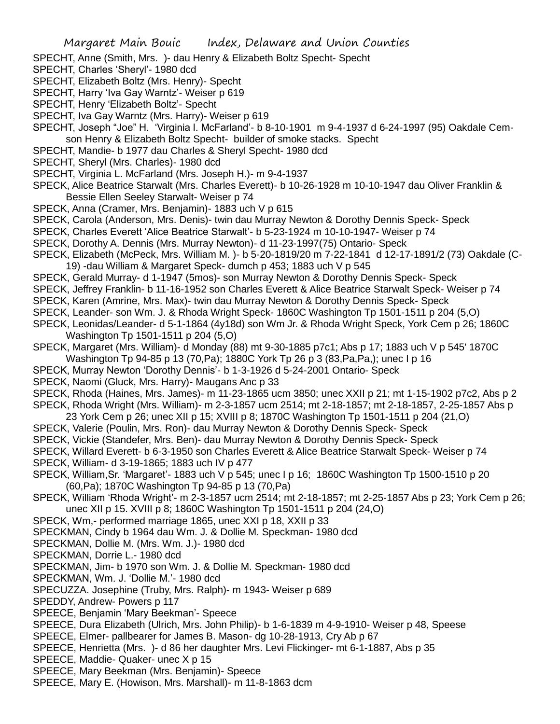- SPECHT, Anne (Smith, Mrs. )- dau Henry & Elizabeth Boltz Specht- Specht
- SPECHT, Charles 'Sheryl'- 1980 dcd
- SPECHT, Elizabeth Boltz (Mrs. Henry)- Specht
- SPECHT, Harry 'Iva Gay Warntz'- Weiser p 619
- SPECHT, Henry 'Elizabeth Boltz'- Specht
- SPECHT, Iva Gay Warntz (Mrs. Harry) Weiser p 619
- SPECHT, Joseph "Joe" H. 'Virginia l. McFarland'- b 8-10-1901 m 9-4-1937 d 6-24-1997 (95) Oakdale Cemson Henry & Elizabeth Boltz Specht- builder of smoke stacks. Specht
- SPECHT, Mandie- b 1977 dau Charles & Sheryl Specht- 1980 dcd
- SPECHT, Sheryl (Mrs. Charles)- 1980 dcd
- SPECHT, Virginia L. McFarland (Mrs. Joseph H.)- m 9-4-1937
- SPECK, Alice Beatrice Starwalt (Mrs. Charles Everett)- b 10-26-1928 m 10-10-1947 dau Oliver Franklin & Bessie Ellen Seeley Starwalt- Weiser p 74
- SPECK, Anna (Cramer, Mrs. Benjamin)- 1883 uch V p 615
- SPECK, Carola (Anderson, Mrs. Denis)- twin dau Murray Newton & Dorothy Dennis Speck- Speck
- SPECK, Charles Everett 'Alice Beatrice Starwalt'- b 5-23-1924 m 10-10-1947- Weiser p 74
- SPECK, Dorothy A. Dennis (Mrs. Murray Newton)- d 11-23-1997(75) Ontario- Speck
- SPECK, Elizabeth (McPeck, Mrs. William M. )- b 5-20-1819/20 m 7-22-1841 d 12-17-1891/2 (73) Oakdale (C-19) -dau William & Margaret Speck- dumch p 453; 1883 uch V p 545
- SPECK, Gerald Murray- d 1-1947 (5mos)- son Murray Newton & Dorothy Dennis Speck- Speck
- SPECK, Jeffrey Franklin- b 11-16-1952 son Charles Everett & Alice Beatrice Starwalt Speck- Weiser p 74
- SPECK, Karen (Amrine, Mrs. Max)- twin dau Murray Newton & Dorothy Dennis Speck- Speck
- SPECK, Leander- son Wm. J. & Rhoda Wright Speck- 1860C Washington Tp 1501-1511 p 204 (5,O)
- SPECK, Leonidas/Leander- d 5-1-1864 (4y18d) son Wm Jr. & Rhoda Wright Speck, York Cem p 26; 1860C Washington Tp 1501-1511 p 204 (5,O)
- SPECK, Margaret (Mrs. William)- d Monday (88) mt 9-30-1885 p7c1; Abs p 17; 1883 uch V p 545' 1870C Washington Tp 94-85 p 13 (70,Pa); 1880C York Tp 26 p 3 (83,Pa,Pa,); unec I p 16
- SPECK, Murray Newton 'Dorothy Dennis'- b 1-3-1926 d 5-24-2001 Ontario- Speck
- SPECK, Naomi (Gluck, Mrs. Harry)- Maugans Anc p 33
- SPECK, Rhoda (Haines, Mrs. James)- m 11-23-1865 ucm 3850; unec XXII p 21; mt 1-15-1902 p7c2, Abs p 2
- SPECK, Rhoda Wright (Mrs. William)- m 2-3-1857 ucm 2514; mt 2-18-1857; mt 2-18-1857, 2-25-1857 Abs p
- 23 York Cem p 26; unec XII p 15; XVIII p 8; 1870C Washington Tp 1501-1511 p 204 (21,O)
- SPECK, Valerie (Poulin, Mrs. Ron)- dau Murray Newton & Dorothy Dennis Speck- Speck
- SPECK, Vickie (Standefer, Mrs. Ben)- dau Murray Newton & Dorothy Dennis Speck- Speck
- SPECK, Willard Everett- b 6-3-1950 son Charles Everett & Alice Beatrice Starwalt Speck- Weiser p 74
- SPECK, William- d 3-19-1865; 1883 uch IV p 477
- SPECK, William,Sr. 'Margaret'- 1883 uch V p 545; unec I p 16; 1860C Washington Tp 1500-1510 p 20 (60,Pa); 1870C Washington Tp 94-85 p 13 (70,Pa)
- SPECK, William 'Rhoda Wright'- m 2-3-1857 ucm 2514; mt 2-18-1857; mt 2-25-1857 Abs p 23; York Cem p 26; unec XII p 15. XVIII p 8; 1860C Washington Tp 1501-1511 p 204 (24,O)
- SPECK, Wm,- performed marriage 1865, unec XXI p 18, XXII p 33
- SPECKMAN, Cindy b 1964 dau Wm. J. & Dollie M. Speckman- 1980 dcd
- SPECKMAN, Dollie M. (Mrs. Wm. J.)- 1980 dcd
- SPECKMAN, Dorrie L.- 1980 dcd
- SPECKMAN, Jim- b 1970 son Wm. J. & Dollie M. Speckman- 1980 dcd
- SPECKMAN, Wm. J. 'Dollie M.'- 1980 dcd
- SPECUZZA. Josephine (Truby, Mrs. Ralph)- m 1943- Weiser p 689
- SPEDDY, Andrew- Powers p 117
- SPEECE, Benjamin 'Mary Beekman'- Speece
- SPEECE, Dura Elizabeth (Ulrich, Mrs. John Philip)- b 1-6-1839 m 4-9-1910- Weiser p 48, Speese
- SPEECE, Elmer- pallbearer for James B. Mason- dg 10-28-1913, Cry Ab p 67
- SPEECE, Henrietta (Mrs. )- d 86 her daughter Mrs. Levi Flickinger- mt 6-1-1887, Abs p 35
- SPEECE, Maddie- Quaker- unec X p 15
- SPEECE, Mary Beekman (Mrs. Benjamin)- Speece
- SPEECE, Mary E. (Howison, Mrs. Marshall)- m 11-8-1863 dcm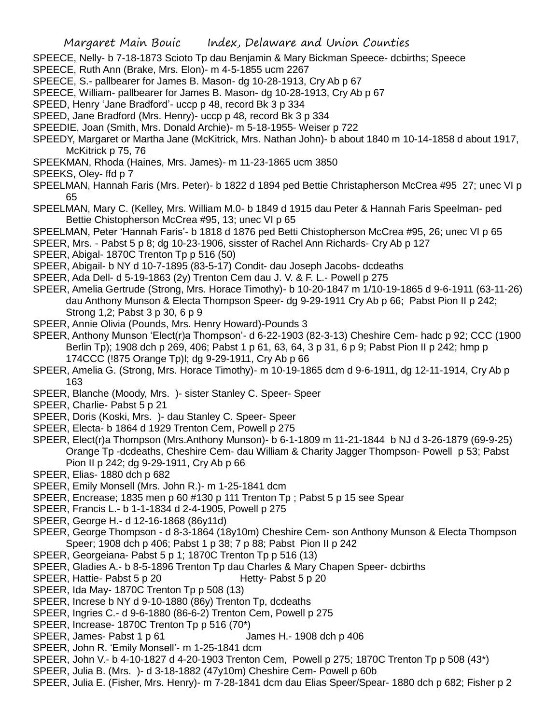- SPEECE, Nelly- b 7-18-1873 Scioto Tp dau Benjamin & Mary Bickman Speece- dcbirths; Speece
- SPEECE, Ruth Ann (Brake, Mrs. Elon)- m 4-5-1855 ucm 2267
- SPEECE, S.- pallbearer for James B. Mason- dg 10-28-1913, Cry Ab p 67
- SPEECE, William- pallbearer for James B. Mason- dg 10-28-1913, Cry Ab p 67
- SPEED, Henry 'Jane Bradford'- uccp p 48, record Bk 3 p 334
- SPEED, Jane Bradford (Mrs. Henry)- uccp p 48, record Bk 3 p 334
- SPEEDIE, Joan (Smith, Mrs. Donald Archie)- m 5-18-1955- Weiser p 722
- SPEEDY, Margaret or Martha Jane (McKitrick, Mrs. Nathan John)- b about 1840 m 10-14-1858 d about 1917, McKitrick p 75, 76
- SPEEKMAN, Rhoda (Haines, Mrs. James)- m 11-23-1865 ucm 3850
- SPEEKS, Oley- ffd p 7
- SPEELMAN, Hannah Faris (Mrs. Peter)- b 1822 d 1894 ped Bettie Christapherson McCrea #95 27; unec VI p 65
- SPEELMAN, Mary C. (Kelley, Mrs. William M.0- b 1849 d 1915 dau Peter & Hannah Faris Speelman- ped Bettie Chistopherson McCrea #95, 13; unec VI p 65
- SPEELMAN, Peter 'Hannah Faris'- b 1818 d 1876 ped Betti Chistopherson McCrea #95, 26; unec VI p 65
- SPEER, Mrs. Pabst 5 p 8; dg 10-23-1906, sisster of Rachel Ann Richards- Cry Ab p 127
- SPEER, Abigal- 1870C Trenton Tp p 516 (50)
- SPEER, Abigail- b NY d 10-7-1895 (83-5-17) Condit- dau Joseph Jacobs- dcdeaths
- SPEER, Ada Dell- d 5-19-1863 (2y) Trenton Cem dau J. V. & F. L.- Powell p 275
- SPEER, Amelia Gertrude (Strong, Mrs. Horace Timothy)- b 10-20-1847 m 1/10-19-1865 d 9-6-1911 (63-11-26) dau Anthony Munson & Electa Thompson Speer- dg 9-29-1911 Cry Ab p 66; Pabst Pion II p 242; Strong 1,2; Pabst 3 p 30, 6 p 9
- SPEER, Annie Olivia (Pounds, Mrs. Henry Howard)-Pounds 3
- SPEER, Anthony Munson 'Elect(r)a Thompson'- d 6-22-1903 (82-3-13) Cheshire Cem- hadc p 92; CCC (1900 Berlin Tp); 1908 dch p 269, 406; Pabst 1 p 61, 63, 64, 3 p 31, 6 p 9; Pabst Pion II p 242; hmp p 174CCC (!875 Orange Tp)l; dg 9-29-1911, Cry Ab p 66
- SPEER, Amelia G. (Strong, Mrs. Horace Timothy)- m 10-19-1865 dcm d 9-6-1911, dg 12-11-1914, Cry Ab p 163
- SPEER, Blanche (Moody, Mrs. )- sister Stanley C. Speer- Speer
- SPEER, Charlie- Pabst 5 p 21
- SPEER, Doris (Koski, Mrs. )- dau Stanley C. Speer- Speer
- SPEER, Electa- b 1864 d 1929 Trenton Cem, Powell p 275
- SPEER, Elect(r)a Thompson (Mrs.Anthony Munson)- b 6-1-1809 m 11-21-1844 b NJ d 3-26-1879 (69-9-25) Orange Tp -dcdeaths, Cheshire Cem- dau William & Charity Jagger Thompson- Powell p 53; Pabst Pion II p 242; dg 9-29-1911, Cry Ab p 66
- SPEER, Elias- 1880 dch p 682
- SPEER, Emily Monsell (Mrs. John R.)- m 1-25-1841 dcm
- SPEER, Encrease; 1835 men p 60 #130 p 111 Trenton Tp ; Pabst 5 p 15 see Spear
- SPEER, Francis L.- b 1-1-1834 d 2-4-1905, Powell p 275
- SPEER, George H.- d 12-16-1868 (86y11d)
- SPEER, George Thompson d 8-3-1864 (18y10m) Cheshire Cem- son Anthony Munson & Electa Thompson Speer; 1908 dch p 406; Pabst 1 p 38; 7 p 88; Pabst Pion II p 242
- SPEER, Georgeiana- Pabst 5 p 1; 1870C Trenton Tp p 516 (13)
- SPEER, Gladies A.- b 8-5-1896 Trenton Tp dau Charles & Mary Chapen Speer- dcbirths
- SPEER, Hattie- Pabst 5 p 20 Hetty- Pabst 5 p 20
- SPEER, Ida May- 1870C Trenton Tp p 508 (13)
- SPEER, Increse b NY d 9-10-1880 (86y) Trenton Tp, dcdeaths
- SPEER, Ingries C.- d 9-6-1880 (86-6-2) Trenton Cem, Powell p 275
- SPEER, Increase- 1870C Trenton Tp p 516 (70\*)
- SPEER, James- Pabst 1 p 61 James H.- 1908 dch p 406
- SPEER, John R. 'Emily Monsell'- m 1-25-1841 dcm
- SPEER, John V.- b 4-10-1827 d 4-20-1903 Trenton Cem, Powell p 275; 1870C Trenton Tp p 508 (43\*)
- SPEER, Julia B. (Mrs. )- d 3-18-1882 (47y10m) Cheshire Cem- Powell p 60b
- SPEER, Julia E. (Fisher, Mrs. Henry)- m 7-28-1841 dcm dau Elias Speer/Spear- 1880 dch p 682; Fisher p 2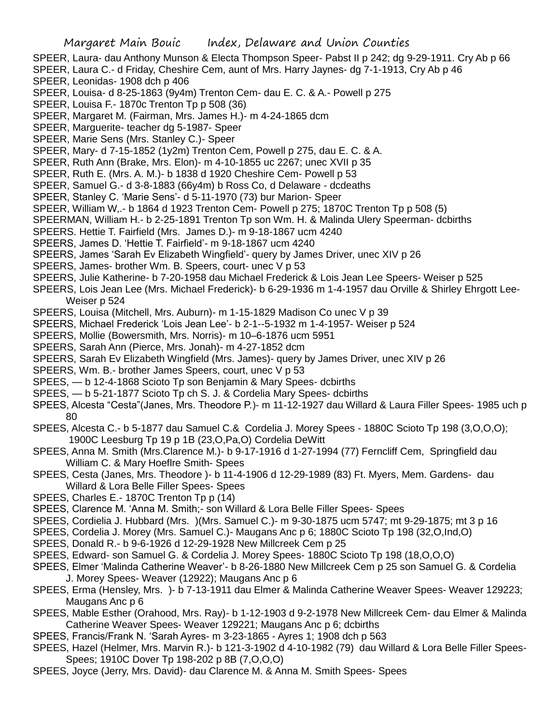- SPEER, Laura- dau Anthony Munson & Electa Thompson Speer- Pabst II p 242; dg 9-29-1911. Cry Ab p 66
- SPEER, Laura C.- d Friday, Cheshire Cem, aunt of Mrs. Harry Jaynes- dg 7-1-1913, Cry Ab p 46
- SPEER, Leonidas- 1908 dch p 406
- SPEER, Louisa- d 8-25-1863 (9y4m) Trenton Cem- dau E. C. & A.- Powell p 275
- SPEER, Louisa F.- 1870c Trenton Tp p 508 (36)
- SPEER, Margaret M. (Fairman, Mrs. James H.)- m 4-24-1865 dcm
- SPEER, Marguerite- teacher dg 5-1987- Speer
- SPEER, Marie Sens (Mrs. Stanley C.)- Speer
- SPEER, Mary- d 7-15-1852 (1y2m) Trenton Cem, Powell p 275, dau E. C. & A.
- SPEER, Ruth Ann (Brake, Mrs. Elon)- m 4-10-1855 uc 2267; unec XVII p 35
- SPEER, Ruth E. (Mrs. A. M.)- b 1838 d 1920 Cheshire Cem- Powell p 53
- SPEER, Samuel G.- d 3-8-1883 (66y4m) b Ross Co, d Delaware dcdeaths
- SPEER, Stanley C. 'Marie Sens'- d 5-11-1970 (73) bur Marion- Speer
- SPEER, William W,.- b 1864 d 1923 Trenton Cem- Powell p 275; 1870C Trenton Tp p 508 (5)
- SPEERMAN, William H.- b 2-25-1891 Trenton Tp son Wm. H. & Malinda Ulery Speerman- dcbirths
- SPEERS. Hettie T. Fairfield (Mrs. James D.)- m 9-18-1867 ucm 4240
- SPEERS, James D. 'Hettie T. Fairfield'- m 9-18-1867 ucm 4240
- SPEERS, James 'Sarah Ev Elizabeth Wingfield'- query by James Driver, unec XIV p 26
- SPEERS, James- brother Wm. B. Speers, court- unec V p 53
- SPEERS, Julie Katherine- b 7-20-1958 dau Michael Frederick & Lois Jean Lee Speers- Weiser p 525
- SPEERS, Lois Jean Lee (Mrs. Michael Frederick)- b 6-29-1936 m 1-4-1957 dau Orville & Shirley Ehrgott Lee-Weiser p 524
- SPEERS, Louisa (Mitchell, Mrs. Auburn)- m 1-15-1829 Madison Co unec V p 39
- SPEERS, Michael Frederick 'Lois Jean Lee'- b 2-1--5-1932 m 1-4-1957- Weiser p 524
- SPEERS, Mollie (Bowersmith, Mrs. Norris)- m 10–6-1876 ucm 5951
- SPEERS, Sarah Ann (Pierce, Mrs. Jonah)- m 4-27-1852 dcm
- SPEERS, Sarah Ev Elizabeth Wingfield (Mrs. James)- query by James Driver, unec XIV p 26
- SPEERS, Wm. B.- brother James Speers, court, unec V p 53
- SPEES, b 12-4-1868 Scioto Tp son Benjamin & Mary Spees- dcbirths
- SPEES, b 5-21-1877 Scioto Tp ch S. J. & Cordelia Mary Spees- dcbirths
- SPEES, Alcesta "Cesta"(Janes, Mrs. Theodore P.)- m 11-12-1927 dau Willard & Laura Filler Spees- 1985 uch p 80
- SPEES, Alcesta C.- b 5-1877 dau Samuel C.& Cordelia J. Morey Spees 1880C Scioto Tp 198 (3,O,O,O); 1900C Leesburg Tp 19 p 1B (23,O,Pa,O) Cordelia DeWitt
- SPEES, Anna M. Smith (Mrs.Clarence M.)- b 9-17-1916 d 1-27-1994 (77) Ferncliff Cem, Springfield dau William C. & Mary Hoeflre Smith- Spees
- SPEES, Cesta (Janes, Mrs. Theodore )- b 11-4-1906 d 12-29-1989 (83) Ft. Myers, Mem. Gardens- dau Willard & Lora Belle Filler Spees- Spees
- SPEES, Charles E.- 1870C Trenton Tp p (14)
- SPEES, Clarence M. 'Anna M. Smith;- son Willard & Lora Belle Filler Spees- Spees
- SPEES, Cordielia J. Hubbard (Mrs. )(Mrs. Samuel C.)- m 9-30-1875 ucm 5747; mt 9-29-1875; mt 3 p 16
- SPEES, Cordelia J. Morey (Mrs. Samuel C.)- Maugans Anc p 6; 1880C Scioto Tp 198 (32,O,Ind,O)
- SPEES, Donald R.- b 9-6-1926 d 12-29-1928 New Millcreek Cem p 25
- SPEES, Edward- son Samuel G. & Cordelia J. Morey Spees- 1880C Scioto Tp 198 (18,O,O,O)
- SPEES, Elmer 'Malinda Catherine Weaver'- b 8-26-1880 New Millcreek Cem p 25 son Samuel G. & Cordelia J. Morey Spees- Weaver (12922); Maugans Anc p 6
- SPEES, Erma (Hensley, Mrs. )- b 7-13-1911 dau Elmer & Malinda Catherine Weaver Spees- Weaver 129223; Maugans Anc p 6
- SPEES, Mable Esther (Orahood, Mrs. Ray)- b 1-12-1903 d 9-2-1978 New Millcreek Cem- dau Elmer & Malinda Catherine Weaver Spees- Weaver 129221; Maugans Anc p 6; dcbirths
- SPEES, Francis/Frank N. 'Sarah Ayres- m 3-23-1865 Ayres 1; 1908 dch p 563
- SPEES, Hazel (Helmer, Mrs. Marvin R.)- b 121-3-1902 d 4-10-1982 (79) dau Willard & Lora Belle Filler Spees-Spees; 1910C Dover Tp 198-202 p 8B (7,O,O,O)
- SPEES, Joyce (Jerry, Mrs. David)- dau Clarence M. & Anna M. Smith Spees- Spees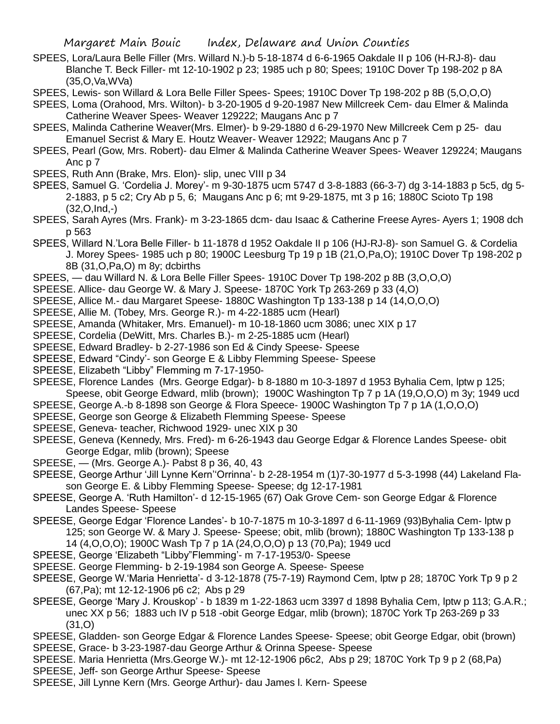- SPEES, Lora/Laura Belle Filler (Mrs. Willard N.)-b 5-18-1874 d 6-6-1965 Oakdale II p 106 (H-RJ-8)- dau Blanche T. Beck Filler- mt 12-10-1902 p 23; 1985 uch p 80; Spees; 1910C Dover Tp 198-202 p 8A (35,O,Va,WVa)
- SPEES, Lewis- son Willard & Lora Belle Filler Spees- Spees; 1910C Dover Tp 198-202 p 8B (5,O,O,O)
- SPEES, Loma (Orahood, Mrs. Wilton)- b 3-20-1905 d 9-20-1987 New Millcreek Cem- dau Elmer & Malinda Catherine Weaver Spees- Weaver 129222; Maugans Anc p 7
- SPEES, Malinda Catherine Weaver(Mrs. Elmer)- b 9-29-1880 d 6-29-1970 New Millcreek Cem p 25- dau Emanuel Secrist & Mary E. Houtz Weaver- Weaver 12922; Maugans Anc p 7
- SPEES, Pearl (Gow, Mrs. Robert)- dau Elmer & Malinda Catherine Weaver Spees- Weaver 129224; Maugans Anc p 7
- SPEES, Ruth Ann (Brake, Mrs. Elon)- slip, unec VIII p 34
- SPEES, Samuel G. 'Cordelia J. Morey'- m 9-30-1875 ucm 5747 d 3-8-1883 (66-3-7) dg 3-14-1883 p 5c5, dg 5- 2-1883, p 5 c2; Cry Ab p 5, 6; Maugans Anc p 6; mt 9-29-1875, mt 3 p 16; 1880C Scioto Tp 198 (32,O,Ind,-)
- SPEES, Sarah Ayres (Mrs. Frank)- m 3-23-1865 dcm- dau Isaac & Catherine Freese Ayres- Ayers 1; 1908 dch p 563
- SPEES, Willard N.'Lora Belle Filler- b 11-1878 d 1952 Oakdale II p 106 (HJ-RJ-8)- son Samuel G. & Cordelia J. Morey Spees- 1985 uch p 80; 1900C Leesburg Tp 19 p 1B (21,O,Pa,O); 1910C Dover Tp 198-202 p 8B (31,O,Pa,O) m 8y; dcbirths
- SPEES, dau Willard N. & Lora Belle Filler Spees- 1910C Dover Tp 198-202 p 8B (3,O,O,O)
- SPEESE. Allice- dau George W. & Mary J. Speese- 1870C York Tp 263-269 p 33 (4,O)
- SPEESE, Allice M.- dau Margaret Speese- 1880C Washington Tp 133-138 p 14 (14,O,O,O)
- SPEESE, Allie M. (Tobey, Mrs. George R.)- m 4-22-1885 ucm (Hearl)
- SPEESE, Amanda (Whitaker, Mrs. Emanuel)- m 10-18-1860 ucm 3086; unec XIX p 17
- SPEESE, Cordelia (DeWitt, Mrs. Charles B.)- m 2-25-1885 ucm (Hearl)
- SPEESE, Edward Bradley- b 2-27-1986 son Ed & Cindy Speese- Speese
- SPEESE, Edward "Cindy'- son George E & Libby Flemming Speese- Speese
- SPEESE, Elizabeth "Libby" Flemming m 7-17-1950-
- SPEESE, Florence Landes (Mrs. George Edgar)- b 8-1880 m 10-3-1897 d 1953 Byhalia Cem, lptw p 125; Speese, obit George Edward, mlib (brown); 1900C Washington Tp 7 p 1A (19,O,O,O) m 3y; 1949 ucd
- SPEESE, George A.-b 8-1898 son George & Flora Speece- 1900C Washington Tp 7 p 1A (1,O,O,O)
- SPEESE, George son George & Elizabeth Flemming Speese- Speese
- SPEESE, Geneva- teacher, Richwood 1929- unec XIX p 30
- SPEESE, Geneva (Kennedy, Mrs. Fred)- m 6-26-1943 dau George Edgar & Florence Landes Speese- obit George Edgar, mlib (brown); Speese
- SPEESE, (Mrs. George A.)- Pabst 8 p 36, 40, 43
- SPEESE, George Arthur 'Jill Lynne Kern''Orrinna'- b 2-28-1954 m (1)7-30-1977 d 5-3-1998 (44) Lakeland Flason George E. & Libby Flemming Speese- Speese; dg 12-17-1981
- SPEESE, George A. 'Ruth Hamilton'- d 12-15-1965 (67) Oak Grove Cem- son George Edgar & Florence Landes Speese- Speese
- SPEESE, George Edgar 'Florence Landes'- b 10-7-1875 m 10-3-1897 d 6-11-1969 (93)Byhalia Cem- lptw p 125; son George W. & Mary J. Speese- Speese; obit, mlib (brown); 1880C Washington Tp 133-138 p 14 (4,O,O,O); 1900C Wash Tp 7 p 1A (24,O,O,O) p 13 (70,Pa); 1949 ucd
- SPEESE, George 'Elizabeth "Libby"Flemming'- m 7-17-1953/0- Speese
- SPEESE. George Flemming- b 2-19-1984 son George A. Speese- Speese
- SPEESE, George W.'Maria Henrietta'- d 3-12-1878 (75-7-19) Raymond Cem, lptw p 28; 1870C York Tp 9 p 2 (67,Pa); mt 12-12-1906 p6 c2; Abs p 29
- SPEESE, George 'Mary J. Krouskop' b 1839 m 1-22-1863 ucm 3397 d 1898 Byhalia Cem, lptw p 113; G.A.R.; unec XX p 56; 1883 uch IV p 518 -obit George Edgar, mlib (brown); 1870C York Tp 263-269 p 33  $(31.0)$
- SPEESE, Gladden- son George Edgar & Florence Landes Speese- Speese; obit George Edgar, obit (brown) SPEESE, Grace- b 3-23-1987-dau George Arthur & Orinna Speese- Speese
- SPEESE. Maria Henrietta (Mrs.George W.)- mt 12-12-1906 p6c2, Abs p 29; 1870C York Tp 9 p 2 (68,Pa)
- SPEESE, Jeff- son George Arthur Speese- Speese
- SPEESE, Jill Lynne Kern (Mrs. George Arthur)- dau James l. Kern- Speese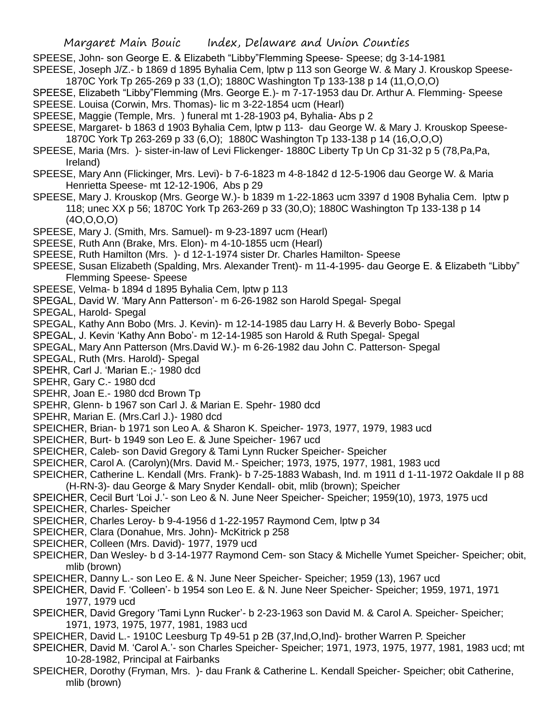SPEESE, John- son George E. & Elizabeth "Libby"Flemming Speese- Speese; dg 3-14-1981

SPEESE, Joseph J/Z.- b 1869 d 1895 Byhalia Cem, lptw p 113 son George W. & Mary J. Krouskop Speese-1870C York Tp 265-269 p 33 (1,O); 1880C Washington Tp 133-138 p 14 (11,O,O,O)

SPEESE, Elizabeth "Libby"Flemming (Mrs. George E.)- m 7-17-1953 dau Dr. Arthur A. Flemming- Speese SPEESE. Louisa (Corwin, Mrs. Thomas)- lic m 3-22-1854 ucm (Hearl)

- SPEESE, Maggie (Temple, Mrs. ) funeral mt 1-28-1903 p4, Byhalia- Abs p 2
- SPEESE, Margaret- b 1863 d 1903 Byhalia Cem, lptw p 113- dau George W. & Mary J. Krouskop Speese-1870C York Tp 263-269 p 33 (6,O); 1880C Washington Tp 133-138 p 14 (16,O,O,O)
- SPEESE, Maria (Mrs. )- sister-in-law of Levi Flickenger- 1880C Liberty Tp Un Cp 31-32 p 5 (78,Pa,Pa, Ireland)
- SPEESE, Mary Ann (Flickinger, Mrs. Levi)- b 7-6-1823 m 4-8-1842 d 12-5-1906 dau George W. & Maria Henrietta Speese- mt 12-12-1906, Abs p 29
- SPEESE, Mary J. Krouskop (Mrs. George W.)- b 1839 m 1-22-1863 ucm 3397 d 1908 Byhalia Cem. lptw p 118; unec XX p 56; 1870C York Tp 263-269 p 33 (30,O); 1880C Washington Tp 133-138 p 14 (4O,O,O,O)
- SPEESE, Mary J. (Smith, Mrs. Samuel)- m 9-23-1897 ucm (Hearl)
- SPEESE, Ruth Ann (Brake, Mrs. Elon)- m 4-10-1855 ucm (Hearl)
- SPEESE, Ruth Hamilton (Mrs. )- d 12-1-1974 sister Dr. Charles Hamilton- Speese
- SPEESE, Susan Elizabeth (Spalding, Mrs. Alexander Trent)- m 11-4-1995- dau George E. & Elizabeth "Libby" Flemming Speese- Speese
- SPEESE, Velma- b 1894 d 1895 Byhalia Cem, lptw p 113
- SPEGAL, David W. 'Mary Ann Patterson'- m 6-26-1982 son Harold Spegal- Spegal
- SPEGAL, Harold- Spegal
- SPEGAL, Kathy Ann Bobo (Mrs. J. Kevin)- m 12-14-1985 dau Larry H. & Beverly Bobo- Spegal
- SPEGAL, J. Kevin 'Kathy Ann Bobo'- m 12-14-1985 son Harold & Ruth Spegal- Spegal
- SPEGAL, Mary Ann Patterson (Mrs.David W.)- m 6-26-1982 dau John C. Patterson- Spegal
- SPEGAL, Ruth (Mrs. Harold)- Spegal
- SPEHR, Carl J. 'Marian E.;- 1980 dcd
- SPEHR, Gary C.- 1980 dcd
- SPEHR, Joan E.- 1980 dcd Brown Tp
- SPEHR, Glenn- b 1967 son Carl J. & Marian E. Spehr- 1980 dcd
- SPEHR, Marian E. (Mrs.Carl J.)- 1980 dcd
- SPEICHER, Brian- b 1971 son Leo A. & Sharon K. Speicher- 1973, 1977, 1979, 1983 ucd
- SPEICHER, Burt- b 1949 son Leo E. & June Speicher- 1967 ucd
- SPEICHER, Caleb- son David Gregory & Tami Lynn Rucker Speicher- Speicher
- SPEICHER, Carol A. (Carolyn)(Mrs. David M.- Speicher; 1973, 1975, 1977, 1981, 1983 ucd
- SPEICHER, Catherine L. Kendall (Mrs. Frank)- b 7-25-1883 Wabash, Ind. m 1911 d 1-11-1972 Oakdale II p 88 (H-RN-3)- dau George & Mary Snyder Kendall- obit, mlib (brown); Speicher
- SPEICHER, Cecil Burt 'Loi J.'- son Leo & N. June Neer Speicher- Speicher; 1959(10), 1973, 1975 ucd
- SPEICHER, Charles- Speicher
- SPEICHER, Charles Leroy- b 9-4-1956 d 1-22-1957 Raymond Cem, lptw p 34
- SPEICHER, Clara (Donahue, Mrs. John)- McKitrick p 258
- SPEICHER, Colleen (Mrs. David)- 1977, 1979 ucd
- SPEICHER, Dan Wesley- b d 3-14-1977 Raymond Cem- son Stacy & Michelle Yumet Speicher- Speicher; obit, mlib (brown)
- SPEICHER, Danny L.- son Leo E. & N. June Neer Speicher- Speicher; 1959 (13), 1967 ucd
- SPEICHER, David F. 'Colleen'- b 1954 son Leo E. & N. June Neer Speicher- Speicher; 1959, 1971, 1971 1977, 1979 ucd
- SPEICHER, David Gregory 'Tami Lynn Rucker'- b 2-23-1963 son David M. & Carol A. Speicher- Speicher; 1971, 1973, 1975, 1977, 1981, 1983 ucd
- SPEICHER, David L.- 1910C Leesburg Tp 49-51 p 2B (37,Ind,O,Ind)- brother Warren P. Speicher
- SPEICHER, David M. 'Carol A.'- son Charles Speicher- Speicher; 1971, 1973, 1975, 1977, 1981, 1983 ucd; mt 10-28-1982, Principal at Fairbanks
- SPEICHER, Dorothy (Fryman, Mrs. )- dau Frank & Catherine L. Kendall Speicher- Speicher; obit Catherine, mlib (brown)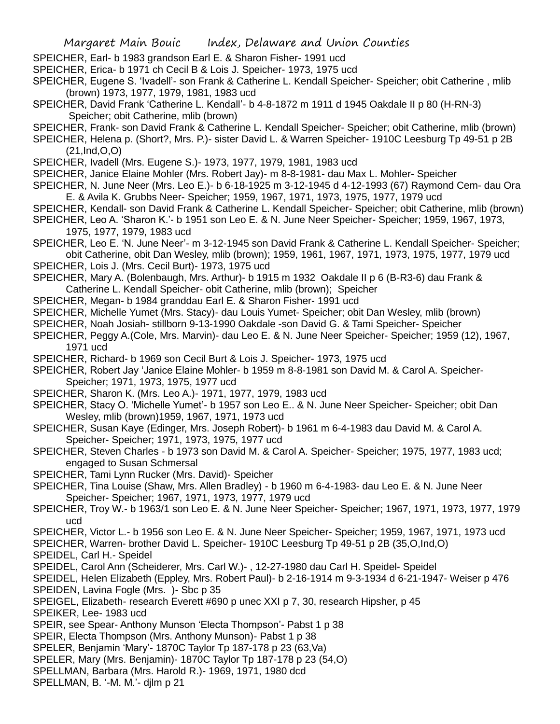SPEICHER, Earl- b 1983 grandson Earl E. & Sharon Fisher- 1991 ucd

- SPEICHER, Erica- b 1971 ch Cecil B & Lois J. Speicher- 1973, 1975 ucd
- SPEICHER, Eugene S. 'Ivadell'- son Frank & Catherine L. Kendall Speicher- Speicher; obit Catherine , mlib (brown) 1973, 1977, 1979, 1981, 1983 ucd
- SPEICHER, David Frank 'Catherine L. Kendall'- b 4-8-1872 m 1911 d 1945 Oakdale II p 80 (H-RN-3) Speicher; obit Catherine, mlib (brown)
- SPEICHER, Frank- son David Frank & Catherine L. Kendall Speicher- Speicher; obit Catherine, mlib (brown)
- SPEICHER, Helena p. (Short?, Mrs. P.)- sister David L. & Warren Speicher- 1910C Leesburg Tp 49-51 p 2B (21,Ind,O,O)
- SPEICHER, Ivadell (Mrs. Eugene S.)- 1973, 1977, 1979, 1981, 1983 ucd
- SPEICHER, Janice Elaine Mohler (Mrs. Robert Jay)- m 8-8-1981- dau Max L. Mohler- Speicher
- SPEICHER, N. June Neer (Mrs. Leo E.)- b 6-18-1925 m 3-12-1945 d 4-12-1993 (67) Raymond Cem- dau Ora E. & Avila K. Grubbs Neer- Speicher; 1959, 1967, 1971, 1973, 1975, 1977, 1979 ucd
- SPEICHER, Kendall- son David Frank & Catherine L. Kendall Speicher- Speicher; obit Catherine, mlib (brown)
- SPEICHER, Leo A. 'Sharon K.'- b 1951 son Leo E. & N. June Neer Speicher- Speicher; 1959, 1967, 1973, 1975, 1977, 1979, 1983 ucd
- SPEICHER, Leo E. 'N. June Neer'- m 3-12-1945 son David Frank & Catherine L. Kendall Speicher- Speicher; obit Catherine, obit Dan Wesley, mlib (brown); 1959, 1961, 1967, 1971, 1973, 1975, 1977, 1979 ucd
- SPEICHER, Lois J. (Mrs. Cecil Burt)- 1973, 1975 ucd
- SPEICHER, Mary A. (Bolenbaugh, Mrs. Arthur)- b 1915 m 1932 Oakdale II p 6 (B-R3-6) dau Frank & Catherine L. Kendall Speicher- obit Catherine, mlib (brown); Speicher
- SPEICHER, Megan- b 1984 granddau Earl E. & Sharon Fisher- 1991 ucd
- SPEICHER, Michelle Yumet (Mrs. Stacy)- dau Louis Yumet- Speicher; obit Dan Wesley, mlib (brown)
- SPEICHER, Noah Josiah- stillborn 9-13-1990 Oakdale -son David G. & Tami Speicher- Speicher
- SPEICHER, Peggy A.(Cole, Mrs. Marvin)- dau Leo E. & N. June Neer Speicher- Speicher; 1959 (12), 1967, 1971 ucd
- SPEICHER, Richard- b 1969 son Cecil Burt & Lois J. Speicher- 1973, 1975 ucd
- SPEICHER, Robert Jay 'Janice Elaine Mohler- b 1959 m 8-8-1981 son David M. & Carol A. Speicher-Speicher; 1971, 1973, 1975, 1977 ucd
- SPEICHER, Sharon K. (Mrs. Leo A.)- 1971, 1977, 1979, 1983 ucd
- SPEICHER, Stacy O. 'Michelle Yumet'- b 1957 son Leo E.. & N. June Neer Speicher- Speicher; obit Dan Wesley, mlib (brown)1959, 1967, 1971, 1973 ucd
- SPEICHER, Susan Kaye (Edinger, Mrs. Joseph Robert)- b 1961 m 6-4-1983 dau David M. & Carol A. Speicher- Speicher; 1971, 1973, 1975, 1977 ucd
- SPEICHER, Steven Charles b 1973 son David M. & Carol A. Speicher- Speicher; 1975, 1977, 1983 ucd; engaged to Susan Schmersal
- SPEICHER, Tami Lynn Rucker (Mrs. David)- Speicher
- SPEICHER, Tina Louise (Shaw, Mrs. Allen Bradley) b 1960 m 6-4-1983- dau Leo E. & N. June Neer Speicher- Speicher; 1967, 1971, 1973, 1977, 1979 ucd
- SPEICHER, Troy W.- b 1963/1 son Leo E. & N. June Neer Speicher- Speicher; 1967, 1971, 1973, 1977, 1979 ucd
- SPEICHER, Victor L.- b 1956 son Leo E. & N. June Neer Speicher- Speicher; 1959, 1967, 1971, 1973 ucd
- SPEICHER, Warren- brother David L. Speicher- 1910C Leesburg Tp 49-51 p 2B (35,O,Ind,O)
- SPEIDEL, Carl H.- Speidel
- SPEIDEL, Carol Ann (Scheiderer, Mrs. Carl W.)- , 12-27-1980 dau Carl H. Speidel- Speidel
- SPEIDEL, Helen Elizabeth (Eppley, Mrs. Robert Paul)- b 2-16-1914 m 9-3-1934 d 6-21-1947- Weiser p 476
- SPEIDEN, Lavina Fogle (Mrs. )- Sbc p 35
- SPEIGEL, Elizabeth- research Everett #690 p unec XXI p 7, 30, research Hipsher, p 45
- SPEIKER, Lee- 1983 ucd
- SPEIR, see Spear- Anthony Munson 'Electa Thompson'- Pabst 1 p 38
- SPEIR, Electa Thompson (Mrs. Anthony Munson)- Pabst 1 p 38
- SPELER, Benjamin 'Mary'- 1870C Taylor Tp 187-178 p 23 (63,Va)
- SPELER, Mary (Mrs. Benjamin)- 1870C Taylor Tp 187-178 p 23 (54,O)
- SPELLMAN, Barbara (Mrs. Harold R.)- 1969, 1971, 1980 dcd
- SPELLMAN, B. '-M. M.'- djlm p 21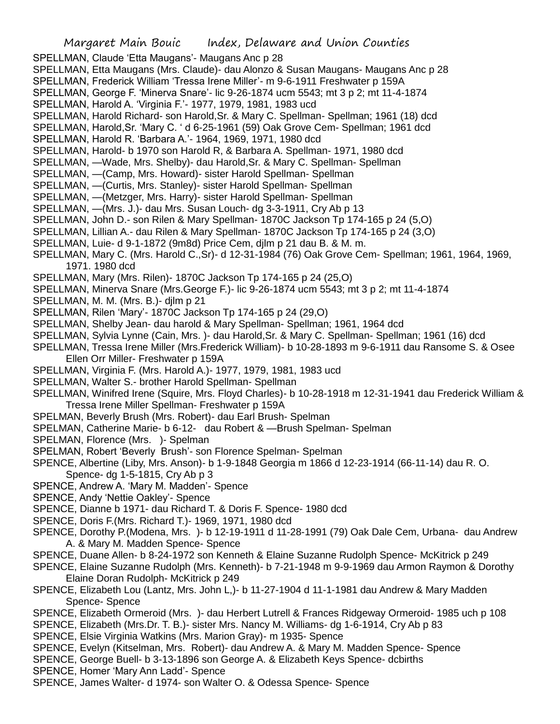- SPELLMAN, Claude 'Etta Maugans'- Maugans Anc p 28
- SPELLMAN, Etta Maugans (Mrs. Claude)- dau Alonzo & Susan Maugans- Maugans Anc p 28
- SPELLMAN, Frederick William 'Tressa Irene Miller'- m 9-6-1911 Freshwater p 159A
- SPELLMAN, George F. 'Minerva Snare'- lic 9-26-1874 ucm 5543; mt 3 p 2; mt 11-4-1874
- SPELLMAN, Harold A. 'Virginia F.'- 1977, 1979, 1981, 1983 ucd
- SPELLMAN, Harold Richard- son Harold,Sr. & Mary C. Spellman- Spellman; 1961 (18) dcd
- SPELLMAN, Harold,Sr. 'Mary C. ' d 6-25-1961 (59) Oak Grove Cem- Spellman; 1961 dcd
- SPELLMAN, Harold R. 'Barbara A.'- 1964, 1969, 1971, 1980 dcd
- SPELLMAN, Harold- b 1970 son Harold R, & Barbara A. Spellman- 1971, 1980 dcd
- SPELLMAN, —Wade, Mrs. Shelby)- dau Harold,Sr. & Mary C. Spellman- Spellman
- SPELLMAN, —(Camp, Mrs. Howard)- sister Harold Spellman- Spellman
- SPELLMAN, —(Curtis, Mrs. Stanley)- sister Harold Spellman- Spellman
- SPELLMAN, —(Metzger, Mrs. Harry)- sister Harold Spellman- Spellman
- SPELLMAN, —(Mrs. J.)- dau Mrs. Susan Louch- dg 3-3-1911, Cry Ab p 13
- SPELLMAN, John D.- son Rilen & Mary Spellman- 1870C Jackson Tp 174-165 p 24 (5,O)
- SPELLMAN, Lillian A.- dau Rilen & Mary Spellman- 1870C Jackson Tp 174-165 p 24 (3,O)
- SPELLMAN, Luie- d 9-1-1872 (9m8d) Price Cem, djlm p 21 dau B. & M. m.
- SPELLMAN, Mary C. (Mrs. Harold C.,Sr)- d 12-31-1984 (76) Oak Grove Cem- Spellman; 1961, 1964, 1969, 1971. 1980 dcd
- SPELLMAN, Mary (Mrs. Rilen)- 1870C Jackson Tp 174-165 p 24 (25,O)
- SPELLMAN, Minerva Snare (Mrs.George F.)- lic 9-26-1874 ucm 5543; mt 3 p 2; mt 11-4-1874
- SPELLMAN, M. M. (Mrs. B.)- djlm p 21
- SPELLMAN, Rilen 'Mary'- 1870C Jackson Tp 174-165 p 24 (29,O)
- SPELLMAN, Shelby Jean- dau harold & Mary Spellman- Spellman; 1961, 1964 dcd
- SPELLMAN, Sylvia Lynne (Cain, Mrs. )- dau Harold,Sr. & Mary C. Spellman- Spellman; 1961 (16) dcd
- SPELLMAN, Tressa Irene Miller (Mrs.Frederick William)- b 10-28-1893 m 9-6-1911 dau Ransome S. & Osee Ellen Orr Miller- Freshwater p 159A
- SPELLMAN, Virginia F. (Mrs. Harold A.)- 1977, 1979, 1981, 1983 ucd
- SPELLMAN, Walter S.- brother Harold Spellman- Spellman
- SPELLMAN, Winifred Irene (Squire, Mrs. Floyd Charles)- b 10-28-1918 m 12-31-1941 dau Frederick William & Tressa Irene Miller Spellman- Freshwater p 159A
- SPELMAN, Beverly Brush (Mrs. Robert)- dau Earl Brush- Spelman
- SPELMAN, Catherine Marie- b 6-12- dau Robert & —Brush Spelman- Spelman
- SPELMAN, Florence (Mrs. )- Spelman
- SPELMAN, Robert 'Beverly Brush'- son Florence Spelman- Spelman
- SPENCE, Albertine (Liby, Mrs. Anson)- b 1-9-1848 Georgia m 1866 d 12-23-1914 (66-11-14) dau R. O. Spence- dg 1-5-1815, Cry Ab p 3
- SPENCE, Andrew A. 'Mary M. Madden'- Spence
- SPENCE, Andy 'Nettie Oakley'- Spence
- SPENCE, Dianne b 1971- dau Richard T. & Doris F. Spence- 1980 dcd
- SPENCE, Doris F.(Mrs. Richard T.)- 1969, 1971, 1980 dcd
- SPENCE, Dorothy P.(Modena, Mrs. )- b 12-19-1911 d 11-28-1991 (79) Oak Dale Cem, Urbana- dau Andrew A. & Mary M. Madden Spence- Spence
- SPENCE, Duane Allen- b 8-24-1972 son Kenneth & Elaine Suzanne Rudolph Spence- McKitrick p 249
- SPENCE, Elaine Suzanne Rudolph (Mrs. Kenneth)- b 7-21-1948 m 9-9-1969 dau Armon Raymon & Dorothy Elaine Doran Rudolph- McKitrick p 249
- SPENCE, Elizabeth Lou (Lantz, Mrs. John L,)- b 11-27-1904 d 11-1-1981 dau Andrew & Mary Madden Spence- Spence
- SPENCE, Elizabeth Ormeroid (Mrs. )- dau Herbert Lutrell & Frances Ridgeway Ormeroid- 1985 uch p 108
- SPENCE, Elizabeth (Mrs.Dr. T. B.)- sister Mrs. Nancy M. Williams- dg 1-6-1914, Cry Ab p 83
- SPENCE, Elsie Virginia Watkins (Mrs. Marion Gray)- m 1935- Spence
- SPENCE, Evelyn (Kitselman, Mrs. Robert)- dau Andrew A. & Mary M. Madden Spence- Spence
- SPENCE, George Buell- b 3-13-1896 son George A. & Elizabeth Keys Spence- dcbirths
- SPENCE, Homer 'Mary Ann Ladd'- Spence
- SPENCE, James Walter- d 1974- son Walter O. & Odessa Spence- Spence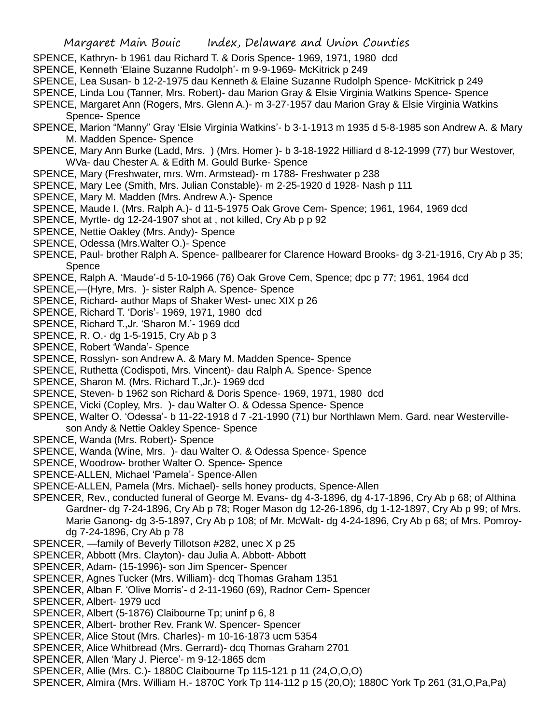- SPENCE, Kathryn- b 1961 dau Richard T. & Doris Spence- 1969, 1971, 1980 dcd
- SPENCE, Kenneth 'Elaine Suzanne Rudolph'- m 9-9-1969- McKitrick p 249
- SPENCE, Lea Susan- b 12-2-1975 dau Kenneth & Elaine Suzanne Rudolph Spence- McKitrick p 249
- SPENCE, Linda Lou (Tanner, Mrs. Robert)- dau Marion Gray & Elsie Virginia Watkins Spence- Spence
- SPENCE, Margaret Ann (Rogers, Mrs. Glenn A.)- m 3-27-1957 dau Marion Gray & Elsie Virginia Watkins Spence- Spence
- SPENCE, Marion "Manny" Gray 'Elsie Virginia Watkins'- b 3-1-1913 m 1935 d 5-8-1985 son Andrew A. & Mary M. Madden Spence- Spence
- SPENCE, Mary Ann Burke (Ladd, Mrs. ) (Mrs. Homer )- b 3-18-1922 Hilliard d 8-12-1999 (77) bur Westover, WVa- dau Chester A. & Edith M. Gould Burke- Spence
- SPENCE, Mary (Freshwater, mrs. Wm. Armstead)- m 1788- Freshwater p 238
- SPENCE, Mary Lee (Smith, Mrs. Julian Constable)- m 2-25-1920 d 1928- Nash p 111
- SPENCE, Mary M. Madden (Mrs. Andrew A.)- Spence
- SPENCE, Maude I. (Mrs. Ralph A.)- d 11-5-1975 Oak Grove Cem- Spence; 1961, 1964, 1969 dcd
- SPENCE, Myrtle- dg 12-24-1907 shot at , not killed, Cry Ab p p 92
- SPENCE, Nettie Oakley (Mrs. Andy)- Spence
- SPENCE, Odessa (Mrs.Walter O.)- Spence
- SPENCE, Paul- brother Ralph A. Spence- pallbearer for Clarence Howard Brooks- dg 3-21-1916, Cry Ab p 35; Spence
- SPENCE, Ralph A. 'Maude'-d 5-10-1966 (76) Oak Grove Cem, Spence; dpc p 77; 1961, 1964 dcd
- SPENCE,—(Hyre, Mrs. )- sister Ralph A. Spence- Spence
- SPENCE, Richard- author Maps of Shaker West- unec XIX p 26
- SPENCE, Richard T. 'Doris'- 1969, 1971, 1980 dcd
- SPENCE, Richard T.,Jr. 'Sharon M.'- 1969 dcd
- SPENCE, R. O.- dg 1-5-1915, Cry Ab p 3
- SPENCE, Robert 'Wanda'- Spence
- SPENCE, Rosslyn- son Andrew A. & Mary M. Madden Spence- Spence
- SPENCE, Ruthetta (Codispoti, Mrs. Vincent)- dau Ralph A. Spence- Spence
- SPENCE, Sharon M. (Mrs. Richard T.,Jr.)- 1969 dcd
- SPENCE, Steven- b 1962 son Richard & Doris Spence- 1969, 1971, 1980 dcd
- SPENCE, Vicki (Copley, Mrs. )- dau Walter O. & Odessa Spence- Spence
- SPENCE, Walter O. 'Odessa'- b 11-22-1918 d 7 -21-1990 (71) bur Northlawn Mem. Gard. near Westerville-
- son Andy & Nettie Oakley Spence- Spence
- SPENCE, Wanda (Mrs. Robert)- Spence
- SPENCE, Wanda (Wine, Mrs. )- dau Walter O. & Odessa Spence- Spence
- SPENCE, Woodrow- brother Walter O. Spence- Spence
- SPENCE-ALLEN, Michael 'Pamela'- Spence-Allen
- SPENCE-ALLEN, Pamela (Mrs. Michael)- sells honey products, Spence-Allen
- SPENCER, Rev., conducted funeral of George M. Evans- dg 4-3-1896, dg 4-17-1896, Cry Ab p 68; of Althina Gardner- dg 7-24-1896, Cry Ab p 78; Roger Mason dg 12-26-1896, dg 1-12-1897, Cry Ab p 99; of Mrs. Marie Ganong- dg 3-5-1897, Cry Ab p 108; of Mr. McWalt- dg 4-24-1896, Cry Ab p 68; of Mrs. Pomroydg 7-24-1896, Cry Ab p 78
- SPENCER, —family of Beverly Tillotson #282, unec X p 25
- SPENCER, Abbott (Mrs. Clayton)- dau Julia A. Abbott- Abbott
- SPENCER, Adam- (15-1996)- son Jim Spencer- Spencer
- SPENCER, Agnes Tucker (Mrs. William)- dcq Thomas Graham 1351
- SPENCER, Alban F. 'Olive Morris'- d 2-11-1960 (69), Radnor Cem- Spencer
- SPENCER, Albert- 1979 ucd
- SPENCER, Albert (5-1876) Claibourne Tp; uninf p 6, 8
- SPENCER, Albert- brother Rev. Frank W. Spencer- Spencer
- SPENCER, Alice Stout (Mrs. Charles)- m 10-16-1873 ucm 5354
- SPENCER, Alice Whitbread (Mrs. Gerrard)- dcq Thomas Graham 2701
- SPENCER, Allen 'Mary J. Pierce'- m 9-12-1865 dcm
- SPENCER, Allie (Mrs. C.)- 1880C Claibourne Tp 115-121 p 11 (24,O,O,O)
- SPENCER, Almira (Mrs. William H.- 1870C York Tp 114-112 p 15 (20,O); 1880C York Tp 261 (31,O,Pa,Pa)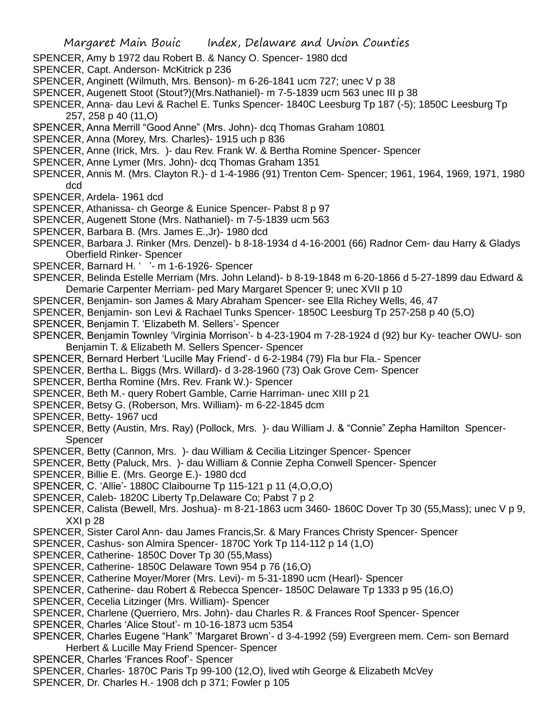- SPENCER, Amy b 1972 dau Robert B. & Nancy O. Spencer- 1980 dcd
- SPENCER, Capt. Anderson- McKitrick p 236
- SPENCER, Anginett (Wilmuth, Mrs. Benson)- m 6-26-1841 ucm 727; unec V p 38
- SPENCER, Augenett Stoot (Stout?)(Mrs.Nathaniel)- m 7-5-1839 ucm 563 unec III p 38
- SPENCER, Anna- dau Levi & Rachel E. Tunks Spencer- 1840C Leesburg Tp 187 (-5); 1850C Leesburg Tp 257, 258 p 40 (11,O)
- SPENCER, Anna Merrill "Good Anne" (Mrs. John)- dcq Thomas Graham 10801
- SPENCER, Anna (Morey, Mrs. Charles)- 1915 uch p 836
- SPENCER, Anne (Irick, Mrs. )- dau Rev. Frank W. & Bertha Romine Spencer- Spencer
- SPENCER, Anne Lymer (Mrs. John)- dcq Thomas Graham 1351
- SPENCER, Annis M. (Mrs. Clayton R.)- d 1-4-1986 (91) Trenton Cem- Spencer; 1961, 1964, 1969, 1971, 1980 dcd
- SPENCER, Ardela- 1961 dcd
- SPENCER, Athanissa- ch George & Eunice Spencer- Pabst 8 p 97
- SPENCER, Augenett Stone (Mrs. Nathaniel)- m 7-5-1839 ucm 563
- SPENCER, Barbara B. (Mrs. James E.,Jr)- 1980 dcd
- SPENCER, Barbara J. Rinker (Mrs. Denzel)- b 8-18-1934 d 4-16-2001 (66) Radnor Cem- dau Harry & Gladys Oberfield Rinker- Spencer
- SPENCER, Barnard H. ' '- m 1-6-1926- Spencer
- SPENCER, Belinda Estelle Merriam (Mrs. John Leland)- b 8-19-1848 m 6-20-1866 d 5-27-1899 dau Edward & Demarie Carpenter Merriam- ped Mary Margaret Spencer 9; unec XVII p 10
- SPENCER, Benjamin- son James & Mary Abraham Spencer- see Ella Richey Wells, 46, 47
- SPENCER, Benjamin- son Levi & Rachael Tunks Spencer- 1850C Leesburg Tp 257-258 p 40 (5,O)
- SPENCER, Benjamin T. 'Elizabeth M. Sellers'- Spencer
- SPENCER, Benjamin Townley 'Virginia Morrison'- b 4-23-1904 m 7-28-1924 d (92) bur Ky- teacher OWU- son Benjamin T. & Elizabeth M. Sellers Spencer- Spencer
- SPENCER, Bernard Herbert 'Lucille May Friend'- d 6-2-1984 (79) Fla bur Fla.- Spencer
- SPENCER, Bertha L. Biggs (Mrs. Willard)- d 3-28-1960 (73) Oak Grove Cem- Spencer
- SPENCER, Bertha Romine (Mrs. Rev. Frank W.)- Spencer
- SPENCER, Beth M.- query Robert Gamble, Carrie Harriman- unec XIII p 21
- SPENCER, Betsy G. (Roberson, Mrs. William)- m 6-22-1845 dcm
- SPENCER, Betty- 1967 ucd
- SPENCER, Betty (Austin, Mrs. Ray) (Pollock, Mrs. )- dau William J. & "Connie" Zepha Hamilton Spencer-Spencer
- SPENCER, Betty (Cannon, Mrs. )- dau William & Cecilia Litzinger Spencer- Spencer
- SPENCER, Betty (Paluck, Mrs. )- dau William & Connie Zepha Conwell Spencer- Spencer
- SPENCER, Billie E. (Mrs. George E.)- 1980 dcd
- SPENCER, C. 'Allie'- 1880C Claibourne Tp 115-121 p 11 (4,O,O,O)
- SPENCER, Caleb- 1820C Liberty Tp,Delaware Co; Pabst 7 p 2
- SPENCER, Calista (Bewell, Mrs. Joshua)- m 8-21-1863 ucm 3460- 1860C Dover Tp 30 (55,Mass); unec V p 9, XXI p 28
- SPENCER, Sister Carol Ann- dau James Francis,Sr. & Mary Frances Christy Spencer- Spencer
- SPENCER, Cashus- son Almira Spencer- 1870C York Tp 114-112 p 14 (1,O)
- SPENCER, Catherine- 1850C Dover Tp 30 (55,Mass)
- SPENCER, Catherine- 1850C Delaware Town 954 p 76 (16,O)
- SPENCER, Catherine Moyer/Morer (Mrs. Levi)- m 5-31-1890 ucm (Hearl)- Spencer
- SPENCER, Catherine- dau Robert & Rebecca Spencer- 1850C Delaware Tp 1333 p 95 (16,O)
- SPENCER, Cecelia Litzinger (Mrs. William)- Spencer
- SPENCER, Charlene (Querriero, Mrs. John)- dau Charles R. & Frances Roof Spencer- Spencer
- SPENCER, Charles 'Alice Stout'- m 10-16-1873 ucm 5354
- SPENCER, Charles Eugene "Hank" 'Margaret Brown'- d 3-4-1992 (59) Evergreen mem. Cem- son Bernard Herbert & Lucille May Friend Spencer- Spencer
- SPENCER, Charles 'Frances Roof'- Spencer
- SPENCER, Charles- 1870C Paris Tp 99-100 (12,O), lived wtih George & Elizabeth McVey
- SPENCER, Dr. Charles H.- 1908 dch p 371; Fowler p 105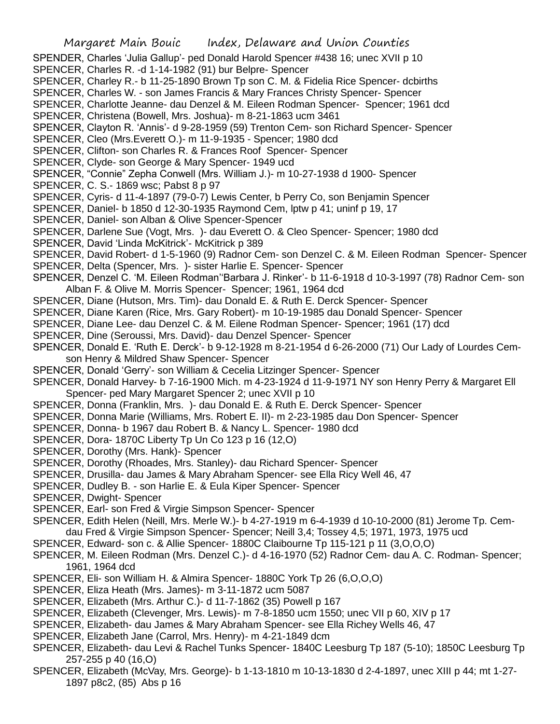SPENDER, Charles 'Julia Gallup'- ped Donald Harold Spencer #438 16; unec XVII p 10

SPENCER, Charles R. -d 1-14-1982 (91) bur Belpre- Spencer

- SPENCER, Charley R.- b 11-25-1890 Brown Tp son C. M. & Fidelia Rice Spencer- dcbirths
- SPENCER, Charles W. son James Francis & Mary Frances Christy Spencer- Spencer
- SPENCER, Charlotte Jeanne- dau Denzel & M. Eileen Rodman Spencer- Spencer; 1961 dcd
- SPENCER, Christena (Bowell, Mrs. Joshua)- m 8-21-1863 ucm 3461
- SPENCER, Clayton R. 'Annis'- d 9-28-1959 (59) Trenton Cem- son Richard Spencer- Spencer
- SPENCER, Cleo (Mrs.Everett O.)- m 11-9-1935 Spencer; 1980 dcd
- SPENCER, Clifton- son Charles R. & Frances Roof Spencer- Spencer
- SPENCER, Clyde- son George & Mary Spencer- 1949 ucd
- SPENCER, "Connie" Zepha Conwell (Mrs. William J.)- m 10-27-1938 d 1900- Spencer
- SPENCER, C. S.- 1869 wsc; Pabst 8 p 97
- SPENCER, Cyris- d 11-4-1897 (79-0-7) Lewis Center, b Perry Co, son Benjamin Spencer
- SPENCER, Daniel- b 1850 d 12-30-1935 Raymond Cem, lptw p 41; uninf p 19, 17
- SPENCER, Daniel- son Alban & Olive Spencer-Spencer
- SPENCER, Darlene Sue (Vogt, Mrs. )- dau Everett O. & Cleo Spencer- Spencer; 1980 dcd
- SPENCER, David 'Linda McKitrick'- McKitrick p 389
- SPENCER, David Robert- d 1-5-1960 (9) Radnor Cem- son Denzel C. & M. Eileen Rodman Spencer- Spencer
- SPENCER, Delta (Spencer, Mrs. )- sister Harlie E. Spencer- Spencer
- SPENCER, Denzel C. 'M. Eileen Rodman''Barbara J. Rinker'- b 11-6-1918 d 10-3-1997 (78) Radnor Cem- son Alban F. & Olive M. Morris Spencer- Spencer; 1961, 1964 dcd
- SPENCER, Diane (Hutson, Mrs. Tim)- dau Donald E. & Ruth E. Derck Spencer- Spencer
- SPENCER, Diane Karen (Rice, Mrs. Gary Robert)- m 10-19-1985 dau Donald Spencer- Spencer
- SPENCER, Diane Lee- dau Denzel C. & M. Eilene Rodman Spencer- Spencer; 1961 (17) dcd
- SPENCER, Dine (Seroussi, Mrs. David)- dau Denzel Spencer- Spencer
- SPENCER, Donald E. 'Ruth E. Derck'- b 9-12-1928 m 8-21-1954 d 6-26-2000 (71) Our Lady of Lourdes Cemson Henry & Mildred Shaw Spencer- Spencer
- SPENCER, Donald 'Gerry'- son William & Cecelia Litzinger Spencer- Spencer
- SPENCER, Donald Harvey- b 7-16-1900 Mich. m 4-23-1924 d 11-9-1971 NY son Henry Perry & Margaret Ell Spencer- ped Mary Margaret Spencer 2; unec XVII p 10
- SPENCER, Donna (Franklin, Mrs. )- dau Donald E. & Ruth E. Derck Spencer- Spencer
- SPENCER, Donna Marie (Williams, Mrs. Robert E. II)- m 2-23-1985 dau Don Spencer- Spencer
- SPENCER, Donna- b 1967 dau Robert B. & Nancy L. Spencer- 1980 dcd
- SPENCER, Dora- 1870C Liberty Tp Un Co 123 p 16 (12,O)
- SPENCER, Dorothy (Mrs. Hank)- Spencer
- SPENCER, Dorothy (Rhoades, Mrs. Stanley)- dau Richard Spencer- Spencer
- SPENCER, Drusilla- dau James & Mary Abraham Spencer- see Ella Ricy Well 46, 47
- SPENCER, Dudley B. son Harlie E. & Eula Kiper Spencer- Spencer
- SPENCER, Dwight- Spencer
- SPENCER, Earl- son Fred & Virgie Simpson Spencer- Spencer
- SPENCER, Edith Helen (Neill, Mrs. Merle W.)- b 4-27-1919 m 6-4-1939 d 10-10-2000 (81) Jerome Tp. Cemdau Fred & Virgie Simpson Spencer- Spencer; Neill 3,4; Tossey 4,5; 1971, 1973, 1975 ucd
- SPENCER, Edward- son c. & Allie Spencer- 1880C Claibourne Tp 115-121 p 11 (3,O,O,O)
- SPENCER, M. Eileen Rodman (Mrs. Denzel C.)- d 4-16-1970 (52) Radnor Cem- dau A. C. Rodman- Spencer; 1961, 1964 dcd
- SPENCER, Eli- son William H. & Almira Spencer- 1880C York Tp 26 (6,O,O,O)
- SPENCER, Eliza Heath (Mrs. James)- m 3-11-1872 ucm 5087
- SPENCER, Elizabeth (Mrs. Arthur C.)- d 11-7-1862 (35) Powell p 167
- SPENCER, Elizabeth (Clevenger, Mrs. Lewis)- m 7-8-1850 ucm 1550; unec VII p 60, XIV p 17
- SPENCER, Elizabeth- dau James & Mary Abraham Spencer- see Ella Richey Wells 46, 47
- SPENCER, Elizabeth Jane (Carrol, Mrs. Henry)- m 4-21-1849 dcm
- SPENCER, Elizabeth- dau Levi & Rachel Tunks Spencer- 1840C Leesburg Tp 187 (5-10); 1850C Leesburg Tp 257-255 p 40 (16,O)
- SPENCER, Elizabeth (McVay, Mrs. George)- b 1-13-1810 m 10-13-1830 d 2-4-1897, unec XIII p 44; mt 1-27- 1897 p8c2, (85) Abs p 16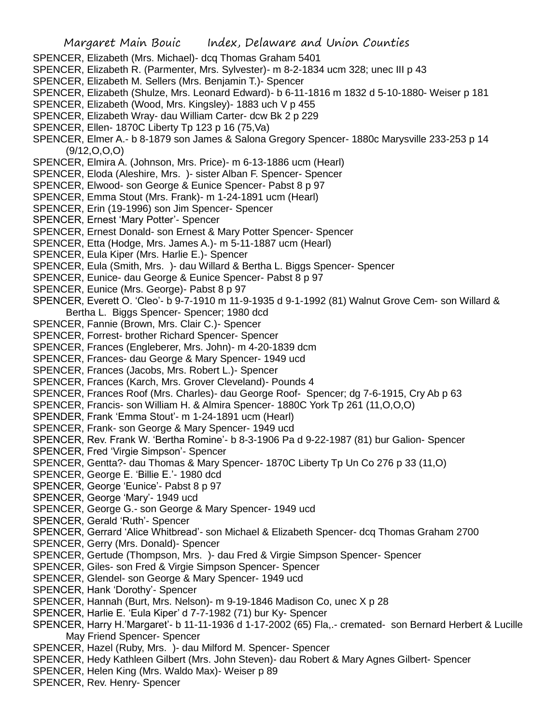- SPENCER, Elizabeth (Mrs. Michael)- dcq Thomas Graham 5401
- SPENCER, Elizabeth R. (Parmenter, Mrs. Sylvester)- m 8-2-1834 ucm 328; unec III p 43
- SPENCER, Elizabeth M. Sellers (Mrs. Benjamin T.)- Spencer
- SPENCER, Elizabeth (Shulze, Mrs. Leonard Edward)- b 6-11-1816 m 1832 d 5-10-1880- Weiser p 181
- SPENCER, Elizabeth (Wood, Mrs. Kingsley)- 1883 uch V p 455
- SPENCER, Elizabeth Wray- dau William Carter- dcw Bk 2 p 229
- SPENCER, Ellen- 1870C Liberty Tp 123 p 16 (75,Va)
- SPENCER, Elmer A.- b 8-1879 son James & Salona Gregory Spencer- 1880c Marysville 233-253 p 14 (9/12,O,O,O)
- SPENCER, Elmira A. (Johnson, Mrs. Price)- m 6-13-1886 ucm (Hearl)
- SPENCER, Eloda (Aleshire, Mrs. )- sister Alban F. Spencer- Spencer
- SPENCER, Elwood- son George & Eunice Spencer- Pabst 8 p 97
- SPENCER, Emma Stout (Mrs. Frank)- m 1-24-1891 ucm (Hearl)
- SPENCER, Erin (19-1996) son Jim Spencer- Spencer
- SPENCER, Ernest 'Mary Potter'- Spencer
- SPENCER, Ernest Donald- son Ernest & Mary Potter Spencer- Spencer
- SPENCER, Etta (Hodge, Mrs. James A.)- m 5-11-1887 ucm (Hearl)
- SPENCER, Eula Kiper (Mrs. Harlie E.)- Spencer
- SPENCER, Eula (Smith, Mrs. )- dau Willard & Bertha L. Biggs Spencer- Spencer
- SPENCER, Eunice- dau George & Eunice Spencer- Pabst 8 p 97
- SPENCER, Eunice (Mrs. George)- Pabst 8 p 97
- SPENCER, Everett O. 'Cleo'- b 9-7-1910 m 11-9-1935 d 9-1-1992 (81) Walnut Grove Cem- son Willard & Bertha L. Biggs Spencer- Spencer; 1980 dcd
- SPENCER, Fannie (Brown, Mrs. Clair C.)- Spencer
- SPENCER, Forrest- brother Richard Spencer- Spencer
- SPENCER, Frances (Engleberer, Mrs. John)- m 4-20-1839 dcm
- SPENCER, Frances- dau George & Mary Spencer- 1949 ucd
- SPENCER, Frances (Jacobs, Mrs. Robert L.)- Spencer
- SPENCER, Frances (Karch, Mrs. Grover Cleveland)- Pounds 4
- SPENCER, Frances Roof (Mrs. Charles)- dau George Roof- Spencer; dg 7-6-1915, Cry Ab p 63
- SPENCER, Francis- son William H. & Almira Spencer- 1880C York Tp 261 (11,O,O,O)
- SPENDER, Frank 'Emma Stout'- m 1-24-1891 ucm (Hearl)
- SPENCER, Frank- son George & Mary Spencer- 1949 ucd
- SPENCER, Rev. Frank W. 'Bertha Romine'- b 8-3-1906 Pa d 9-22-1987 (81) bur Galion- Spencer
- SPENCER, Fred 'Virgie Simpson'- Spencer
- SPENCER, Gentta?- dau Thomas & Mary Spencer- 1870C Liberty Tp Un Co 276 p 33 (11,O)
- SPENCER, George E. 'Billie E.'- 1980 dcd
- SPENCER, George 'Eunice'- Pabst 8 p 97
- SPENCER, George 'Mary'- 1949 ucd
- SPENCER, George G.- son George & Mary Spencer- 1949 ucd
- SPENCER, Gerald 'Ruth'- Spencer
- SPENCER, Gerrard 'Alice Whitbread'- son Michael & Elizabeth Spencer- dcq Thomas Graham 2700
- SPENCER, Gerry (Mrs. Donald)- Spencer
- SPENCER, Gertude (Thompson, Mrs. )- dau Fred & Virgie Simpson Spencer- Spencer
- SPENCER, Giles- son Fred & Virgie Simpson Spencer- Spencer
- SPENCER, Glendel- son George & Mary Spencer- 1949 ucd
- SPENCER, Hank 'Dorothy'- Spencer
- SPENCER, Hannah (Burt, Mrs. Nelson)- m 9-19-1846 Madison Co, unec X p 28
- SPENCER, Harlie E. 'Eula Kiper' d 7-7-1982 (71) bur Ky- Spencer
- SPENCER, Harry H.'Margaret'- b 11-11-1936 d 1-17-2002 (65) Fla,.- cremated- son Bernard Herbert & Lucille May Friend Spencer- Spencer
- SPENCER, Hazel (Ruby, Mrs. )- dau Milford M. Spencer- Spencer
- SPENCER, Hedy Kathleen Gilbert (Mrs. John Steven)- dau Robert & Mary Agnes Gilbert- Spencer
- SPENCER, Helen King (Mrs. Waldo Max)- Weiser p 89
- SPENCER, Rev. Henry- Spencer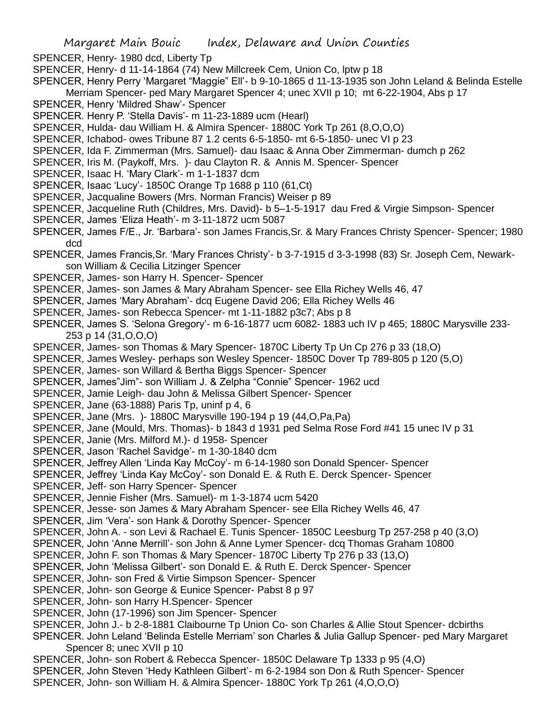- SPENCER, Henry- 1980 dcd, Liberty Tp
- SPENCER, Henry- d 11-14-1864 (74) New Millcreek Cem, Union Co, lptw p 18
- SPENCER, Henry Perry 'Margaret "Maggie" Ell'- b 9-10-1865 d 11-13-1935 son John Leland & Belinda Estelle Merriam Spencer- ped Mary Margaret Spencer 4; unec XVII p 10; mt 6-22-1904, Abs p 17
- SPENCER, Henry 'Mildred Shaw'- Spencer
- SPENCER. Henry P. 'Stella Davis'- m 11-23-1889 ucm (Hearl)
- SPENCER, Hulda- dau William H. & Almira Spencer- 1880C York Tp 261 (8,O,O,O)
- SPENCER, Ichabod- owes Tribune 87 1.2 cents 6-5-1850- mt 6-5-1850- unec VI p 23
- SPENCER, Ida F. Zimmerman (Mrs. Samuel)- dau Isaac & Anna Ober Zimmerman- dumch p 262
- SPENCER, Iris M. (Paykoff, Mrs. )- dau Clayton R. & Annis M. Spencer- Spencer
- SPENCER, Isaac H. 'Mary Clark'- m 1-1-1837 dcm
- SPENCER, Isaac 'Lucy'- 1850C Orange Tp 1688 p 110 (61,Ct)
- SPENCER, Jacqualine Bowers (Mrs. Norman Francis) Weiser p 89
- SPENCER, Jacqueline Ruth (Childres, Mrs. David)- b 5–1-5-1917 dau Fred & Virgie Simpson- Spencer
- SPENCER, James 'Eliza Heath'- m 3-11-1872 ucm 5087
- SPENCER, James F/E., Jr. 'Barbara'- son James Francis,Sr. & Mary Frances Christy Spencer- Spencer; 1980 dcd
- SPENCER, James Francis,Sr. 'Mary Frances Christy'- b 3-7-1915 d 3-3-1998 (83) Sr. Joseph Cem, Newarkson William & Cecilia Litzinger Spencer
- SPENCER, James- son Harry H. Spencer- Spencer
- SPENCER, James- son James & Mary Abraham Spencer- see Ella Richey Wells 46, 47
- SPENCER, James 'Mary Abraham'- dcq Eugene David 206; Ella Richey Wells 46
- SPENCER, James- son Rebecca Spencer- mt 1-11-1882 p3c7; Abs p 8
- SPENCER, James S. 'Selona Gregory'- m 6-16-1877 ucm 6082- 1883 uch IV p 465; 1880C Marysville 233- 253 p 14 (31,O,O,O)
- SPENCER, James- son Thomas & Mary Spencer- 1870C Liberty Tp Un Cp 276 p 33 (18,O)
- SPENCER, James Wesley- perhaps son Wesley Spencer- 1850C Dover Tp 789-805 p 120 (5,O)
- SPENCER, James- son Willard & Bertha Biggs Spencer- Spencer
- SPENCER, James"Jim"- son William J. & Zelpha "Connie" Spencer- 1962 ucd
- SPENCER, Jamie Leigh- dau John & Melissa Gilbert Spencer- Spencer
- SPENCER, Jane (63-1888) Paris Tp, uninf p 4, 6
- SPENCER, Jane (Mrs. )- 1880C Marysville 190-194 p 19 (44,O,Pa,Pa)
- SPENCER, Jane (Mould, Mrs. Thomas)- b 1843 d 1931 ped Selma Rose Ford #41 15 unec IV p 31
- SPENCER, Janie (Mrs. Milford M.)- d 1958- Spencer
- SPENCER, Jason 'Rachel Savidge'- m 1-30-1840 dcm
- SPENCER, Jeffrey Allen 'Linda Kay McCoy'- m 6-14-1980 son Donald Spencer- Spencer
- SPENCER, Jeffrey 'Linda Kay McCoy'- son Donald E. & Ruth E. Derck Spencer- Spencer
- SPENCER, Jeff- son Harry Spencer- Spencer
- SPENCER, Jennie Fisher (Mrs. Samuel)- m 1-3-1874 ucm 5420
- SPENCER, Jesse- son James & Mary Abraham Spencer- see Ella Richey Wells 46, 47
- SPENCER, Jim 'Vera'- son Hank & Dorothy Spencer- Spencer
- SPENCER, John A. son Levi & Rachael E. Tunis Spencer- 1850C Leesburg Tp 257-258 p 40 (3,O)
- SPENCER, John 'Anne Merrill'- son John & Anne Lymer Spencer- dcq Thomas Graham 10800
- SPENCER, John F. son Thomas & Mary Spencer- 1870C Liberty Tp 276 p 33 (13,O)
- SPENCER, John 'Melissa Gilbert'- son Donald E. & Ruth E. Derck Spencer- Spencer
- SPENCER, John- son Fred & Virtie Simpson Spencer- Spencer
- SPENCER, John- son George & Eunice Spencer- Pabst 8 p 97
- SPENCER, John- son Harry H.Spencer- Spencer
- SPENCER, John (17-1996) son Jim Spencer- Spencer
- SPENCER, John J.- b 2-8-1881 Claibourne Tp Union Co- son Charles & Allie Stout Spencer- dcbirths
- SPENCER. John Leland 'Belinda Estelle Merriam' son Charles & Julia Gallup Spencer- ped Mary Margaret Spencer 8; unec XVII p 10
- SPENCER, John- son Robert & Rebecca Spencer- 1850C Delaware Tp 1333 p 95 (4,O)
- SPENCER, John Steven 'Hedy Kathleen Gilbert'- m 6-2-1984 son Don & Ruth Spencer- Spencer
- SPENCER, John- son William H. & Almira Spencer- 1880C York Tp 261 (4,O,O,O)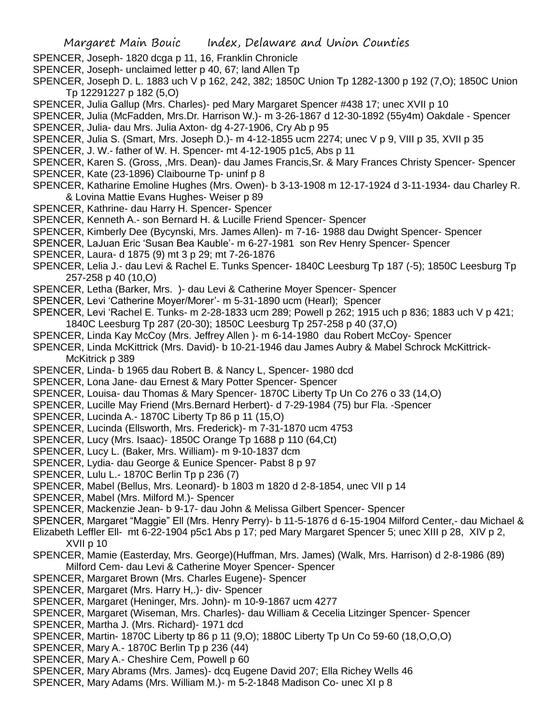- SPENCER, Joseph- 1820 dcga p 11, 16, Franklin Chronicle
- SPENCER, Joseph- unclaimed letter p 40, 67; land Allen Tp
- SPENCER, Joseph D. L. 1883 uch V p 162, 242, 382; 1850C Union Tp 1282-1300 p 192 (7,O); 1850C Union Tp 12291227 p 182 (5,O)
- SPENCER, Julia Gallup (Mrs. Charles)- ped Mary Margaret Spencer #438 17; unec XVII p 10

SPENCER, Julia (McFadden, Mrs.Dr. Harrison W.)- m 3-26-1867 d 12-30-1892 (55y4m) Oakdale - Spencer SPENCER, Julia- dau Mrs. Julia Axton- dg 4-27-1906, Cry Ab p 95

SPENCER, Julia S. (Smart, Mrs. Joseph D.)- m 4-12-1855 ucm 2274; unec V p 9, VIII p 35, XVII p 35

SPENCER, J. W.- father of W. H. Spencer- mt 4-12-1905 p1c5, Abs p 11

- SPENCER, Karen S. (Gross, ,Mrs. Dean)- dau James Francis,Sr. & Mary Frances Christy Spencer- Spencer
- SPENCER, Kate (23-1896) Claibourne Tp- uninf p 8
- SPENCER, Katharine Emoline Hughes (Mrs. Owen)- b 3-13-1908 m 12-17-1924 d 3-11-1934- dau Charley R. & Lovina Mattie Evans Hughes- Weiser p 89
- SPENCER, Kathrine- dau Harry H. Spencer- Spencer
- SPENCER, Kenneth A.- son Bernard H. & Lucille Friend Spencer- Spencer
- SPENCER, Kimberly Dee (Bycynski, Mrs. James Allen)- m 7-16- 1988 dau Dwight Spencer- Spencer
- SPENCER, LaJuan Eric 'Susan Bea Kauble'- m 6-27-1981 son Rev Henry Spencer- Spencer
- SPENCER, Laura- d 1875 (9) mt 3 p 29; mt 7-26-1876
- SPENCER, Lelia J.- dau Levi & Rachel E. Tunks Spencer- 1840C Leesburg Tp 187 (-5); 1850C Leesburg Tp 257-258 p 40 (10,O)
- SPENCER, Letha (Barker, Mrs. )- dau Levi & Catherine Moyer Spencer- Spencer
- SPENCER, Levi 'Catherine Moyer/Morer'- m 5-31-1890 ucm (Hearl); Spencer
- SPENCER, Levi 'Rachel E. Tunks- m 2-28-1833 ucm 289; Powell p 262; 1915 uch p 836; 1883 uch V p 421;
- 1840C Leesburg Tp 287 (20-30); 1850C Leesburg Tp 257-258 p 40 (37,O)
- SPENCER, Linda Kay McCoy (Mrs. Jeffrey Allen )- m 6-14-1980 dau Robert McCoy- Spencer
- SPENCER, Linda McKittrick (Mrs. David)- b 10-21-1946 dau James Aubry & Mabel Schrock McKittrick-McKitrick p 389
- SPENCER, Linda- b 1965 dau Robert B. & Nancy L, Spencer- 1980 dcd
- SPENCER, Lona Jane- dau Ernest & Mary Potter Spencer- Spencer
- SPENCER, Louisa- dau Thomas & Mary Spencer- 1870C Liberty Tp Un Co 276 o 33 (14,O)
- SPENCER, Lucille May Friend (Mrs.Bernard Herbert)- d 7-29-1984 (75) bur Fla. -Spencer
- SPENCER, Lucinda A.- 1870C Liberty Tp 86 p 11 (15,O)
- SPENCER, Lucinda (Ellsworth, Mrs. Frederick)- m 7-31-1870 ucm 4753
- SPENCER, Lucy (Mrs. Isaac)- 1850C Orange Tp 1688 p 110 (64,Ct)
- SPENCER, Lucy L. (Baker, Mrs. William)- m 9-10-1837 dcm
- SPENCER, Lydia- dau George & Eunice Spencer- Pabst 8 p 97
- SPENCER, Lulu L.- 1870C Berlin Tp p 236 (7)
- SPENCER, Mabel (Bellus, Mrs. Leonard)- b 1803 m 1820 d 2-8-1854, unec VII p 14
- SPENCER, Mabel (Mrs. Milford M.)- Spencer
- SPENCER, Mackenzie Jean- b 9-17- dau John & Melissa Gilbert Spencer- Spencer
- SPENCER, Margaret "Maggie" Ell (Mrs. Henry Perry)- b 11-5-1876 d 6-15-1904 Milford Center,- dau Michael & Elizabeth Leffler Ell- mt 6-22-1904 p5c1 Abs p 17; ped Mary Margaret Spencer 5; unec XIII p 28, XIV p 2,
- XVII p 10
- SPENCER, Mamie (Easterday, Mrs. George)(Huffman, Mrs. James) (Walk, Mrs. Harrison) d 2-8-1986 (89) Milford Cem- dau Levi & Catherine Moyer Spencer- Spencer
- SPENCER, Margaret Brown (Mrs. Charles Eugene)- Spencer
- SPENCER, Margaret (Mrs. Harry H,.)- div- Spencer
- SPENCER, Margaret (Heninger, Mrs. John)- m 10-9-1867 ucm 4277
- SPENCER, Margaret (Wiseman, Mrs. Charles)- dau William & Cecelia Litzinger Spencer- Spencer
- SPENCER, Martha J. (Mrs. Richard)- 1971 dcd
- SPENCER, Martin- 1870C Liberty tp 86 p 11 (9,O); 1880C Liberty Tp Un Co 59-60 (18,O,O,O)
- SPENCER, Mary A.- 1870C Berlin Tp p 236 (44)
- SPENCER, Mary A.- Cheshire Cem, Powell p 60
- SPENCER, Mary Abrams (Mrs. James)- dcq Eugene David 207; Ella Richey Wells 46
- SPENCER, Mary Adams (Mrs. William M.)- m 5-2-1848 Madison Co- unec XI p 8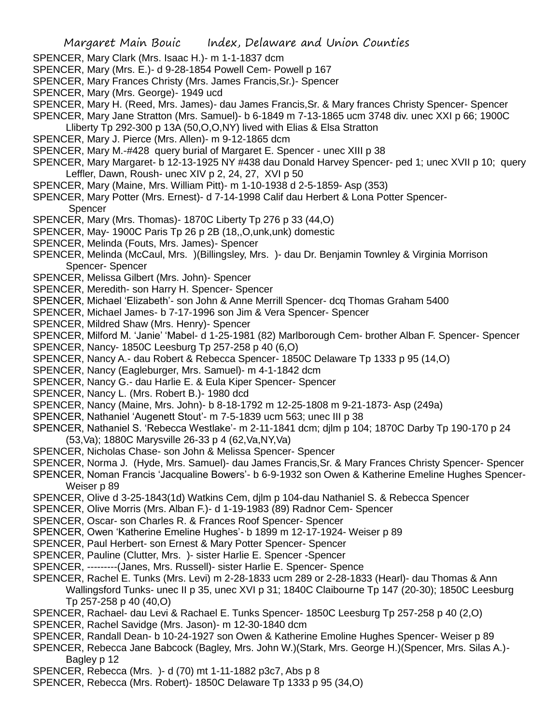- SPENCER, Mary Clark (Mrs. Isaac H.)- m 1-1-1837 dcm
- SPENCER, Mary (Mrs. E.)- d 9-28-1854 Powell Cem- Powell p 167
- SPENCER, Mary Frances Christy (Mrs. James Francis,Sr.)- Spencer
- SPENCER, Mary (Mrs. George)- 1949 ucd
- SPENCER, Mary H. (Reed, Mrs. James)- dau James Francis,Sr. & Mary frances Christy Spencer- Spencer
- SPENCER, Mary Jane Stratton (Mrs. Samuel)- b 6-1849 m 7-13-1865 ucm 3748 div. unec XXI p 66; 1900C
- Lliberty Tp 292-300 p 13A (50,O,O,NY) lived with Elias & Elsa Stratton
- SPENCER, Mary J. Pierce (Mrs. Allen)- m 9-12-1865 dcm
- SPENCER, Mary M.-#428 query burial of Margaret E. Spencer unec XIII p 38
- SPENCER, Mary Margaret- b 12-13-1925 NY #438 dau Donald Harvey Spencer- ped 1; unec XVII p 10; query Leffler, Dawn, Roush- unec XIV p 2, 24, 27, XVI p 50
- SPENCER, Mary (Maine, Mrs. William Pitt)- m 1-10-1938 d 2-5-1859- Asp (353)
- SPENCER, Mary Potter (Mrs. Ernest)- d 7-14-1998 Calif dau Herbert & Lona Potter Spencer-**Spencer**
- SPENCER, Mary (Mrs. Thomas)- 1870C Liberty Tp 276 p 33 (44,O)
- SPENCER, May- 1900C Paris Tp 26 p 2B (18,,O,unk,unk) domestic
- SPENCER, Melinda (Fouts, Mrs. James)- Spencer
- SPENCER, Melinda (McCaul, Mrs. )(Billingsley, Mrs. )- dau Dr. Benjamin Townley & Virginia Morrison Spencer- Spencer
- SPENCER, Melissa Gilbert (Mrs. John)- Spencer
- SPENCER, Meredith- son Harry H. Spencer- Spencer
- SPENCER, Michael 'Elizabeth'- son John & Anne Merrill Spencer- dcq Thomas Graham 5400
- SPENCER, Michael James- b 7-17-1996 son Jim & Vera Spencer- Spencer
- SPENCER, Mildred Shaw (Mrs. Henry)- Spencer
- SPENCER, Milford M. 'Janie' 'Mabel- d 1-25-1981 (82) Marlborough Cem- brother Alban F. Spencer- Spencer
- SPENCER, Nancy- 1850C Leesburg Tp 257-258 p 40 (6,O)
- SPENCER, Nancy A.- dau Robert & Rebecca Spencer- 1850C Delaware Tp 1333 p 95 (14,O)
- SPENCER, Nancy (Eagleburger, Mrs. Samuel)- m 4-1-1842 dcm
- SPENCER, Nancy G.- dau Harlie E. & Eula Kiper Spencer- Spencer
- SPENCER, Nancy L. (Mrs. Robert B.)- 1980 dcd
- SPENCER, Nancy (Maine, Mrs. John)- b 8-18-1792 m 12-25-1808 m 9-21-1873- Asp (249a)
- SPENCER, Nathaniel 'Augenett Stout'- m 7-5-1839 ucm 563; unec III p 38
- SPENCER, Nathaniel S. 'Rebecca Westlake'- m 2-11-1841 dcm; djlm p 104; 1870C Darby Tp 190-170 p 24 (53,Va); 1880C Marysville 26-33 p 4 (62,Va,NY,Va)
- SPENCER, Nicholas Chase- son John & Melissa Spencer- Spencer
- SPENCER, Norma J. (Hyde, Mrs. Samuel)- dau James Francis,Sr. & Mary Frances Christy Spencer- Spencer
- SPENCER, Noman Francis 'Jacqualine Bowers'- b 6-9-1932 son Owen & Katherine Emeline Hughes Spencer-Weiser p 89
- SPENCER, Olive d 3-25-1843(1d) Watkins Cem, djlm p 104-dau Nathaniel S. & Rebecca Spencer
- SPENCER, Olive Morris (Mrs. Alban F.)- d 1-19-1983 (89) Radnor Cem- Spencer
- SPENCER, Oscar- son Charles R. & Frances Roof Spencer- Spencer
- SPENCER, Owen 'Katherine Emeline Hughes'- b 1899 m 12-17-1924- Weiser p 89
- SPENCER, Paul Herbert- son Ernest & Mary Potter Spencer- Spencer
- SPENCER, Pauline (Clutter, Mrs. )- sister Harlie E. Spencer -Spencer
- SPENCER, ---------(Janes, Mrs. Russell)- sister Harlie E. Spencer- Spence
- SPENCER, Rachel E. Tunks (Mrs. Levi) m 2-28-1833 ucm 289 or 2-28-1833 (Hearl)- dau Thomas & Ann Wallingsford Tunks- unec II p 35, unec XVI p 31; 1840C Claibourne Tp 147 (20-30); 1850C Leesburg Tp 257-258 p 40 (40,O)
- SPENCER, Rachael- dau Levi & Rachael E. Tunks Spencer- 1850C Leesburg Tp 257-258 p 40 (2,O)
- SPENCER, Rachel Savidge (Mrs. Jason)- m 12-30-1840 dcm
- SPENCER, Randall Dean- b 10-24-1927 son Owen & Katherine Emoline Hughes Spencer- Weiser p 89
- SPENCER, Rebecca Jane Babcock (Bagley, Mrs. John W.)(Stark, Mrs. George H.)(Spencer, Mrs. Silas A.)- Bagley p 12
- SPENCER, Rebecca (Mrs. )- d (70) mt 1-11-1882 p3c7, Abs p 8
- SPENCER, Rebecca (Mrs. Robert)- 1850C Delaware Tp 1333 p 95 (34,O)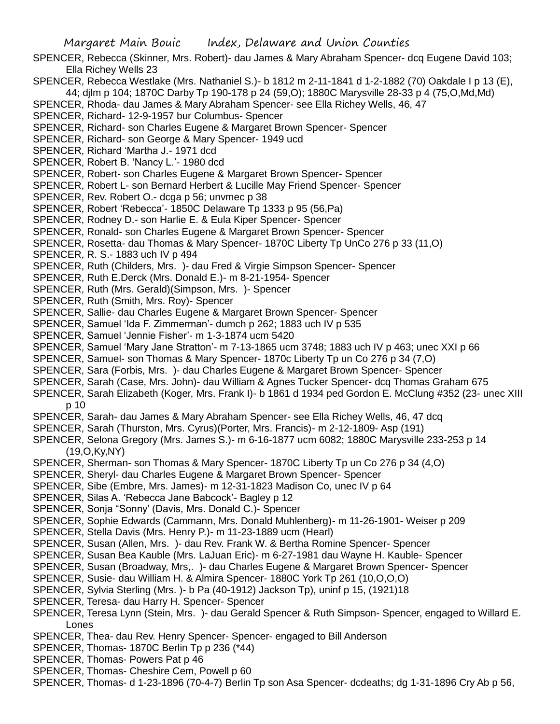SPENCER, Rebecca (Skinner, Mrs. Robert)- dau James & Mary Abraham Spencer- dcq Eugene David 103; Ella Richey Wells 23

SPENCER, Rebecca Westlake (Mrs. Nathaniel S.)- b 1812 m 2-11-1841 d 1-2-1882 (70) Oakdale I p 13 (E), 44; djlm p 104; 1870C Darby Tp 190-178 p 24 (59,O); 1880C Marysville 28-33 p 4 (75,O,Md,Md)

SPENCER, Rhoda- dau James & Mary Abraham Spencer- see Ella Richey Wells, 46, 47

- SPENCER, Richard- 12-9-1957 bur Columbus- Spencer
- SPENCER, Richard- son Charles Eugene & Margaret Brown Spencer- Spencer
- SPENCER, Richard- son George & Mary Spencer- 1949 ucd
- SPENCER, Richard 'Martha J.- 1971 dcd
- SPENCER, Robert B. 'Nancy L.'- 1980 dcd
- SPENCER, Robert- son Charles Eugene & Margaret Brown Spencer- Spencer
- SPENCER, Robert L- son Bernard Herbert & Lucille May Friend Spencer- Spencer
- SPENCER, Rev. Robert O.- dcga p 56; unvmec p 38
- SPENCER, Robert 'Rebecca'- 1850C Delaware Tp 1333 p 95 (56,Pa)
- SPENCER, Rodney D.- son Harlie E. & Eula Kiper Spencer- Spencer
- SPENCER, Ronald- son Charles Eugene & Margaret Brown Spencer- Spencer
- SPENCER, Rosetta- dau Thomas & Mary Spencer- 1870C Liberty Tp UnCo 276 p 33 (11,O)
- SPENCER, R. S.- 1883 uch IV p 494
- SPENCER, Ruth (Childers, Mrs. )- dau Fred & Virgie Simpson Spencer- Spencer
- SPENCER, Ruth E.Derck (Mrs. Donald E.)- m 8-21-1954- Spencer
- SPENCER, Ruth (Mrs. Gerald)(Simpson, Mrs. )- Spencer
- SPENCER, Ruth (Smith, Mrs. Roy)- Spencer
- SPENCER, Sallie- dau Charles Eugene & Margaret Brown Spencer- Spencer
- SPENCER, Samuel 'Ida F. Zimmerman'- dumch p 262; 1883 uch IV p 535
- SPENCER, Samuel 'Jennie Fisher'- m 1-3-1874 ucm 5420
- SPENCER, Samuel 'Mary Jane Stratton'- m 7-13-1865 ucm 3748; 1883 uch IV p 463; unec XXI p 66
- SPENCER, Samuel- son Thomas & Mary Spencer- 1870c Liberty Tp un Co 276 p 34 (7,O)
- SPENCER, Sara (Forbis, Mrs. )- dau Charles Eugene & Margaret Brown Spencer- Spencer
- SPENCER, Sarah (Case, Mrs. John)- dau William & Agnes Tucker Spencer- dcq Thomas Graham 675
- SPENCER, Sarah Elizabeth (Koger, Mrs. Frank I)- b 1861 d 1934 ped Gordon E. McClung #352 (23- unec XIII p 10
- SPENCER, Sarah- dau James & Mary Abraham Spencer- see Ella Richey Wells, 46, 47 dcq
- SPENCER, Sarah (Thurston, Mrs. Cyrus)(Porter, Mrs. Francis)- m 2-12-1809- Asp (191)
- SPENCER, Selona Gregory (Mrs. James S.)- m 6-16-1877 ucm 6082; 1880C Marysville 233-253 p 14 (19,O,Ky,NY)
- SPENCER, Sherman- son Thomas & Mary Spencer- 1870C Liberty Tp un Co 276 p 34 (4,O)
- SPENCER, Sheryl- dau Charles Eugene & Margaret Brown Spencer- Spencer
- SPENCER, Sibe (Embre, Mrs. James)- m 12-31-1823 Madison Co, unec IV p 64
- SPENCER, Silas A. 'Rebecca Jane Babcock'- Bagley p 12
- SPENCER, Sonja "Sonny' (Davis, Mrs. Donald C.)- Spencer
- SPENCER, Sophie Edwards (Cammann, Mrs. Donald Muhlenberg)- m 11-26-1901- Weiser p 209
- SPENCER, Stella Davis (Mrs. Henry P.)- m 11-23-1889 ucm (Hearl)
- SPENCER, Susan (Allen, Mrs. )- dau Rev. Frank W. & Bertha Romine Spencer- Spencer
- SPENCER, Susan Bea Kauble (Mrs. LaJuan Eric)- m 6-27-1981 dau Wayne H. Kauble- Spencer
- SPENCER, Susan (Broadway, Mrs,. )- dau Charles Eugene & Margaret Brown Spencer- Spencer
- SPENCER, Susie- dau William H. & Almira Spencer- 1880C York Tp 261 (10,O,O,O)
- SPENCER, Sylvia Sterling (Mrs. )- b Pa (40-1912) Jackson Tp), uninf p 15, (1921)18
- SPENCER, Teresa- dau Harry H. Spencer- Spencer
- SPENCER, Teresa Lynn (Stein, Mrs. )- dau Gerald Spencer & Ruth Simpson- Spencer, engaged to Willard E. Lones
- SPENCER, Thea- dau Rev. Henry Spencer- Spencer- engaged to Bill Anderson
- SPENCER, Thomas- 1870C Berlin Tp p 236 (\*44)
- SPENCER, Thomas- Powers Pat p 46
- SPENCER, Thomas- Cheshire Cem, Powell p 60
- SPENCER, Thomas- d 1-23-1896 (70-4-7) Berlin Tp son Asa Spencer- dcdeaths; dg 1-31-1896 Cry Ab p 56,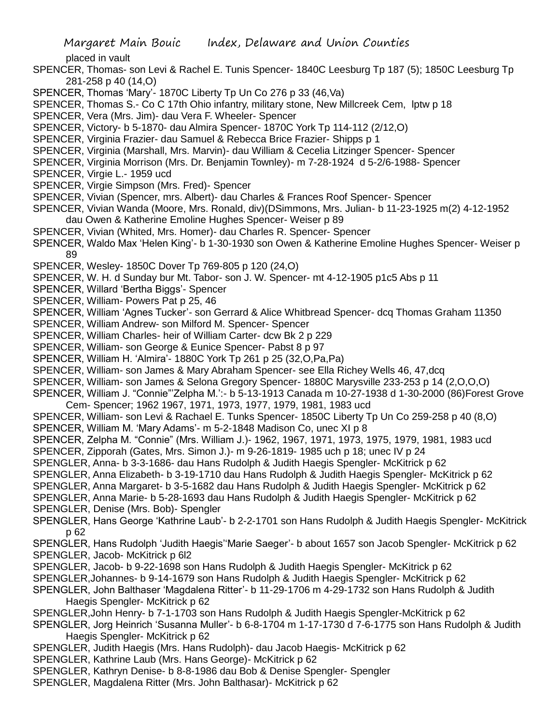placed in vault

- SPENCER, Thomas- son Levi & Rachel E. Tunis Spencer- 1840C Leesburg Tp 187 (5); 1850C Leesburg Tp 281-258 p 40 (14,O)
- SPENCER, Thomas 'Mary'- 1870C Liberty Tp Un Co 276 p 33 (46,Va)
- SPENCER, Thomas S.- Co C 17th Ohio infantry, military stone, New Millcreek Cem, lptw p 18
- SPENCER, Vera (Mrs. Jim)- dau Vera F. Wheeler- Spencer
- SPENCER, Victory- b 5-1870- dau Almira Spencer- 1870C York Tp 114-112 (2/12,O)
- SPENCER, Virginia Frazier- dau Samuel & Rebecca Brice Frazier- Shipps p 1
- SPENCER, Virginia (Marshall, Mrs. Marvin)- dau William & Cecelia Litzinger Spencer- Spencer
- SPENCER, Virginia Morrison (Mrs. Dr. Benjamin Townley)- m 7-28-1924 d 5-2/6-1988- Spencer
- SPENCER, Virgie L.- 1959 ucd
- SPENCER, Virgie Simpson (Mrs. Fred)- Spencer
- SPENCER, Vivian (Spencer, mrs. Albert)- dau Charles & Frances Roof Spencer- Spencer
- SPENCER, Vivian Wanda (Moore, Mrs. Ronald, div)(DSimmons, Mrs. Julian- b 11-23-1925 m(2) 4-12-1952 dau Owen & Katherine Emoline Hughes Spencer- Weiser p 89
- SPENCER, Vivian (Whited, Mrs. Homer)- dau Charles R. Spencer- Spencer
- SPENCER, Waldo Max 'Helen King'- b 1-30-1930 son Owen & Katherine Emoline Hughes Spencer- Weiser p 89
- SPENCER, Wesley- 1850C Dover Tp 769-805 p 120 (24,O)
- SPENCER, W. H. d Sunday bur Mt. Tabor- son J. W. Spencer- mt 4-12-1905 p1c5 Abs p 11
- SPENCER, Willard 'Bertha Biggs'- Spencer
- SPENCER, William- Powers Pat p 25, 46
- SPENCER, William 'Agnes Tucker'- son Gerrard & Alice Whitbread Spencer- dcq Thomas Graham 11350
- SPENCER, William Andrew- son Milford M. Spencer- Spencer
- SPENCER, William Charles- heir of William Carter- dcw Bk 2 p 229
- SPENCER, William- son George & Eunice Spencer- Pabst 8 p 97
- SPENCER, William H. 'Almira'- 1880C York Tp 261 p 25 (32,O,Pa,Pa)
- SPENCER, William- son James & Mary Abraham Spencer- see Ella Richey Wells 46, 47,dcq
- SPENCER, William- son James & Selona Gregory Spencer- 1880C Marysville 233-253 p 14 (2,O,O,O)
- SPENCER, William J. "Connie"'Zelpha M.':- b 5-13-1913 Canada m 10-27-1938 d 1-30-2000 (86)Forest Grove Cem- Spencer; 1962 1967, 1971, 1973, 1977, 1979, 1981, 1983 ucd
- SPENCER, William- son Levi & Rachael E. Tunks Spencer- 1850C Liberty Tp Un Co 259-258 p 40 (8,O)
- SPENCER, William M. 'Mary Adams'- m 5-2-1848 Madison Co, unec XI p 8
- SPENCER, Zelpha M. "Connie" (Mrs. William J.)- 1962, 1967, 1971, 1973, 1975, 1979, 1981, 1983 ucd SPENCER, Zipporah (Gates, Mrs. Simon J.)- m 9-26-1819- 1985 uch p 18; unec IV p 24
- SPENGLER, Anna- b 3-3-1686- dau Hans Rudolph & Judith Haegis Spengler- McKitrick p 62
- SPENGLER, Anna Elizabeth- b 3-19-1710 dau Hans Rudolph & Judith Haegis Spengler- McKitrick p 62
- SPENGLER, Anna Margaret- b 3-5-1682 dau Hans Rudolph & Judith Haegis Spengler- McKitrick p 62
- SPENGLER, Anna Marie- b 5-28-1693 dau Hans Rudolph & Judith Haegis Spengler- McKitrick p 62
- SPENGLER, Denise (Mrs. Bob)- Spengler
- SPENGLER, Hans George 'Kathrine Laub'- b 2-2-1701 son Hans Rudolph & Judith Haegis Spengler- McKitrick p 62
- SPENGLER, Hans Rudolph 'Judith Haegis''Marie Saeger'- b about 1657 son Jacob Spengler- McKitrick p 62 SPENGLER, Jacob- McKitrick p 6l2
- SPENGLER, Jacob- b 9-22-1698 son Hans Rudolph & Judith Haegis Spengler- McKitrick p 62
- SPENGLER,Johannes- b 9-14-1679 son Hans Rudolph & Judith Haegis Spengler- McKitrick p 62
- SPENGLER, John Balthaser 'Magdalena Ritter'- b 11-29-1706 m 4-29-1732 son Hans Rudolph & Judith Haegis Spengler- McKitrick p 62
- SPENGLER,John Henry- b 7-1-1703 son Hans Rudolph & Judith Haegis Spengler-McKitrick p 62
- SPENGLER, Jorg Heinrich 'Susanna Muller'- b 6-8-1704 m 1-17-1730 d 7-6-1775 son Hans Rudolph & Judith Haegis Spengler- McKitrick p 62
- SPENGLER, Judith Haegis (Mrs. Hans Rudolph)- dau Jacob Haegis- McKitrick p 62
- SPENGLER, Kathrine Laub (Mrs. Hans George)- McKitrick p 62
- SPENGLER, Kathryn Denise- b 8-8-1986 dau Bob & Denise Spengler- Spengler
- SPENGLER, Magdalena Ritter (Mrs. John Balthasar)- McKitrick p 62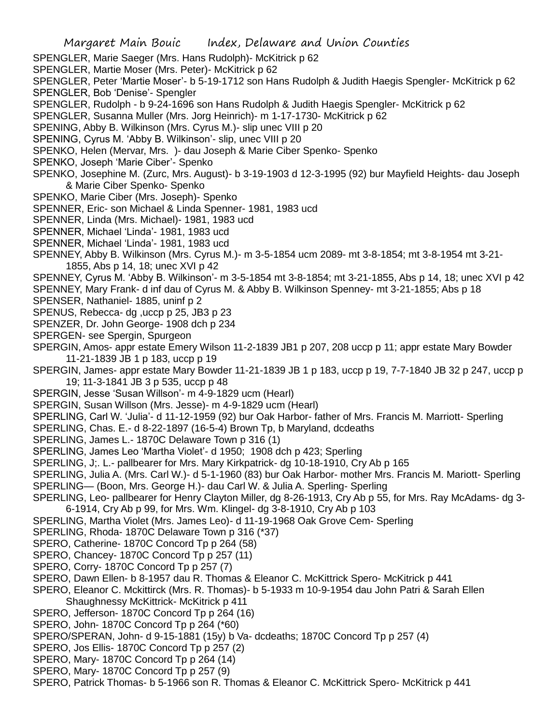- SPENGLER, Marie Saeger (Mrs. Hans Rudolph)- McKitrick p 62
- SPENGLER, Martie Moser (Mrs. Peter)- McKitrick p 62
- SPENGLER, Peter 'Martie Moser'- b 5-19-1712 son Hans Rudolph & Judith Haegis Spengler- McKitrick p 62 SPENGLER, Bob 'Denise'- Spengler
- SPENGLER, Rudolph b 9-24-1696 son Hans Rudolph & Judith Haegis Spengler- McKitrick p 62
- SPENGLER, Susanna Muller (Mrs. Jorg Heinrich)- m 1-17-1730- McKitrick p 62
- SPENING, Abby B. Wilkinson (Mrs. Cyrus M.)- slip unec VIII p 20
- SPENING, Cyrus M. 'Abby B. Wilkinson'- slip, unec VIII p 20
- SPENKO, Helen (Mervar, Mrs. )- dau Joseph & Marie Ciber Spenko- Spenko
- SPENKO, Joseph 'Marie Ciber'- Spenko
- SPENKO, Josephine M. (Zurc, Mrs. August)- b 3-19-1903 d 12-3-1995 (92) bur Mayfield Heights- dau Joseph & Marie Ciber Spenko- Spenko
- SPENKO, Marie Ciber (Mrs. Joseph)- Spenko
- SPENNER, Eric- son Michael & Linda Spenner- 1981, 1983 ucd
- SPENNER, Linda (Mrs. Michael)- 1981, 1983 ucd
- SPENNER, Michael 'Linda'- 1981, 1983 ucd
- SPENNER, Michael 'Linda'- 1981, 1983 ucd
- SPENNEY, Abby B. Wilkinson (Mrs. Cyrus M.)- m 3-5-1854 ucm 2089- mt 3-8-1854; mt 3-8-1954 mt 3-21- 1855, Abs p 14, 18; unec XVI p 42
- SPENNEY, Cyrus M. 'Abby B. Wilkinson'- m 3-5-1854 mt 3-8-1854; mt 3-21-1855, Abs p 14, 18; unec XVI p 42
- SPENNEY, Mary Frank- d inf dau of Cyrus M. & Abby B. Wilkinson Spenney- mt 3-21-1855; Abs p 18
- SPENSER, Nathaniel- 1885, uninf p 2
- SPENUS, Rebecca- dg ,uccp p 25, JB3 p 23
- SPENZER, Dr. John George- 1908 dch p 234
- SPERGEN- see Spergin, Spurgeon
- SPERGIN, Amos- appr estate Emery Wilson 11-2-1839 JB1 p 207, 208 uccp p 11; appr estate Mary Bowder 11-21-1839 JB 1 p 183, uccp p 19
- SPERGIN, James- appr estate Mary Bowder 11-21-1839 JB 1 p 183, uccp p 19, 7-7-1840 JB 32 p 247, uccp p 19; 11-3-1841 JB 3 p 535, uccp p 48
- SPERGIN, Jesse 'Susan Willson'- m 4-9-1829 ucm (Hearl)
- SPERGIN, Susan Willson (Mrs. Jesse)- m 4-9-1829 ucm (Hearl)
- SPERLING, Carl W. 'Julia'- d 11-12-1959 (92) bur Oak Harbor- father of Mrs. Francis M. Marriott- Sperling
- SPERLING, Chas. E.- d 8-22-1897 (16-5-4) Brown Tp, b Maryland, dcdeaths
- SPERLING, James L.- 1870C Delaware Town p 316 (1)
- SPERLING, James Leo 'Martha Violet'- d 1950; 1908 dch p 423; Sperling
- SPERLING, J;. L.- pallbearer for Mrs. Mary Kirkpatrick- dg 10-18-1910, Cry Ab p 165
- SPERLING, Julia A. (Mrs. Carl W.)- d 5-1-1960 (83) bur Oak Harbor- mother Mrs. Francis M. Mariott- Sperling SPERLING— (Boon, Mrs. George H.)- dau Carl W. & Julia A. Sperling- Sperling
- SPERLING, Leo- pallbearer for Henry Clayton Miller, dg 8-26-1913, Cry Ab p 55, for Mrs. Ray McAdams- dg 3- 6-1914, Cry Ab p 99, for Mrs. Wm. Klingel- dg 3-8-1910, Cry Ab p 103
- SPERLING, Martha Violet (Mrs. James Leo)- d 11-19-1968 Oak Grove Cem- Sperling
- SPERLING, Rhoda- 1870C Delaware Town p 316 (\*37)
- SPERO, Catherine- 1870C Concord Tp p 264 (58)
- SPERO, Chancey- 1870C Concord Tp p 257 (11)
- SPERO, Corry- 1870C Concord Tp p 257 (7)
- SPERO, Dawn Ellen- b 8-1957 dau R. Thomas & Eleanor C. McKittrick Spero- McKitrick p 441
- SPERO, Eleanor C. Mckittirck (Mrs. R. Thomas)- b 5-1933 m 10-9-1954 dau John Patri & Sarah Ellen Shaughnessy McKittrick- McKitrick p 411
- SPERO, Jefferson- 1870C Concord Tp p 264 (16)
- SPERO, John- 1870C Concord Tp p 264 (\*60)
- SPERO/SPERAN, John- d 9-15-1881 (15y) b Va- dcdeaths; 1870C Concord Tp p 257 (4)
- SPERO, Jos Ellis- 1870C Concord Tp p 257 (2)
- SPERO, Mary- 1870C Concord Tp p 264 (14)
- SPERO, Mary- 1870C Concord Tp p 257 (9)
- SPERO, Patrick Thomas- b 5-1966 son R. Thomas & Eleanor C. McKittrick Spero- McKitrick p 441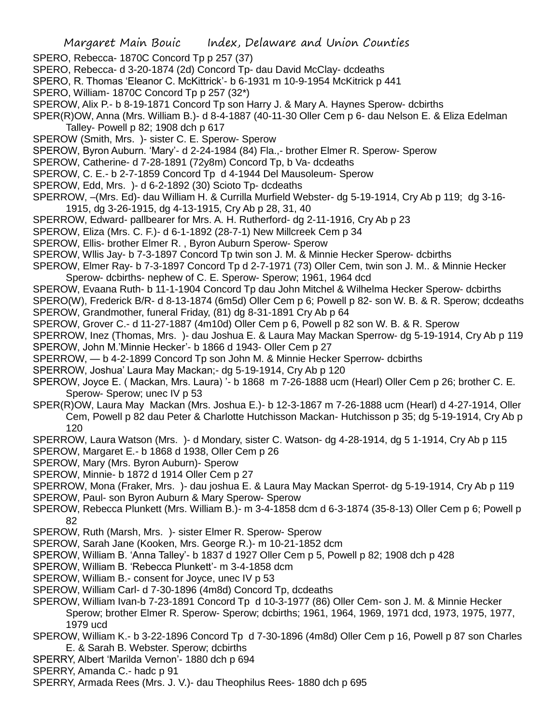SPERO, Rebecca- 1870C Concord Tp p 257 (37)

- SPERO, Rebecca- d 3-20-1874 (2d) Concord Tp- dau David McClay- dcdeaths
- SPERO, R. Thomas 'Eleanor C. McKittrick'- b 6-1931 m 10-9-1954 McKitrick p 441
- SPERO, William- 1870C Concord Tp p 257 (32\*)
- SPEROW, Alix P.- b 8-19-1871 Concord Tp son Harry J. & Mary A. Haynes Sperow- dcbirths
- SPER(R)OW, Anna (Mrs. William B.)- d 8-4-1887 (40-11-30 Oller Cem p 6- dau Nelson E. & Eliza Edelman Talley- Powell p 82; 1908 dch p 617
- SPEROW (Smith, Mrs. )- sister C. E. Sperow- Sperow
- SPEROW, Byron Auburn. 'Mary'- d 2-24-1984 (84) Fla.,- brother Elmer R. Sperow- Sperow
- SPEROW, Catherine- d 7-28-1891 (72y8m) Concord Tp, b Va- dcdeaths
- SPEROW, C. E.- b 2-7-1859 Concord Tp d 4-1944 Del Mausoleum- Sperow
- SPEROW, Edd, Mrs. )- d 6-2-1892 (30) Scioto Tp- dcdeaths
- SPERROW, –(Mrs. Ed)- dau William H. & Currilla Murfield Webster- dg 5-19-1914, Cry Ab p 119; dg 3-16- 1915, dg 3-26-1915, dg 4-13-1915, Cry Ab p 28, 31, 40
- SPERROW, Edward- pallbearer for Mrs. A. H. Rutherford- dg 2-11-1916, Cry Ab p 23
- SPEROW, Eliza (Mrs. C. F.)- d 6-1-1892 (28-7-1) New Millcreek Cem p 34
- SPEROW, Ellis- brother Elmer R. , Byron Auburn Sperow- Sperow
- SPEROW, Wllis Jay- b 7-3-1897 Concord Tp twin son J. M. & Minnie Hecker Sperow- dcbirths
- SPEROW, Elmer Ray- b 7-3-1897 Concord Tp d 2-7-1971 (73) Oller Cem, twin son J. M.. & Minnie Hecker Sperow- dcbirths- nephew of C. E. Sperow- Sperow; 1961, 1964 dcd
- SPEROW, Evaana Ruth- b 11-1-1904 Concord Tp dau John Mitchel & Wilhelma Hecker Sperow- dcbirths SPERO(W), Frederick B/R- d 8-13-1874 (6m5d) Oller Cem p 6; Powell p 82- son W. B. & R. Sperow; dcdeaths SPEROW, Grandmother, funeral Friday, (81) dg 8-31-1891 Cry Ab p 64
- SPEROW, Grover C.- d 11-27-1887 (4m10d) Oller Cem p 6, Powell p 82 son W. B. & R. Sperow
- SPERROW, Inez (Thomas, Mrs. )- dau Joshua E. & Laura May Mackan Sperrow- dg 5-19-1914, Cry Ab p 119 SPEROW, John M.'Minnie Hecker'- b 1866 d 1943- Oller Cem p 27
- SPERROW, b 4-2-1899 Concord Tp son John M. & Minnie Hecker Sperrow- dcbirths
- SPERROW, Joshua' Laura May Mackan;- dg 5-19-1914, Cry Ab p 120
- SPEROW, Joyce E. ( Mackan, Mrs. Laura) '- b 1868 m 7-26-1888 ucm (Hearl) Oller Cem p 26; brother C. E. Sperow- Sperow; unec IV p 53
- SPER(R)OW, Laura May Mackan (Mrs. Joshua E.)- b 12-3-1867 m 7-26-1888 ucm (Hearl) d 4-27-1914, Oller Cem, Powell p 82 dau Peter & Charlotte Hutchisson Mackan- Hutchisson p 35; dg 5-19-1914, Cry Ab p 120
- SPERROW, Laura Watson (Mrs. )- d Mondary, sister C. Watson- dg 4-28-1914, dg 5 1-1914, Cry Ab p 115
- SPEROW, Margaret E.- b 1868 d 1938, Oller Cem p 26
- SPEROW, Mary (Mrs. Byron Auburn)- Sperow
- SPEROW, Minnie- b 1872 d 1914 Oller Cem p 27
- SPERROW, Mona (Fraker, Mrs. )- dau joshua E. & Laura May Mackan Sperrot- dg 5-19-1914, Cry Ab p 119
- SPEROW, Paul- son Byron Auburn & Mary Sperow- Sperow
- SPEROW, Rebecca Plunkett (Mrs. William B.)- m 3-4-1858 dcm d 6-3-1874 (35-8-13) Oller Cem p 6; Powell p 82
- SPEROW, Ruth (Marsh, Mrs. )- sister Elmer R. Sperow- Sperow
- SPEROW, Sarah Jane (Kooken, Mrs. George R.)- m 10-21-1852 dcm
- SPEROW, William B. 'Anna Talley'- b 1837 d 1927 Oller Cem p 5, Powell p 82; 1908 dch p 428
- SPEROW, William B. 'Rebecca Plunkett'- m 3-4-1858 dcm
- SPEROW, William B.- consent for Joyce, unec IV p 53
- SPEROW, William Carl- d 7-30-1896 (4m8d) Concord Tp, dcdeaths
- SPEROW, William Ivan-b 7-23-1891 Concord Tp d 10-3-1977 (86) Oller Cem- son J. M. & Minnie Hecker
	- Sperow; brother Elmer R. Sperow- Sperow; dcbirths; 1961, 1964, 1969, 1971 dcd, 1973, 1975, 1977, 1979 ucd
- SPEROW, William K.- b 3-22-1896 Concord Tp d 7-30-1896 (4m8d) Oller Cem p 16, Powell p 87 son Charles E. & Sarah B. Webster. Sperow; dcbirths
- SPERRY, Albert 'Marilda Vernon'- 1880 dch p 694
- SPERRY, Amanda C.- hadc p 91
- SPERRY, Armada Rees (Mrs. J. V.)- dau Theophilus Rees- 1880 dch p 695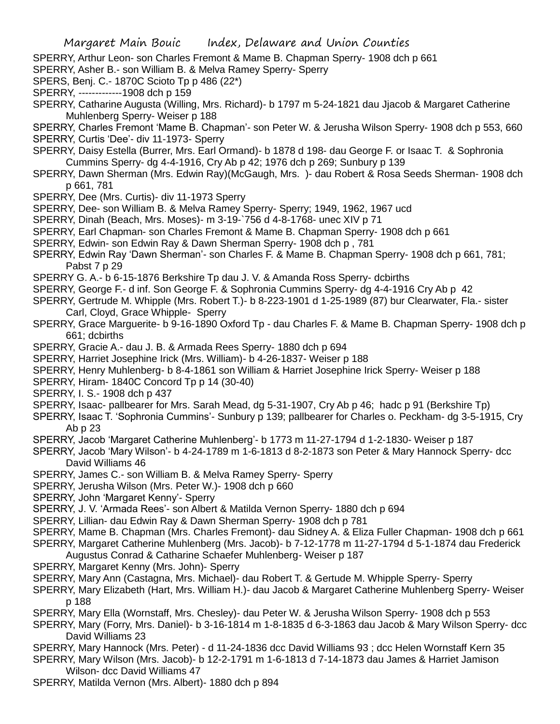SPERRY, Arthur Leon- son Charles Fremont & Mame B. Chapman Sperry- 1908 dch p 661

SPERRY, Asher B.- son William B. & Melva Ramey Sperry- Sperry

SPERS, Benj. C.- 1870C Scioto Tp p 486 (22\*)

SPERRY, -------------1908 dch p 159

SPERRY, Catharine Augusta (Willing, Mrs. Richard)- b 1797 m 5-24-1821 dau Jjacob & Margaret Catherine Muhlenberg Sperry- Weiser p 188

SPERRY, Charles Fremont 'Mame B. Chapman'- son Peter W. & Jerusha Wilson Sperry- 1908 dch p 553, 660 SPERRY, Curtis 'Dee'- div 11-1973- Sperry

- SPERRY, Daisy Estella (Burrer, Mrs. Earl Ormand)- b 1878 d 198- dau George F. or Isaac T. & Sophronia Cummins Sperry- dg 4-4-1916, Cry Ab p 42; 1976 dch p 269; Sunbury p 139
- SPERRY, Dawn Sherman (Mrs. Edwin Ray)(McGaugh, Mrs. )- dau Robert & Rosa Seeds Sherman- 1908 dch p 661, 781
- SPERRY, Dee (Mrs. Curtis)- div 11-1973 Sperry
- SPERRY, Dee- son William B. & Melva Ramey Sperry- Sperry; 1949, 1962, 1967 ucd
- SPERRY, Dinah (Beach, Mrs. Moses)- m 3-19-`756 d 4-8-1768- unec XIV p 71
- SPERRY, Earl Chapman- son Charles Fremont & Mame B. Chapman Sperry- 1908 dch p 661
- SPERRY, Edwin- son Edwin Ray & Dawn Sherman Sperry- 1908 dch p , 781
- SPERRY, Edwin Ray 'Dawn Sherman'- son Charles F. & Mame B. Chapman Sperry- 1908 dch p 661, 781; Pabst 7 p 29
- SPERRY G. A.- b 6-15-1876 Berkshire Tp dau J. V. & Amanda Ross Sperry- dcbirths
- SPERRY, George F.- d inf. Son George F. & Sophronia Cummins Sperry- dg 4-4-1916 Cry Ab p 42
- SPERRY, Gertrude M. Whipple (Mrs. Robert T.)- b 8-223-1901 d 1-25-1989 (87) bur Clearwater, Fla.- sister Carl, Cloyd, Grace Whipple- Sperry
- SPERRY, Grace Marguerite- b 9-16-1890 Oxford Tp dau Charles F. & Mame B. Chapman Sperry- 1908 dch p 661; dcbirths
- SPERRY, Gracie A.- dau J. B. & Armada Rees Sperry- 1880 dch p 694
- SPERRY, Harriet Josephine Irick (Mrs. William)- b 4-26-1837- Weiser p 188
- SPERRY, Henry Muhlenberg- b 8-4-1861 son William & Harriet Josephine Irick Sperry- Weiser p 188
- SPERRY, Hiram- 1840C Concord Tp p 14 (30-40)
- SPERRY, I. S.- 1908 dch p 437
- SPERRY, Isaac- pallbearer for Mrs. Sarah Mead, dg 5-31-1907, Cry Ab p 46; hadc p 91 (Berkshire Tp)
- SPERRY, Isaac T. 'Sophronia Cummins'- Sunbury p 139; pallbearer for Charles o. Peckham- dg 3-5-1915, Cry Ab p 23
- SPERRY, Jacob 'Margaret Catherine Muhlenberg'- b 1773 m 11-27-1794 d 1-2-1830- Weiser p 187
- SPERRY, Jacob 'Mary Wilson'- b 4-24-1789 m 1-6-1813 d 8-2-1873 son Peter & Mary Hannock Sperry- dcc David Williams 46
- SPERRY, James C.- son William B. & Melva Ramey Sperry- Sperry
- SPERRY, Jerusha Wilson (Mrs. Peter W.)- 1908 dch p 660
- SPERRY, John 'Margaret Kenny'- Sperry
- SPERRY, J. V. 'Armada Rees'- son Albert & Matilda Vernon Sperry- 1880 dch p 694
- SPERRY, Lillian- dau Edwin Ray & Dawn Sherman Sperry- 1908 dch p 781
- SPERRY, Mame B. Chapman (Mrs. Charles Fremont)- dau Sidney A. & Eliza Fuller Chapman- 1908 dch p 661 SPERRY, Margaret Catherine Muhlenberg (Mrs. Jacob)- b 7-12-1778 m 11-27-1794 d 5-1-1874 dau Frederick
- Augustus Conrad & Catharine Schaefer Muhlenberg- Weiser p 187
- SPERRY, Margaret Kenny (Mrs. John)- Sperry
- SPERRY, Mary Ann (Castagna, Mrs. Michael)- dau Robert T. & Gertude M. Whipple Sperry- Sperry
- SPERRY, Mary Elizabeth (Hart, Mrs. William H.)- dau Jacob & Margaret Catherine Muhlenberg Sperry- Weiser p 188
- SPERRY, Mary Ella (Wornstaff, Mrs. Chesley)- dau Peter W. & Jerusha Wilson Sperry- 1908 dch p 553
- SPERRY, Mary (Forry, Mrs. Daniel)- b 3-16-1814 m 1-8-1835 d 6-3-1863 dau Jacob & Mary Wilson Sperry- dcc David Williams 23
- SPERRY, Mary Hannock (Mrs. Peter) d 11-24-1836 dcc David Williams 93 ; dcc Helen Wornstaff Kern 35 SPERRY, Mary Wilson (Mrs. Jacob)- b 12-2-1791 m 1-6-1813 d 7-14-1873 dau James & Harriet Jamison Wilson- dcc David Williams 47
- SPERRY, Matilda Vernon (Mrs. Albert)- 1880 dch p 894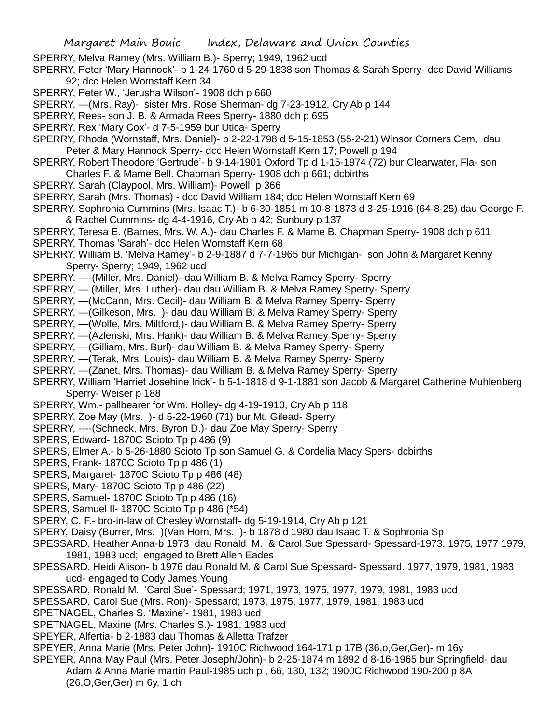SPERRY, Melva Ramey (Mrs. William B.)- Sperry; 1949, 1962 ucd

SPERRY, Peter 'Mary Hannock'- b 1-24-1760 d 5-29-1838 son Thomas & Sarah Sperry- dcc David Williams 92; dcc Helen Wornstaff Kern 34

- SPERRY, Peter W., 'Jerusha Wilson'- 1908 dch p 660
- SPERRY, —(Mrs. Ray)- sister Mrs. Rose Sherman- dg 7-23-1912, Cry Ab p 144
- SPERRY, Rees- son J. B. & Armada Rees Sperry- 1880 dch p 695
- SPERRY, Rex 'Mary Cox'- d 7-5-1959 bur Utica- Sperry

SPERRY, Rhoda (Wornstaff, Mrs. Daniel)- b 2-22-1798 d 5-15-1853 (55-2-21) Winsor Corners Cem, dau Peter & Mary Hannock Sperry- dcc Helen Wornstaff Kern 17; Powell p 194

- SPERRY, Robert Theodore 'Gertrude'- b 9-14-1901 Oxford Tp d 1-15-1974 (72) bur Clearwater, Fla- son Charles F. & Mame Bell. Chapman Sperry- 1908 dch p 661; dcbirths
- SPERRY, Sarah (Claypool, Mrs. William)- Powell p 366
- SPERRY, Sarah (Mrs. Thomas) dcc David William 184; dcc Helen Wornstaff Kern 69
- SPERRY, Sophronia Cummins (Mrs. Isaac T.)- b 6-30-1851 m 10-8-1873 d 3-25-1916 (64-8-25) dau George F. & Rachel Cummins- dg 4-4-1916, Cry Ab p 42; Sunbury p 137
- SPERRY, Teresa E. (Barnes, Mrs. W. A.)- dau Charles F. & Mame B. Chapman Sperry- 1908 dch p 611 SPERRY, Thomas 'Sarah'- dcc Helen Wornstaff Kern 68
- SPERRY, William B. 'Melva Ramey'- b 2-9-1887 d 7-7-1965 bur Michigan- son John & Margaret Kenny Sperry- Sperry; 1949, 1962 ucd
- SPERRY, ----(Miller, Mrs. Daniel)- dau William B. & Melva Ramey Sperry- Sperry
- SPERRY, (Miller, Mrs. Luther)- dau dau William B. & Melva Ramey Sperry- Sperry
- SPERRY, —(McCann, Mrs. Cecil)- dau William B. & Melva Ramey Sperry- Sperry
- SPERRY, —(Gilkeson, Mrs. )- dau dau William B. & Melva Ramey Sperry- Sperry
- SPERRY, —(Wolfe, Mrs. Miltford,)- dau William B. & Melva Ramey Sperry- Sperry
- SPERRY, —(Azlenski, Mrs. Hank)- dau William B. & Melva Ramey Sperry- Sperry
- SPERRY, —(Gilliam, Mrs. Burl)- dau William B. & Melva Ramey Sperry- Sperry
- SPERRY, —(Terak, Mrs. Louis)- dau William B. & Melva Ramey Sperry- Sperry
- SPERRY, —(Zanet, Mrs. Thomas)- dau William B. & Melva Ramey Sperry- Sperry
- SPERRY, William 'Harriet Josehine Irick'- b 5-1-1818 d 9-1-1881 son Jacob & Margaret Catherine Muhlenberg Sperry- Weiser p 188
- SPERRY, Wm.- pallbearer for Wm. Holley- dg 4-19-1910, Cry Ab p 118
- SPERRY, Zoe May (Mrs. )- d 5-22-1960 (71) bur Mt. Gilead- Sperry
- SPERRY, ----(Schneck, Mrs. Byron D.)- dau Zoe May Sperry- Sperry
- SPERS, Edward- 1870C Scioto Tp p 486 (9)
- SPERS, Elmer A.- b 5-26-1880 Scioto Tp son Samuel G. & Cordelia Macy Spers- dcbirths
- SPERS, Frank- 1870C Scioto Tp p 486 (1)
- SPERS, Margaret- 1870C Scioto Tp p 486 (48)
- SPERS, Mary- 1870C Scioto Tp p 486 (22)
- SPERS, Samuel- 1870C Scioto Tp p 486 (16)
- SPERS, Samuel Il- 1870C Scioto Tp p 486 (\*54)
- SPERY, C. F.- bro-in-law of Chesley Wornstaff- dg 5-19-1914, Cry Ab p 121
- SPERY, Daisy (Burrer, Mrs. )(Van Horn, Mrs. )- b 1878 d 1980 dau Isaac T. & Sophronia Sp
- SPESSARD, Heather Anna-b 1973 dau Ronald M. & Carol Sue Spessard- Spessard-1973, 1975, 1977 1979, 1981, 1983 ucd; engaged to Brett Allen Eades
- SPESSARD, Heidi Alison- b 1976 dau Ronald M. & Carol Sue Spessard- Spessard. 1977, 1979, 1981, 1983 ucd- engaged to Cody James Young
- SPESSARD, Ronald M. 'Carol Sue'- Spessard; 1971, 1973, 1975, 1977, 1979, 1981, 1983 ucd
- SPESSARD, Carol Sue (Mrs. Ron)- Spessard; 1973, 1975, 1977, 1979, 1981, 1983 ucd
- SPETNAGEL, Charles S. 'Maxine'- 1981, 1983 ucd
- SPETNAGEL, Maxine (Mrs. Charles S.)- 1981, 1983 ucd
- SPEYER, Alfertia- b 2-1883 dau Thomas & Alletta Trafzer
- SPEYER, Anna Marie (Mrs. Peter John)- 1910C Richwood 164-171 p 17B (36,o,Ger,Ger)- m 16y
- SPEYER, Anna May Paul (Mrs. Peter Joseph/John)- b 2-25-1874 m 1892 d 8-16-1965 bur Springfield- dau Adam & Anna Marie martin Paul-1985 uch p , 66, 130, 132; 1900C Richwood 190-200 p 8A (26,O,Ger,Ger) m 6y, 1 ch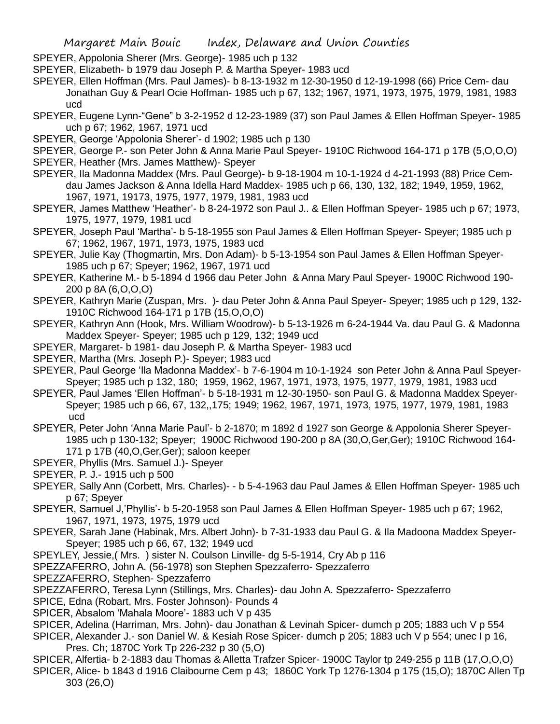SPEYER, Appolonia Sherer (Mrs. George)- 1985 uch p 132

SPEYER, Elizabeth- b 1979 dau Joseph P. & Martha Speyer- 1983 ucd

SPEYER, Ellen Hoffman (Mrs. Paul James)- b 8-13-1932 m 12-30-1950 d 12-19-1998 (66) Price Cem- dau Jonathan Guy & Pearl Ocie Hoffman- 1985 uch p 67, 132; 1967, 1971, 1973, 1975, 1979, 1981, 1983 ucd

SPEYER, Eugene Lynn-"Gene" b 3-2-1952 d 12-23-1989 (37) son Paul James & Ellen Hoffman Speyer- 1985 uch p 67; 1962, 1967, 1971 ucd

SPEYER, George 'Appolonia Sherer'- d 1902; 1985 uch p 130

- SPEYER, George P.- son Peter John & Anna Marie Paul Speyer- 1910C Richwood 164-171 p 17B (5,O,O,O) SPEYER, Heather (Mrs. James Matthew)- Speyer
- SPEYER, Ila Madonna Maddex (Mrs. Paul George)- b 9-18-1904 m 10-1-1924 d 4-21-1993 (88) Price Cemdau James Jackson & Anna Idella Hard Maddex- 1985 uch p 66, 130, 132, 182; 1949, 1959, 1962, 1967, 1971, 19173, 1975, 1977, 1979, 1981, 1983 ucd
- SPEYER, James Matthew 'Heather'- b 8-24-1972 son Paul J.. & Ellen Hoffman Speyer- 1985 uch p 67; 1973, 1975, 1977, 1979, 1981 ucd
- SPEYER, Joseph Paul 'Martha'- b 5-18-1955 son Paul James & Ellen Hoffman Speyer- Speyer; 1985 uch p 67; 1962, 1967, 1971, 1973, 1975, 1983 ucd
- SPEYER, Julie Kay (Thogmartin, Mrs. Don Adam)- b 5-13-1954 son Paul James & Ellen Hoffman Speyer-1985 uch p 67; Speyer; 1962, 1967, 1971 ucd
- SPEYER, Katherine M.- b 5-1894 d 1966 dau Peter John & Anna Mary Paul Speyer- 1900C Richwood 190- 200 p 8A (6,O,O,O)
- SPEYER, Kathryn Marie (Zuspan, Mrs. )- dau Peter John & Anna Paul Speyer- Speyer; 1985 uch p 129, 132- 1910C Richwood 164-171 p 17B (15,O,O,O)
- SPEYER, Kathryn Ann (Hook, Mrs. William Woodrow)- b 5-13-1926 m 6-24-1944 Va. dau Paul G. & Madonna Maddex Speyer- Speyer; 1985 uch p 129, 132; 1949 ucd
- SPEYER, Margaret- b 1981- dau Joseph P. & Martha Speyer- 1983 ucd
- SPEYER, Martha (Mrs. Joseph P.)- Speyer; 1983 ucd
- SPEYER, Paul George 'Ila Madonna Maddex'- b 7-6-1904 m 10-1-1924 son Peter John & Anna Paul Speyer-Speyer; 1985 uch p 132, 180; 1959, 1962, 1967, 1971, 1973, 1975, 1977, 1979, 1981, 1983 ucd
- SPEYER, Paul James 'Ellen Hoffman'- b 5-18-1931 m 12-30-1950- son Paul G. & Madonna Maddex Speyer-Speyer; 1985 uch p 66, 67, 132,,175; 1949; 1962, 1967, 1971, 1973, 1975, 1977, 1979, 1981, 1983 ucd
- SPEYER, Peter John 'Anna Marie Paul'- b 2-1870; m 1892 d 1927 son George & Appolonia Sherer Speyer-1985 uch p 130-132; Speyer; 1900C Richwood 190-200 p 8A (30,O,Ger,Ger); 1910C Richwood 164- 171 p 17B (40,O,Ger,Ger); saloon keeper
- SPEYER, Phyllis (Mrs. Samuel J.)- Speyer
- SPEYER, P. J.- 1915 uch p 500
- SPEYER, Sally Ann (Corbett, Mrs. Charles)- b 5-4-1963 dau Paul James & Ellen Hoffman Speyer- 1985 uch p 67; Speyer
- SPEYER, Samuel J,'Phyllis'- b 5-20-1958 son Paul James & Ellen Hoffman Speyer- 1985 uch p 67; 1962, 1967, 1971, 1973, 1975, 1979 ucd
- SPEYER, Sarah Jane (Habinak, Mrs. Albert John)- b 7-31-1933 dau Paul G. & Ila Madoona Maddex Speyer-Speyer; 1985 uch p 66, 67, 132; 1949 ucd
- SPEYLEY, Jessie,( Mrs. ) sister N. Coulson Linville- dg 5-5-1914, Cry Ab p 116
- SPEZZAFERRO, John A. (56-1978) son Stephen Spezzaferro- Spezzaferro
- SPEZZAFERRO, Stephen- Spezzaferro
- SPEZZAFERRO, Teresa Lynn (Stillings, Mrs. Charles)- dau John A. Spezzaferro- Spezzaferro
- SPICE, Edna (Robart, Mrs. Foster Johnson)- Pounds 4
- SPICER, Absalom 'Mahala Moore'- 1883 uch V p 435
- SPICER, Adelina (Harriman, Mrs. John)- dau Jonathan & Levinah Spicer- dumch p 205; 1883 uch V p 554
- SPICER, Alexander J.- son Daniel W. & Kesiah Rose Spicer- dumch p 205; 1883 uch V p 554; unec I p 16, Pres. Ch; 1870C York Tp 226-232 p 30 (5,O)
- SPICER, Alfertia- b 2-1883 dau Thomas & Alletta Trafzer Spicer- 1900C Taylor tp 249-255 p 11B (17,O,O,O) SPICER, Alice- b 1843 d 1916 Claibourne Cem p 43; 1860C York Tp 1276-1304 p 175 (15,O); 1870C Allen Tp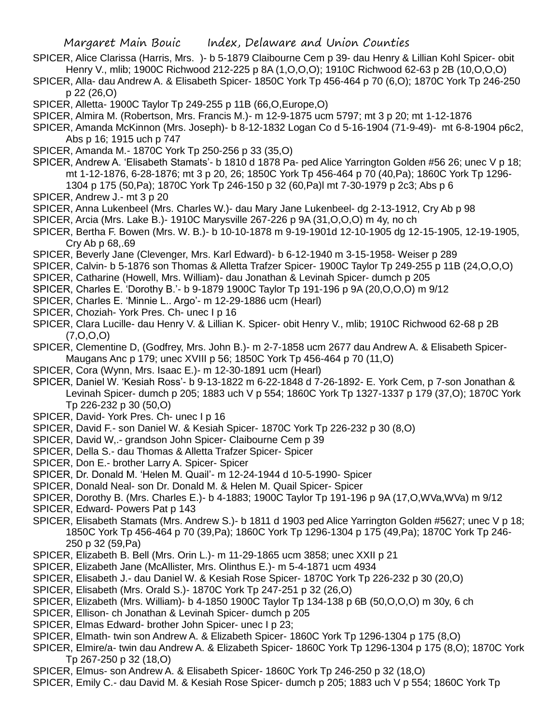- SPICER, Alice Clarissa (Harris, Mrs. )- b 5-1879 Claibourne Cem p 39- dau Henry & Lillian Kohl Spicer- obit Henry V., mlib; 1900C Richwood 212-225 p 8A (1,O,O,O); 1910C Richwood 62-63 p 2B (10,O,O,O)
- SPICER, Alla- dau Andrew A. & Elisabeth Spicer- 1850C York Tp 456-464 p 70 (6,O); 1870C York Tp 246-250 p 22 (26,O)
- SPICER, Alletta- 1900C Taylor Tp 249-255 p 11B (66,O,Europe,O)
- SPICER, Almira M. (Robertson, Mrs. Francis M.)- m 12-9-1875 ucm 5797; mt 3 p 20; mt 1-12-1876
- SPICER, Amanda McKinnon (Mrs. Joseph)- b 8-12-1832 Logan Co d 5-16-1904 (71-9-49)- mt 6-8-1904 p6c2, Abs p 16; 1915 uch p 747
- SPICER, Amanda M.- 1870C York Tp 250-256 p 33 (35,O)
- SPICER, Andrew A. 'Elisabeth Stamats'- b 1810 d 1878 Pa- ped Alice Yarrington Golden #56 26; unec V p 18; mt 1-12-1876, 6-28-1876; mt 3 p 20, 26; 1850C York Tp 456-464 p 70 (40,Pa); 1860C York Tp 1296- 1304 p 175 (50,Pa); 1870C York Tp 246-150 p 32 (60,Pa)l mt 7-30-1979 p 2c3; Abs p 6
- SPICER, Andrew J.- mt 3 p 20
- SPICER, Anna Lukenbeel (Mrs. Charles W.)- dau Mary Jane Lukenbeel- dg 2-13-1912, Cry Ab p 98
- SPICER, Arcia (Mrs. Lake B.)- 1910C Marysville 267-226 p 9A (31,O,O,O) m 4y, no ch
- SPICER, Bertha F. Bowen (Mrs. W. B.)- b 10-10-1878 m 9-19-1901d 12-10-1905 dg 12-15-1905, 12-19-1905, Cry Ab p 68,.69
- SPICER, Beverly Jane (Clevenger, Mrs. Karl Edward)- b 6-12-1940 m 3-15-1958- Weiser p 289
- SPICER, Calvin- b 5-1876 son Thomas & Alletta Trafzer Spicer- 1900C Taylor Tp 249-255 p 11B (24,O,O,O)
- SPICER, Catharine (Howell, Mrs. William)- dau Jonathan & Levinah Spicer- dumch p 205
- SPICER, Charles E. 'Dorothy B.'- b 9-1879 1900C Taylor Tp 191-196 p 9A (20,O,O,O) m 9/12
- SPICER, Charles E. 'Minnie L.. Argo'- m 12-29-1886 ucm (Hearl)
- SPICER, Choziah- York Pres. Ch- unec I p 16
- SPICER, Clara Lucille- dau Henry V. & Lillian K. Spicer- obit Henry V., mlib; 1910C Richwood 62-68 p 2B (7,O,O,O)
- SPICER, Clementine D, (Godfrey, Mrs. John B.)- m 2-7-1858 ucm 2677 dau Andrew A. & Elisabeth Spicer-Maugans Anc p 179; unec XVIII p 56; 1850C York Tp 456-464 p 70 (11,O)
- SPICER, Cora (Wynn, Mrs. Isaac E.)- m 12-30-1891 ucm (Hearl)
- SPICER, Daniel W. 'Kesiah Ross'- b 9-13-1822 m 6-22-1848 d 7-26-1892- E. York Cem, p 7-son Jonathan & Levinah Spicer- dumch p 205; 1883 uch V p 554; 1860C York Tp 1327-1337 p 179 (37,O); 1870C York Tp 226-232 p 30 (50,O)
- SPICER, David- York Pres. Ch- unec I p 16
- SPICER, David F.- son Daniel W. & Kesiah Spicer- 1870C York Tp 226-232 p 30 (8,O)
- SPICER, David W,.- grandson John Spicer- Claibourne Cem p 39
- SPICER, Della S.- dau Thomas & Alletta Trafzer Spicer- Spicer
- SPICER, Don E.- brother Larry A. Spicer- Spicer
- SPICER, Dr. Donald M. 'Helen M. Quail'- m 12-24-1944 d 10-5-1990- Spicer
- SPICER, Donald Neal- son Dr. Donald M. & Helen M. Quail Spicer- Spicer
- SPICER, Dorothy B. (Mrs. Charles E.)- b 4-1883; 1900C Taylor Tp 191-196 p 9A (17,O,WVa,WVa) m 9/12
- SPICER, Edward- Powers Pat p 143
- SPICER, Elisabeth Stamats (Mrs. Andrew S.)- b 1811 d 1903 ped Alice Yarrington Golden #5627; unec V p 18; 1850C York Tp 456-464 p 70 (39,Pa); 1860C York Tp 1296-1304 p 175 (49,Pa); 1870C York Tp 246- 250 p 32 (59,Pa)
- SPICER, Elizabeth B. Bell (Mrs. Orin L.)- m 11-29-1865 ucm 3858; unec XXII p 21
- SPICER, Elizabeth Jane (McAllister, Mrs. Olinthus E.)- m 5-4-1871 ucm 4934
- SPICER, Elisabeth J.- dau Daniel W. & Kesiah Rose Spicer- 1870C York Tp 226-232 p 30 (20,O)
- SPICER, Elisabeth (Mrs. Orald S.)- 1870C York Tp 247-251 p 32 (26,O)
- SPICER, Elizabeth (Mrs. William)- b 4-1850 1900C Taylor Tp 134-138 p 6B (50,O,O,O) m 30y, 6 ch
- SPICER, Ellison- ch Jonathan & Levinah Spicer- dumch p 205
- SPICER, Elmas Edward- brother John Spicer- unec I p 23;
- SPICER, Elmath- twin son Andrew A. & Elizabeth Spicer- 1860C York Tp 1296-1304 p 175 (8,O)
- SPICER, Elmire/a- twin dau Andrew A. & Elizabeth Spicer- 1860C York Tp 1296-1304 p 175 (8,O); 1870C York Tp 267-250 p 32 (18,O)
- SPICER, Elmus- son Andrew A. & Elisabeth Spicer- 1860C York Tp 246-250 p 32 (18,O)
- SPICER, Emily C.- dau David M. & Kesiah Rose Spicer- dumch p 205; 1883 uch V p 554; 1860C York Tp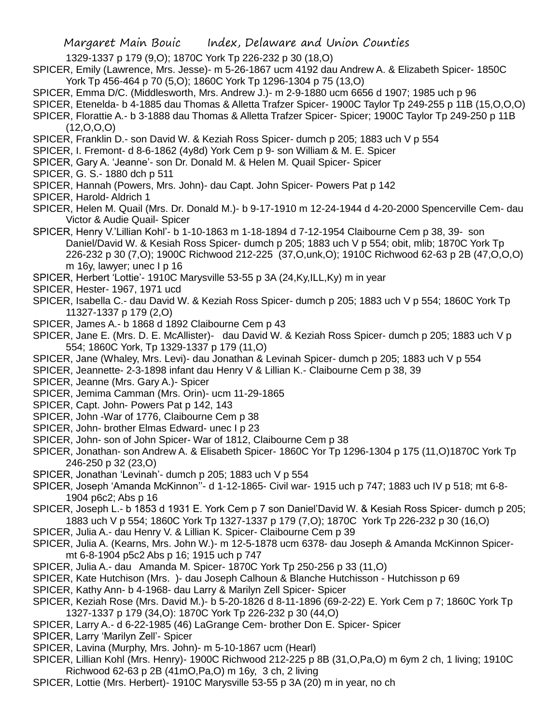1329-1337 p 179 (9,O); 1870C York Tp 226-232 p 30 (18,O)

SPICER, Emily (Lawrence, Mrs. Jesse)- m 5-26-1867 ucm 4192 dau Andrew A. & Elizabeth Spicer- 1850C York Tp 456-464 p 70 (5,O); 1860C York Tp 1296-1304 p 75 (13,O)

- SPICER, Emma D/C. (Middlesworth, Mrs. Andrew J.)- m 2-9-1880 ucm 6656 d 1907; 1985 uch p 96
- SPICER, Etenelda- b 4-1885 dau Thomas & Alletta Trafzer Spicer- 1900C Taylor Tp 249-255 p 11B (15,O,O,O)
- SPICER, Florattie A.- b 3-1888 dau Thomas & Alletta Trafzer Spicer- Spicer; 1900C Taylor Tp 249-250 p 11B  $(12,0,0,0)$
- SPICER, Franklin D.- son David W. & Keziah Ross Spicer- dumch p 205; 1883 uch V p 554
- SPICER, I. Fremont- d 8-6-1862 (4y8d) York Cem p 9- son William & M. E. Spicer
- SPICER, Gary A. 'Jeanne'- son Dr. Donald M. & Helen M. Quail Spicer- Spicer
- SPICER, G. S.- 1880 dch p 511
- SPICER, Hannah (Powers, Mrs. John)- dau Capt. John Spicer- Powers Pat p 142
- SPICER, Harold- Aldrich 1
- SPICER, Helen M. Quail (Mrs. Dr. Donald M.)- b 9-17-1910 m 12-24-1944 d 4-20-2000 Spencerville Cem- dau Victor & Audie Quail- Spicer
- SPICER, Henry V.'Lillian Kohl'- b 1-10-1863 m 1-18-1894 d 7-12-1954 Claibourne Cem p 38, 39- son Daniel/David W. & Kesiah Ross Spicer- dumch p 205; 1883 uch V p 554; obit, mlib; 1870C York Tp 226-232 p 30 (7,O); 1900C Richwood 212-225 (37,O,unk,O); 1910C Richwood 62-63 p 2B (47,O,O,O) m 16y, lawyer; unec I p 16
- SPICER, Herbert 'Lottie'- 1910C Marysville 53-55 p 3A (24,Ky,ILL,Ky) m in year
- SPICER, Hester- 1967, 1971 ucd
- SPICER, Isabella C.- dau David W. & Keziah Ross Spicer- dumch p 205; 1883 uch V p 554; 1860C York Tp 11327-1337 p 179 (2,O)
- SPICER, James A.- b 1868 d 1892 Claibourne Cem p 43
- SPICER, Jane E. (Mrs. D. E. McAllister)- dau David W. & Keziah Ross Spicer- dumch p 205; 1883 uch V p 554; 1860C York, Tp 1329-1337 p 179 (11,O)
- SPICER, Jane (Whaley, Mrs. Levi)- dau Jonathan & Levinah Spicer- dumch p 205; 1883 uch V p 554
- SPICER, Jeannette- 2-3-1898 infant dau Henry V & Lillian K.- Claibourne Cem p 38, 39
- SPICER, Jeanne (Mrs. Gary A.)- Spicer
- SPICER, Jemima Camman (Mrs. Orin)- ucm 11-29-1865
- SPICER, Capt. John- Powers Pat p 142, 143
- SPICER, John -War of 1776, Claibourne Cem p 38
- SPICER, John- brother Elmas Edward- unec I p 23
- SPICER, John- son of John Spicer- War of 1812, Claibourne Cem p 38
- SPICER, Jonathan- son Andrew A. & Elisabeth Spicer- 1860C Yor Tp 1296-1304 p 175 (11,O)1870C York Tp 246-250 p 32 (23,O)
- SPICER, Jonathan 'Levinah'- dumch p 205; 1883 uch V p 554
- SPICER, Joseph 'Amanda McKinnon''- d 1-12-1865- Civil war- 1915 uch p 747; 1883 uch IV p 518; mt 6-8- 1904 p6c2; Abs p 16
- SPICER, Joseph L.- b 1853 d 1931 E. York Cem p 7 son Daniel'David W. & Kesiah Ross Spicer- dumch p 205; 1883 uch V p 554; 1860C York Tp 1327-1337 p 179 (7,O); 1870C York Tp 226-232 p 30 (16,O)
- SPICER, Julia A.- dau Henry V. & Lillian K. Spicer- Claibourne Cem p 39
- SPICER, Julia A. (Kearns, Mrs. John W.)- m 12-5-1878 ucm 6378- dau Joseph & Amanda McKinnon Spicermt 6-8-1904 p5c2 Abs p 16; 1915 uch p 747
- SPICER, Julia A.- dau Amanda M. Spicer- 1870C York Tp 250-256 p 33 (11,O)
- SPICER, Kate Hutchison (Mrs. )- dau Joseph Calhoun & Blanche Hutchisson Hutchisson p 69
- SPICER, Kathy Ann- b 4-1968- dau Larry & Marilyn Zell Spicer- Spicer
- SPICER, Keziah Rose (Mrs. David M.)- b 5-20-1826 d 8-11-1896 (69-2-22) E. York Cem p 7; 1860C York Tp 1327-1337 p 179 (34,O): 1870C York Tp 226-232 p 30 (44,O)
- SPICER, Larry A.- d 6-22-1985 (46) LaGrange Cem- brother Don E. Spicer- Spicer
- SPICER, Larry 'Marilyn Zell'- Spicer
- SPICER, Lavina (Murphy, Mrs. John)- m 5-10-1867 ucm (Hearl)
- SPICER, Lillian Kohl (Mrs. Henry)- 1900C Richwood 212-225 p 8B (31,O,Pa,O) m 6ym 2 ch, 1 living; 1910C Richwood 62-63 p 2B (41mO,Pa,O) m 16y, 3 ch, 2 living
- SPICER, Lottie (Mrs. Herbert)- 1910C Marysville 53-55 p 3A (20) m in year, no ch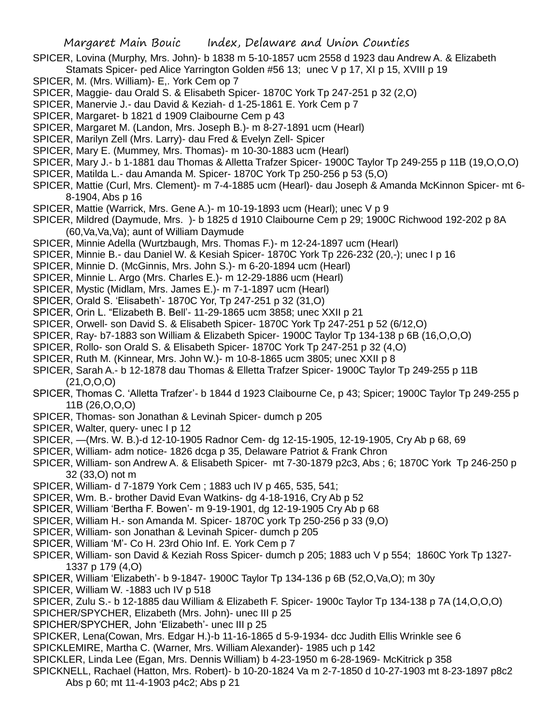- SPICER, Lovina (Murphy, Mrs. John)- b 1838 m 5-10-1857 ucm 2558 d 1923 dau Andrew A. & Elizabeth
- Stamats Spicer- ped Alice Yarrington Golden #56 13; unec V p 17, XI p 15, XVIII p 19
- SPICER, M. (Mrs. William)- E,. York Cem op 7
- SPICER, Maggie- dau Orald S. & Elisabeth Spicer- 1870C York Tp 247-251 p 32 (2,O)
- SPICER, Manervie J.- dau David & Keziah- d 1-25-1861 E. York Cem p 7
- SPICER, Margaret- b 1821 d 1909 Claibourne Cem p 43
- SPICER, Margaret M. (Landon, Mrs. Joseph B.)- m 8-27-1891 ucm (Hearl)
- SPICER, Marilyn Zell (Mrs. Larry)- dau Fred & Evelyn Zell- Spicer
- SPICER, Mary E. (Mummey, Mrs. Thomas)- m 10-30-1883 ucm (Hearl)
- SPICER, Mary J.- b 1-1881 dau Thomas & Alletta Trafzer Spicer- 1900C Taylor Tp 249-255 p 11B (19,O,O,O)
- SPICER, Matilda L.- dau Amanda M. Spicer- 1870C York Tp 250-256 p 53 (5,O)
- SPICER, Mattie (Curl, Mrs. Clement)- m 7-4-1885 ucm (Hearl)- dau Joseph & Amanda McKinnon Spicer- mt 6- 8-1904, Abs p 16
- SPICER, Mattie (Warrick, Mrs. Gene A.)- m 10-19-1893 ucm (Hearl); unec V p 9
- SPICER, Mildred (Daymude, Mrs. )- b 1825 d 1910 Claibourne Cem p 29; 1900C Richwood 192-202 p 8A (60,Va,Va,Va); aunt of William Daymude
- SPICER, Minnie Adella (Wurtzbaugh, Mrs. Thomas F.)- m 12-24-1897 ucm (Hearl)
- SPICER, Minnie B.- dau Daniel W. & Kesiah Spicer- 1870C York Tp 226-232 (20,-); unec I p 16
- SPICER, Minnie D. (McGinnis, Mrs. John S.)- m 6-20-1894 ucm (Hearl)
- SPICER, Minnie L. Argo (Mrs. Charles E.)- m 12-29-1886 ucm (Hearl)
- SPICER, Mystic (Midlam, Mrs. James E.)- m 7-1-1897 ucm (Hearl)
- SPICER, Orald S. 'Elisabeth'- 1870C Yor, Tp 247-251 p 32 (31,O)
- SPICER, Orin L. "Elizabeth B. Bell'- 11-29-1865 ucm 3858; unec XXII p 21
- SPICER, Orwell- son David S. & Elisabeth Spicer- 1870C York Tp 247-251 p 52 (6/12,O)
- SPICER, Ray- b7-1883 son William & Elizabeth Spicer- 1900C Taylor Tp 134-138 p 6B (16,O,O,O)
- SPICER, Rollo- son Orald S. & Elisabeth Spicer- 1870C York Tp 247-251 p 32 (4,O)
- SPICER, Ruth M. (Kinnear, Mrs. John W.)- m 10-8-1865 ucm 3805; unec XXII p 8
- SPICER, Sarah A.- b 12-1878 dau Thomas & Elletta Trafzer Spicer- 1900C Taylor Tp 249-255 p 11B (21,O,O,O)
- SPICER, Thomas C. 'Alletta Trafzer'- b 1844 d 1923 Claibourne Ce, p 43; Spicer; 1900C Taylor Tp 249-255 p 11B (26,O,O,O)
- SPICER, Thomas- son Jonathan & Levinah Spicer- dumch p 205
- SPICER, Walter, query- unec I p 12
- SPICER, —(Mrs. W. B.)-d 12-10-1905 Radnor Cem- dg 12-15-1905, 12-19-1905, Cry Ab p 68, 69
- SPICER, William- adm notice- 1826 dcga p 35, Delaware Patriot & Frank Chron
- SPICER, William- son Andrew A. & Elisabeth Spicer- mt 7-30-1879 p2c3, Abs ; 6; 1870C York Tp 246-250 p 32 (33,O) not m
- SPICER, William- d 7-1879 York Cem ; 1883 uch IV p 465, 535, 541;
- SPICER, Wm. B.- brother David Evan Watkins- dg 4-18-1916, Cry Ab p 52
- SPICER, William 'Bertha F. Bowen'- m 9-19-1901, dg 12-19-1905 Cry Ab p 68
- SPICER, William H.- son Amanda M. Spicer- 1870C york Tp 250-256 p 33 (9,O)
- SPICER, William- son Jonathan & Levinah Spicer- dumch p 205
- SPICER, William 'M'- Co H. 23rd Ohio Inf. E. York Cem p 7
- SPICER, William- son David & Keziah Ross Spicer- dumch p 205; 1883 uch V p 554; 1860C York Tp 1327- 1337 p 179 (4,O)
- SPICER, William 'Elizabeth'- b 9-1847- 1900C Taylor Tp 134-136 p 6B (52,O,Va,O); m 30y
- SPICER, William W. -1883 uch IV p 518
- SPICER, Zulu S.- b 12-1885 dau William & Elizabeth F. Spicer- 1900c Taylor Tp 134-138 p 7A (14,O,O,O)
- SPICHER/SPYCHER, Elizabeth (Mrs. John)- unec III p 25
- SPICHER/SPYCHER, John 'Elizabeth'- unec III p 25
- SPICKER, Lena(Cowan, Mrs. Edgar H.)-b 11-16-1865 d 5-9-1934- dcc Judith Ellis Wrinkle see 6 SPICKLEMIRE, Martha C. (Warner, Mrs. William Alexander)- 1985 uch p 142
- 
- SPICKLER, Linda Lee (Egan, Mrs. Dennis William) b 4-23-1950 m 6-28-1969- McKitrick p 358
- SPICKNELL, Rachael (Hatton, Mrs. Robert)- b 10-20-1824 Va m 2-7-1850 d 10-27-1903 mt 8-23-1897 p8c2 Abs p 60; mt 11-4-1903 p4c2; Abs p 21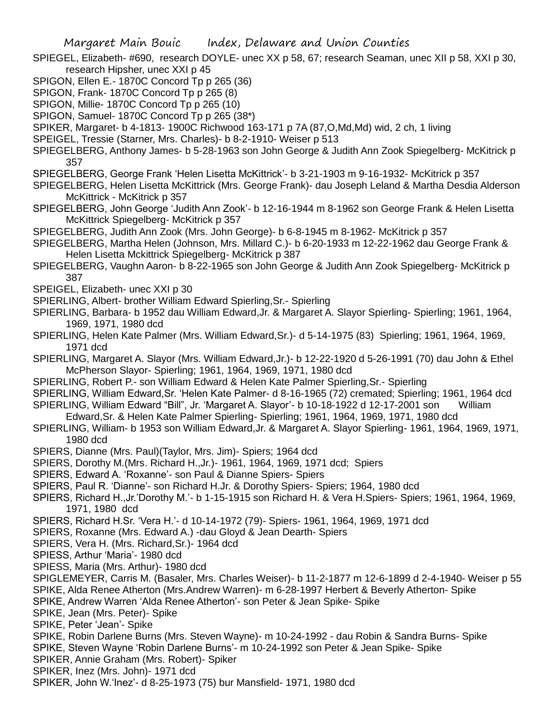- SPIEGEL, Elizabeth- #690, research DOYLE- unec XX p 58, 67; research Seaman, unec XII p 58, XXI p 30, research Hipsher, unec XXI p 45
- SPIGON, Ellen E.- 1870C Concord Tp p 265 (36)
- SPIGON, Frank- 1870C Concord Tp p 265 (8)
- SPIGON, Millie- 1870C Concord Tp p 265 (10)
- SPIGON, Samuel- 1870C Concord Tp p 265 (38\*)
- SPIKER, Margaret- b 4-1813- 1900C Richwood 163-171 p 7A (87,O,Md,Md) wid, 2 ch, 1 living
- SPEIGEL, Tressie (Starner, Mrs. Charles)- b 8-2-1910- Weiser p 513
- SPIEGELBERG, Anthony James- b 5-28-1963 son John George & Judith Ann Zook Spiegelberg- McKitrick p 357
- SPIEGELBERG, George Frank 'Helen Lisetta McKittrick'- b 3-21-1903 m 9-16-1932- McKitrick p 357
- SPIEGELBERG, Helen Lisetta McKittrick (Mrs. George Frank)- dau Joseph Leland & Martha Desdia Alderson McKittrick - McKitrick p 357
- SPIEGELBERG, John George 'Judith Ann Zook'- b 12-16-1944 m 8-1962 son George Frank & Helen Lisetta McKittrick Spiegelberg- McKitrick p 357
- SPIEGELBERG, Judith Ann Zook (Mrs. John George)- b 6-8-1945 m 8-1962- McKitrick p 357
- SPIEGELBERG, Martha Helen (Johnson, Mrs. Millard C.)- b 6-20-1933 m 12-22-1962 dau George Frank & Helen Lisetta Mckittrick Spiegelberg- McKitrick p 387
- SPIEGELBERG, Vaughn Aaron- b 8-22-1965 son John George & Judith Ann Zook Spiegelberg- McKitrick p 387
- SPEIGEL, Elizabeth- unec XXI p 30
- SPIERLING, Albert- brother William Edward Spierling,Sr.- Spierling
- SPIERLING, Barbara- b 1952 dau William Edward,Jr. & Margaret A. Slayor Spierling- Spierling; 1961, 1964, 1969, 1971, 1980 dcd
- SPIERLING, Helen Kate Palmer (Mrs. William Edward,Sr.)- d 5-14-1975 (83) Spierling; 1961, 1964, 1969, 1971 dcd
- SPIERLING, Margaret A. Slayor (Mrs. William Edward,Jr.)- b 12-22-1920 d 5-26-1991 (70) dau John & Ethel McPherson Slayor- Spierling; 1961, 1964, 1969, 1971, 1980 dcd
- SPIERLING, Robert P.- son William Edward & Helen Kate Palmer Spierling,Sr.- Spierling
- SPIERLING, William Edward,Sr. 'Helen Kate Palmer- d 8-16-1965 (72) cremated; Spierling; 1961, 1964 dcd
- SPIERLING, William Edward "Bill", Jr. 'Margaret A. Slayor'- b 10-18-1922 d 12-17-2001 son William
- Edward,Sr. & Helen Kate Palmer Spierling- Spierling; 1961, 1964, 1969, 1971, 1980 dcd
- SPIERLING, William- b 1953 son William Edward,Jr. & Margaret A. Slayor Spierling- 1961, 1964, 1969, 1971, 1980 dcd
- SPIERS, Dianne (Mrs. Paul)(Taylor, Mrs. Jim)- Spiers; 1964 dcd
- SPIERS, Dorothy M.(Mrs. Richard H.,Jr.)- 1961, 1964, 1969, 1971 dcd; Spiers
- SPIERS, Edward A. 'Roxanne'- son Paul & Dianne Spiers- Spiers
- SPIERS, Paul R. 'Dianne'- son Richard H.Jr. & Dorothy Spiers- Spiers; 1964, 1980 dcd
- SPIERS, Richard H.,Jr.'Dorothy M.'- b 1-15-1915 son Richard H. & Vera H.Spiers- Spiers; 1961, 1964, 1969, 1971, 1980 dcd
- SPIERS, Richard H.Sr. 'Vera H.'- d 10-14-1972 (79)- Spiers- 1961, 1964, 1969, 1971 dcd
- SPIERS, Roxanne (Mrs. Edward A.) -dau Gloyd & Jean Dearth- Spiers
- SPIERS, Vera H. (Mrs. Richard,Sr.)- 1964 dcd
- SPIESS, Arthur 'Maria'- 1980 dcd
- SPIESS, Maria (Mrs. Arthur)- 1980 dcd
- SPIGLEMEYER, Carris M. (Basaler, Mrs. Charles Weiser)- b 11-2-1877 m 12-6-1899 d 2-4-1940- Weiser p 55
- SPIKE, Alda Renee Atherton (Mrs.Andrew Warren)- m 6-28-1997 Herbert & Beverly Atherton- Spike
- SPIKE, Andrew Warren 'Alda Renee Atherton'- son Peter & Jean Spike- Spike
- SPIKE, Jean (Mrs. Peter)- Spike
- SPIKE, Peter 'Jean'- Spike
- SPIKE, Robin Darlene Burns (Mrs. Steven Wayne)- m 10-24-1992 dau Robin & Sandra Burns- Spike
- SPIKE, Steven Wayne 'Robin Darlene Burns'- m 10-24-1992 son Peter & Jean Spike- Spike
- SPIKER, Annie Graham (Mrs. Robert)- Spiker
- SPIKER, Inez (Mrs. John)- 1971 dcd
- SPIKER, John W.'Inez'- d 8-25-1973 (75) bur Mansfield- 1971, 1980 dcd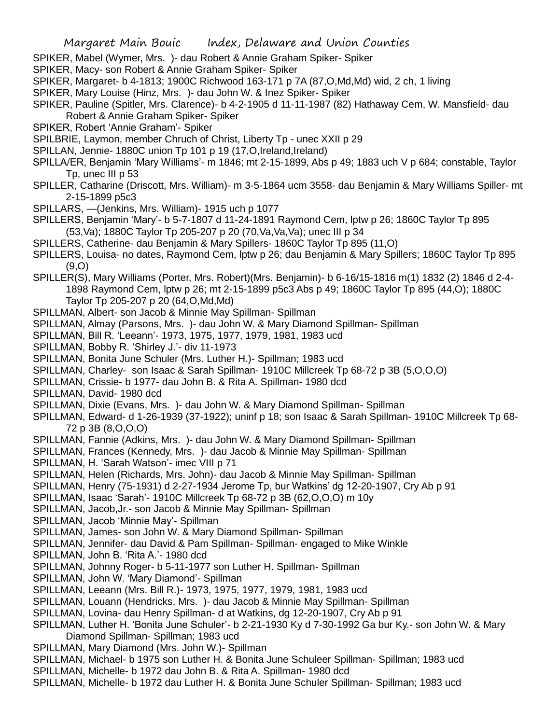- SPIKER, Mabel (Wymer, Mrs. )- dau Robert & Annie Graham Spiker- Spiker
- SPIKER, Macy- son Robert & Annie Graham Spiker- Spiker
- SPIKER, Margaret- b 4-1813; 1900C Richwood 163-171 p 7A (87,O,Md,Md) wid, 2 ch, 1 living
- SPIKER, Mary Louise (Hinz, Mrs. )- dau John W. & Inez Spiker- Spiker
- SPIKER, Pauline (Spitler, Mrs. Clarence)- b 4-2-1905 d 11-11-1987 (82) Hathaway Cem, W. Mansfield- dau Robert & Annie Graham Spiker- Spiker
- SPIKER, Robert 'Annie Graham'- Spiker
- SPILBRIE, Laymon, member Chruch of Christ, Liberty Tp unec XXII p 29
- SPILLAN, Jennie- 1880C union Tp 101 p 19 (17, O, Ireland, Ireland)
- SPILLA/ER, Benjamin 'Mary Williams'- m 1846; mt 2-15-1899, Abs p 49; 1883 uch V p 684; constable, Taylor Tp, unec III p 53
- SPILLER, Catharine (Driscott, Mrs. William)- m 3-5-1864 ucm 3558- dau Benjamin & Mary Williams Spiller- mt 2-15-1899 p5c3
- SPILLARS, —(Jenkins, Mrs. William)- 1915 uch p 1077
- SPILLERS, Benjamin 'Mary'- b 5-7-1807 d 11-24-1891 Raymond Cem, lptw p 26; 1860C Taylor Tp 895 (53,Va); 1880C Taylor Tp 205-207 p 20 (70,Va,Va,Va); unec III p 34
- SPILLERS, Catherine- dau Benjamin & Mary Spillers- 1860C Taylor Tp 895 (11,O)
- SPILLERS, Louisa- no dates, Raymond Cem, lptw p 26; dau Benjamin & Mary Spillers; 1860C Taylor Tp 895 (9,O)
- SPILLER(S), Mary Williams (Porter, Mrs. Robert)(Mrs. Benjamin)- b 6-16/15-1816 m(1) 1832 (2) 1846 d 2-4- 1898 Raymond Cem, lptw p 26; mt 2-15-1899 p5c3 Abs p 49; 1860C Taylor Tp 895 (44,O); 1880C Taylor Tp 205-207 p 20 (64,O,Md,Md)
- SPILLMAN, Albert- son Jacob & Minnie May Spillman- Spillman
- SPILLMAN, Almay (Parsons, Mrs. )- dau John W. & Mary Diamond Spillman- Spillman
- SPILLMAN, Bill R. 'Leeann'- 1973, 1975, 1977, 1979, 1981, 1983 ucd
- SPILLMAN, Bobby R. 'Shirley J.'- div 11-1973
- SPILLMAN, Bonita June Schuler (Mrs. Luther H.)- Spillman; 1983 ucd
- SPILLMAN, Charley- son Isaac & Sarah Spillman- 1910C Millcreek Tp 68-72 p 3B (5,O,O,O)
- SPILLMAN, Crissie- b 1977- dau John B. & Rita A. Spillman- 1980 dcd
- SPILLMAN, David- 1980 dcd
- SPILLMAN, Dixie (Evans, Mrs. )- dau John W. & Mary Diamond Spillman- Spillman
- SPILLMAN, Edward- d 1-26-1939 (37-1922); uninf p 18; son Isaac & Sarah Spillman- 1910C Millcreek Tp 68- 72 p 3B (8,O,O,O)
- SPILLMAN, Fannie (Adkins, Mrs. )- dau John W. & Mary Diamond Spillman- Spillman
- SPILLMAN, Frances (Kennedy, Mrs. )- dau Jacob & Minnie May Spillman- Spillman
- SPILLMAN, H. 'Sarah Watson'- imec VIII p 71
- SPILLMAN, Helen (Richards, Mrs. John)- dau Jacob & Minnie May Spillman- Spillman
- SPILLMAN, Henry (75-1931) d 2-27-1934 Jerome Tp, bur Watkins' dg 12-20-1907, Cry Ab p 91
- SPILLMAN, Isaac 'Sarah'- 1910C Millcreek Tp 68-72 p 3B (62,O,O,O) m 10y
- SPILLMAN, Jacob,Jr.- son Jacob & Minnie May Spillman- Spillman
- SPILLMAN, Jacob 'Minnie May'- Spillman
- SPILLMAN, James- son John W. & Mary Diamond Spillman- Spillman
- SPILLMAN, Jennifer- dau David & Pam Spillman- Spillman- engaged to Mike Winkle
- SPILLMAN, John B. 'Rita A.'- 1980 dcd
- SPILLMAN, Johnny Roger- b 5-11-1977 son Luther H. Spillman- Spillman
- SPILLMAN, John W. 'Mary Diamond'- Spillman
- SPILLMAN, Leeann (Mrs. Bill R.)- 1973, 1975, 1977, 1979, 1981, 1983 ucd
- SPILLMAN, Louann (Hendricks, Mrs. )- dau Jacob & Minnie May Spillman- Spillman
- SPILLMAN, Lovina- dau Henry Spillman- d at Watkins, dg 12-20-1907, Cry Ab p 91
- SPILLMAN, Luther H. 'Bonita June Schuler'- b 2-21-1930 Ky d 7-30-1992 Ga bur Ky.- son John W. & Mary Diamond Spillman- Spillman; 1983 ucd
- SPILLMAN, Mary Diamond (Mrs. John W.)- Spillman
- SPILLMAN, Michael- b 1975 son Luther H. & Bonita June Schuleer Spillman- Spillman; 1983 ucd
- SPILLMAN, Michelle- b 1972 dau John B. & Rita A. Spillman- 1980 dcd
- SPILLMAN, Michelle- b 1972 dau Luther H. & Bonita June Schuler Spillman- Spillman; 1983 ucd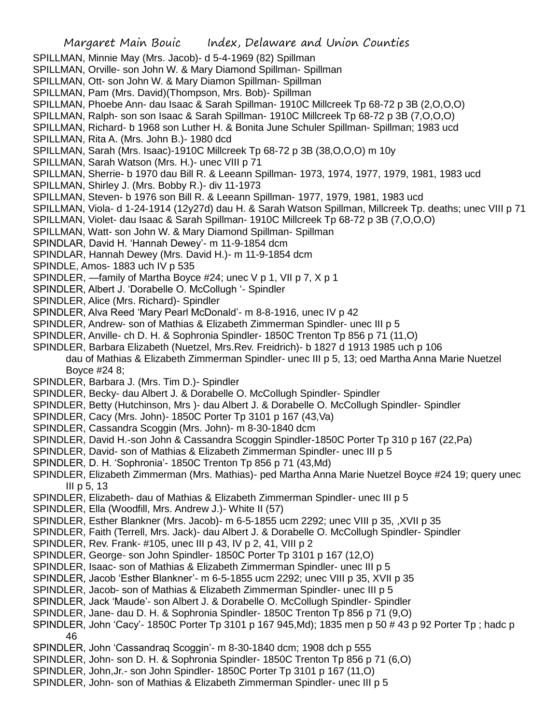- SPILLMAN, Minnie May (Mrs. Jacob)- d 5-4-1969 (82) Spillman
- SPILLMAN, Orville- son John W. & Mary Diamond Spillman- Spillman
- SPILLMAN, Ott- son John W. & Mary Diamon Spillman- Spillman
- SPILLMAN, Pam (Mrs. David)(Thompson, Mrs. Bob)- Spillman
- SPILLMAN, Phoebe Ann- dau Isaac & Sarah Spillman- 1910C Millcreek Tp 68-72 p 3B (2,O,O,O)
- SPILLMAN, Ralph- son son Isaac & Sarah Spillman- 1910C Millcreek Tp 68-72 p 3B (7,O,O,O)
- SPILLMAN, Richard- b 1968 son Luther H. & Bonita June Schuler Spillman- Spillman; 1983 ucd
- SPILLMAN, Rita A. (Mrs. John B.)- 1980 dcd
- SPILLMAN, Sarah (Mrs. Isaac)-1910C Millcreek Tp 68-72 p 3B (38,O,O,O) m 10y
- SPILLMAN, Sarah Watson (Mrs. H.)- unec VIII p 71
- SPILLMAN, Sherrie- b 1970 dau Bill R. & Leeann Spillman- 1973, 1974, 1977, 1979, 1981, 1983 ucd
- SPILLMAN, Shirley J. (Mrs. Bobby R.)- div 11-1973
- SPILLMAN, Steven- b 1976 son Bill R. & Leeann Spillman- 1977, 1979, 1981, 1983 ucd
- SPILLMAN, Viola- d 1-24-1914 (12y27d) dau H. & Sarah Watson Spillman, Millcreek Tp. deaths; unec VIII p 71
- SPILLMAN, Violet- dau Isaac & Sarah Spillman- 1910C Millcreek Tp 68-72 p 3B (7,O,O,O)
- SPILLMAN, Watt- son John W. & Mary Diamond Spillman- Spillman
- SPINDLAR, David H. 'Hannah Dewey'- m 11-9-1854 dcm
- SPINDLAR, Hannah Dewey (Mrs. David H.)- m 11-9-1854 dcm
- SPINDLE, Amos- 1883 uch IV p 535
- SPINDLER, —family of Martha Boyce #24; unec V p 1, VII p 7, X p 1
- SPINDLER, Albert J. 'Dorabelle O. McCollugh '- Spindler
- SPINDLER, Alice (Mrs. Richard)- Spindler
- SPINDLER, Alva Reed 'Mary Pearl McDonald'- m 8-8-1916, unec IV p 42
- SPINDLER, Andrew- son of Mathias & Elizabeth Zimmerman Spindler- unec III p 5
- SPINDLER, Anville- ch D. H. & Sophronia Spindler- 1850C Trenton Tp 856 p 71 (11,O)
- SPINDLER, Barbara Elizabeth (Nuetzel, Mrs.Rev. Freidrich)- b 1827 d 1913 1985 uch p 106 dau of Mathias & Elizabeth Zimmerman Spindler- unec III p 5, 13; oed Martha Anna Marie Nuetzel Boyce #24 8;
- SPINDLER, Barbara J. (Mrs. Tim D.)- Spindler
- SPINDLER, Becky- dau Albert J. & Dorabelle O. McCollugh Spindler- Spindler
- SPINDLER, Betty (Hutchinson, Mrs )- dau Albert J. & Dorabelle O. McCollugh Spindler- Spindler
- SPINDLER, Cacy (Mrs. John)- 1850C Porter Tp 3101 p 167 (43,Va)
- SPINDLER, Cassandra Scoggin (Mrs. John)- m 8-30-1840 dcm
- SPINDLER, David H.-son John & Cassandra Scoggin Spindler-1850C Porter Tp 310 p 167 (22,Pa)
- SPINDLER, David- son of Mathias & Elizabeth Zimmerman Spindler- unec III p 5
- SPINDLER, D. H. 'Sophronia'- 1850C Trenton Tp 856 p 71 (43,Md)
- SPINDLER, Elizabeth Zimmerman (Mrs. Mathias)- ped Martha Anna Marie Nuetzel Boyce #24 19; query unec III p 5, 13
- SPINDLER, Elizabeth- dau of Mathias & Elizabeth Zimmerman Spindler- unec III p 5
- SPINDLER, Ella (Woodfill, Mrs. Andrew J.)- White II (57)
- SPINDLER, Esther Blankner (Mrs. Jacob)- m 6-5-1855 ucm 2292; unec VIII p 35, ,XVII p 35
- SPINDLER, Faith (Terrell, Mrs. Jack)- dau Albert J. & Dorabelle O. McCollugh Spindler- Spindler
- SPINDLER, Rev. Frank- #105, unec III p 43, IV p 2, 41, VIII p 2
- SPINDLER, George- son John Spindler- 1850C Porter Tp 3101 p 167 (12,O)
- SPINDLER, Isaac- son of Mathias & Elizabeth Zimmerman Spindler- unec III p 5
- SPINDLER, Jacob 'Esther Blankner'- m 6-5-1855 ucm 2292; unec VIII p 35, XVII p 35
- SPINDLER, Jacob- son of Mathias & Elizabeth Zimmerman Spindler- unec III p 5
- SPINDLER, Jack 'Maude'- son Albert J. & Dorabelle O. McCollugh Spindler- Spindler
- SPINDLER, Jane- dau D. H. & Sophronia Spindler- 1850C Trenton Tp 856 p 71 (9,O)
- SPINDLER, John 'Cacy'- 1850C Porter Tp 3101 p 167 945,Md); 1835 men p 50 # 43 p 92 Porter Tp ; hadc p 46
- SPINDLER, John 'Cassandraq Scoggin'- m 8-30-1840 dcm; 1908 dch p 555
- SPINDLER, John- son D. H. & Sophronia Spindler- 1850C Trenton Tp 856 p 71 (6,O)
- SPINDLER, John,Jr.- son John Spindler- 1850C Porter Tp 3101 p 167 (11,O)
- SPINDLER, John- son of Mathias & Elizabeth Zimmerman Spindler- unec III p 5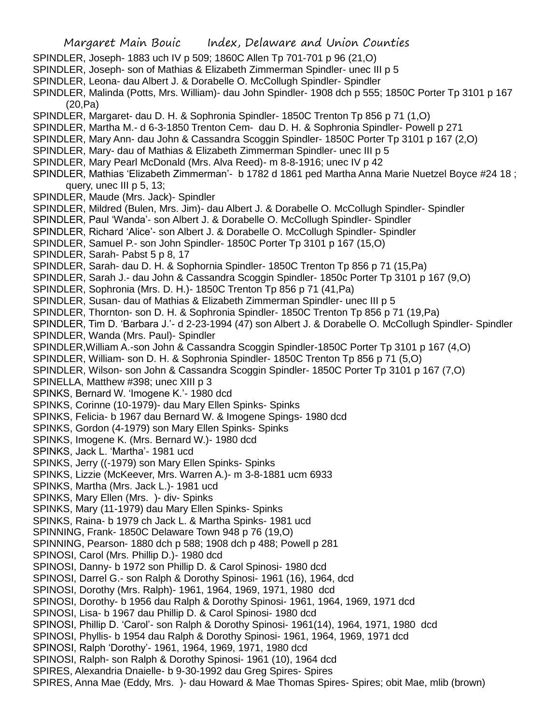Margaret Main Bouic Index, Delaware and Union Counties SPINDLER, Joseph- 1883 uch IV p 509; 1860C Allen Tp 701-701 p 96 (21,O) SPINDLER, Joseph- son of Mathias & Elizabeth Zimmerman Spindler- unec III p 5 SPINDLER, Leona- dau Albert J. & Dorabelle O. McCollugh Spindler- Spindler SPINDLER, Malinda (Potts, Mrs. William)- dau John Spindler- 1908 dch p 555; 1850C Porter Tp 3101 p 167 (20,Pa) SPINDLER, Margaret- dau D. H. & Sophronia Spindler- 1850C Trenton Tp 856 p 71 (1,O) SPINDLER, Martha M.- d 6-3-1850 Trenton Cem- dau D. H. & Sophronia Spindler- Powell p 271 SPINDLER, Mary Ann- dau John & Cassandra Scoggin Spindler- 1850C Porter Tp 3101 p 167 (2,O) SPINDLER, Mary- dau of Mathias & Elizabeth Zimmerman Spindler- unec III p 5 SPINDLER, Mary Pearl McDonald (Mrs. Alva Reed)- m 8-8-1916; unec IV p 42 SPINDLER, Mathias 'Elizabeth Zimmerman'- b 1782 d 1861 ped Martha Anna Marie Nuetzel Boyce #24 18 ; query, unec III p 5, 13; SPINDLER, Maude (Mrs. Jack)- Spindler SPINDLER, Mildred (Bulen, Mrs. Jim)- dau Albert J. & Dorabelle O. McCollugh Spindler- Spindler SPINDLER, Paul 'Wanda'- son Albert J. & Dorabelle O. McCollugh Spindler- Spindler SPINDLER, Richard 'Alice'- son Albert J. & Dorabelle O. McCollugh Spindler- Spindler SPINDLER, Samuel P.- son John Spindler- 1850C Porter Tp 3101 p 167 (15,O) SPINDLER, Sarah- Pabst 5 p 8, 17 SPINDLER, Sarah- dau D. H. & Sophornia Spindler- 1850C Trenton Tp 856 p 71 (15,Pa) SPINDLER, Sarah J.- dau John & Cassandra Scoggin Spindler- 1850c Porter Tp 3101 p 167 (9,O) SPINDLER, Sophronia (Mrs. D. H.)- 1850C Trenton Tp 856 p 71 (41,Pa) SPINDLER, Susan- dau of Mathias & Elizabeth Zimmerman Spindler- unec III p 5 SPINDLER, Thornton- son D. H. & Sophronia Spindler- 1850C Trenton Tp 856 p 71 (19,Pa) SPINDLER, Tim D. 'Barbara J.'- d 2-23-1994 (47) son Albert J. & Dorabelle O. McCollugh Spindler- Spindler SPINDLER, Wanda (Mrs. Paul)- Spindler SPINDLER,William A.-son John & Cassandra Scoggin Spindler-1850C Porter Tp 3101 p 167 (4,O) SPINDLER, William- son D. H. & Sophronia Spindler- 1850C Trenton Tp 856 p 71 (5,O) SPINDLER, Wilson- son John & Cassandra Scoggin Spindler- 1850C Porter Tp 3101 p 167 (7,O) SPINELLA, Matthew #398; unec XIII p 3 SPINKS, Bernard W. 'Imogene K.'- 1980 dcd SPINKS, Corinne (10-1979)- dau Mary Ellen Spinks- Spinks SPINKS, Felicia- b 1967 dau Bernard W. & Imogene Spings- 1980 dcd SPINKS, Gordon (4-1979) son Mary Ellen Spinks- Spinks SPINKS, Imogene K. (Mrs. Bernard W.)- 1980 dcd SPINKS, Jack L. 'Martha'- 1981 ucd SPINKS, Jerry ((-1979) son Mary Ellen Spinks- Spinks SPINKS, Lizzie (McKeever, Mrs. Warren A.)- m 3-8-1881 ucm 6933 SPINKS, Martha (Mrs. Jack L.)- 1981 ucd SPINKS, Mary Ellen (Mrs. )- div- Spinks SPINKS, Mary (11-1979) dau Mary Ellen Spinks- Spinks SPINKS, Raina- b 1979 ch Jack L. & Martha Spinks- 1981 ucd SPINNING, Frank- 1850C Delaware Town 948 p 76 (19,O) SPINNING, Pearson- 1880 dch p 588; 1908 dch p 488; Powell p 281 SPINOSI, Carol (Mrs. Phillip D.)- 1980 dcd SPINOSI, Danny- b 1972 son Phillip D. & Carol Spinosi- 1980 dcd SPINOSI, Darrel G.- son Ralph & Dorothy Spinosi- 1961 (16), 1964, dcd SPINOSI, Dorothy (Mrs. Ralph)- 1961, 1964, 1969, 1971, 1980 dcd SPINOSI, Dorothy- b 1956 dau Ralph & Dorothy Spinosi- 1961, 1964, 1969, 1971 dcd SPINOSI, Lisa- b 1967 dau Phillip D. & Carol Spinosi- 1980 dcd SPINOSI, Phillip D. 'Carol'- son Ralph & Dorothy Spinosi- 1961(14), 1964, 1971, 1980 dcd SPINOSI, Phyllis- b 1954 dau Ralph & Dorothy Spinosi- 1961, 1964, 1969, 1971 dcd SPINOSI, Ralph 'Dorothy'- 1961, 1964, 1969, 1971, 1980 dcd SPINOSI, Ralph- son Ralph & Dorothy Spinosi- 1961 (10), 1964 dcd SPIRES, Alexandria Dnaielle- b 9-30-1992 dau Greg Spires- Spires SPIRES, Anna Mae (Eddy, Mrs. )- dau Howard & Mae Thomas Spires- Spires; obit Mae, mlib (brown)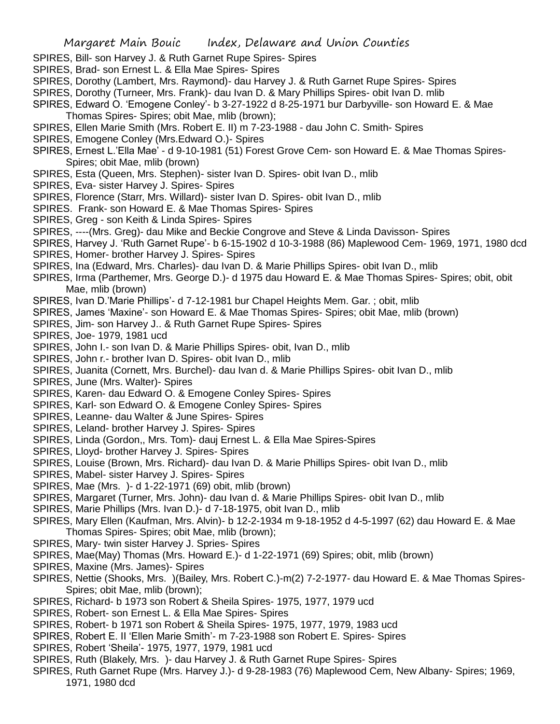- SPIRES, Bill- son Harvey J. & Ruth Garnet Rupe Spires- Spires
- SPIRES, Brad- son Ernest L. & Ella Mae Spires- Spires
- SPIRES, Dorothy (Lambert, Mrs. Raymond)- dau Harvey J. & Ruth Garnet Rupe Spires- Spires
- SPIRES, Dorothy (Turneer, Mrs. Frank)- dau Ivan D. & Mary Phillips Spires- obit Ivan D. mlib
- SPIRES, Edward O. 'Emogene Conley'- b 3-27-1922 d 8-25-1971 bur Darbyville- son Howard E. & Mae Thomas Spires- Spires; obit Mae, mlib (brown);
- SPIRES, Ellen Marie Smith (Mrs. Robert E. II) m 7-23-1988 dau John C. Smith- Spires
- SPIRES, Emogene Conley (Mrs.Edward O.)- Spires
- SPIRES, Ernest L.'Ella Mae' d 9-10-1981 (51) Forest Grove Cem- son Howard E. & Mae Thomas Spires-Spires; obit Mae, mlib (brown)
- SPIRES, Esta (Queen, Mrs. Stephen)- sister Ivan D. Spires- obit Ivan D., mlib
- SPIRES, Eva- sister Harvey J. Spires- Spires
- SPIRES, Florence (Starr, Mrs. Willard)- sister Ivan D. Spires- obit Ivan D., mlib
- SPIRES. Frank- son Howard E. & Mae Thomas Spires- Spires
- SPIRES, Greg son Keith & Linda Spires- Spires
- SPIRES, ----(Mrs. Greg)- dau Mike and Beckie Congrove and Steve & Linda Davisson- Spires
- SPIRES, Harvey J. 'Ruth Garnet Rupe'- b 6-15-1902 d 10-3-1988 (86) Maplewood Cem- 1969, 1971, 1980 dcd
- SPIRES, Homer- brother Harvey J. Spires- Spires
- SPIRES, Ina (Edward, Mrs. Charles)- dau Ivan D. & Marie Phillips Spires- obit Ivan D., mlib
- SPIRES, Irma (Parthemer, Mrs. George D.)- d 1975 dau Howard E. & Mae Thomas Spires- Spires; obit, obit Mae, mlib (brown)
- SPIRES, Ivan D.'Marie Phillips'- d 7-12-1981 bur Chapel Heights Mem. Gar. ; obit, mlib
- SPIRES, James 'Maxine'- son Howard E. & Mae Thomas Spires- Spires; obit Mae, mlib (brown)
- SPIRES, Jim- son Harvey J.. & Ruth Garnet Rupe Spires- Spires
- SPIRES, Joe- 1979, 1981 ucd
- SPIRES, John I.- son Ivan D. & Marie Phillips Spires- obit, Ivan D., mlib
- SPIRES, John r.- brother Ivan D. Spires- obit Ivan D., mlib
- SPIRES, Juanita (Cornett, Mrs. Burchel)- dau Ivan d. & Marie Phillips Spires- obit Ivan D., mlib
- SPIRES, June (Mrs. Walter)- Spires
- SPIRES, Karen- dau Edward O. & Emogene Conley Spires- Spires
- SPIRES, Karl- son Edward O. & Emogene Conley Spires- Spires
- SPIRES, Leanne- dau Walter & June Spires- Spires
- SPIRES, Leland- brother Harvey J. Spires- Spires
- SPIRES, Linda (Gordon,, Mrs. Tom)- dauj Ernest L. & Ella Mae Spires-Spires
- SPIRES, Lloyd- brother Harvey J. Spires- Spires
- SPIRES, Louise (Brown, Mrs. Richard)- dau Ivan D. & Marie Phillips Spires- obit Ivan D., mlib
- SPIRES, Mabel- sister Harvey J. Spires- Spires
- SPIRES, Mae (Mrs. )- d 1-22-1971 (69) obit, mlib (brown)
- SPIRES, Margaret (Turner, Mrs. John)- dau Ivan d. & Marie Phillips Spires- obit Ivan D., mlib
- SPIRES, Marie Phillips (Mrs. Ivan D.)- d 7-18-1975, obit Ivan D., mlib
- SPIRES, Mary Ellen (Kaufman, Mrs. Alvin)- b 12-2-1934 m 9-18-1952 d 4-5-1997 (62) dau Howard E. & Mae Thomas Spires- Spires; obit Mae, mlib (brown);
- SPIRES, Mary- twin sister Harvey J. Spries- Spires
- SPIRES, Mae(May) Thomas (Mrs. Howard E.)- d 1-22-1971 (69) Spires; obit, mlib (brown)
- SPIRES, Maxine (Mrs. James)- Spires
- SPIRES, Nettie (Shooks, Mrs. )(Bailey, Mrs. Robert C.)-m(2) 7-2-1977- dau Howard E. & Mae Thomas Spires-Spires; obit Mae, mlib (brown);
- SPIRES, Richard- b 1973 son Robert & Sheila Spires- 1975, 1977, 1979 ucd
- SPIRES, Robert- son Ernest L. & Ella Mae Spires- Spires
- SPIRES, Robert- b 1971 son Robert & Sheila Spires- 1975, 1977, 1979, 1983 ucd
- SPIRES, Robert E. II 'Ellen Marie Smith'- m 7-23-1988 son Robert E. Spires- Spires
- SPIRES, Robert 'Sheila'- 1975, 1977, 1979, 1981 ucd
- SPIRES, Ruth (Blakely, Mrs. )- dau Harvey J. & Ruth Garnet Rupe Spires- Spires
- SPIRES, Ruth Garnet Rupe (Mrs. Harvey J.)- d 9-28-1983 (76) Maplewood Cem, New Albany- Spires; 1969, 1971, 1980 dcd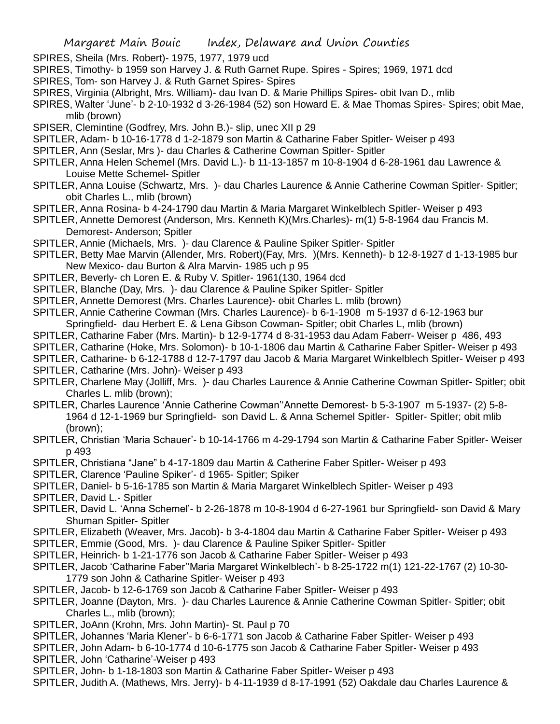- SPIRES, Sheila (Mrs. Robert)- 1975, 1977, 1979 ucd
- SPIRES, Timothy- b 1959 son Harvey J. & Ruth Garnet Rupe. Spires Spires; 1969, 1971 dcd
- SPIRES, Tom- son Harvey J. & Ruth Garnet Spires- Spires
- SPIRES, Virginia (Albright, Mrs. William)- dau Ivan D. & Marie Phillips Spires- obit Ivan D., mlib
- SPIRES, Walter 'June'- b 2-10-1932 d 3-26-1984 (52) son Howard E. & Mae Thomas Spires- Spires; obit Mae, mlib (brown)
- SPISER, Clemintine (Godfrey, Mrs. John B.)- slip, unec XII p 29
- SPITLER, Adam- b 10-16-1778 d 1-2-1879 son Martin & Catharine Faber Spitler- Weiser p 493
- SPITLER, Ann (Seslar, Mrs )- dau Charles & Catherine Cowman Spitler- Spitler
- SPITLER, Anna Helen Schemel (Mrs. David L.)- b 11-13-1857 m 10-8-1904 d 6-28-1961 dau Lawrence & Louise Mette Schemel- Spitler
- SPITLER, Anna Louise (Schwartz, Mrs. )- dau Charles Laurence & Annie Catherine Cowman Spitler- Spitler; obit Charles L., mlib (brown)
- SPITLER, Anna Rosina- b 4-24-1790 dau Martin & Maria Margaret Winkelblech Spitler- Weiser p 493
- SPITLER, Annette Demorest (Anderson, Mrs. Kenneth K)(Mrs.Charles)- m(1) 5-8-1964 dau Francis M. Demorest- Anderson; Spitler
- SPITLER, Annie (Michaels, Mrs. )- dau Clarence & Pauline Spiker Spitler- Spitler
- SPITLER, Betty Mae Marvin (Allender, Mrs. Robert)(Fay, Mrs. )(Mrs. Kenneth)- b 12-8-1927 d 1-13-1985 bur New Mexico- dau Burton & Alra Marvin- 1985 uch p 95
- SPITLER, Beverly- ch Loren E. & Ruby V. Spitler- 1961(130, 1964 dcd
- SPITLER, Blanche (Day, Mrs. )- dau Clarence & Pauline Spiker Spitler- Spitler
- SPITLER, Annette Demorest (Mrs. Charles Laurence)- obit Charles L. mlib (brown)
- SPITLER, Annie Catherine Cowman (Mrs. Charles Laurence)- b 6-1-1908 m 5-1937 d 6-12-1963 bur Springfield- dau Herbert E. & Lena Gibson Cowman- Spitler; obit Charles L, mlib (brown)
- 
- SPITLER, Catharine Faber (Mrs. Martin)- b 12-9-1774 d 8-31-1953 dau Adam Faberr- Weiser p 486, 493
- SPITLER, Catharine (Hoke, Mrs. Solomon)- b 10-1-1806 dau Martin & Catharine Faber Spitler- Weiser p 493
- SPITLER, Catharine- b 6-12-1788 d 12-7-1797 dau Jacob & Maria Margaret Winkelblech Spitler- Weiser p 493
- SPITLER, Catharine (Mrs. John)- Weiser p 493
- SPITLER, Charlene May (Jolliff, Mrs. )- dau Charles Laurence & Annie Catherine Cowman Spitler- Spitler; obit Charles L. mlib (brown);
- SPITLER, Charles Laurence 'Annie Catherine Cowman''Annette Demorest- b 5-3-1907 m 5-1937- (2) 5-8- 1964 d 12-1-1969 bur Springfield- son David L. & Anna Schemel Spitler- Spitler- Spitler; obit mlib (brown);
- SPITLER, Christian 'Maria Schauer'- b 10-14-1766 m 4-29-1794 son Martin & Catharine Faber Spitler- Weiser p 493
- SPITLER, Christiana "Jane" b 4-17-1809 dau Martin & Catherine Faber Spitler- Weiser p 493
- SPITLER, Clarence 'Pauline Spiker'- d 1965- Spitler; Spiker
- SPITLER, Daniel- b 5-16-1785 son Martin & Maria Margaret Winkelblech Spitler- Weiser p 493
- SPITLER, David L.- Spitler
- SPITLER, David L. 'Anna Schemel'- b 2-26-1878 m 10-8-1904 d 6-27-1961 bur Springfield- son David & Mary Shuman Spitler- Spitler
- SPITLER, Elizabeth (Weaver, Mrs. Jacob)- b 3-4-1804 dau Martin & Catharine Faber Spitler- Weiser p 493
- SPITLER, Emmie (Good, Mrs. )- dau Clarence & Pauline Spiker Spitler- Spitler
- SPITLER, Heinrich- b 1-21-1776 son Jacob & Catharine Faber Spitler- Weiser p 493
- SPITLER, Jacob 'Catharine Faber''Maria Margaret Winkelblech'- b 8-25-1722 m(1) 121-22-1767 (2) 10-30- 1779 son John & Catharine Spitler- Weiser p 493
- SPITLER, Jacob- b 12-6-1769 son Jacob & Catharine Faber Spitler- Weiser p 493
- SPITLER, Joanne (Dayton, Mrs. )- dau Charles Laurence & Annie Catherine Cowman Spitler- Spitler; obit Charles L., mlib (brown);
- SPITLER, JoAnn (Krohn, Mrs. John Martin)- St. Paul p 70
- SPITLER, Johannes 'Maria Klener'- b 6-6-1771 son Jacob & Catharine Faber Spitler- Weiser p 493
- SPITLER, John Adam- b 6-10-1774 d 10-6-1775 son Jacob & Catharine Faber Spitler- Weiser p 493
- SPITLER, John 'Catharine'-Weiser p 493
- SPITLER, John- b 1-18-1803 son Martin & Catharine Faber Spitler- Weiser p 493
- SPITLER, Judith A. (Mathews, Mrs. Jerry)- b 4-11-1939 d 8-17-1991 (52) Oakdale dau Charles Laurence &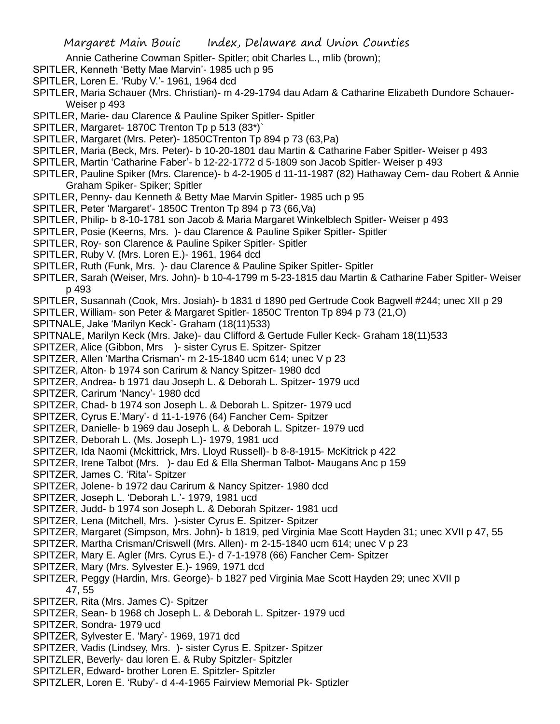Annie Catherine Cowman Spitler- Spitler; obit Charles L., mlib (brown);

- SPITLER, Kenneth 'Betty Mae Marvin'- 1985 uch p 95
- SPITLER, Loren E. 'Ruby V.'- 1961, 1964 dcd
- SPITLER, Maria Schauer (Mrs. Christian)- m 4-29-1794 dau Adam & Catharine Elizabeth Dundore Schauer-Weiser p 493
- SPITLER, Marie- dau Clarence & Pauline Spiker Spitler- Spitler
- SPITLER, Margaret- 1870C Trenton Tp p 513 (83\*)`
- SPITLER, Margaret (Mrs. Peter)- 1850CTrenton Tp 894 p 73 (63,Pa)
- SPITLER, Maria (Beck, Mrs. Peter)- b 10-20-1801 dau Martin & Catharine Faber Spitler- Weiser p 493
- SPITLER, Martin 'Catharine Faber'- b 12-22-1772 d 5-1809 son Jacob Spitler- Weiser p 493
- SPITLER, Pauline Spiker (Mrs. Clarence)- b 4-2-1905 d 11-11-1987 (82) Hathaway Cem- dau Robert & Annie Graham Spiker- Spiker; Spitler
- SPITLER, Penny- dau Kenneth & Betty Mae Marvin Spitler- 1985 uch p 95
- SPITLER, Peter 'Margaret'- 1850C Trenton Tp 894 p 73 (66,Va)
- SPITLER, Philip- b 8-10-1781 son Jacob & Maria Margaret Winkelblech Spitler- Weiser p 493
- SPITLER, Posie (Keerns, Mrs. )- dau Clarence & Pauline Spiker Spitler- Spitler
- SPITLER, Roy- son Clarence & Pauline Spiker Spitler- Spitler
- SPITLER, Ruby V. (Mrs. Loren E.)- 1961, 1964 dcd
- SPITLER, Ruth (Funk, Mrs. )- dau Clarence & Pauline Spiker Spitler- Spitler
- SPITLER, Sarah (Weiser, Mrs. John)- b 10-4-1799 m 5-23-1815 dau Martin & Catharine Faber Spitler- Weiser p 493
- SPITLER, Susannah (Cook, Mrs. Josiah)- b 1831 d 1890 ped Gertrude Cook Bagwell #244; unec XII p 29
- SPITLER, William- son Peter & Margaret Spitler- 1850C Trenton Tp 894 p 73 (21,O)
- SPITNALE, Jake 'Marilyn Keck'- Graham (18(11)533)
- SPITNALE, Marilyn Keck (Mrs. Jake)- dau Clifford & Gertude Fuller Keck- Graham 18(11)533
- SPITZER, Alice (Gibbon, Mrs )- sister Cyrus E. Spitzer- Spitzer
- SPITZER, Allen 'Martha Crisman'- m 2-15-1840 ucm 614; unec V p 23
- SPITZER, Alton- b 1974 son Carirum & Nancy Spitzer- 1980 dcd
- SPITZER, Andrea- b 1971 dau Joseph L. & Deborah L. Spitzer- 1979 ucd
- SPITZER, Carirum 'Nancy'- 1980 dcd
- SPITZER, Chad- b 1974 son Joseph L. & Deborah L. Spitzer- 1979 ucd
- SPITZER, Cyrus E.'Mary'- d 11-1-1976 (64) Fancher Cem- Spitzer
- SPITZER, Danielle- b 1969 dau Joseph L. & Deborah L. Spitzer- 1979 ucd
- SPITZER, Deborah L. (Ms. Joseph L.)- 1979, 1981 ucd
- SPITZER, Ida Naomi (Mckittrick, Mrs. Lloyd Russell)- b 8-8-1915- McKitrick p 422
- SPITZER, Irene Talbot (Mrs. )- dau Ed & Ella Sherman Talbot- Maugans Anc p 159
- SPITZER, James C. 'Rita'- Spitzer
- SPITZER, Jolene- b 1972 dau Carirum & Nancy Spitzer- 1980 dcd
- SPITZER, Joseph L. 'Deborah L.'- 1979, 1981 ucd
- SPITZER, Judd- b 1974 son Joseph L. & Deborah Spitzer- 1981 ucd
- SPITZER, Lena (Mitchell, Mrs. )-sister Cyrus E. Spitzer- Spitzer
- SPITZER, Margaret (Simpson, Mrs. John)- b 1819, ped Virginia Mae Scott Hayden 31; unec XVII p 47, 55
- SPITZER, Martha Crisman/Criswell (Mrs. Allen)- m 2-15-1840 ucm 614; unec V p 23
- SPITZER, Mary E. Agler (Mrs. Cyrus E.)- d 7-1-1978 (66) Fancher Cem- Spitzer
- SPITZER, Mary (Mrs. Sylvester E.)- 1969, 1971 dcd
- SPITZER, Peggy (Hardin, Mrs. George)- b 1827 ped Virginia Mae Scott Hayden 29; unec XVII p 47, 55
- SPITZER, Rita (Mrs. James C)- Spitzer
- SPITZER, Sean- b 1968 ch Joseph L. & Deborah L. Spitzer- 1979 ucd
- SPITZER, Sondra- 1979 ucd
- SPITZER, Sylvester E. 'Mary'- 1969, 1971 dcd
- SPITZER, Vadis (Lindsey, Mrs. )- sister Cyrus E. Spitzer- Spitzer
- SPITZLER, Beverly- dau loren E. & Ruby Spitzler- Spitzler
- SPITZLER, Edward- brother Loren E. Spitzler- Spitzler
- SPITZLER, Loren E. 'Ruby'- d 4-4-1965 Fairview Memorial Pk- Sptizler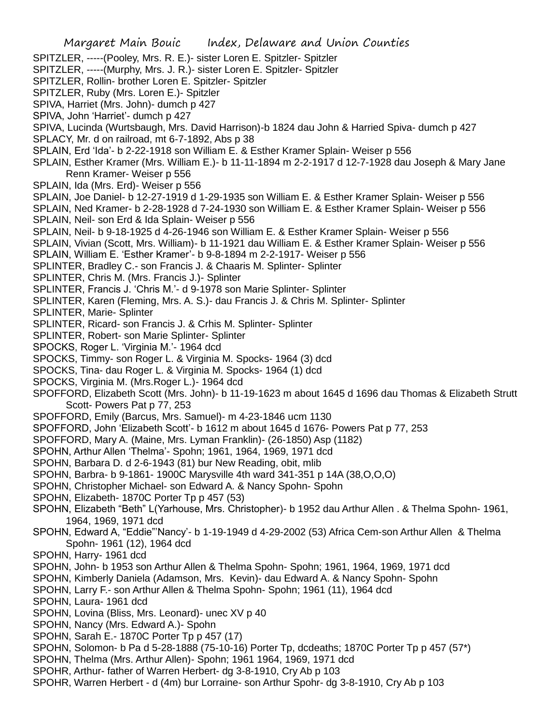- Margaret Main Bouic Index, Delaware and Union Counties SPITZLER, -----(Pooley, Mrs. R. E.)- sister Loren E. Spitzler- Spitzler SPITZLER, -----(Murphy, Mrs. J. R.)- sister Loren E. Spitzler- Spitzler SPITZLER, Rollin- brother Loren E. Spitzler- Spitzler SPITZLER, Ruby (Mrs. Loren E.)- Spitzler SPIVA, Harriet (Mrs. John)- dumch p 427 SPIVA, John 'Harriet'- dumch p 427 SPIVA, Lucinda (Wurtsbaugh, Mrs. David Harrison)-b 1824 dau John & Harried Spiva- dumch p 427 SPLACY, Mr. d on railroad, mt 6-7-1892, Abs p 38 SPLAIN, Erd 'Ida'- b 2-22-1918 son William E. & Esther Kramer Splain- Weiser p 556 SPLAIN, Esther Kramer (Mrs. William E.)- b 11-11-1894 m 2-2-1917 d 12-7-1928 dau Joseph & Mary Jane Renn Kramer- Weiser p 556 SPLAIN, Ida (Mrs. Erd)- Weiser p 556 SPLAIN, Joe Daniel- b 12-27-1919 d 1-29-1935 son William E. & Esther Kramer Splain- Weiser p 556 SPLAIN, Ned Kramer- b 2-28-1928 d 7-24-1930 son William E. & Esther Kramer Splain- Weiser p 556 SPLAIN, Neil- son Erd & Ida Splain- Weiser p 556 SPLAIN, Neil- b 9-18-1925 d 4-26-1946 son William E. & Esther Kramer Splain- Weiser p 556 SPLAIN, Vivian (Scott, Mrs. William)- b 11-1921 dau William E. & Esther Kramer Splain- Weiser p 556 SPLAIN, William E. 'Esther Kramer'- b 9-8-1894 m 2-2-1917- Weiser p 556 SPLINTER, Bradley C.- son Francis J. & Chaaris M. Splinter- Splinter SPLINTER, Chris M. (Mrs. Francis J.)- Splinter SPLINTER, Francis J. 'Chris M.'- d 9-1978 son Marie Splinter- Splinter SPLINTER, Karen (Fleming, Mrs. A. S.)- dau Francis J. & Chris M. Splinter- Splinter SPLINTER, Marie- Splinter SPLINTER, Ricard- son Francis J. & Crhis M. Splinter- Splinter SPLINTER, Robert- son Marie Splinter- Splinter SPOCKS, Roger L. 'Virginia M.'- 1964 dcd SPOCKS, Timmy- son Roger L. & Virginia M. Spocks- 1964 (3) dcd SPOCKS, Tina- dau Roger L. & Virginia M. Spocks- 1964 (1) dcd SPOCKS, Virginia M. (Mrs.Roger L.)- 1964 dcd SPOFFORD, Elizabeth Scott (Mrs. John)- b 11-19-1623 m about 1645 d 1696 dau Thomas & Elizabeth Strutt Scott- Powers Pat p 77, 253 SPOFFORD, Emily (Barcus, Mrs. Samuel)- m 4-23-1846 ucm 1130 SPOFFORD, John 'Elizabeth Scott'- b 1612 m about 1645 d 1676- Powers Pat p 77, 253 SPOFFORD, Mary A. (Maine, Mrs. Lyman Franklin)- (26-1850) Asp (1182) SPOHN, Arthur Allen 'Thelma'- Spohn; 1961, 1964, 1969, 1971 dcd SPOHN, Barbara D. d 2-6-1943 (81) bur New Reading, obit, mlib SPOHN, Barbra- b 9-1861- 1900C Marysville 4th ward 341-351 p 14A (38,O,O,O) SPOHN, Christopher Michael- son Edward A. & Nancy Spohn- Spohn SPOHN, Elizabeth- 1870C Porter Tp p 457 (53) SPOHN, Elizabeth "Beth" L(Yarhouse, Mrs. Christopher)- b 1952 dau Arthur Allen . & Thelma Spohn- 1961, 1964, 1969, 1971 dcd SPOHN, Edward A, "Eddie"'Nancy'- b 1-19-1949 d 4-29-2002 (53) Africa Cem-son Arthur Allen & Thelma Spohn- 1961 (12), 1964 dcd SPOHN, Harry- 1961 dcd SPOHN, John- b 1953 son Arthur Allen & Thelma Spohn- Spohn; 1961, 1964, 1969, 1971 dcd SPOHN, Kimberly Daniela (Adamson, Mrs. Kevin)- dau Edward A. & Nancy Spohn- Spohn SPOHN, Larry F.- son Arthur Allen & Thelma Spohn- Spohn; 1961 (11), 1964 dcd SPOHN, Laura- 1961 dcd SPOHN, Lovina (Bliss, Mrs. Leonard)- unec XV p 40 SPOHN, Nancy (Mrs. Edward A.)- Spohn SPOHN, Sarah E.- 1870C Porter Tp p 457 (17) SPOHN, Solomon- b Pa d 5-28-1888 (75-10-16) Porter Tp, dcdeaths; 1870C Porter Tp p 457 (57\*) SPOHN, Thelma (Mrs. Arthur Allen)- Spohn; 1961 1964, 1969, 1971 dcd SPOHR, Arthur- father of Warren Herbert- dg 3-8-1910, Cry Ab p 103
- SPOHR, Warren Herbert d (4m) bur Lorraine- son Arthur Spohr- dg 3-8-1910, Cry Ab p 103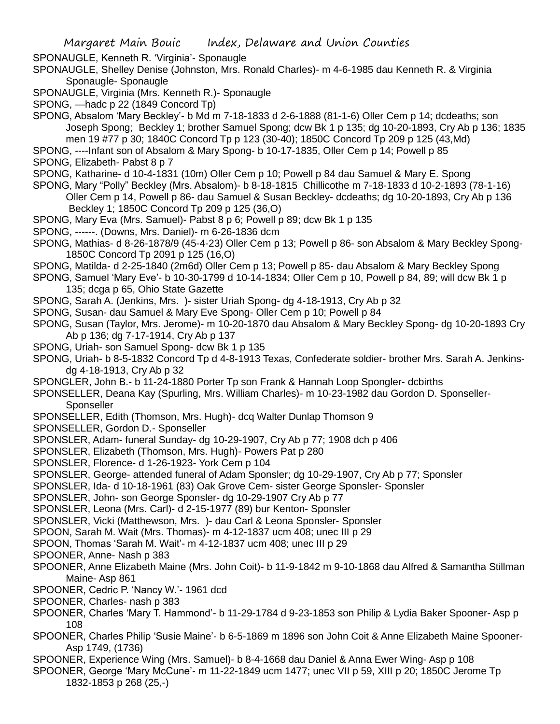SPONAUGLE, Kenneth R. 'Virginia'- Sponaugle

- SPONAUGLE, Shelley Denise (Johnston, Mrs. Ronald Charles)- m 4-6-1985 dau Kenneth R. & Virginia Sponaugle- Sponaugle
- SPONAUGLE, Virginia (Mrs. Kenneth R.)- Sponaugle
- SPONG, —hadc p 22 (1849 Concord Tp)
- SPONG, Absalom 'Mary Beckley'- b Md m 7-18-1833 d 2-6-1888 (81-1-6) Oller Cem p 14; dcdeaths; son Joseph Spong; Beckley 1; brother Samuel Spong; dcw Bk 1 p 135; dg 10-20-1893, Cry Ab p 136; 1835 men 19 #77 p 30; 1840C Concord Tp p 123 (30-40); 1850C Concord Tp 209 p 125 (43,Md)

SPONG, ----Infant son of Absalom & Mary Spong- b 10-17-1835, Oller Cem p 14; Powell p 85

- SPONG, Elizabeth- Pabst 8 p 7
- SPONG, Katharine- d 10-4-1831 (10m) Oller Cem p 10; Powell p 84 dau Samuel & Mary E. Spong
- SPONG, Mary "Polly" Beckley (Mrs. Absalom)- b 8-18-1815 Chillicothe m 7-18-1833 d 10-2-1893 (78-1-16)

Oller Cem p 14, Powell p 86- dau Samuel & Susan Beckley- dcdeaths; dg 10-20-1893, Cry Ab p 136 Beckley 1; 1850C Concord Tp 209 p 125 (36,O)

- SPONG, Mary Eva (Mrs. Samuel)- Pabst 8 p 6; Powell p 89; dcw Bk 1 p 135
- SPONG, ------. (Downs, Mrs. Daniel)- m 6-26-1836 dcm
- SPONG, Mathias- d 8-26-1878/9 (45-4-23) Oller Cem p 13; Powell p 86- son Absalom & Mary Beckley Spong-1850C Concord Tp 2091 p 125 (16,O)
- SPONG, Matilda- d 2-25-1840 (2m6d) Oller Cem p 13; Powell p 85- dau Absalom & Mary Beckley Spong
- SPONG, Samuel 'Mary Eve'- b 10-30-1799 d 10-14-1834; Oller Cem p 10, Powell p 84, 89; will dcw Bk 1 p 135; dcga p 65, Ohio State Gazette
- SPONG, Sarah A. (Jenkins, Mrs. )- sister Uriah Spong- dg 4-18-1913, Cry Ab p 32
- SPONG, Susan- dau Samuel & Mary Eve Spong- Oller Cem p 10; Powell p 84
- SPONG, Susan (Taylor, Mrs. Jerome)- m 10-20-1870 dau Absalom & Mary Beckley Spong- dg 10-20-1893 Cry Ab p 136; dg 7-17-1914, Cry Ab p 137
- SPONG, Uriah- son Samuel Spong- dcw Bk 1 p 135
- SPONG, Uriah- b 8-5-1832 Concord Tp d 4-8-1913 Texas, Confederate soldier- brother Mrs. Sarah A. Jenkinsdg 4-18-1913, Cry Ab p 32
- SPONGLER, John B.- b 11-24-1880 Porter Tp son Frank & Hannah Loop Spongler- dcbirths
- SPONSELLER, Deana Kay (Spurling, Mrs. William Charles)- m 10-23-1982 dau Gordon D. Sponseller-**Sponseller**
- SPONSELLER, Edith (Thomson, Mrs. Hugh)- dcq Walter Dunlap Thomson 9
- SPONSELLER, Gordon D.- Sponseller
- SPONSLER, Adam- funeral Sunday- dg 10-29-1907, Cry Ab p 77; 1908 dch p 406
- SPONSLER, Elizabeth (Thomson, Mrs. Hugh)- Powers Pat p 280
- SPONSLER, Florence- d 1-26-1923- York Cem p 104
- SPONSLER, George- attended funeral of Adam Sponsler; dg 10-29-1907, Cry Ab p 77; Sponsler
- SPONSLER, Ida- d 10-18-1961 (83) Oak Grove Cem- sister George Sponsler- Sponsler
- SPONSLER, John- son George Sponsler- dg 10-29-1907 Cry Ab p 77
- SPONSLER, Leona (Mrs. Carl)- d 2-15-1977 (89) bur Kenton- Sponsler
- SPONSLER, Vicki (Matthewson, Mrs. )- dau Carl & Leona Sponsler- Sponsler
- SPOON, Sarah M. Wait (Mrs. Thomas)- m 4-12-1837 ucm 408; unec III p 29
- SPOON, Thomas 'Sarah M. Wait'- m 4-12-1837 ucm 408; unec III p 29
- SPOONER, Anne- Nash p 383
- SPOONER, Anne Elizabeth Maine (Mrs. John Coit)- b 11-9-1842 m 9-10-1868 dau Alfred & Samantha Stillman Maine- Asp 861
- SPOONER, Cedric P. 'Nancy W.'- 1961 dcd
- SPOONER, Charles- nash p 383
- SPOONER, Charles 'Mary T. Hammond'- b 11-29-1784 d 9-23-1853 son Philip & Lydia Baker Spooner- Asp p 108
- SPOONER, Charles Philip 'Susie Maine'- b 6-5-1869 m 1896 son John Coit & Anne Elizabeth Maine Spooner-Asp 1749, (1736)
- SPOONER, Experience Wing (Mrs. Samuel)- b 8-4-1668 dau Daniel & Anna Ewer Wing- Asp p 108
- SPOONER, George 'Mary McCune'- m 11-22-1849 ucm 1477; unec VII p 59, XIII p 20; 1850C Jerome Tp 1832-1853 p 268 (25,-)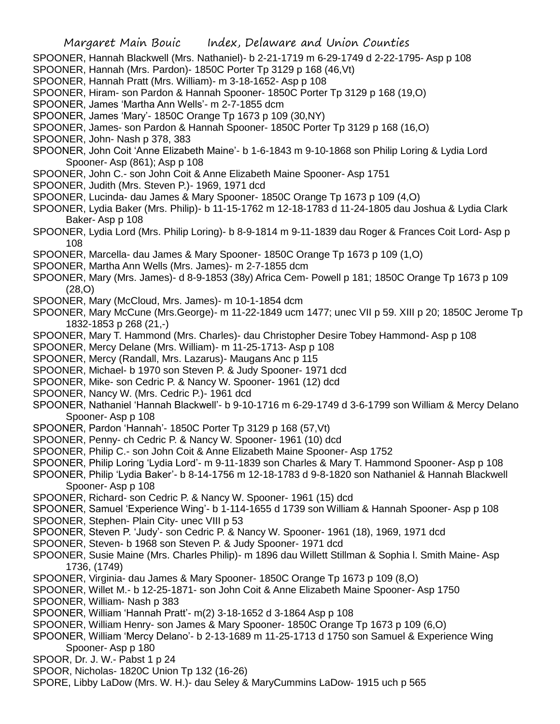- SPOONER, Hannah Blackwell (Mrs. Nathaniel)- b 2-21-1719 m 6-29-1749 d 2-22-1795- Asp p 108
- SPOONER, Hannah (Mrs. Pardon)- 1850C Porter Tp 3129 p 168 (46,Vt)
- SPOONER, Hannah Pratt (Mrs. William)- m 3-18-1652- Asp p 108
- SPOONER, Hiram- son Pardon & Hannah Spooner- 1850C Porter Tp 3129 p 168 (19,O)
- SPOONER, James 'Martha Ann Wells'- m 2-7-1855 dcm
- SPOONER, James 'Mary'- 1850C Orange Tp 1673 p 109 (30,NY)
- SPOONER, James- son Pardon & Hannah Spooner- 1850C Porter Tp 3129 p 168 (16,O)
- SPOONER, John- Nash p 378, 383
- SPOONER, John Coit 'Anne Elizabeth Maine'- b 1-6-1843 m 9-10-1868 son Philip Loring & Lydia Lord Spooner- Asp (861); Asp p 108
- SPOONER, John C.- son John Coit & Anne Elizabeth Maine Spooner- Asp 1751
- SPOONER, Judith (Mrs. Steven P.)- 1969, 1971 dcd
- SPOONER, Lucinda- dau James & Mary Spooner- 1850C Orange Tp 1673 p 109 (4,O)
- SPOONER, Lydia Baker (Mrs. Philip)- b 11-15-1762 m 12-18-1783 d 11-24-1805 dau Joshua & Lydia Clark Baker- Asp p 108
- SPOONER, Lydia Lord (Mrs. Philip Loring)- b 8-9-1814 m 9-11-1839 dau Roger & Frances Coit Lord- Asp p 108
- SPOONER, Marcella- dau James & Mary Spooner- 1850C Orange Tp 1673 p 109 (1,O)
- SPOONER, Martha Ann Wells (Mrs. James)- m 2-7-1855 dcm
- SPOONER, Mary (Mrs. James)- d 8-9-1853 (38y) Africa Cem- Powell p 181; 1850C Orange Tp 1673 p 109 (28,O)
- SPOONER, Mary (McCloud, Mrs. James)- m 10-1-1854 dcm
- SPOONER, Mary McCune (Mrs.George)- m 11-22-1849 ucm 1477; unec VII p 59. XIII p 20; 1850C Jerome Tp 1832-1853 p 268 (21,-)
- SPOONER, Mary T. Hammond (Mrs. Charles)- dau Christopher Desire Tobey Hammond- Asp p 108
- SPOONER, Mercy Delane (Mrs. William)- m 11-25-1713- Asp p 108
- SPOONER, Mercy (Randall, Mrs. Lazarus)- Maugans Anc p 115
- SPOONER, Michael- b 1970 son Steven P. & Judy Spooner- 1971 dcd
- SPOONER, Mike- son Cedric P. & Nancy W. Spooner- 1961 (12) dcd
- SPOONER, Nancy W. (Mrs. Cedric P.)- 1961 dcd
- SPOONER, Nathaniel 'Hannah Blackwell'- b 9-10-1716 m 6-29-1749 d 3-6-1799 son William & Mercy Delano Spooner- Asp p 108
- SPOONER, Pardon 'Hannah'- 1850C Porter Tp 3129 p 168 (57,Vt)
- SPOONER, Penny- ch Cedric P. & Nancy W. Spooner- 1961 (10) dcd
- SPOONER, Philip C.- son John Coit & Anne Elizabeth Maine Spooner- Asp 1752
- SPOONER, Philip Loring 'Lydia Lord'- m 9-11-1839 son Charles & Mary T. Hammond Spooner- Asp p 108
- SPOONER, Philip 'Lydia Baker'- b 8-14-1756 m 12-18-1783 d 9-8-1820 son Nathaniel & Hannah Blackwell Spooner- Asp p 108
- SPOONER, Richard- son Cedric P. & Nancy W. Spooner- 1961 (15) dcd
- SPOONER, Samuel 'Experience Wing'- b 1-114-1655 d 1739 son William & Hannah Spooner- Asp p 108
- SPOONER, Stephen- Plain City- unec VIII p 53
- SPOONER, Steven P. 'Judy'- son Cedric P. & Nancy W. Spooner- 1961 (18), 1969, 1971 dcd
- SPOONER, Steven- b 1968 son Steven P. & Judy Spooner- 1971 dcd
- SPOONER, Susie Maine (Mrs. Charles Philip)- m 1896 dau Willett Stillman & Sophia l. Smith Maine- Asp 1736, (1749)
- SPOONER, Virginia- dau James & Mary Spooner- 1850C Orange Tp 1673 p 109 (8,O)
- SPOONER, Willet M.- b 12-25-1871- son John Coit & Anne Elizabeth Maine Spooner- Asp 1750
- SPOONER, William- Nash p 383
- SPOONER, William 'Hannah Pratt'- m(2) 3-18-1652 d 3-1864 Asp p 108
- SPOONER, William Henry- son James & Mary Spooner- 1850C Orange Tp 1673 p 109 (6,O)
- SPOONER, William 'Mercy Delano'- b 2-13-1689 m 11-25-1713 d 1750 son Samuel & Experience Wing Spooner- Asp p 180
- SPOOR, Dr. J. W.- Pabst 1 p 24
- SPOOR, Nicholas- 1820C Union Tp 132 (16-26)
- SPORE, Libby LaDow (Mrs. W. H.)- dau Seley & MaryCummins LaDow- 1915 uch p 565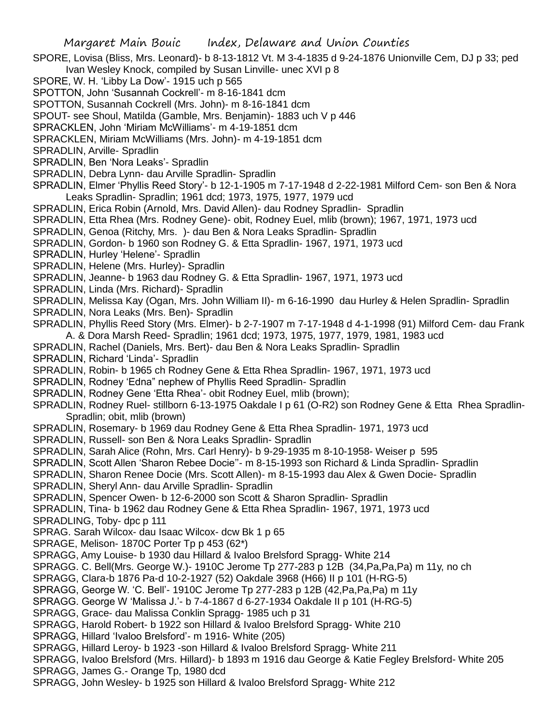- SPORE, Lovisa (Bliss, Mrs. Leonard)- b 8-13-1812 Vt. M 3-4-1835 d 9-24-1876 Unionville Cem, DJ p 33; ped Ivan Wesley Knock, compiled by Susan Linville- unec XVI p 8
- SPORE, W. H. 'Libby La Dow'- 1915 uch p 565
- SPOTTON, John 'Susannah Cockrell'- m 8-16-1841 dcm
- SPOTTON, Susannah Cockrell (Mrs. John)- m 8-16-1841 dcm
- SPOUT- see Shoul, Matilda (Gamble, Mrs. Benjamin)- 1883 uch V p 446
- SPRACKLEN, John 'Miriam McWilliams'- m 4-19-1851 dcm
- SPRACKLEN, Miriam McWilliams (Mrs. John)- m 4-19-1851 dcm
- SPRADLIN, Arville- Spradlin
- SPRADLIN, Ben 'Nora Leaks'- Spradlin
- SPRADLIN, Debra Lynn- dau Arville Spradlin- Spradlin
- SPRADLIN, Elmer 'Phyllis Reed Story'- b 12-1-1905 m 7-17-1948 d 2-22-1981 Milford Cem- son Ben & Nora Leaks Spradlin- Spradlin; 1961 dcd; 1973, 1975, 1977, 1979 ucd
- SPRADLIN, Erica Robin (Arnold, Mrs. David Allen)- dau Rodney Spradlin- Spradlin
- SPRADLIN, Etta Rhea (Mrs. Rodney Gene)- obit, Rodney Euel, mlib (brown); 1967, 1971, 1973 ucd
- SPRADLIN, Genoa (Ritchy, Mrs. )- dau Ben & Nora Leaks Spradlin- Spradlin
- SPRADLIN, Gordon- b 1960 son Rodney G. & Etta Spradlin- 1967, 1971, 1973 ucd
- SPRADLIN, Hurley 'Helene'- Spradlin
- SPRADLIN, Helene (Mrs. Hurley)- Spradlin
- SPRADLIN, Jeanne- b 1963 dau Rodney G. & Etta Spradlin- 1967, 1971, 1973 ucd
- SPRADLIN, Linda (Mrs. Richard)- Spradlin
- SPRADLIN, Melissa Kay (Ogan, Mrs. John William II)- m 6-16-1990 dau Hurley & Helen Spradlin- Spradlin
- SPRADLIN, Nora Leaks (Mrs. Ben)- Spradlin
- SPRADLIN, Phyllis Reed Story (Mrs. Elmer)- b 2-7-1907 m 7-17-1948 d 4-1-1998 (91) Milford Cem- dau Frank A. & Dora Marsh Reed- Spradlin; 1961 dcd; 1973, 1975, 1977, 1979, 1981, 1983 ucd
- SPRADLIN, Rachel (Daniels, Mrs. Bert)- dau Ben & Nora Leaks Spradlin- Spradlin
- SPRADLIN, Richard 'Linda'- Spradlin
- SPRADLIN, Robin- b 1965 ch Rodney Gene & Etta Rhea Spradlin- 1967, 1971, 1973 ucd
- SPRADLIN, Rodney 'Edna" nephew of Phyllis Reed Spradlin- Spradlin
- SPRADLIN, Rodney Gene 'Etta Rhea'- obit Rodney Euel, mlib (brown);
- SPRADLIN, Rodney Ruel- stillborn 6-13-1975 Oakdale I p 61 (O-R2) son Rodney Gene & Etta Rhea Spradlin-Spradlin; obit, mlib (brown)
- SPRADLIN, Rosemary- b 1969 dau Rodney Gene & Etta Rhea Spradlin- 1971, 1973 ucd
- SPRADLIN, Russell- son Ben & Nora Leaks Spradlin- Spradlin
- SPRADLIN, Sarah Alice (Rohn, Mrs. Carl Henry)- b 9-29-1935 m 8-10-1958- Weiser p 595
- SPRADLIN, Scott Allen 'Sharon Rebee Docie''- m 8-15-1993 son Richard & Linda Spradlin- Spradlin
- SPRADLIN, Sharon Renee Docie (Mrs. Scott Allen)- m 8-15-1993 dau Alex & Gwen Docie- Spradlin
- SPRADLIN, Sheryl Ann- dau Arville Spradlin- Spradlin
- SPRADLIN, Spencer Owen- b 12-6-2000 son Scott & Sharon Spradlin- Spradlin
- SPRADLIN, Tina- b 1962 dau Rodney Gene & Etta Rhea Spradlin- 1967, 1971, 1973 ucd
- SPRADLING, Toby- dpc p 111
- SPRAG. Sarah Wilcox- dau Isaac Wilcox- dcw Bk 1 p 65
- SPRAGE, Melison- 1870C Porter Tp p 453 (62\*)
- SPRAGG, Amy Louise- b 1930 dau Hillard & Ivaloo Brelsford Spragg- White 214
- SPRAGG. C. Bell(Mrs. George W.)- 1910C Jerome Tp 277-283 p 12B (34,Pa,Pa,Pa) m 11y, no ch
- SPRAGG, Clara-b 1876 Pa-d 10-2-1927 (52) Oakdale 3968 (H66) II p 101 (H-RG-5)
- SPRAGG, George W. 'C. Bell'- 1910C Jerome Tp 277-283 p 12B (42,Pa,Pa,Pa) m 11y
- SPRAGG. George W 'Malissa J.'- b 7-4-1867 d 6-27-1934 Oakdale II p 101 (H-RG-5)
- SPRAGG, Grace- dau Malissa Conklin Spragg- 1985 uch p 31
- SPRAGG, Harold Robert- b 1922 son Hillard & Ivaloo Brelsford Spragg- White 210
- SPRAGG, Hillard 'Ivaloo Brelsford'- m 1916- White (205)
- SPRAGG, Hillard Leroy- b 1923 -son Hillard & Ivaloo Brelsford Spragg- White 211
- SPRAGG, Ivaloo Brelsford (Mrs. Hillard)- b 1893 m 1916 dau George & Katie Fegley Brelsford- White 205 SPRAGG, James G.- Orange Tp, 1980 dcd
- SPRAGG, John Wesley- b 1925 son Hillard & Ivaloo Brelsford Spragg- White 212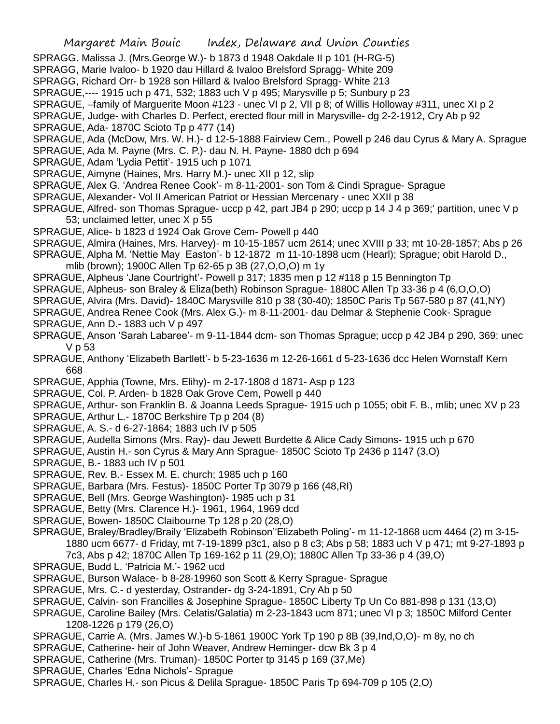SPRAGG. Malissa J. (Mrs.George W.)- b 1873 d 1948 Oakdale II p 101 (H-RG-5)

SPRAGG, Marie Ivaloo- b 1920 dau Hillard & Ivaloo Brelsford Spragg- White 209

SPRAGG, Richard Orr- b 1928 son Hillard & Ivaloo Brelsford Spragg- White 213

SPRAGUE,---- 1915 uch p 471, 532; 1883 uch V p 495; Marysville p 5; Sunbury p 23

SPRAGUE, –family of Marguerite Moon #123 - unec VI p 2, VII p 8; of Willis Holloway #311, unec XI p 2

SPRAGUE, Judge- with Charles D. Perfect, erected flour mill in Marysville- dg 2-2-1912, Cry Ab p 92

SPRAGUE, Ada- 1870C Scioto Tp p 477 (14)

SPRAGUE, Ada (McDow, Mrs. W. H.)- d 12-5-1888 Fairview Cem., Powell p 246 dau Cyrus & Mary A. Sprague

- SPRAGUE, Ada M. Payne (Mrs. C. P.)- dau N. H. Payne- 1880 dch p 694
- SPRAGUE, Adam 'Lydia Pettit'- 1915 uch p 1071
- SPRAGUE, Aimyne (Haines, Mrs. Harry M.)- unec XII p 12, slip
- SPRAGUE, Alex G. 'Andrea Renee Cook'- m 8-11-2001- son Tom & Cindi Sprague- Sprague
- SPRAGUE, Alexander- Vol II American Patriot or Hessian Mercenary unec XXII p 38
- SPRAGUE, Alfred- son Thomas Sprague- uccp p 42, part JB4 p 290; uccp p 14 J 4 p 369;' partition, unec V p 53; unclaimed letter, unec X p 55
- SPRAGUE, Alice- b 1823 d 1924 Oak Grove Cem- Powell p 440
- SPRAGUE, Almira (Haines, Mrs. Harvey)- m 10-15-1857 ucm 2614; unec XVIII p 33; mt 10-28-1857; Abs p 26

SPRAGUE, Alpha M. 'Nettie May Easton'- b 12-1872 m 11-10-1898 ucm (Hearl); Sprague; obit Harold D., mlib (brown); 1900C Allen Tp 62-65 p 3B (27,O,O,O) m 1y

SPRAGUE, Alpheus 'Jane Courtright'- Powell p 317; 1835 men p 12 #118 p 15 Bennington Tp

- SPRAGUE, Alpheus- son Braley & Eliza(beth) Robinson Sprague- 1880C Allen Tp 33-36 p 4 (6,O,O,O)
- SPRAGUE, Alvira (Mrs. David)- 1840C Marysville 810 p 38 (30-40); 1850C Paris Tp 567-580 p 87 (41,NY)
- SPRAGUE, Andrea Renee Cook (Mrs. Alex G.)- m 8-11-2001- dau Delmar & Stephenie Cook- Sprague
- SPRAGUE, Ann D.- 1883 uch V p 497
- SPRAGUE, Anson 'Sarah Labaree'- m 9-11-1844 dcm- son Thomas Sprague; uccp p 42 JB4 p 290, 369; unec V p 53
- SPRAGUE, Anthony 'Elizabeth Bartlett'- b 5-23-1636 m 12-26-1661 d 5-23-1636 dcc Helen Wornstaff Kern 668
- SPRAGUE, Apphia (Towne, Mrs. Elihy)- m 2-17-1808 d 1871- Asp p 123
- SPRAGUE, Col. P. Arden- b 1828 Oak Grove Cem, Powell p 440
- SPRAGUE, Arthur- son Franklin B. & Joanna Leeds Sprague- 1915 uch p 1055; obit F. B., mlib; unec XV p 23
- SPRAGUE, Arthur L.- 1870C Berkshire Tp p 204 (8)
- SPRAGUE, A. S.- d 6-27-1864; 1883 uch IV p 505
- SPRAGUE, Audella Simons (Mrs. Ray)- dau Jewett Burdette & Alice Cady Simons- 1915 uch p 670
- SPRAGUE, Austin H.- son Cyrus & Mary Ann Sprague- 1850C Scioto Tp 2436 p 1147 (3,O)
- SPRAGUE, B.- 1883 uch IV p 501
- SPRAGUE, Rev. B.- Essex M. E. church; 1985 uch p 160
- SPRAGUE, Barbara (Mrs. Festus)- 1850C Porter Tp 3079 p 166 (48,RI)
- SPRAGUE, Bell (Mrs. George Washington)- 1985 uch p 31
- SPRAGUE, Betty (Mrs. Clarence H.)- 1961, 1964, 1969 dcd
- SPRAGUE, Bowen- 1850C Claibourne Tp 128 p 20 (28,O)

SPRAGUE, Braley/Bradley/Braily 'Elizabeth Robinson''Elizabeth Poling'- m 11-12-1868 ucm 4464 (2) m 3-15- 1880 ucm 6677- d Friday, mt 7-19-1899 p3c1, also p 8 c3; Abs p 58; 1883 uch V p 471; mt 9-27-1893 p

- 7c3, Abs p 42; 1870C Allen Tp 169-162 p 11 (29,O); 1880C Allen Tp 33-36 p 4 (39,O)
- SPRAGUE, Budd L. 'Patricia M.'- 1962 ucd
- SPRAGUE, Burson Walace- b 8-28-19960 son Scott & Kerry Sprague- Sprague
- SPRAGUE, Mrs. C.- d yesterday, Ostrander- dg 3-24-1891, Cry Ab p 50
- SPRAGUE, Calvin- son Francilles & Josephine Sprague- 1850C Liberty Tp Un Co 881-898 p 131 (13,O)
- SPRAGUE, Caroline Bailey (Mrs. Celatis/Galatia) m 2-23-1843 ucm 871; unec VI p 3; 1850C Milford Center 1208-1226 p 179 (26,O)
- SPRAGUE, Carrie A. (Mrs. James W.)-b 5-1861 1900C York Tp 190 p 8B (39,Ind,O,O)- m 8y, no ch
- SPRAGUE, Catherine- heir of John Weaver, Andrew Heminger- dcw Bk 3 p 4
- SPRAGUE, Catherine (Mrs. Truman)- 1850C Porter tp 3145 p 169 (37,Me)
- SPRAGUE, Charles 'Edna Nichols'- Sprague
- SPRAGUE, Charles H.- son Picus & Delila Sprague- 1850C Paris Tp 694-709 p 105 (2,O)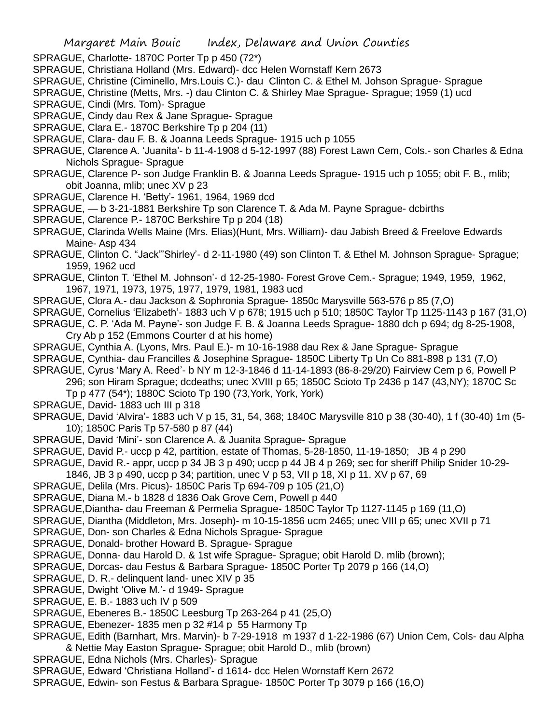- SPRAGUE, Charlotte- 1870C Porter Tp p 450 (72\*)
- SPRAGUE, Christiana Holland (Mrs. Edward)- dcc Helen Wornstaff Kern 2673
- SPRAGUE, Christine (Ciminello, Mrs.Louis C.)- dau Clinton C. & Ethel M. Johson Sprague- Sprague
- SPRAGUE, Christine (Metts, Mrs. -) dau Clinton C. & Shirley Mae Sprague- Sprague; 1959 (1) ucd
- SPRAGUE, Cindi (Mrs. Tom)- Sprague
- SPRAGUE, Cindy dau Rex & Jane Sprague- Sprague
- SPRAGUE, Clara E.- 1870C Berkshire Tp p 204 (11)
- SPRAGUE, Clara- dau F. B. & Joanna Leeds Sprague- 1915 uch p 1055
- SPRAGUE, Clarence A. 'Juanita'- b 11-4-1908 d 5-12-1997 (88) Forest Lawn Cem, Cols.- son Charles & Edna Nichols Sprague- Sprague
- SPRAGUE, Clarence P- son Judge Franklin B. & Joanna Leeds Sprague- 1915 uch p 1055; obit F. B., mlib; obit Joanna, mlib; unec XV p 23
- SPRAGUE, Clarence H. 'Betty'- 1961, 1964, 1969 dcd
- SPRAGUE, b 3-21-1881 Berkshire Tp son Clarence T. & Ada M. Payne Sprague- dcbirths
- SPRAGUE, Clarence P.- 1870C Berkshire Tp p 204 (18)
- SPRAGUE, Clarinda Wells Maine (Mrs. Elias)(Hunt, Mrs. William)- dau Jabish Breed & Freelove Edwards Maine- Asp 434
- SPRAGUE, Clinton C. "Jack"'Shirley'- d 2-11-1980 (49) son Clinton T. & Ethel M. Johnson Sprague- Sprague; 1959, 1962 ucd
- SPRAGUE, Clinton T. 'Ethel M. Johnson'- d 12-25-1980- Forest Grove Cem.- Sprague; 1949, 1959, 1962, 1967, 1971, 1973, 1975, 1977, 1979, 1981, 1983 ucd
- SPRAGUE, Clora A.- dau Jackson & Sophronia Sprague- 1850c Marysville 563-576 p 85 (7,O)
- SPRAGUE, Cornelius 'Elizabeth'- 1883 uch V p 678; 1915 uch p 510; 1850C Taylor Tp 1125-1143 p 167 (31,O)
- SPRAGUE, C. P. 'Ada M. Payne'- son Judge F. B. & Joanna Leeds Sprague- 1880 dch p 694; dg 8-25-1908, Cry Ab p 152 (Emmons Courter d at his home)
- SPRAGUE, Cynthia A. (Lyons, Mrs. Paul E.)- m 10-16-1988 dau Rex & Jane Sprague- Sprague
- SPRAGUE, Cynthia- dau Francilles & Josephine Sprague- 1850C Liberty Tp Un Co 881-898 p 131 (7,O)
- SPRAGUE, Cyrus 'Mary A. Reed'- b NY m 12-3-1846 d 11-14-1893 (86-8-29/20) Fairview Cem p 6, Powell P 296; son Hiram Sprague; dcdeaths; unec XVIII p 65; 1850C Scioto Tp 2436 p 147 (43,NY); 1870C Sc Tp p 477 (54\*); 1880C Scioto Tp 190 (73,York, York, York)
- SPRAGUE, David- 1883 uch III p 318
- SPRAGUE, David 'Alvira'- 1883 uch V p 15, 31, 54, 368; 1840C Marysville 810 p 38 (30-40), 1 f (30-40) 1m (5- 10); 1850C Paris Tp 57-580 p 87 (44)
- SPRAGUE, David 'Mini'- son Clarence A. & Juanita Sprague- Sprague
- SPRAGUE, David P.- uccp p 42, partition, estate of Thomas, 5-28-1850, 11-19-1850; JB 4 p 290
- SPRAGUE, David R.- appr, uccp p 34 JB 3 p 490; uccp p 44 JB 4 p 269; sec for sheriff Philip Snider 10-29-
- 1846, JB 3 p 490, uccp p 34; partition, unec V p 53, VII p 18, XI p 11. XV p 67, 69
- SPRAGUE, Delila (Mrs. Picus)- 1850C Paris Tp 694-709 p 105 (21,O)
- SPRAGUE, Diana M.- b 1828 d 1836 Oak Grove Cem, Powell p 440
- SPRAGUE,Diantha- dau Freeman & Permelia Sprague- 1850C Taylor Tp 1127-1145 p 169 (11,O)
- SPRAGUE, Diantha (Middleton, Mrs. Joseph)- m 10-15-1856 ucm 2465; unec VIII p 65; unec XVII p 71
- SPRAGUE, Don- son Charles & Edna Nichols Sprague- Sprague
- SPRAGUE, Donald- brother Howard B. Sprague- Sprague
- SPRAGUE, Donna- dau Harold D. & 1st wife Sprague- Sprague; obit Harold D. mlib (brown);
- SPRAGUE, Dorcas- dau Festus & Barbara Sprague- 1850C Porter Tp 2079 p 166 (14,O)
- SPRAGUE, D. R.- delinquent land- unec XIV p 35
- SPRAGUE, Dwight 'Olive M.'- d 1949- Sprague
- SPRAGUE, E. B.- 1883 uch IV p 509
- SPRAGUE, Ebeneres B.- 1850C Leesburg Tp 263-264 p 41 (25,O)
- SPRAGUE, Ebenezer- 1835 men p 32 #14 p 55 Harmony Tp
- SPRAGUE, Edith (Barnhart, Mrs. Marvin)- b 7-29-1918 m 1937 d 1-22-1986 (67) Union Cem, Cols- dau Alpha & Nettie May Easton Sprague- Sprague; obit Harold D., mlib (brown)
- SPRAGUE, Edna Nichols (Mrs. Charles)- Sprague
- SPRAGUE, Edward 'Christiana Holland'- d 1614- dcc Helen Wornstaff Kern 2672
- SPRAGUE, Edwin- son Festus & Barbara Sprague- 1850C Porter Tp 3079 p 166 (16,O)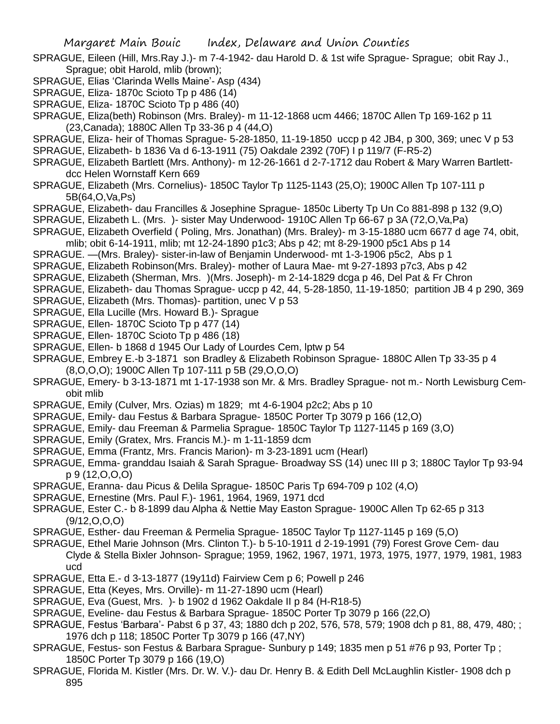- SPRAGUE, Eileen (Hill, Mrs.Ray J.)- m 7-4-1942- dau Harold D. & 1st wife Sprague- Sprague; obit Ray J., Sprague; obit Harold, mlib (brown);
- SPRAGUE, Elias 'Clarinda Wells Maine'- Asp (434)
- SPRAGUE, Eliza- 1870c Scioto Tp p 486 (14)
- SPRAGUE, Eliza- 1870C Scioto Tp p 486 (40)
- SPRAGUE, Eliza(beth) Robinson (Mrs. Braley)- m 11-12-1868 ucm 4466; 1870C Allen Tp 169-162 p 11 (23,Canada); 1880C Allen Tp 33-36 p 4 (44,O)
- SPRAGUE, Eliza- heir of Thomas Sprague- 5-28-1850, 11-19-1850 uccp p 42 JB4, p 300, 369; unec V p 53 SPRAGUE, Elizabeth- b 1836 Va d 6-13-1911 (75) Oakdale 2392 (70F) I p 119/7 (F-R5-2)
- SPRAGUE, Elizabeth Bartlett (Mrs. Anthony)- m 12-26-1661 d 2-7-1712 dau Robert & Mary Warren Bartlettdcc Helen Wornstaff Kern 669
- SPRAGUE, Elizabeth (Mrs. Cornelius)- 1850C Taylor Tp 1125-1143 (25,O); 1900C Allen Tp 107-111 p 5B(64,O,Va,Ps)
- SPRAGUE, Elizabeth- dau Francilles & Josephine Sprague- 1850c Liberty Tp Un Co 881-898 p 132 (9,O)
- SPRAGUE, Elizabeth L. (Mrs. )- sister May Underwood- 1910C Allen Tp 66-67 p 3A (72,O,Va,Pa)
- SPRAGUE, Elizabeth Overfield ( Poling, Mrs. Jonathan) (Mrs. Braley)- m 3-15-1880 ucm 6677 d age 74, obit, mlib; obit 6-14-1911, mlib; mt 12-24-1890 p1c3; Abs p 42; mt 8-29-1900 p5c1 Abs p 14
- SPRAGUE. —(Mrs. Braley)- sister-in-law of Benjamin Underwood- mt 1-3-1906 p5c2, Abs p 1
- SPRAGUE, Elizabeth Robinson(Mrs. Braley)- mother of Laura Mae- mt 9-27-1893 p7c3, Abs p 42
- SPRAGUE, Elizabeth (Sherman, Mrs. )(Mrs. Joseph)- m 2-14-1829 dcga p 46, Del Pat & Fr Chron
- SPRAGUE, Elizabeth- dau Thomas Sprague- uccp p 42, 44, 5-28-1850, 11-19-1850; partition JB 4 p 290, 369
- SPRAGUE, Elizabeth (Mrs. Thomas)- partition, unec V p 53
- SPRAGUE, Ella Lucille (Mrs. Howard B.)- Sprague
- SPRAGUE, Ellen- 1870C Scioto Tp p 477 (14)
- SPRAGUE, Ellen- 1870C Scioto Tp p 486 (18)
- SPRAGUE, Ellen- b 1868 d 1945 Our Lady of Lourdes Cem, lptw p 54
- SPRAGUE, Embrey E.-b 3-1871 son Bradley & Elizabeth Robinson Sprague- 1880C Allen Tp 33-35 p 4
- (8,O,O,O); 1900C Allen Tp 107-111 p 5B (29,O,O,O)
- SPRAGUE, Emery- b 3-13-1871 mt 1-17-1938 son Mr. & Mrs. Bradley Sprague- not m.- North Lewisburg Cemobit mlib
- SPRAGUE, Emily (Culver, Mrs. Ozias) m 1829; mt 4-6-1904 p2c2; Abs p 10
- SPRAGUE, Emily- dau Festus & Barbara Sprague- 1850C Porter Tp 3079 p 166 (12,O)
- SPRAGUE, Emily- dau Freeman & Parmelia Sprague- 1850C Taylor Tp 1127-1145 p 169 (3,O)
- SPRAGUE, Emily (Gratex, Mrs. Francis M.)- m 1-11-1859 dcm
- SPRAGUE, Emma (Frantz, Mrs. Francis Marion)- m 3-23-1891 ucm (Hearl)
- SPRAGUE, Emma- granddau Isaiah & Sarah Sprague- Broadway SS (14) unec III p 3; 1880C Taylor Tp 93-94 p 9 (12,O,O,O)
- SPRAGUE, Eranna- dau Picus & Delila Sprague- 1850C Paris Tp 694-709 p 102 (4,O)
- SPRAGUE, Ernestine (Mrs. Paul F.)- 1961, 1964, 1969, 1971 dcd
- SPRAGUE, Ester C.- b 8-1899 dau Alpha & Nettie May Easton Sprague- 1900C Allen Tp 62-65 p 313  $(9/12, 0, 0, 0)$
- SPRAGUE, Esther- dau Freeman & Permelia Sprague- 1850C Taylor Tp 1127-1145 p 169 (5,O)
- SPRAGUE, Ethel Marie Johnson (Mrs. Clinton T.)- b 5-10-1911 d 2-19-1991 (79) Forest Grove Cem- dau Clyde & Stella Bixler Johnson- Sprague; 1959, 1962, 1967, 1971, 1973, 1975, 1977, 1979, 1981, 1983 ucd
- SPRAGUE, Etta E.- d 3-13-1877 (19y11d) Fairview Cem p 6; Powell p 246
- SPRAGUE, Etta (Keyes, Mrs. Orville)- m 11-27-1890 ucm (Hearl)
- SPRAGUE, Eva (Guest, Mrs. )- b 1902 d 1962 Oakdale II p 84 (H-R18-5)
- SPRAGUE, Eveline- dau Festus & Barbara Sprague- 1850C Porter Tp 3079 p 166 (22,O)
- SPRAGUE, Festus 'Barbara'- Pabst 6 p 37, 43; 1880 dch p 202, 576, 578, 579; 1908 dch p 81, 88, 479, 480; ; 1976 dch p 118; 1850C Porter Tp 3079 p 166 (47,NY)
- SPRAGUE, Festus- son Festus & Barbara Sprague- Sunbury p 149; 1835 men p 51 #76 p 93, Porter Tp ; 1850C Porter Tp 3079 p 166 (19,O)
- SPRAGUE, Florida M. Kistler (Mrs. Dr. W. V.)- dau Dr. Henry B. & Edith Dell McLaughlin Kistler- 1908 dch p 895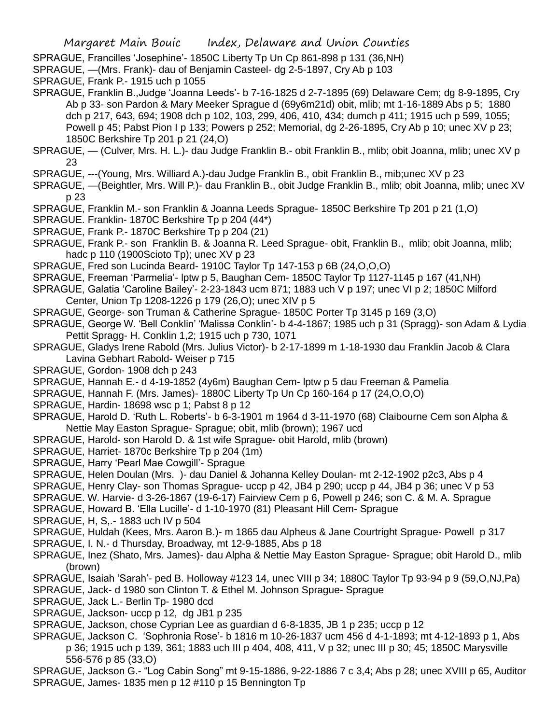SPRAGUE, Francilles 'Josephine'- 1850C Liberty Tp Un Cp 861-898 p 131 (36,NH)

- SPRAGUE, —(Mrs. Frank)- dau of Benjamin Casteel- dg 2-5-1897, Cry Ab p 103
- SPRAGUE, Frank P.- 1915 uch p 1055
- SPRAGUE, Franklin B.,Judge 'Joanna Leeds'- b 7-16-1825 d 2-7-1895 (69) Delaware Cem; dg 8-9-1895, Cry Ab p 33- son Pardon & Mary Meeker Sprague d (69y6m21d) obit, mlib; mt 1-16-1889 Abs p 5; 1880 dch p 217, 643, 694; 1908 dch p 102, 103, 299, 406, 410, 434; dumch p 411; 1915 uch p 599, 1055; Powell p 45; Pabst Pion I p 133; Powers p 252; Memorial, dg 2-26-1895, Cry Ab p 10; unec XV p 23; 1850C Berkshire Tp 201 p 21 (24,O)
- SPRAGUE, (Culver, Mrs. H. L.)- dau Judge Franklin B.- obit Franklin B., mlib; obit Joanna, mlib; unec XV p 23
- SPRAGUE, ---(Young, Mrs. Williard A.)-dau Judge Franklin B., obit Franklin B., mib;unec XV p 23
- SPRAGUE, —(Beightler, Mrs. Will P.)- dau Franklin B., obit Judge Franklin B., mlib; obit Joanna, mlib; unec XV p 23
- SPRAGUE, Franklin M.- son Franklin & Joanna Leeds Sprague- 1850C Berkshire Tp 201 p 21 (1,O)
- SPRAGUE. Franklin- 1870C Berkshire Tp p 204 (44\*)
- SPRAGUE, Frank P.- 1870C Berkshire Tp p 204 (21)
- SPRAGUE, Frank P.- son Franklin B. & Joanna R. Leed Sprague- obit, Franklin B., mlib; obit Joanna, mlib; hadc p 110 (1900Scioto Tp); unec XV p 23
- SPRAGUE, Fred son Lucinda Beard- 1910C Taylor Tp 147-153 p 6B (24,O,O,O)
- SPRAGUE, Freeman 'Parmelia'- lptw p 5, Baughan Cem- 1850C Taylor Tp 1127-1145 p 167 (41,NH)
- SPRAGUE, Galatia 'Caroline Bailey'- 2-23-1843 ucm 871; 1883 uch V p 197; unec VI p 2; 1850C Milford Center, Union Tp 1208-1226 p 179 (26,O); unec XIV p 5
- SPRAGUE, George- son Truman & Catherine Sprague- 1850C Porter Tp 3145 p 169 (3,O)
- SPRAGUE, George W. 'Bell Conklin' 'Malissa Conklin'- b 4-4-1867; 1985 uch p 31 (Spragg)- son Adam & Lydia Pettit Spragg- H. Conklin 1,2; 1915 uch p 730, 1071
- SPRAGUE, Gladys Irene Rabold (Mrs. Julius Victor)- b 2-17-1899 m 1-18-1930 dau Franklin Jacob & Clara Lavina Gebhart Rabold- Weiser p 715
- SPRAGUE, Gordon- 1908 dch p 243
- SPRAGUE, Hannah E.- d 4-19-1852 (4y6m) Baughan Cem- lptw p 5 dau Freeman & Pamelia
- SPRAGUE, Hannah F. (Mrs. James)- 1880C Liberty Tp Un Cp 160-164 p 17 (24,O,O,O)
- SPRAGUE, Hardin- 18698 wsc p 1; Pabst 8 p 12
- SPRAGUE, Harold D. 'Ruth L. Roberts'- b 6-3-1901 m 1964 d 3-11-1970 (68) Claibourne Cem son Alpha & Nettie May Easton Sprague- Sprague; obit, mlib (brown); 1967 ucd
- SPRAGUE, Harold- son Harold D. & 1st wife Sprague- obit Harold, mlib (brown)
- SPRAGUE, Harriet- 1870c Berkshire Tp p 204 (1m)
- SPRAGUE, Harry 'Pearl Mae Cowgill'- Sprague
- SPRAGUE, Helen Doulan (Mrs. )- dau Daniel & Johanna Kelley Doulan- mt 2-12-1902 p2c3, Abs p 4
- SPRAGUE, Henry Clay- son Thomas Sprague- uccp p 42, JB4 p 290; uccp p 44, JB4 p 36; unec V p 53
- SPRAGUE. W. Harvie- d 3-26-1867 (19-6-17) Fairview Cem p 6, Powell p 246; son C. & M. A. Sprague
- SPRAGUE, Howard B. 'Ella Lucille'- d 1-10-1970 (81) Pleasant Hill Cem- Sprague
- SPRAGUE, H, S,.- 1883 uch IV p 504
- SPRAGUE, Huldah (Kees, Mrs. Aaron B.)- m 1865 dau Alpheus & Jane Courtright Sprague- Powell p 317
- SPRAGUE, I. N.- d Thursday, Broadway, mt 12-9-1885, Abs p 18
- SPRAGUE, Inez (Shato, Mrs. James)- dau Alpha & Nettie May Easton Sprague- Sprague; obit Harold D., mlib (brown)
- SPRAGUE, Isaiah 'Sarah'- ped B. Holloway #123 14, unec VIII p 34; 1880C Taylor Tp 93-94 p 9 (59,O,NJ,Pa)
- SPRAGUE, Jack- d 1980 son Clinton T. & Ethel M. Johnson Sprague- Sprague
- SPRAGUE, Jack L.- Berlin Tp- 1980 dcd
- SPRAGUE, Jackson- uccp p 12, dg JB1 p 235
- SPRAGUE, Jackson, chose Cyprian Lee as guardian d 6-8-1835, JB 1 p 235; uccp p 12
- SPRAGUE, Jackson C. 'Sophronia Rose'- b 1816 m 10-26-1837 ucm 456 d 4-1-1893; mt 4-12-1893 p 1, Abs p 36; 1915 uch p 139, 361; 1883 uch III p 404, 408, 411, V p 32; unec III p 30; 45; 1850C Marysville 556-576 p 85 (33,O)
- SPRAGUE, Jackson G.- "Log Cabin Song" mt 9-15-1886, 9-22-1886 7 c 3,4; Abs p 28; unec XVIII p 65, Auditor SPRAGUE, James- 1835 men p 12 #110 p 15 Bennington Tp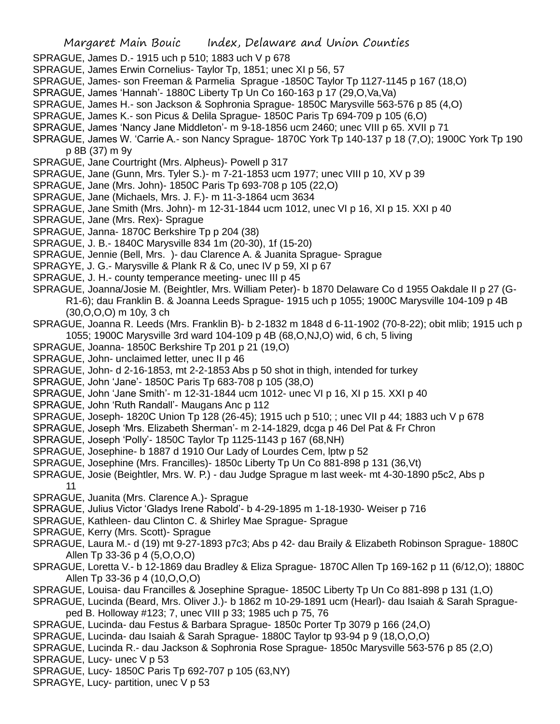- SPRAGUE, James D.- 1915 uch p 510; 1883 uch V p 678
- SPRAGUE, James Erwin Cornelius- Taylor Tp, 1851; unec XI p 56, 57
- SPRAGUE, James- son Freeman & Parmelia Sprague -1850C Taylor Tp 1127-1145 p 167 (18,O)
- SPRAGUE, James 'Hannah'- 1880C Liberty Tp Un Co 160-163 p 17 (29,O,Va,Va)
- SPRAGUE, James H.- son Jackson & Sophronia Sprague- 1850C Marysville 563-576 p 85 (4,O)
- SPRAGUE, James K.- son Picus & Delila Sprague- 1850C Paris Tp 694-709 p 105 (6,O)
- SPRAGUE, James 'Nancy Jane Middleton'- m 9-18-1856 ucm 2460; unec VIII p 65. XVII p 71
- SPRAGUE, James W. 'Carrie A.- son Nancy Sprague- 1870C York Tp 140-137 p 18 (7,O); 1900C York Tp 190 p 8B (37) m 9y
- SPRAGUE, Jane Courtright (Mrs. Alpheus)- Powell p 317
- SPRAGUE, Jane (Gunn, Mrs. Tyler S.)- m 7-21-1853 ucm 1977; unec VIII p 10, XV p 39
- SPRAGUE, Jane (Mrs. John)- 1850C Paris Tp 693-708 p 105 (22,O)
- SPRAGUE, Jane (Michaels, Mrs. J. F.)- m 11-3-1864 ucm 3634
- SPRAGUE, Jane Smith (Mrs. John)- m 12-31-1844 ucm 1012, unec VI p 16, XI p 15. XXI p 40
- SPRAGUE, Jane (Mrs. Rex)- Sprague
- SPRAGUE, Janna- 1870C Berkshire Tp p 204 (38)
- SPRAGUE, J. B.- 1840C Marysville 834 1m (20-30), 1f (15-20)
- SPRAGUE, Jennie (Bell, Mrs. )- dau Clarence A. & Juanita Sprague- Sprague
- SPRAGYE, J. G.- Marysville & Plank R & Co, unec IV p 59, XI p 67
- SPRAGUE, J. H.- county temperance meeting- unec III p 45
- SPRAGUE, Joanna/Josie M. (Beightler, Mrs. William Peter)- b 1870 Delaware Co d 1955 Oakdale II p 27 (G-R1-6); dau Franklin B. & Joanna Leeds Sprague- 1915 uch p 1055; 1900C Marysville 104-109 p 4B (30,O,O,O) m 10y, 3 ch
- SPRAGUE, Joanna R. Leeds (Mrs. Franklin B)- b 2-1832 m 1848 d 6-11-1902 (70-8-22); obit mlib; 1915 uch p 1055; 1900C Marysville 3rd ward 104-109 p 4B (68,O,NJ,O) wid, 6 ch, 5 living
- SPRAGUE, Joanna- 1850C Berkshire Tp 201 p 21 (19,O)
- SPRAGUE, John- unclaimed letter, unec II p 46
- SPRAGUE, John- d 2-16-1853, mt 2-2-1853 Abs p 50 shot in thigh, intended for turkey
- SPRAGUE, John 'Jane'- 1850C Paris Tp 683-708 p 105 (38,O)
- SPRAGUE, John 'Jane Smith'- m 12-31-1844 ucm 1012- unec VI p 16, XI p 15. XXI p 40
- SPRAGUE, John 'Ruth Randall'- Maugans Anc p 112
- SPRAGUE, Joseph- 1820C Union Tp 128 (26-45); 1915 uch p 510; ; unec VII p 44; 1883 uch V p 678
- SPRAGUE, Joseph 'Mrs. Elizabeth Sherman'- m 2-14-1829, dcga p 46 Del Pat & Fr Chron
- SPRAGUE, Joseph 'Polly'- 1850C Taylor Tp 1125-1143 p 167 (68,NH)
- SPRAGUE, Josephine- b 1887 d 1910 Our Lady of Lourdes Cem, lptw p 52
- SPRAGUE, Josephine (Mrs. Francilles)- 1850c Liberty Tp Un Co 881-898 p 131 (36,Vt)
- SPRAGUE, Josie (Beightler, Mrs. W. P.) dau Judge Sprague m last week- mt 4-30-1890 p5c2, Abs p
- SPRAGUE, Juanita (Mrs. Clarence A.)- Sprague
- SPRAGUE, Julius Victor 'Gladys Irene Rabold'- b 4-29-1895 m 1-18-1930- Weiser p 716
- SPRAGUE, Kathleen- dau Clinton C. & Shirley Mae Sprague- Sprague
- SPRAGUE, Kerry (Mrs. Scott)- Sprague

11

- SPRAGUE, Laura M.- d (19) mt 9-27-1893 p7c3; Abs p 42- dau Braily & Elizabeth Robinson Sprague- 1880C Allen Tp 33-36 p 4 (5,O,O,O)
- SPRAGUE, Loretta V.- b 12-1869 dau Bradley & Eliza Sprague- 1870C Allen Tp 169-162 p 11 (6/12,O); 1880C Allen Tp 33-36 p 4 (10,O,O,O)
- SPRAGUE, Louisa- dau Francilles & Josephine Sprague- 1850C Liberty Tp Un Co 881-898 p 131 (1,O)
- SPRAGUE, Lucinda (Beard, Mrs. Oliver J.)- b 1862 m 10-29-1891 ucm (Hearl)- dau Isaiah & Sarah Spragueped B. Holloway #123; 7, unec VIII p 33; 1985 uch p 75, 76
- SPRAGUE, Lucinda- dau Festus & Barbara Sprague- 1850c Porter Tp 3079 p 166 (24,O)
- SPRAGUE, Lucinda- dau Isaiah & Sarah Sprague- 1880C Taylor tp 93-94 p 9 (18,O,O,O)
- SPRAGUE, Lucinda R.- dau Jackson & Sophronia Rose Sprague- 1850c Marysville 563-576 p 85 (2,O)
- SPRAGUE, Lucy- unec V p 53
- SPRAGUE, Lucy- 1850C Paris Tp 692-707 p 105 (63,NY)
- SPRAGYE, Lucy- partition, unec V p 53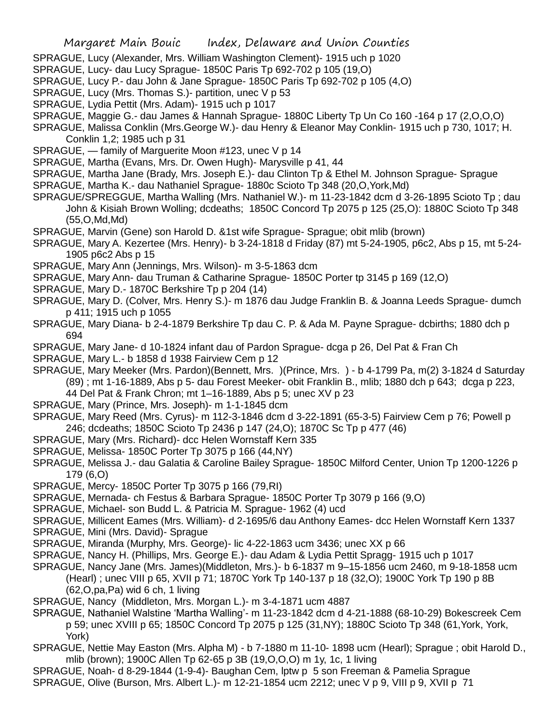- SPRAGUE, Lucy (Alexander, Mrs. William Washington Clement)- 1915 uch p 1020
- SPRAGUE, Lucy- dau Lucy Sprague- 1850C Paris Tp 692-702 p 105 (19,O)
- SPRAGUE, Lucy P.- dau John & Jane Sprague- 1850C Paris Tp 692-702 p 105 (4,O)
- SPRAGUE, Lucy (Mrs. Thomas S.)- partition, unec V p 53
- SPRAGUE, Lydia Pettit (Mrs. Adam)- 1915 uch p 1017
- SPRAGUE, Maggie G.- dau James & Hannah Sprague- 1880C Liberty Tp Un Co 160 -164 p 17 (2,O,O,O)
- SPRAGUE, Malissa Conklin (Mrs.George W.)- dau Henry & Eleanor May Conklin- 1915 uch p 730, 1017; H. Conklin 1,2; 1985 uch p 31
- SPRAGUE, family of Marguerite Moon #123, unec V p 14
- SPRAGUE, Martha (Evans, Mrs. Dr. Owen Hugh)- Marysville p 41, 44
- SPRAGUE, Martha Jane (Brady, Mrs. Joseph E.)- dau Clinton Tp & Ethel M. Johnson Sprague- Sprague SPRAGUE, Martha K.- dau Nathaniel Sprague- 1880c Scioto Tp 348 (20,O,York,Md)
- SPRAGUE/SPREGGUE, Martha Walling (Mrs. Nathaniel W.)- m 11-23-1842 dcm d 3-26-1895 Scioto Tp ; dau John & Kisiah Brown Wolling; dcdeaths; 1850C Concord Tp 2075 p 125 (25,O): 1880C Scioto Tp 348 (55,O,Md,Md)
- SPRAGUE, Marvin (Gene) son Harold D. &1st wife Sprague- Sprague; obit mlib (brown)
- SPRAGUE, Mary A. Kezertee (Mrs. Henry)- b 3-24-1818 d Friday (87) mt 5-24-1905, p6c2, Abs p 15, mt 5-24- 1905 p6c2 Abs p 15
- SPRAGUE, Mary Ann (Jennings, Mrs. Wilson)- m 3-5-1863 dcm
- SPRAGUE, Mary Ann- dau Truman & Catharine Sprague- 1850C Porter tp 3145 p 169 (12.0)
- SPRAGUE, Mary D.- 1870C Berkshire Tp p 204 (14)
- SPRAGUE, Mary D. (Colver, Mrs. Henry S.)- m 1876 dau Judge Franklin B. & Joanna Leeds Sprague- dumch p 411; 1915 uch p 1055
- SPRAGUE, Mary Diana- b 2-4-1879 Berkshire Tp dau C. P. & Ada M. Payne Sprague- dcbirths; 1880 dch p 694
- SPRAGUE, Mary Jane- d 10-1824 infant dau of Pardon Sprague- dcga p 26, Del Pat & Fran Ch
- SPRAGUE, Mary L.- b 1858 d 1938 Fairview Cem p 12
- SPRAGUE, Mary Meeker (Mrs. Pardon)(Bennett, Mrs. )(Prince, Mrs. ) b 4-1799 Pa, m(2) 3-1824 d Saturday (89) ; mt 1-16-1889, Abs p 5- dau Forest Meeker- obit Franklin B., mlib; 1880 dch p 643; dcga p 223, 44 Del Pat & Frank Chron; mt 1–16-1889, Abs p 5; unec XV p 23
- SPRAGUE, Mary (Prince, Mrs. Joseph)- m 1-1-1845 dcm
- SPRAGUE, Mary Reed (Mrs. Cyrus)- m 112-3-1846 dcm d 3-22-1891 (65-3-5) Fairview Cem p 76; Powell p 246; dcdeaths; 1850C Scioto Tp 2436 p 147 (24,O); 1870C Sc Tp p 477 (46)
- SPRAGUE, Mary (Mrs. Richard)- dcc Helen Wornstaff Kern 335
- SPRAGUE, Melissa- 1850C Porter Tp 3075 p 166 (44,NY)
- SPRAGUE, Melissa J.- dau Galatia & Caroline Bailey Sprague- 1850C Milford Center, Union Tp 1200-1226 p 179 (6,O)
- SPRAGUE, Mercy- 1850C Porter Tp 3075 p 166 (79,RI)
- SPRAGUE, Mernada- ch Festus & Barbara Sprague- 1850C Porter Tp 3079 p 166 (9,O)
- SPRAGUE, Michael- son Budd L. & Patricia M. Sprague- 1962 (4) ucd
- SPRAGUE, Millicent Eames (Mrs. William)- d 2-1695/6 dau Anthony Eames- dcc Helen Wornstaff Kern 1337
- SPRAGUE, Mini (Mrs. David)- Sprague
- SPRAGUE, Miranda (Murphy, Mrs. George)- lic 4-22-1863 ucm 3436; unec XX p 66
- SPRAGUE, Nancy H. (Phillips, Mrs. George E.)- dau Adam & Lydia Pettit Spragg- 1915 uch p 1017
- SPRAGUE, Nancy Jane (Mrs. James)(Middleton, Mrs.)- b 6-1837 m 9–15-1856 ucm 2460, m 9-18-1858 ucm
	- (Hearl) ; unec VIII p 65, XVII p 71; 1870C York Tp 140-137 p 18 (32,O); 1900C York Tp 190 p 8B (62,O,pa,Pa) wid 6 ch, 1 living
- SPRAGUE, Nancy (Middleton, Mrs. Morgan L.)- m 3-4-1871 ucm 4887
- SPRAGUE, Nathaniel Walstine 'Martha Walling'- m 11-23-1842 dcm d 4-21-1888 (68-10-29) Bokescreek Cem p 59; unec XVIII p 65; 1850C Concord Tp 2075 p 125 (31,NY); 1880C Scioto Tp 348 (61,York, York, York)
- SPRAGUE, Nettie May Easton (Mrs. Alpha M) b 7-1880 m 11-10- 1898 ucm (Hearl); Sprague ; obit Harold D., mlib (brown); 1900C Allen Tp 62-65 p 3B (19,O,O,O) m 1y, 1c, 1 living
- SPRAGUE, Noah- d 8-29-1844 (1-9-4)- Baughan Cem, lptw p 5 son Freeman & Pamelia Sprague SPRAGUE, Olive (Burson, Mrs. Albert L.)- m 12-21-1854 ucm 2212; unec V p 9, VIII p 9, XVII p 71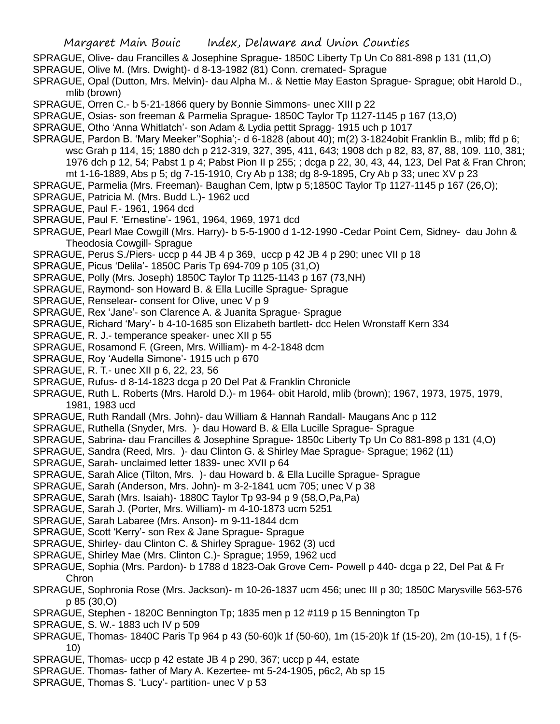- SPRAGUE, Olive- dau Francilles & Josephine Sprague- 1850C Liberty Tp Un Co 881-898 p 131 (11,O)
- SPRAGUE, Olive M. (Mrs. Dwight)- d 8-13-1982 (81) Conn. cremated- Sprague
- SPRAGUE, Opal (Dutton, Mrs. Melvin)- dau Alpha M.. & Nettie May Easton Sprague- Sprague; obit Harold D., mlib (brown)
- SPRAGUE, Orren C.- b 5-21-1866 query by Bonnie Simmons- unec XIII p 22
- SPRAGUE, Osias- son freeman & Parmelia Sprague- 1850C Taylor Tp 1127-1145 p 167 (13,O)
- SPRAGUE, Otho 'Anna Whitlatch'- son Adam & Lydia pettit Spragg- 1915 uch p 1017
- SPRAGUE, Pardon B. 'Mary Meeker''Sophia';- d 6-1828 (about 40); m(2) 3-1824obit Franklin B., mlib; ffd p 6; wsc Grah p 114, 15; 1880 dch p 212-319, 327, 395, 411, 643; 1908 dch p 82, 83, 87, 88, 109. 110, 381; 1976 dch p 12, 54; Pabst 1 p 4; Pabst Pion II p 255; ; dcga p 22, 30, 43, 44, 123, Del Pat & Fran Chron; mt 1-16-1889, Abs p 5; dg 7-15-1910, Cry Ab p 138; dg 8-9-1895, Cry Ab p 33; unec XV p 23
- SPRAGUE, Parmelia (Mrs. Freeman)- Baughan Cem, lptw p 5;1850C Taylor Tp 1127-1145 p 167 (26,O);
- SPRAGUE, Patricia M. (Mrs. Budd L.)- 1962 ucd
- SPRAGUE, Paul F.- 1961, 1964 dcd
- SPRAGUE, Paul F. 'Ernestine'- 1961, 1964, 1969, 1971 dcd
- SPRAGUE, Pearl Mae Cowgill (Mrs. Harry)- b 5-5-1900 d 1-12-1990 -Cedar Point Cem, Sidney- dau John & Theodosia Cowgill- Sprague
- SPRAGUE, Perus S./Piers- uccp p 44 JB 4 p 369, uccp p 42 JB 4 p 290; unec VII p 18
- SPRAGUE, Picus 'Delila'- 1850C Paris Tp 694-709 p 105 (31,O)
- SPRAGUE, Polly (Mrs. Joseph) 1850C Taylor Tp 1125-1143 p 167 (73,NH)
- SPRAGUE, Raymond- son Howard B. & Ella Lucille Sprague- Sprague
- SPRAGUE, Renselear- consent for Olive, unec V p 9
- SPRAGUE, Rex 'Jane'- son Clarence A. & Juanita Sprague- Sprague
- SPRAGUE, Richard 'Mary'- b 4-10-1685 son Elizabeth bartlett- dcc Helen Wronstaff Kern 334
- SPRAGUE, R. J.- temperance speaker- unec XII p 55
- SPRAGUE, Rosamond F. (Green, Mrs. William)- m 4-2-1848 dcm
- SPRAGUE, Roy 'Audella Simone'- 1915 uch p 670
- SPRAGUE, R. T.- unec XII p 6, 22, 23, 56
- SPRAGUE, Rufus- d 8-14-1823 dcga p 20 Del Pat & Franklin Chronicle
- SPRAGUE, Ruth L. Roberts (Mrs. Harold D.)- m 1964- obit Harold, mlib (brown); 1967, 1973, 1975, 1979, 1981, 1983 ucd
- SPRAGUE, Ruth Randall (Mrs. John)- dau William & Hannah Randall- Maugans Anc p 112
- SPRAGUE, Ruthella (Snyder, Mrs. )- dau Howard B. & Ella Lucille Sprague- Sprague
- SPRAGUE, Sabrina- dau Francilles & Josephine Sprague- 1850c Liberty Tp Un Co 881-898 p 131 (4,O)
- SPRAGUE, Sandra (Reed, Mrs. )- dau Clinton G. & Shirley Mae Sprague- Sprague; 1962 (11)
- SPRAGUE, Sarah- unclaimed letter 1839- unec XVII p 64
- SPRAGUE, Sarah Alice (Tilton, Mrs. )- dau Howard b. & Ella Lucille Sprague- Sprague
- SPRAGUE, Sarah (Anderson, Mrs. John)- m 3-2-1841 ucm 705; unec V p 38
- SPRAGUE, Sarah (Mrs. Isaiah)- 1880C Taylor Tp 93-94 p 9 (58,O,Pa,Pa)
- SPRAGUE, Sarah J. (Porter, Mrs. William)- m 4-10-1873 ucm 5251
- SPRAGUE, Sarah Labaree (Mrs. Anson)- m 9-11-1844 dcm
- SPRAGUE, Scott 'Kerry'- son Rex & Jane Sprague- Sprague
- SPRAGUE, Shirley- dau Clinton C. & Shirley Sprague- 1962 (3) ucd
- SPRAGUE, Shirley Mae (Mrs. Clinton C.)- Sprague; 1959, 1962 ucd
- SPRAGUE, Sophia (Mrs. Pardon)- b 1788 d 1823-Oak Grove Cem- Powell p 440- dcga p 22, Del Pat & Fr **Chron**
- SPRAGUE, Sophronia Rose (Mrs. Jackson)- m 10-26-1837 ucm 456; unec III p 30; 1850C Marysville 563-576 p 85 (30,O)
- SPRAGUE, Stephen 1820C Bennington Tp; 1835 men p 12 #119 p 15 Bennington Tp
- SPRAGUE, S. W.- 1883 uch IV p 509
- SPRAGUE, Thomas- 1840C Paris Tp 964 p 43 (50-60)k 1f (50-60), 1m (15-20)k 1f (15-20), 2m (10-15), 1 f (5- 10)
- SPRAGUE, Thomas- uccp p 42 estate JB 4 p 290, 367; uccp p 44, estate
- SPRAGUE. Thomas- father of Mary A. Kezertee- mt 5-24-1905, p6c2, Ab sp 15
- SPRAGUE, Thomas S. 'Lucy'- partition- unec V p 53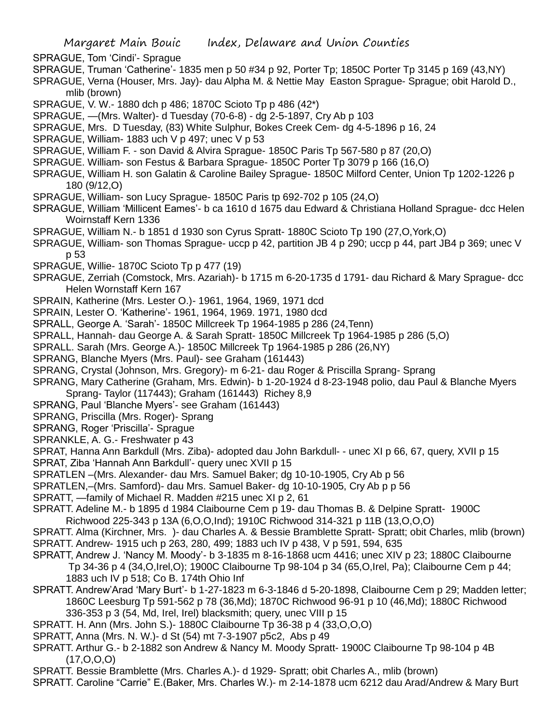SPRAGUE, Tom 'Cindi'- Sprague

- SPRAGUE, Truman 'Catherine'- 1835 men p 50 #34 p 92, Porter Tp; 1850C Porter Tp 3145 p 169 (43,NY)
- SPRAGUE, Verna (Houser, Mrs. Jay)- dau Alpha M. & Nettie May Easton Sprague- Sprague; obit Harold D., mlib (brown)
- SPRAGUE, V. W.- 1880 dch p 486; 1870C Scioto Tp p 486 (42\*)
- SPRAGUE, —(Mrs. Walter)- d Tuesday (70-6-8) dg 2-5-1897, Cry Ab p 103
- SPRAGUE, Mrs. D Tuesday, (83) White Sulphur, Bokes Creek Cem- dg 4-5-1896 p 16, 24
- SPRAGUE, William- 1883 uch V p 497; unec V p 53
- SPRAGUE, William F. son David & Alvira Sprague- 1850C Paris Tp 567-580 p 87 (20,O)
- SPRAGUE. William- son Festus & Barbara Sprague- 1850C Porter Tp 3079 p 166 (16,O)
- SPRAGUE, William H. son Galatin & Caroline Bailey Sprague- 1850C Milford Center, Union Tp 1202-1226 p 180 (9/12,O)
- SPRAGUE, William- son Lucy Sprague- 1850C Paris tp 692-702 p 105 (24,O)
- SPRAGUE, William 'Millicent Eames'- b ca 1610 d 1675 dau Edward & Christiana Holland Sprague- dcc Helen Woirnstaff Kern 1336
- SPRAGUE, William N.- b 1851 d 1930 son Cyrus Spratt- 1880C Scioto Tp 190 (27,O,York,O)
- SPRAGUE, William- son Thomas Sprague- uccp p 42, partition JB 4 p 290; uccp p 44, part JB4 p 369; unec V p 53
- SPRAGUE, Willie- 1870C Scioto Tp p 477 (19)
- SPRAGUE, Zerriah (Comstock, Mrs. Azariah)- b 1715 m 6-20-1735 d 1791- dau Richard & Mary Sprague- dcc Helen Wornstaff Kern 167
- SPRAIN, Katherine (Mrs. Lester O.)- 1961, 1964, 1969, 1971 dcd
- SPRAIN, Lester O. 'Katherine'- 1961, 1964, 1969. 1971, 1980 dcd
- SPRALL, George A. 'Sarah'- 1850C Millcreek Tp 1964-1985 p 286 (24,Tenn)
- SPRALL, Hannah- dau George A. & Sarah Spratt- 1850C Millcreek Tp 1964-1985 p 286 (5,O)
- SPRALL. Sarah (Mrs. George A.)- 1850C Millcreek Tp 1964-1985 p 286 (26,NY)
- SPRANG, Blanche Myers (Mrs. Paul)- see Graham (161443)
- SPRANG, Crystal (Johnson, Mrs. Gregory)- m 6-21- dau Roger & Priscilla Sprang- Sprang
- SPRANG, Mary Catherine (Graham, Mrs. Edwin)- b 1-20-1924 d 8-23-1948 polio, dau Paul & Blanche Myers Sprang- Taylor (117443); Graham (161443) Richey 8,9
- SPRANG, Paul 'Blanche Myers'- see Graham (161443)
- SPRANG, Priscilla (Mrs. Roger)- Sprang
- SPRANG, Roger 'Priscilla'- Sprague
- SPRANKLE, A. G.- Freshwater p 43
- SPRAT, Hanna Ann Barkdull (Mrs. Ziba)- adopted dau John Barkdull- unec XI p 66, 67, query, XVII p 15
- SPRAT, Ziba 'Hannah Ann Barkdull'- query unec XVII p 15
- SPRATLEN –(Mrs. Alexander- dau Mrs. Samuel Baker; dg 10-10-1905, Cry Ab p 56
- SPRATLEN,–(Mrs. Samford)- dau Mrs. Samuel Baker- dg 10-10-1905, Cry Ab p p 56
- SPRATT, —family of Michael R. Madden #215 unec XI p 2, 61
- SPRATT. Adeline M.- b 1895 d 1984 Claibourne Cem p 19- dau Thomas B. & Delpine Spratt- 1900C
- Richwood 225-343 p 13A (6,O,O,Ind); 1910C Richwood 314-321 p 11B (13,O,O,O)
- SPRATT. Alma (Kirchner, Mrs. )- dau Charles A. & Bessie Bramblette Spratt- Spratt; obit Charles, mlib (brown) SPRATT. Andrew- 1915 uch p 263, 280, 499; 1883 uch IV p 438, V p 591, 594, 635
- SPRATT, Andrew J. 'Nancy M. Moody'- b 3-1835 m 8-16-1868 ucm 4416; unec XIV p 23; 1880C Claibourne Tp 34-36 p 4 (34,O,Irel,O); 1900C Claibourne Tp 98-104 p 34 (65,O,Irel, Pa); Claibourne Cem p 44; 1883 uch IV p 518; Co B. 174th Ohio Inf
- SPRATT. Andrew'Arad 'Mary Burt'- b 1-27-1823 m 6-3-1846 d 5-20-1898, Claibourne Cem p 29; Madden letter; 1860C Leesburg Tp 591-562 p 78 (36,Md); 1870C Richwood 96-91 p 10 (46,Md); 1880C Richwood 336-353 p 3 (54, Md, Irel, Irel) blacksmith; query, unec VIII p 15
- SPRATT. H. Ann (Mrs. John S.)- 1880C Claibourne Tp 36-38 p 4 (33,O,O,O)
- SPRATT, Anna (Mrs. N. W.)- d St (54) mt 7-3-1907 p5c2, Abs p 49
- SPRATT. Arthur G.- b 2-1882 son Andrew & Nancy M. Moody Spratt- 1900C Claibourne Tp 98-104 p 4B (17,O,O,O)
- SPRATT. Bessie Bramblette (Mrs. Charles A.)- d 1929- Spratt; obit Charles A., mlib (brown)
- SPRATT. Caroline "Carrie" E.(Baker, Mrs. Charles W.)- m 2-14-1878 ucm 6212 dau Arad/Andrew & Mary Burt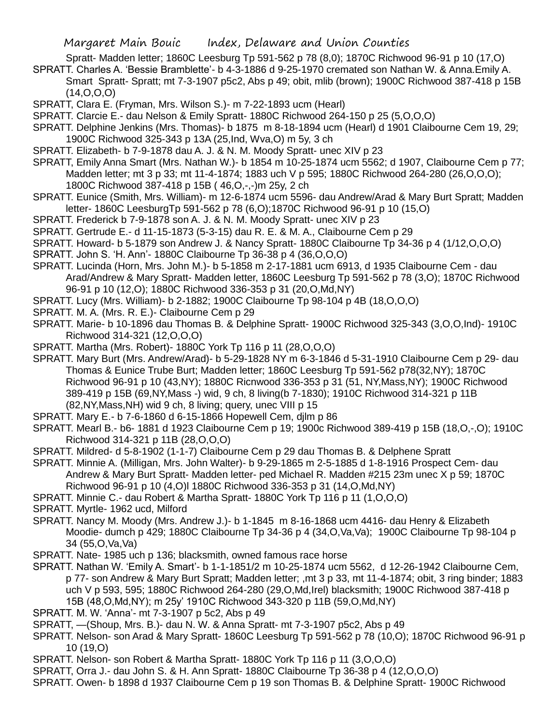- Spratt- Madden letter; 1860C Leesburg Tp 591-562 p 78 (8,0); 1870C Richwood 96-91 p 10 (17,O)
- SPRATT. Charles A. 'Bessie Bramblette'- b 4-3-1886 d 9-25-1970 cremated son Nathan W. & Anna.Emily A. Smart Spratt- Spratt; mt 7-3-1907 p5c2, Abs p 49; obit, mlib (brown); 1900C Richwood 387-418 p 15B  $(14, 0, 0, 0)$
- SPRATT, Clara E. (Fryman, Mrs. Wilson S.)- m 7-22-1893 ucm (Hearl)
- SPRATT. Clarcie E.- dau Nelson & Emily Spratt- 1880C Richwood 264-150 p 25 (5,O,O,O)
- SPRATT. Delphine Jenkins (Mrs. Thomas)- b 1875 m 8-18-1894 ucm (Hearl) d 1901 Claibourne Cem 19, 29; 1900C Richwood 325-343 p 13A (25,Ind, Wva,O) m 5y, 3 ch
- SPRATT. Elizabeth- b 7-9-1878 dau A. J. & N. M. Moody Spratt- unec XIV p 23

SPRATT, Emily Anna Smart (Mrs. Nathan W.)- b 1854 m 10-25-1874 ucm 5562; d 1907, Claibourne Cem p 77; Madden letter; mt 3 p 33; mt 11-4-1874; 1883 uch V p 595; 1880C Richwood 264-280 (26,O,O,O); 1800C Richwood 387-418 p 15B ( 46,O,-,-)m 25y, 2 ch

- SPRATT. Eunice (Smith, Mrs. William)- m 12-6-1874 ucm 5596- dau Andrew/Arad & Mary Burt Spratt; Madden letter- 1860C LeesburgTp 591-562 p 78 (6,O);1870C Richwood 96-91 p 10 (15,O)
- SPRATT. Frederick b 7-9-1878 son A. J. & N. M. Moody Spratt- unec XIV p 23
- SPRATT. Gertrude E.- d 11-15-1873 (5-3-15) dau R. E. & M. A., Claibourne Cem p 29
- SPRATT. Howard- b 5-1879 son Andrew J. & Nancy Spratt- 1880C Claibourne Tp 34-36 p 4 (1/12,O,O,O)
- SPRATT. John S. 'H. Ann'- 1880C Claibourne Tp 36-38 p 4 (36,O,O,O)
- SPRATT. Lucinda (Horn, Mrs. John M.)- b 5-1858 m 2-17-1881 ucm 6913, d 1935 Claibourne Cem dau Arad/Andrew & Mary Spratt- Madden letter, 1860C Leesburg Tp 591-562 p 78 (3,O); 1870C Richwood 96-91 p 10 (12,O); 1880C Richwood 336-353 p 31 (20,O,Md,NY)
- SPRATT. Lucy (Mrs. William)- b 2-1882; 1900C Claibourne Tp 98-104 p 4B (18,O,O,O)
- SPRATT. M. A. (Mrs. R. E.)- Claibourne Cem p 29
- SPRATT. Marie- b 10-1896 dau Thomas B. & Delphine Spratt- 1900C Richwood 325-343 (3,O,O,Ind)- 1910C Richwood 314-321 (12,O,O,O)
- SPRATT. Martha (Mrs. Robert)- 1880C York Tp 116 p 11 (28,O,O,O)
- SPRATT. Mary Burt (Mrs. Andrew/Arad)- b 5-29-1828 NY m 6-3-1846 d 5-31-1910 Claibourne Cem p 29- dau Thomas & Eunice Trube Burt; Madden letter; 1860C Leesburg Tp 591-562 p78(32,NY); 1870C Richwood 96-91 p 10 (43,NY); 1880C Ricnwood 336-353 p 31 (51, NY,Mass,NY); 1900C Richwood 389-419 p 15B (69,NY,Mass -) wid, 9 ch, 8 living(b 7-1830); 1910C Richwood 314-321 p 11B (82,NY,Mass,NH) wid 9 ch, 8 living; query, unec VIII p 15
- SPRATT. Mary E.- b 7-6-1860 d 6-15-1866 Hopewell Cem, djlm p 86
- SPRATT. Mearl B.- b6- 1881 d 1923 Claibourne Cem p 19; 1900c Richwood 389-419 p 15B (18,O,-,O); 1910C Richwood 314-321 p 11B (28,O,O,O)
- SPRATT. Mildred- d 5-8-1902 (1-1-7) Claibourne Cem p 29 dau Thomas B. & Delphene Spratt
- SPRATT. Minnie A. (Milligan, Mrs. John Walter)- b 9-29-1865 m 2-5-1885 d 1-8-1916 Prospect Cem- dau Andrew & Mary Burt Spratt- Madden letter- ped Michael R. Madden #215 23m unec X p 59; 1870C Richwood 96-91 p 10 (4,O)l 1880C Richwood 336-353 p 31 (14,O,Md,NY)
- SPRATT. Minnie C.- dau Robert & Martha Spratt- 1880C York Tp 116 p 11 (1,O,O,O)
- SPRATT. Myrtle- 1962 ucd, Milford
- SPRATT. Nancy M. Moody (Mrs. Andrew J.)- b 1-1845 m 8-16-1868 ucm 4416- dau Henry & Elizabeth Moodie- dumch p 429; 1880C Claibourne Tp 34-36 p 4 (34,O,Va,Va); 1900C Claibourne Tp 98-104 p 34 (55,O,Va,Va)
- SPRATT. Nate- 1985 uch p 136; blacksmith, owned famous race horse
- SPRATT. Nathan W. 'Emily A. Smart'- b 1-1-1851/2 m 10-25-1874 ucm 5562, d 12-26-1942 Claibourne Cem, p 77- son Andrew & Mary Burt Spratt; Madden letter; ,mt 3 p 33, mt 11-4-1874; obit, 3 ring binder; 1883 uch V p 593, 595; 1880C Richwood 264-280 (29,O,Md,Irel) blacksmith; 1900C Richwood 387-418 p 15B (48,O,Md,NY); m 25y' 1910C Richwood 343-320 p 11B (59,O,Md,NY)
- SPRATT. M. W. 'Anna'- mt 7-3-1907 p 5c2, Abs p 49
- SPRATT, —(Shoup, Mrs. B.)- dau N. W. & Anna Spratt- mt 7-3-1907 p5c2, Abs p 49
- SPRATT. Nelson- son Arad & Mary Spratt- 1860C Leesburg Tp 591-562 p 78 (10,O); 1870C Richwood 96-91 p 10 (19,O)
- SPRATT. Nelson- son Robert & Martha Spratt- 1880C York Tp 116 p 11 (3,O,O,O)
- SPRATT, Orra J.- dau John S. & H. Ann Spratt- 1880C Claibourne Tp 36-38 p 4 (12,O,O,O)
- SPRATT. Owen- b 1898 d 1937 Claibourne Cem p 19 son Thomas B. & Delphine Spratt- 1900C Richwood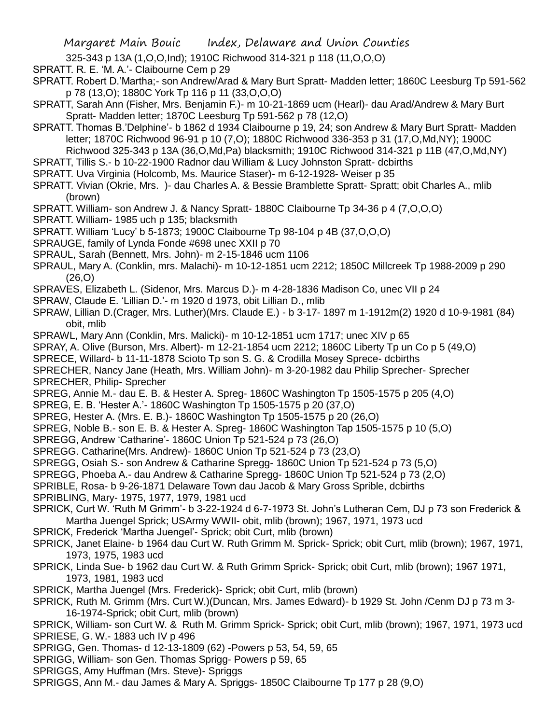325-343 p 13A (1,O,O,Ind); 1910C Richwood 314-321 p 118 (11,O,O,O)

- SPRATT. R. E. 'M. A.'- Claibourne Cem p 29
- SPRATT. Robert D.'Martha;- son Andrew/Arad & Mary Burt Spratt- Madden letter; 1860C Leesburg Tp 591-562 p 78 (13,O); 1880C York Tp 116 p 11 (33,O,O,O)
- SPRATT, Sarah Ann (Fisher, Mrs. Benjamin F.)- m 10-21-1869 ucm (Hearl)- dau Arad/Andrew & Mary Burt Spratt- Madden letter; 1870C Leesburg Tp 591-562 p 78 (12,O)
- SPRATT. Thomas B.'Delphine'- b 1862 d 1934 Claibourne p 19, 24; son Andrew & Mary Burt Spratt- Madden letter; 1870C Richwood 96-91 p 10 (7,O); 1880C Richwood 336-353 p 31 (17,O,Md,NY); 1900C Richwood 325-343 p 13A (36,O,Md,Pa) blacksmith; 1910C Richwood 314-321 p 11B (47,O,Md,NY)
- SPRATT, Tillis S.- b 10-22-1900 Radnor dau William & Lucy Johnston Spratt- dcbirths
- SPRATT. Uva Virginia (Holcomb, Ms. Maurice Staser)- m 6-12-1928- Weiser p 35
- SPRATT. Vivian (Okrie, Mrs. )- dau Charles A. & Bessie Bramblette Spratt- Spratt; obit Charles A., mlib (brown)
- SPRATT. William- son Andrew J. & Nancy Spratt- 1880C Claibourne Tp 34-36 p 4 (7,O,O,O)
- SPRATT. William- 1985 uch p 135; blacksmith
- SPRATT. William 'Lucy' b 5-1873; 1900C Claibourne Tp 98-104 p 4B (37,O,O,O)
- SPRAUGE, family of Lynda Fonde #698 unec XXII p 70
- SPRAUL, Sarah (Bennett, Mrs. John)- m 2-15-1846 ucm 1106
- SPRAUL, Mary A. (Conklin, mrs. Malachi)- m 10-12-1851 ucm 2212; 1850C Millcreek Tp 1988-2009 p 290  $(26.0)$
- SPRAVES, Elizabeth L. (Sidenor, Mrs. Marcus D.)- m 4-28-1836 Madison Co, unec VII p 24
- SPRAW, Claude E. 'Lillian D.'- m 1920 d 1973, obit Lillian D., mlib
- SPRAW, Lillian D.(Crager, Mrs. Luther)(Mrs. Claude E.) b 3-17- 1897 m 1-1912m(2) 1920 d 10-9-1981 (84) obit, mlib
- SPRAWL, Mary Ann (Conklin, Mrs. Malicki)- m 10-12-1851 ucm 1717; unec XIV p 65
- SPRAY, A. Olive (Burson, Mrs. Albert)- m 12-21-1854 ucm 2212; 1860C Liberty Tp un Co p 5 (49,O)
- SPRECE, Willard- b 11-11-1878 Scioto Tp son S. G. & Crodilla Mosey Sprece- dcbirths
- SPRECHER, Nancy Jane (Heath, Mrs. William John)- m 3-20-1982 dau Philip Sprecher- Sprecher SPRECHER, Philip- Sprecher
- SPREG, Annie M.- dau E. B. & Hester A. Spreg- 1860C Washington Tp 1505-1575 p 205 (4,O)
- SPREG, E. B. 'Hester A.'- 1860C Washington Tp 1505-1575 p 20 (37,O)
- SPREG, Hester A. (Mrs. E. B.)- 1860C Washington Tp 1505-1575 p 20 (26,O)
- SPREG, Noble B.- son E. B. & Hester A. Spreg- 1860C Washington Tap 1505-1575 p 10 (5,O)
- SPREGG, Andrew 'Catharine'- 1860C Union Tp 521-524 p 73 (26,O)
- SPREGG. Catharine(Mrs. Andrew)- 1860C Union Tp 521-524 p 73 (23,O)
- SPREGG, Osiah S.- son Andrew & Catharine Spregg- 1860C Union Tp 521-524 p 73 (5,O)
- SPREGG, Phoeba A.- dau Andrew & Catharine Spregg- 1860C Union Tp 521-524 p 73 (2,O)
- SPRIBLE, Rosa- b 9-26-1871 Delaware Town dau Jacob & Mary Gross Sprible, dcbirths
- SPRIBLING, Mary- 1975, 1977, 1979, 1981 ucd
- SPRICK, Curt W. 'Ruth M Grimm'- b 3-22-1924 d 6-7-1973 St. John's Lutheran Cem, DJ p 73 son Frederick & Martha Juengel Sprick; USArmy WWII- obit, mlib (brown); 1967, 1971, 1973 ucd
- SPRICK, Frederick 'Martha Juengel'- Sprick; obit Curt, mlib (brown)
- SPRICK, Janet Elaine- b 1964 dau Curt W. Ruth Grimm M. Sprick- Sprick; obit Curt, mlib (brown); 1967, 1971, 1973, 1975, 1983 ucd
- SPRICK, Linda Sue- b 1962 dau Curt W. & Ruth Grimm Sprick- Sprick; obit Curt, mlib (brown); 1967 1971, 1973, 1981, 1983 ucd
- SPRICK, Martha Juengel (Mrs. Frederick)- Sprick; obit Curt, mlib (brown)
- SPRICK, Ruth M. Grimm (Mrs. Curt W.)(Duncan, Mrs. James Edward)- b 1929 St. John /Cenm DJ p 73 m 3- 16-1974-Sprick; obit Curt, mlib (brown)
- SPRICK, William- son Curt W. & Ruth M. Grimm Sprick- Sprick; obit Curt, mlib (brown); 1967, 1971, 1973 ucd SPRIESE, G. W.- 1883 uch IV p 496
- SPRIGG, Gen. Thomas- d 12-13-1809 (62) -Powers p 53, 54, 59, 65
- SPRIGG, William- son Gen. Thomas Sprigg- Powers p 59, 65
- SPRIGGS, Amy Huffman (Mrs. Steve)- Spriggs
- SPRIGGS, Ann M.- dau James & Mary A. Spriggs- 1850C Claibourne Tp 177 p 28 (9,O)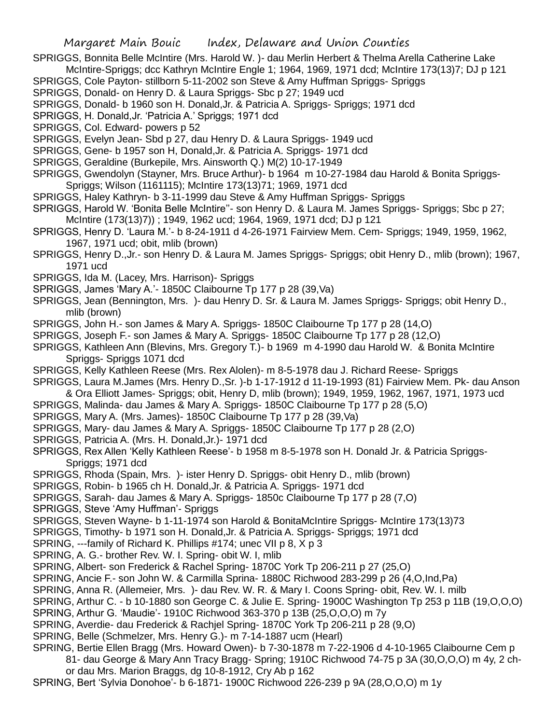SPRIGGS, Bonnita Belle McIntire (Mrs. Harold W. )- dau Merlin Herbert & Thelma Arella Catherine Lake McIntire-Spriggs; dcc Kathryn McIntire Engle 1; 1964, 1969, 1971 dcd; McIntire 173(13)7; DJ p 121

SPRIGGS, Cole Payton- stillborn 5-11-2002 son Steve & Amy Huffman Spriggs- Spriggs

SPRIGGS, Donald- on Henry D. & Laura Spriggs- Sbc p 27; 1949 ucd

SPRIGGS, Donald- b 1960 son H. Donald,Jr. & Patricia A. Spriggs- Spriggs; 1971 dcd

SPRIGGS, H. Donald,Jr. 'Patricia A.' Spriggs; 1971 dcd

SPRIGGS, Col. Edward- powers p 52

SPRIGGS, Evelyn Jean- Sbd p 27, dau Henry D. & Laura Spriggs- 1949 ucd

SPRIGGS, Gene- b 1957 son H, Donald,Jr. & Patricia A. Spriggs- 1971 dcd

SPRIGGS, Geraldine (Burkepile, Mrs. Ainsworth Q.) M(2) 10-17-1949

SPRIGGS, Gwendolyn (Stayner, Mrs. Bruce Arthur)- b 1964 m 10-27-1984 dau Harold & Bonita Spriggs-Spriggs; Wilson (1161115); McIntire 173(13)71; 1969, 1971 dcd

SPRIGGS, Haley Kathryn- b 3-11-1999 dau Steve & Amy Huffman Spriggs- Spriggs

SPRIGGS, Harold W. 'Bonita Belle McIntire''- son Henry D. & Laura M. James Spriggs- Spriggs; Sbc p 27; McIntire (173(13)7)) ; 1949, 1962 ucd; 1964, 1969, 1971 dcd; DJ p 121

SPRIGGS, Henry D. 'Laura M.'- b 8-24-1911 d 4-26-1971 Fairview Mem. Cem- Spriggs; 1949, 1959, 1962, 1967, 1971 ucd; obit, mlib (brown)

SPRIGGS, Henry D.,Jr.- son Henry D. & Laura M. James Spriggs- Spriggs; obit Henry D., mlib (brown); 1967, 1971 ucd

SPRIGGS, Ida M. (Lacey, Mrs. Harrison)- Spriggs

SPRIGGS, James 'Mary A.'- 1850C Claibourne Tp 177 p 28 (39,Va)

SPRIGGS, Jean (Bennington, Mrs. )- dau Henry D. Sr. & Laura M. James Spriggs- Spriggs; obit Henry D., mlib (brown)

SPRIGGS, John H.- son James & Mary A. Spriggs- 1850C Claibourne Tp 177 p 28 (14,O)

SPRIGGS, Joseph F.- son James & Mary A. Spriggs- 1850C Claibourne Tp 177 p 28 (12,O)

SPRIGGS, Kathleen Ann (Blevins, Mrs. Gregory T.)- b 1969 m 4-1990 dau Harold W. & Bonita McIntire Spriggs- Spriggs 1071 dcd

SPRIGGS, Kelly Kathleen Reese (Mrs. Rex Alolen)- m 8-5-1978 dau J. Richard Reese- Spriggs

SPRIGGS, Laura M.James (Mrs. Henry D.,Sr. )-b 1-17-1912 d 11-19-1993 (81) Fairview Mem. Pk- dau Anson & Ora Elliott James- Spriggs; obit, Henry D, mlib (brown); 1949, 1959, 1962, 1967, 1971, 1973 ucd

SPRIGGS, Malinda- dau James & Mary A. Spriggs- 1850C Claibourne Tp 177 p 28 (5,O)

SPRIGGS, Mary A. (Mrs. James)- 1850C Claibourne Tp 177 p 28 (39,Va)

SPRIGGS, Mary- dau James & Mary A. Spriggs- 1850C Claibourne Tp 177 p 28 (2,O)

SPRIGGS, Patricia A. (Mrs. H. Donald,Jr.)- 1971 dcd

SPRIGGS, Rex Allen 'Kelly Kathleen Reese'- b 1958 m 8-5-1978 son H. Donald Jr. & Patricia Spriggs-Spriggs; 1971 dcd

SPRIGGS, Rhoda (Spain, Mrs. )- ister Henry D. Spriggs- obit Henry D., mlib (brown)

SPRIGGS, Robin- b 1965 ch H. Donald,Jr. & Patricia A. Spriggs- 1971 dcd

SPRIGGS, Sarah- dau James & Mary A. Spriggs- 1850c Claibourne Tp 177 p 28 (7,O)

SPRIGGS, Steve 'Amy Huffman'- Spriggs

SPRIGGS, Steven Wayne- b 1-11-1974 son Harold & BonitaMcIntire Spriggs- McIntire 173(13)73

SPRIGGS, Timothy- b 1971 son H. Donald,Jr. & Patricia A. Spriggs- Spriggs; 1971 dcd

SPRING, ---family of Richard K. Phillips #174; unec VII p 8, X p 3

SPRING, A. G.- brother Rev. W. I. Spring- obit W. I, mlib

SPRING, Albert- son Frederick & Rachel Spring- 1870C York Tp 206-211 p 27 (25,O)

SPRING, Ancie F.- son John W. & Carmilla Sprina- 1880C Richwood 283-299 p 26 (4,O,Ind,Pa)

SPRING, Anna R. (Allemeier, Mrs. )- dau Rev. W. R. & Mary I. Coons Spring- obit, Rev. W. I. milb

SPRING, Arthur C. - b 10-1880 son George C. & Julie E. Spring- 1900C Washington Tp 253 p 11B (19,O,O,O)

SPRING, Arthur G. 'Maudie'- 1910C Richwood 363-370 p 13B (25,O,O,O) m 7y

SPRING, Averdie- dau Frederick & Rachjel Spring- 1870C York Tp 206-211 p 28 (9,O)

SPRING, Belle (Schmelzer, Mrs. Henry G.)- m 7-14-1887 ucm (Hearl)

SPRING, Bertie Ellen Bragg (Mrs. Howard Owen)- b 7-30-1878 m 7-22-1906 d 4-10-1965 Claibourne Cem p

81- dau George & Mary Ann Tracy Bragg- Spring; 1910C Richwood 74-75 p 3A (30,O,O,O) m 4y, 2 chor dau Mrs. Marion Braggs, dg 10-8-1912, Cry Ab p 162

SPRING, Bert 'Sylvia Donohoe'- b 6-1871- 1900C Richwood 226-239 p 9A (28,O,O,O) m 1y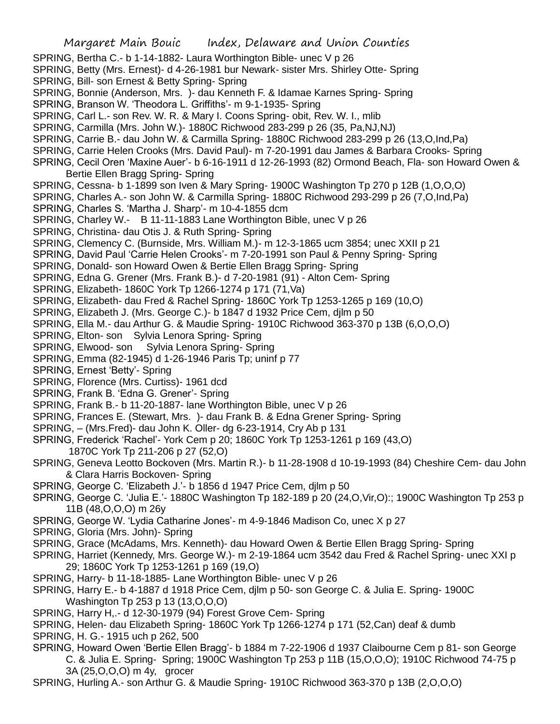- SPRING, Bertha C.- b 1-14-1882- Laura Worthington Bible- unec V p 26
- SPRING, Betty (Mrs. Ernest)- d 4-26-1981 bur Newark- sister Mrs. Shirley Otte- Spring
- SPRING, Bill- son Ernest & Betty Spring- Spring
- SPRING, Bonnie (Anderson, Mrs. )- dau Kenneth F. & Idamae Karnes Spring- Spring
- SPRING, Branson W. 'Theodora L. Griffiths'- m 9-1-1935- Spring
- SPRING, Carl L.- son Rev. W. R. & Mary I. Coons Spring- obit, Rev. W. I., mlib
- SPRING, Carmilla (Mrs. John W.)- 1880C Richwood 283-299 p 26 (35, Pa,NJ,NJ)
- SPRING, Carrie B.- dau John W. & Carmilla Spring- 1880C Richwood 283-299 p 26 (13,O,Ind,Pa)
- SPRING, Carrie Helen Crooks (Mrs. David Paul)- m 7-20-1991 dau James & Barbara Crooks- Spring
- SPRING, Cecil Oren 'Maxine Auer'- b 6-16-1911 d 12-26-1993 (82) Ormond Beach, Fla- son Howard Owen & Bertie Ellen Bragg Spring- Spring
- SPRING, Cessna- b 1-1899 son Iven & Mary Spring- 1900C Washington Tp 270 p 12B (1,O,O,O)
- SPRING, Charles A.- son John W. & Carmilla Spring- 1880C Richwood 293-299 p 26 (7,O,Ind,Pa)
- SPRING, Charles S. 'Martha J. Sharp'- m 10-4-1855 dcm
- SPRING, Charley W.- B 11-11-1883 Lane Worthington Bible, unec V p 26
- SPRING, Christina- dau Otis J. & Ruth Spring- Spring
- SPRING, Clemency C. (Burnside, Mrs. William M.)- m 12-3-1865 ucm 3854; unec XXII p 21
- SPRING, David Paul 'Carrie Helen Crooks'- m 7-20-1991 son Paul & Penny Spring- Spring
- SPRING, Donald- son Howard Owen & Bertie Ellen Bragg Spring- Spring
- SPRING, Edna G. Grener (Mrs. Frank B.)- d 7-20-1981 (91) Alton Cem- Spring
- SPRING, Elizabeth- 1860C York Tp 1266-1274 p 171 (71,Va)
- SPRING, Elizabeth- dau Fred & Rachel Spring- 1860C York Tp 1253-1265 p 169 (10,O)
- SPRING, Elizabeth J. (Mrs. George C.)- b 1847 d 1932 Price Cem, djlm p 50
- SPRING, Ella M.- dau Arthur G. & Maudie Spring- 1910C Richwood 363-370 p 13B (6,O,O,O)
- SPRING, Elton- son Sylvia Lenora Spring- Spring
- SPRING, Elwood- son Sylvia Lenora Spring- Spring
- SPRING, Emma (82-1945) d 1-26-1946 Paris Tp; uninf p 77
- SPRING, Ernest 'Betty'- Spring
- SPRING, Florence (Mrs. Curtiss)- 1961 dcd
- SPRING, Frank B. 'Edna G. Grener'- Spring
- SPRING, Frank B.- b 11-20-1887- lane Worthington Bible, unec V p 26
- SPRING, Frances E. (Stewart, Mrs. )- dau Frank B. & Edna Grener Spring- Spring
- SPRING, (Mrs.Fred)- dau John K. Oller- dg 6-23-1914, Cry Ab p 131
- SPRING, Frederick 'Rachel'- York Cem p 20; 1860C York Tp 1253-1261 p 169 (43,O) 1870C York Tp 211-206 p 27 (52,O)
- SPRING, Geneva Leotto Bockoven (Mrs. Martin R.)- b 11-28-1908 d 10-19-1993 (84) Cheshire Cem- dau John & Clara Harris Bockoven- Spring
- SPRING, George C. 'Elizabeth J.'- b 1856 d 1947 Price Cem, djlm p 50
- SPRING, George C. 'Julia E.'- 1880C Washington Tp 182-189 p 20 (24,O,Vir,O):; 1900C Washington Tp 253 p 11B (48,O,O,O) m 26y
- SPRING, George W. 'Lydia Catharine Jones'- m 4-9-1846 Madison Co, unec X p 27
- SPRING, Gloria (Mrs. John)- Spring
- SPRING, Grace (McAdams, Mrs. Kenneth)- dau Howard Owen & Bertie Ellen Bragg Spring- Spring
- SPRING, Harriet (Kennedy, Mrs. George W.)- m 2-19-1864 ucm 3542 dau Fred & Rachel Spring- unec XXI p 29; 1860C York Tp 1253-1261 p 169 (19,O)
- SPRING, Harry- b 11-18-1885- Lane Worthington Bible- unec V p 26
- SPRING, Harry E.- b 4-1887 d 1918 Price Cem, djlm p 50- son George C. & Julia E. Spring- 1900C Washington Tp 253 p 13 (13,O,O,O)
- SPRING, Harry H,.- d 12-30-1979 (94) Forest Grove Cem- Spring
- SPRING, Helen- dau Elizabeth Spring- 1860C York Tp 1266-1274 p 171 (52,Can) deaf & dumb
- SPRING, H. G.- 1915 uch p 262, 500
- SPRING, Howard Owen 'Bertie Ellen Bragg'- b 1884 m 7-22-1906 d 1937 Claibourne Cem p 81- son George C. & Julia E. Spring- Spring; 1900C Washington Tp 253 p 11B (15,O,O,O); 1910C Richwood 74-75 p 3A (25,O,O,O) m 4y, grocer
- SPRING, Hurling A.- son Arthur G. & Maudie Spring- 1910C Richwood 363-370 p 13B (2,O,O,O)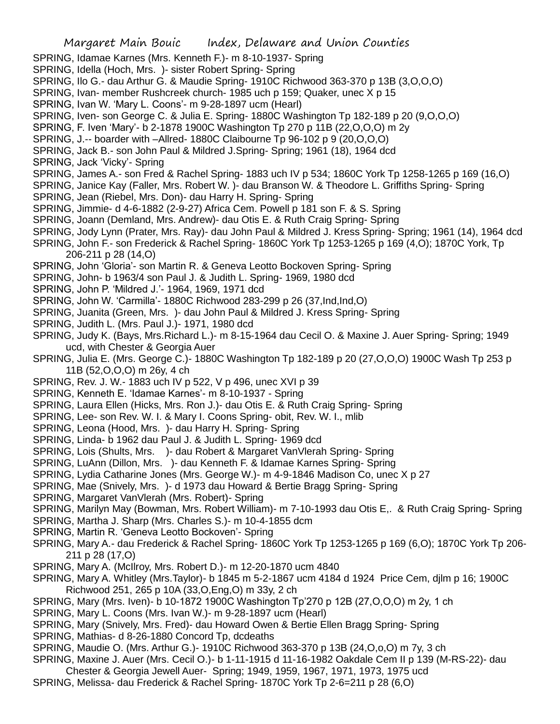- SPRING, Idamae Karnes (Mrs. Kenneth F.)- m 8-10-1937- Spring
- SPRING, Idella (Hoch, Mrs. )- sister Robert Spring- Spring
- SPRING, Ilo G.- dau Arthur G. & Maudie Spring- 1910C Richwood 363-370 p 13B (3,O,O,O)
- SPRING, Ivan- member Rushcreek church- 1985 uch p 159; Quaker, unec X p 15
- SPRING, Ivan W. 'Mary L. Coons'- m 9-28-1897 ucm (Hearl)
- SPRING, Iven- son George C. & Julia E. Spring- 1880C Washington Tp 182-189 p 20 (9,O,O,O)
- SPRING, F. Iven 'Mary'- b 2-1878 1900C Washington Tp 270 p 11B (22,O,O,O) m 2y
- SPRING, J.-- boarder with –Allred- 1880C Claibourne Tp 96-102 p 9 (20,O,O,O)
- SPRING, Jack B.- son John Paul & Mildred J.Spring- Spring; 1961 (18), 1964 dcd
- SPRING, Jack 'Vicky'- Spring
- SPRING, James A.- son Fred & Rachel Spring- 1883 uch IV p 534; 1860C York Tp 1258-1265 p 169 (16,O)
- SPRING, Janice Kay (Faller, Mrs. Robert W. )- dau Branson W. & Theodore L. Griffiths Spring- Spring
- SPRING, Jean (Riebel, Mrs. Don)- dau Harry H. Spring- Spring
- SPRING, Jimmie- d 4-6-1882 (2-9-27) Africa Cem. Powell p 181 son F. & S. Spring
- SPRING, Joann (Demland, Mrs. Andrew)- dau Otis E. & Ruth Craig Spring- Spring
- SPRING, Jody Lynn (Prater, Mrs. Ray)- dau John Paul & Mildred J. Kress Spring- Spring; 1961 (14), 1964 dcd
- SPRING, John F.- son Frederick & Rachel Spring- 1860C York Tp 1253-1265 p 169 (4,O); 1870C York, Tp 206-211 p 28 (14,O)
- SPRING, John 'Gloria'- son Martin R. & Geneva Leotto Bockoven Spring- Spring
- SPRING, John- b 1963/4 son Paul J. & Judith L. Spring- 1969, 1980 dcd
- SPRING, John P. 'Mildred J.'- 1964, 1969, 1971 dcd
- SPRING, John W. 'Carmilla'- 1880C Richwood 283-299 p 26 (37,Ind,Ind,O)
- SPRING, Juanita (Green, Mrs. )- dau John Paul & Mildred J. Kress Spring- Spring
- SPRING, Judith L. (Mrs. Paul J.)- 1971, 1980 dcd
- SPRING, Judy K. (Bays, Mrs.Richard L.)- m 8-15-1964 dau Cecil O. & Maxine J. Auer Spring- Spring; 1949 ucd, with Chester & Georgia Auer
- SPRING, Julia E. (Mrs. George C.)- 1880C Washington Tp 182-189 p 20 (27,O,O,O) 1900C Wash Tp 253 p 11B (52,O,O,O) m 26y, 4 ch
- SPRING, Rev. J. W.- 1883 uch IV p 522, V p 496, unec XVI p 39
- SPRING, Kenneth E. 'Idamae Karnes'- m 8-10-1937 Spring
- SPRING, Laura Ellen (Hicks, Mrs. Ron J.)- dau Otis E. & Ruth Craig Spring- Spring
- SPRING, Lee- son Rev. W. I. & Mary I. Coons Spring- obit, Rev. W. I., mlib
- SPRING, Leona (Hood, Mrs. )- dau Harry H. Spring- Spring
- SPRING, Linda- b 1962 dau Paul J. & Judith L. Spring- 1969 dcd
- SPRING, Lois (Shults, Mrs. )- dau Robert & Margaret VanVlerah Spring- Spring
- SPRING, LuAnn (Dillon, Mrs. )- dau Kenneth F. & Idamae Karnes Spring- Spring
- SPRING, Lydia Catharine Jones (Mrs. George W.)- m 4-9-1846 Madison Co, unec X p 27
- SPRING, Mae (Snively, Mrs. )- d 1973 dau Howard & Bertie Bragg Spring- Spring
- SPRING, Margaret VanVlerah (Mrs. Robert)- Spring
- SPRING, Marilyn May (Bowman, Mrs. Robert William)- m 7-10-1993 dau Otis E,. & Ruth Craig Spring- Spring
- SPRING, Martha J. Sharp (Mrs. Charles S.)- m 10-4-1855 dcm
- SPRING, Martin R. 'Geneva Leotto Bockoven'- Spring
- SPRING, Mary A.- dau Frederick & Rachel Spring- 1860C York Tp 1253-1265 p 169 (6,O); 1870C York Tp 206- 211 p 28 (17,O)
- SPRING, Mary A. (McIlroy, Mrs. Robert D.)- m 12-20-1870 ucm 4840
- SPRING, Mary A. Whitley (Mrs.Taylor)- b 1845 m 5-2-1867 ucm 4184 d 1924 Price Cem, djlm p 16; 1900C Richwood 251, 265 p 10A (33,O,Eng,O) m 33y, 2 ch
- SPRING, Mary (Mrs. Iven)- b 10-1872 1900C Washington Tp'270 p 12B (27,O,O,O) m 2y, 1 ch
- SPRING, Mary L. Coons (Mrs. Ivan W.)- m 9-28-1897 ucm (Hearl)
- SPRING, Mary (Snively, Mrs. Fred)- dau Howard Owen & Bertie Ellen Bragg Spring- Spring
- SPRING, Mathias- d 8-26-1880 Concord Tp, dcdeaths
- SPRING, Maudie O. (Mrs. Arthur G.)- 1910C Richwood 363-370 p 13B (24,O,o,O) m 7y, 3 ch
- SPRING, Maxine J. Auer (Mrs. Cecil O.)- b 1-11-1915 d 11-16-1982 Oakdale Cem II p 139 (M-RS-22)- dau
- Chester & Georgia Jewell Auer- Spring; 1949, 1959, 1967, 1971, 1973, 1975 ucd
- SPRING, Melissa- dau Frederick & Rachel Spring- 1870C York Tp 2-6=211 p 28 (6,O)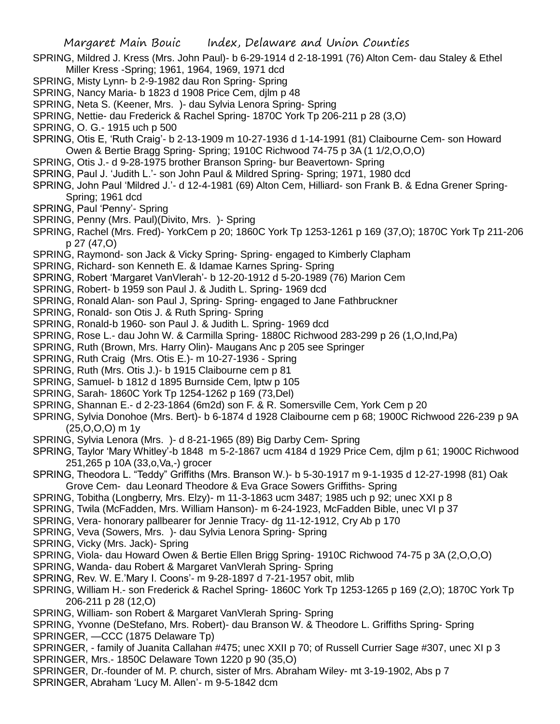- SPRING, Mildred J. Kress (Mrs. John Paul)- b 6-29-1914 d 2-18-1991 (76) Alton Cem- dau Staley & Ethel Miller Kress -Spring; 1961, 1964, 1969, 1971 dcd
- SPRING, Misty Lynn- b 2-9-1982 dau Ron Spring- Spring
- SPRING, Nancy Maria- b 1823 d 1908 Price Cem, djlm p 48
- SPRING, Neta S. (Keener, Mrs. )- dau Sylvia Lenora Spring- Spring
- SPRING, Nettie- dau Frederick & Rachel Spring- 1870C York Tp 206-211 p 28 (3,O)
- SPRING, O. G.- 1915 uch p 500
- SPRING, Otis E, 'Ruth Craig'- b 2-13-1909 m 10-27-1936 d 1-14-1991 (81) Claibourne Cem- son Howard Owen & Bertie Bragg Spring- Spring; 1910C Richwood 74-75 p 3A (1 1/2,O,O,O)
- SPRING, Otis J.- d 9-28-1975 brother Branson Spring- bur Beavertown- Spring
- SPRING, Paul J. 'Judith L.'- son John Paul & Mildred Spring- Spring; 1971, 1980 dcd
- SPRING, John Paul 'Mildred J.'- d 12-4-1981 (69) Alton Cem, Hilliard- son Frank B. & Edna Grener Spring-Spring; 1961 dcd
- SPRING, Paul 'Penny'- Spring
- SPRING, Penny (Mrs. Paul)(Divito, Mrs. )- Spring
- SPRING, Rachel (Mrs. Fred)- YorkCem p 20; 1860C York Tp 1253-1261 p 169 (37,O); 1870C York Tp 211-206 p 27 (47,O)
- SPRING, Raymond- son Jack & Vicky Spring- Spring- engaged to Kimberly Clapham
- SPRING, Richard- son Kenneth E. & Idamae Karnes Spring- Spring
- SPRING, Robert 'Margaret VanVlerah'- b 12-20-1912 d 5-20-1989 (76) Marion Cem
- SPRING, Robert- b 1959 son Paul J. & Judith L. Spring- 1969 dcd
- SPRING, Ronald Alan- son Paul J, Spring- Spring- engaged to Jane Fathbruckner
- SPRING, Ronald- son Otis J. & Ruth Spring- Spring
- SPRING, Ronald-b 1960- son Paul J. & Judith L. Spring- 1969 dcd
- SPRING, Rose L.- dau John W. & Carmilla Spring- 1880C Richwood 283-299 p 26 (1,O,Ind,Pa)
- SPRING, Ruth (Brown, Mrs. Harry Olin)- Maugans Anc p 205 see Springer
- SPRING, Ruth Craig (Mrs. Otis E.)- m 10-27-1936 Spring
- SPRING, Ruth (Mrs. Otis J.)- b 1915 Claibourne cem p 81
- SPRING, Samuel- b 1812 d 1895 Burnside Cem, lptw p 105
- SPRING, Sarah- 1860C York Tp 1254-1262 p 169 (73,Del)
- SPRING, Shannan E.- d 2-23-1864 (6m2d) son F. & R. Somersville Cem, York Cem p 20
- SPRING, Sylvia Donohoe (Mrs. Bert)- b 6-1874 d 1928 Claibourne cem p 68; 1900C Richwood 226-239 p 9A (25,O,O,O) m 1y
- SPRING, Sylvia Lenora (Mrs. )- d 8-21-1965 (89) Big Darby Cem- Spring
- SPRING, Taylor 'Mary Whitley'-b 1848 m 5-2-1867 ucm 4184 d 1929 Price Cem, djlm p 61; 1900C Richwood 251,265 p 10A (33,o,Va,-) grocer
- SPRING, Theodora L. "Teddy" Griffiths (Mrs. Branson W.)- b 5-30-1917 m 9-1-1935 d 12-27-1998 (81) Oak Grove Cem- dau Leonard Theodore & Eva Grace Sowers Griffiths- Spring
- SPRING, Tobitha (Longberry, Mrs. Elzy)- m 11-3-1863 ucm 3487; 1985 uch p 92; unec XXI p 8
- SPRING, Twila (McFadden, Mrs. William Hanson)- m 6-24-1923, McFadden Bible, unec VI p 37
- SPRING, Vera- honorary pallbearer for Jennie Tracy- dg 11-12-1912, Cry Ab p 170
- SPRING, Veva (Sowers, Mrs. )- dau Sylvia Lenora Spring- Spring
- SPRING, Vicky (Mrs. Jack)- Spring
- SPRING, Viola- dau Howard Owen & Bertie Ellen Brigg Spring- 1910C Richwood 74-75 p 3A (2,O,O,O)
- SPRING, Wanda- dau Robert & Margaret VanVlerah Spring- Spring
- SPRING, Rev. W. E.'Mary I. Coons'- m 9-28-1897 d 7-21-1957 obit, mlib
- SPRING, William H.- son Frederick & Rachel Spring- 1860C York Tp 1253-1265 p 169 (2,O); 1870C York Tp 206-211 p 28 (12,O)
- SPRING, William- son Robert & Margaret VanVlerah Spring- Spring
- SPRING, Yvonne (DeStefano, Mrs. Robert)- dau Branson W. & Theodore L. Griffiths Spring- Spring SPRINGER, —CCC (1875 Delaware Tp)
- SPRINGER, family of Juanita Callahan #475; unec XXII p 70; of Russell Currier Sage #307, unec XI p 3 SPRINGER, Mrs.- 1850C Delaware Town 1220 p 90 (35,O)
- SPRINGER, Dr.-founder of M. P. church, sister of Mrs. Abraham Wiley- mt 3-19-1902, Abs p 7 SPRINGER, Abraham 'Lucy M. Allen'- m 9-5-1842 dcm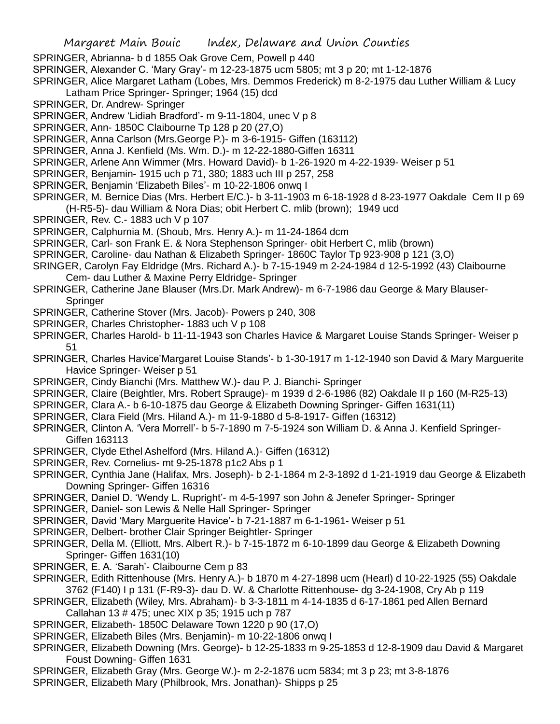- SPRINGER, Abrianna- b d 1855 Oak Grove Cem, Powell p 440
- SPRINGER, Alexander C. 'Mary Gray'- m 12-23-1875 ucm 5805; mt 3 p 20; mt 1-12-1876

SPRINGER, Alice Margaret Latham (Lobes, Mrs. Demmos Frederick) m 8-2-1975 dau Luther William & Lucy Latham Price Springer- Springer; 1964 (15) dcd

- SPRINGER, Dr. Andrew- Springer
- SPRINGER, Andrew 'Lidiah Bradford'- m 9-11-1804, unec V p 8
- SPRINGER, Ann- 1850C Claibourne Tp 128 p 20 (27,O)
- SPRINGER, Anna Carlson (Mrs.George P.)- m 3-6-1915- Giffen (163112)
- SPRINGER, Anna J. Kenfield (Ms. Wm. D.)- m 12-22-1880-Giffen 16311
- SPRINGER, Arlene Ann Wimmer (Mrs. Howard David)- b 1-26-1920 m 4-22-1939- Weiser p 51
- SPRINGER, Benjamin- 1915 uch p 71, 380; 1883 uch III p 257, 258
- SPRINGER, Benjamin 'Elizabeth Biles'- m 10-22-1806 onwq I
- SPRINGER, M. Bernice Dias (Mrs. Herbert E/C.)- b 3-11-1903 m 6-18-1928 d 8-23-1977 Oakdale Cem II p 69 (H-R5-5)- dau William & Nora Dias; obit Herbert C. mlib (brown); 1949 ucd
- SPRINGER, Rev. C.- 1883 uch V p 107
- SPRINGER, Calphurnia M. (Shoub, Mrs. Henry A.)- m 11-24-1864 dcm
- SPRINGER, Carl- son Frank E. & Nora Stephenson Springer- obit Herbert C, mlib (brown)
- SPRINGER, Caroline- dau Nathan & Elizabeth Springer- 1860C Taylor Tp 923-908 p 121 (3,O)
- SRINGER, Carolyn Fay Eldridge (Mrs. Richard A.)- b 7-15-1949 m 2-24-1984 d 12-5-1992 (43) Claibourne Cem- dau Luther & Maxine Perry Eldridge- Springer
- SPRINGER, Catherine Jane Blauser (Mrs.Dr. Mark Andrew)- m 6-7-1986 dau George & Mary Blauser-**Springer**
- SPRINGER, Catherine Stover (Mrs. Jacob)- Powers p 240, 308
- SPRINGER, Charles Christopher- 1883 uch V p 108
- SPRINGER, Charles Harold- b 11-11-1943 son Charles Havice & Margaret Louise Stands Springer- Weiser p 51
- SPRINGER, Charles Havice'Margaret Louise Stands'- b 1-30-1917 m 1-12-1940 son David & Mary Marguerite Havice Springer- Weiser p 51
- SPRINGER, Cindy Bianchi (Mrs. Matthew W.)- dau P. J. Bianchi- Springer
- SPRINGER, Claire (Beightler, Mrs. Robert Sprauge)- m 1939 d 2-6-1986 (82) Oakdale II p 160 (M-R25-13)
- SPRINGER, Clara A.- b 6-10-1875 dau George & Elizabeth Downing Springer- Giffen 1631(11)
- SPRINGER, Clara Field (Mrs. Hiland A.)- m 11-9-1880 d 5-8-1917- Giffen (16312)
- SPRINGER, Clinton A. 'Vera Morrell'- b 5-7-1890 m 7-5-1924 son William D. & Anna J. Kenfield Springer-Giffen 163113
- SPRINGER, Clyde Ethel Ashelford (Mrs. Hiland A.)- Giffen (16312)
- SPRINGER, Rev. Cornelius- mt 9-25-1878 p1c2 Abs p 1
- SPRINGER, Cynthia Jane (Halifax, Mrs. Joseph)- b 2-1-1864 m 2-3-1892 d 1-21-1919 dau George & Elizabeth Downing Springer- Giffen 16316
- SPRINGER, Daniel D. 'Wendy L. Rupright'- m 4-5-1997 son John & Jenefer Springer- Springer
- SPRINGER, Daniel- son Lewis & Nelle Hall Springer- Springer
- SPRINGER, David 'Mary Marguerite Havice'- b 7-21-1887 m 6-1-1961- Weiser p 51
- SPRINGER, Delbert- brother Clair Springer Beightler- Springer
- SPRINGER, Della M. (Elliott, Mrs. Albert R.)- b 7-15-1872 m 6-10-1899 dau George & Elizabeth Downing Springer- Giffen 1631(10)
- SPRINGER, E. A. 'Sarah'- Claibourne Cem p 83
- SPRINGER, Edith Rittenhouse (Mrs. Henry A.)- b 1870 m 4-27-1898 ucm (Hearl) d 10-22-1925 (55) Oakdale 3762 (F140) I p 131 (F-R9-3)- dau D. W. & Charlotte Rittenhouse- dg 3-24-1908, Cry Ab p 119
- SPRINGER, Elizabeth (Wiley, Mrs. Abraham)- b 3-3-1811 m 4-14-1835 d 6-17-1861 ped Allen Bernard Callahan 13 # 475; unec XIX p 35; 1915 uch p 787
- SPRINGER, Elizabeth- 1850C Delaware Town 1220 p 90 (17,O)
- SPRINGER, Elizabeth Biles (Mrs. Benjamin)- m 10-22-1806 onwq I
- SPRINGER, Elizabeth Downing (Mrs. George)- b 12-25-1833 m 9-25-1853 d 12-8-1909 dau David & Margaret Foust Downing- Giffen 1631
- SPRINGER, Elizabeth Gray (Mrs. George W.)- m 2-2-1876 ucm 5834; mt 3 p 23; mt 3-8-1876
- SPRINGER, Elizabeth Mary (Philbrook, Mrs. Jonathan)- Shipps p 25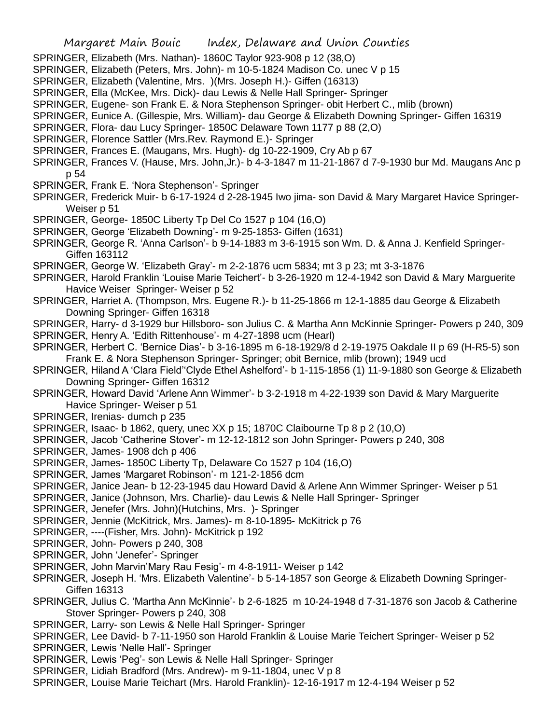- SPRINGER, Elizabeth (Mrs. Nathan)- 1860C Taylor 923-908 p 12 (38,O)
- SPRINGER, Elizabeth (Peters, Mrs. John)- m 10-5-1824 Madison Co. unec V p 15
- SPRINGER, Elizabeth (Valentine, Mrs. )(Mrs. Joseph H.)- Giffen (16313)
- SPRINGER, Ella (McKee, Mrs. Dick)- dau Lewis & Nelle Hall Springer- Springer
- SPRINGER, Eugene- son Frank E. & Nora Stephenson Springer- obit Herbert C., mlib (brown)
- SPRINGER, Eunice A. (Gillespie, Mrs. William)- dau George & Elizabeth Downing Springer- Giffen 16319
- SPRINGER, Flora- dau Lucy Springer- 1850C Delaware Town 1177 p 88 (2,O)
- SPRINGER, Florence Sattler (Mrs.Rev. Raymond E.)- Springer
- SPRINGER, Frances E. (Maugans, Mrs. Hugh)- dg 10-22-1909, Cry Ab p 67
- SPRINGER, Frances V. (Hause, Mrs. John,Jr.)- b 4-3-1847 m 11-21-1867 d 7-9-1930 bur Md. Maugans Anc p p 54
- SPRINGER, Frank E. 'Nora Stephenson'- Springer
- SPRINGER, Frederick Muir- b 6-17-1924 d 2-28-1945 Iwo jima- son David & Mary Margaret Havice Springer-Weiser p 51
- SPRINGER, George- 1850C Liberty Tp Del Co 1527 p 104 (16,O)
- SPRINGER, George 'Elizabeth Downing'- m 9-25-1853- Giffen (1631)
- SPRINGER, George R. 'Anna Carlson'- b 9-14-1883 m 3-6-1915 son Wm. D. & Anna J. Kenfield Springer-Giffen 163112
- SPRINGER, George W. 'Elizabeth Gray'- m 2-2-1876 ucm 5834; mt 3 p 23; mt 3-3-1876
- SPRINGER, Harold Franklin 'Louise Marie Teichert'- b 3-26-1920 m 12-4-1942 son David & Mary Marguerite Havice Weiser Springer- Weiser p 52
- SPRINGER, Harriet A. (Thompson, Mrs. Eugene R.)- b 11-25-1866 m 12-1-1885 dau George & Elizabeth Downing Springer- Giffen 16318
- SPRINGER, Harry- d 3-1929 bur Hillsboro- son Julius C. & Martha Ann McKinnie Springer- Powers p 240, 309 SPRINGER, Henry A. 'Edith Rittenhouse'- m 4-27-1898 ucm (Hearl)
- SPRINGER, Herbert C. 'Bernice Dias'- b 3-16-1895 m 6-18-1929/8 d 2-19-1975 Oakdale II p 69 (H-R5-5) son Frank E. & Nora Stephenson Springer- Springer; obit Bernice, mlib (brown); 1949 ucd
- SPRINGER, Hiland A 'Clara Field''Clyde Ethel Ashelford'- b 1-115-1856 (1) 11-9-1880 son George & Elizabeth Downing Springer- Giffen 16312
- SPRINGER, Howard David 'Arlene Ann Wimmer'- b 3-2-1918 m 4-22-1939 son David & Mary Marguerite Havice Springer- Weiser p 51
- SPRINGER, Irenias- dumch p 235
- SPRINGER, Isaac- b 1862, query, unec XX p 15; 1870C Claibourne Tp 8 p 2 (10,O)
- SPRINGER, Jacob 'Catherine Stover'- m 12-12-1812 son John Springer- Powers p 240, 308
- SPRINGER, James- 1908 dch p 406
- SPRINGER, James- 1850C Liberty Tp, Delaware Co 1527 p 104 (16,O)
- SPRINGER, James 'Margaret Robinson'- m 121-2-1856 dcm
- SPRINGER, Janice Jean- b 12-23-1945 dau Howard David & Arlene Ann Wimmer Springer- Weiser p 51
- SPRINGER, Janice (Johnson, Mrs. Charlie)- dau Lewis & Nelle Hall Springer- Springer
- SPRINGER, Jenefer (Mrs. John)(Hutchins, Mrs. )- Springer
- SPRINGER, Jennie (McKitrick, Mrs. James)- m 8-10-1895- McKitrick p 76
- SPRINGER, ----(Fisher, Mrs. John)- McKitrick p 192
- SPRINGER, John- Powers p 240, 308
- SPRINGER, John 'Jenefer'- Springer
- SPRINGER, John Marvin'Mary Rau Fesig'- m 4-8-1911- Weiser p 142
- SPRINGER, Joseph H. 'Mrs. Elizabeth Valentine'- b 5-14-1857 son George & Elizabeth Downing Springer-Giffen 16313
- SPRINGER, Julius C. 'Martha Ann McKinnie'- b 2-6-1825 m 10-24-1948 d 7-31-1876 son Jacob & Catherine Stover Springer- Powers p 240, 308
- SPRINGER, Larry- son Lewis & Nelle Hall Springer- Springer
- SPRINGER, Lee David- b 7-11-1950 son Harold Franklin & Louise Marie Teichert Springer- Weiser p 52
- SPRINGER, Lewis 'Nelle Hall'- Springer
- SPRINGER, Lewis 'Peg'- son Lewis & Nelle Hall Springer- Springer
- SPRINGER, Lidiah Bradford (Mrs. Andrew)- m 9-11-1804, unec V p 8
- SPRINGER, Louise Marie Teichart (Mrs. Harold Franklin)- 12-16-1917 m 12-4-194 Weiser p 52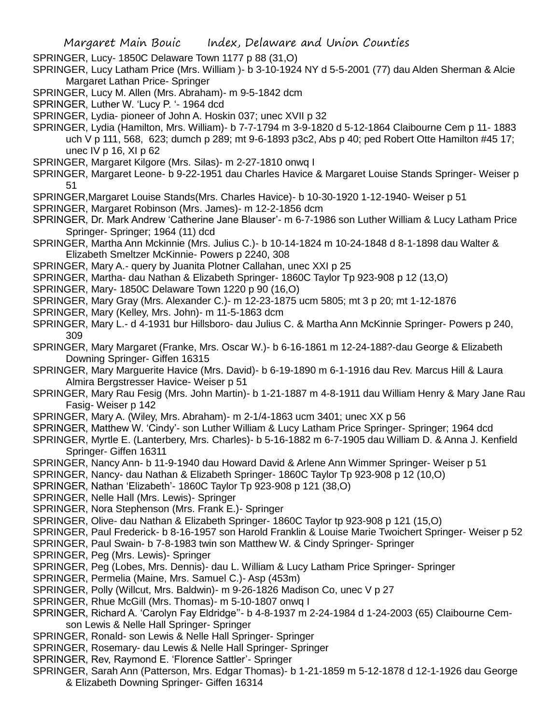SPRINGER, Lucy- 1850C Delaware Town 1177 p 88 (31,O)

SPRINGER, Lucy Latham Price (Mrs. William )- b 3-10-1924 NY d 5-5-2001 (77) dau Alden Sherman & Alcie Margaret Lathan Price- Springer

- SPRINGER, Lucy M. Allen (Mrs. Abraham)- m 9-5-1842 dcm
- SPRINGER, Luther W. 'Lucy P. '- 1964 dcd
- SPRINGER, Lydia- pioneer of John A. Hoskin 037; unec XVII p 32
- SPRINGER, Lydia (Hamilton, Mrs. William)- b 7-7-1794 m 3-9-1820 d 5-12-1864 Claibourne Cem p 11- 1883 uch V p 111, 568, 623; dumch p 289; mt 9-6-1893 p3c2, Abs p 40; ped Robert Otte Hamilton #45 17; unec IV p 16, XI p 62
- SPRINGER, Margaret Kilgore (Mrs. Silas)- m 2-27-1810 onwq I
- SPRINGER, Margaret Leone- b 9-22-1951 dau Charles Havice & Margaret Louise Stands Springer- Weiser p 51
- SPRINGER,Margaret Louise Stands(Mrs. Charles Havice)- b 10-30-1920 1-12-1940- Weiser p 51
- SPRINGER, Margaret Robinson (Mrs. James)- m 12-2-1856 dcm
- SPRINGER, Dr. Mark Andrew 'Catherine Jane Blauser'- m 6-7-1986 son Luther William & Lucy Latham Price Springer- Springer; 1964 (11) dcd
- SPRINGER, Martha Ann Mckinnie (Mrs. Julius C.)- b 10-14-1824 m 10-24-1848 d 8-1-1898 dau Walter & Elizabeth Smeltzer McKinnie- Powers p 2240, 308
- SPRINGER, Mary A.- query by Juanita Plotner Callahan, unec XXI p 25
- SPRINGER, Martha- dau Nathan & Elizabeth Springer- 1860C Taylor Tp 923-908 p 12 (13,O)
- SPRINGER, Mary- 1850C Delaware Town 1220 p 90 (16,O)
- SPRINGER, Mary Gray (Mrs. Alexander C.)- m 12-23-1875 ucm 5805; mt 3 p 20; mt 1-12-1876
- SPRINGER, Mary (Kelley, Mrs. John)- m 11-5-1863 dcm
- SPRINGER, Mary L.- d 4-1931 bur Hillsboro- dau Julius C. & Martha Ann McKinnie Springer- Powers p 240, 309
- SPRINGER, Mary Margaret (Franke, Mrs. Oscar W.)- b 6-16-1861 m 12-24-188?-dau George & Elizabeth Downing Springer- Giffen 16315
- SPRINGER, Mary Marguerite Havice (Mrs. David)- b 6-19-1890 m 6-1-1916 dau Rev. Marcus Hill & Laura Almira Bergstresser Havice- Weiser p 51
- SPRINGER, Mary Rau Fesig (Mrs. John Martin)- b 1-21-1887 m 4-8-1911 dau William Henry & Mary Jane Rau Fasig- Weiser p 142
- SPRINGER, Mary A. (Wiley, Mrs. Abraham)- m 2-1/4-1863 ucm 3401; unec XX p 56
- SPRINGER, Matthew W. 'Cindy'- son Luther William & Lucy Latham Price Springer- Springer; 1964 dcd
- SPRINGER, Myrtle E. (Lanterbery, Mrs. Charles)- b 5-16-1882 m 6-7-1905 dau William D. & Anna J. Kenfield Springer- Giffen 16311
- SPRINGER, Nancy Ann- b 11-9-1940 dau Howard David & Arlene Ann Wimmer Springer- Weiser p 51
- SPRINGER, Nancy- dau Nathan & Elizabeth Springer- 1860C Taylor Tp 923-908 p 12 (10,O)
- SPRINGER, Nathan 'Elizabeth'- 1860C Taylor Tp 923-908 p 121 (38,O)
- SPRINGER, Nelle Hall (Mrs. Lewis)- Springer
- SPRINGER, Nora Stephenson (Mrs. Frank E.)- Springer
- SPRINGER, Olive- dau Nathan & Elizabeth Springer- 1860C Taylor tp 923-908 p 121 (15,O)
- SPRINGER, Paul Frederick- b 8-16-1957 son Harold Franklin & Louise Marie Twoichert Springer- Weiser p 52
- SPRINGER, Paul Swain- b 7-8-1983 twin son Matthew W. & Cindy Springer- Springer
- SPRINGER, Peg (Mrs. Lewis)- Springer
- SPRINGER, Peg (Lobes, Mrs. Dennis)- dau L. William & Lucy Latham Price Springer- Springer
- SPRINGER, Permelia (Maine, Mrs. Samuel C.)- Asp (453m)
- SPRINGER, Polly (Willcut, Mrs. Baldwin)- m 9-26-1826 Madison Co, unec V p 27
- SPRINGER, Rhue McGill (Mrs. Thomas)- m 5-10-1807 onwq I
- SPRINGER, Richard A. 'Carolyn Fay Eldridge''- b 4-8-1937 m 2-24-1984 d 1-24-2003 (65) Claibourne Cemson Lewis & Nelle Hall Springer- Springer
- SPRINGER, Ronald- son Lewis & Nelle Hall Springer- Springer
- SPRINGER, Rosemary- dau Lewis & Nelle Hall Springer- Springer
- SPRINGER, Rev, Raymond E. 'Florence Sattler'- Springer
- SPRINGER, Sarah Ann (Patterson, Mrs. Edgar Thomas)- b 1-21-1859 m 5-12-1878 d 12-1-1926 dau George
	- & Elizabeth Downing Springer- Giffen 16314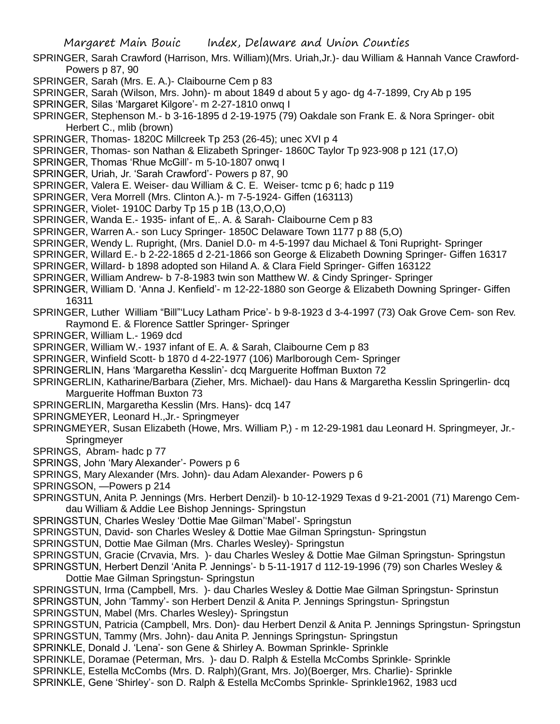SPRINGER, Sarah Crawford (Harrison, Mrs. William)(Mrs. Uriah,Jr.)- dau William & Hannah Vance Crawford-Powers p 87, 90

- SPRINGER, Sarah (Mrs. E. A.)- Claibourne Cem p 83
- SPRINGER, Sarah (Wilson, Mrs. John)- m about 1849 d about 5 y ago- dg 4-7-1899, Cry Ab p 195
- SPRINGER, Silas 'Margaret Kilgore'- m 2-27-1810 onwq I
- SPRINGER, Stephenson M.- b 3-16-1895 d 2-19-1975 (79) Oakdale son Frank E. & Nora Springer- obit Herbert C., mlib (brown)
- SPRINGER, Thomas- 1820C Millcreek Tp 253 (26-45); unec XVI p 4
- SPRINGER, Thomas- son Nathan & Elizabeth Springer- 1860C Taylor Tp 923-908 p 121 (17,O)
- SPRINGER, Thomas 'Rhue McGill'- m 5-10-1807 onwq I
- SPRINGER, Uriah, Jr. 'Sarah Crawford'- Powers p 87, 90
- SPRINGER, Valera E. Weiser- dau William & C. E. Weiser- tcmc p 6; hadc p 119
- SPRINGER, Vera Morrell (Mrs. Clinton A.)- m 7-5-1924- Giffen (163113)
- SPRINGER, Violet- 1910C Darby Tp 15 p 1B (13,O,O,O)
- SPRINGER, Wanda E.- 1935- infant of E,. A. & Sarah- Claibourne Cem p 83
- SPRINGER, Warren A.- son Lucy Springer- 1850C Delaware Town 1177 p 88 (5,O)
- SPRINGER, Wendy L. Rupright, (Mrs. Daniel D.0- m 4-5-1997 dau Michael & Toni Rupright- Springer
- SPRINGER, Willard E.- b 2-22-1865 d 2-21-1866 son George & Elizabeth Downing Springer- Giffen 16317
- SPRINGER, Willard- b 1898 adopted son Hiland A. & Clara Field Springer- Giffen 163122
- SPRINGER, William Andrew- b 7-8-1983 twin son Matthew W. & Cindy Springer- Springer
- SPRINGER, William D. 'Anna J. Kenfield'- m 12-22-1880 son George & Elizabeth Downing Springer- Giffen 16311
- SPRINGER, Luther William "Bill"'Lucy Latham Price'- b 9-8-1923 d 3-4-1997 (73) Oak Grove Cem- son Rev. Raymond E. & Florence Sattler Springer- Springer
- SPRINGER, William L.- 1969 dcd
- SPRINGER, William W.- 1937 infant of E. A. & Sarah, Claibourne Cem p 83
- SPRINGER, Winfield Scott- b 1870 d 4-22-1977 (106) Marlborough Cem- Springer
- SPRINGERLIN, Hans 'Margaretha Kesslin'- dcq Marguerite Hoffman Buxton 72
- SPRINGERLIN, Katharine/Barbara (Zieher, Mrs. Michael)- dau Hans & Margaretha Kesslin Springerlin- dcq Marguerite Hoffman Buxton 73
- SPRINGERLIN, Margaretha Kesslin (Mrs. Hans)- dcq 147
- SPRINGMEYER, Leonard H.,Jr.- Springmeyer
- SPRINGMEYER, Susan Elizabeth (Howe, Mrs. William P,) m 12-29-1981 dau Leonard H. Springmeyer, Jr.- **Springmeyer**
- SPRINGS, Abram- hadc p 77
- SPRINGS, John 'Mary Alexander'- Powers p 6
- SPRINGS, Mary Alexander (Mrs. John)- dau Adam Alexander- Powers p 6
- SPRINGSON, —Powers p 214
- SPRINGSTUN, Anita P. Jennings (Mrs. Herbert Denzil)- b 10-12-1929 Texas d 9-21-2001 (71) Marengo Cemdau William & Addie Lee Bishop Jennings- Springstun
- SPRINGSTUN, Charles Wesley 'Dottie Mae Gilman''Mabel'- Springstun
- SPRINGSTUN, David- son Charles Wesley & Dottie Mae Gilman Springstun- Springstun
- SPRINGSTUN, Dottie Mae Gilman (Mrs. Charles Wesley)- Springstun
- SPRINGSTUN, Gracie (Crvavia, Mrs. )- dau Charles Wesley & Dottie Mae Gilman Springstun- Springstun
- SPRINGSTUN, Herbert Denzil 'Anita P. Jennings'- b 5-11-1917 d 112-19-1996 (79) son Charles Wesley & Dottie Mae Gilman Springstun- Springstun
- SPRINGSTUN, Irma (Campbell, Mrs. )- dau Charles Wesley & Dottie Mae Gilman Springstun- Sprinstun
- SPRINGSTUN, John 'Tammy'- son Herbert Denzil & Anita P. Jennings Springstun- Springstun
- SPRINGSTUN, Mabel (Mrs. Charles Wesley)- Springstun
- SPRINGSTUN, Patricia (Campbell, Mrs. Don)- dau Herbert Denzil & Anita P. Jennings Springstun- Springstun SPRINGSTUN, Tammy (Mrs. John)- dau Anita P. Jennings Springstun- Springstun
- SPRINKLE, Donald J. 'Lena'- son Gene & Shirley A. Bowman Sprinkle- Sprinkle
- SPRINKLE, Doramae (Peterman, Mrs. )- dau D. Ralph & Estella McCombs Sprinkle- Sprinkle
- SPRINKLE, Estella McCombs (Mrs. D. Ralph)(Grant, Mrs. Jo)(Boerger, Mrs. Charlie)- Sprinkle
- SPRINKLE, Gene 'Shirley'- son D. Ralph & Estella McCombs Sprinkle- Sprinkle1962, 1983 ucd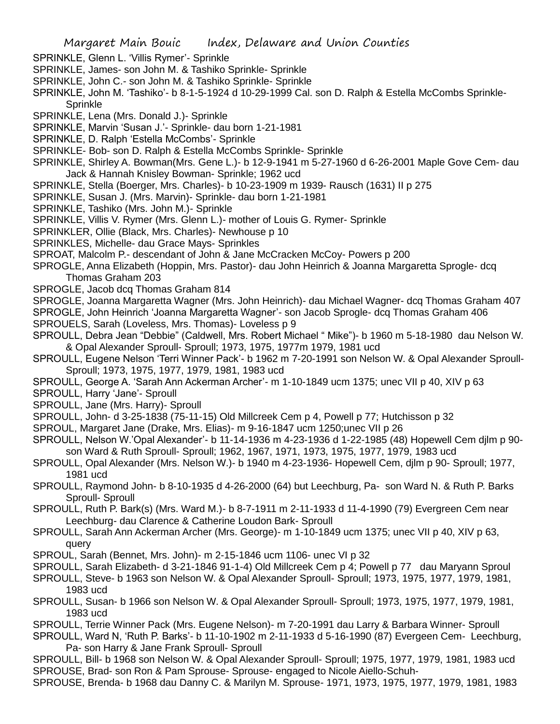SPRINKLE, Glenn L. 'Villis Rymer'- Sprinkle

- SPRINKLE, James- son John M. & Tashiko Sprinkle- Sprinkle
- SPRINKLE, John C.- son John M. & Tashiko Sprinkle- Sprinkle
- SPRINKLE, John M. 'Tashiko'- b 8-1-5-1924 d 10-29-1999 Cal. son D. Ralph & Estella McCombs Sprinkle-Sprinkle
- SPRINKLE, Lena (Mrs. Donald J.)- Sprinkle
- SPRINKLE, Marvin 'Susan J.'- Sprinkle- dau born 1-21-1981
- SPRINKLE, D. Ralph 'Estella McCombs'- Sprinkle
- SPRINKLE- Bob- son D. Ralph & Estella McCombs Sprinkle- Sprinkle
- SPRINKLE, Shirley A. Bowman(Mrs. Gene L.)- b 12-9-1941 m 5-27-1960 d 6-26-2001 Maple Gove Cem- dau Jack & Hannah Knisley Bowman- Sprinkle; 1962 ucd
- SPRINKLE, Stella (Boerger, Mrs. Charles)- b 10-23-1909 m 1939- Rausch (1631) II p 275
- SPRINKLE, Susan J. (Mrs. Marvin)- Sprinkle- dau born 1-21-1981
- SPRINKLE, Tashiko (Mrs. John M.)- Sprinkle
- SPRINKLE, Villis V. Rymer (Mrs. Glenn L.)- mother of Louis G. Rymer- Sprinkle
- SPRINKLER, Ollie (Black, Mrs. Charles)- Newhouse p 10
- SPRINKLES, Michelle- dau Grace Mays- Sprinkles
- SPROAT, Malcolm P.- descendant of John & Jane McCracken McCoy- Powers p 200
- SPROGLE, Anna Elizabeth (Hoppin, Mrs. Pastor)- dau John Heinrich & Joanna Margaretta Sprogle- dcq Thomas Graham 203
- SPROGLE, Jacob dcq Thomas Graham 814
- SPROGLE, Joanna Margaretta Wagner (Mrs. John Heinrich)- dau Michael Wagner- dcq Thomas Graham 407

SPROGLE, John Heinrich 'Joanna Margaretta Wagner'- son Jacob Sprogle- dcq Thomas Graham 406

- SPROUELS, Sarah (Loveless, Mrs. Thomas)- Loveless p 9
- SPROULL, Debra Jean "Debbie" (Caldwell, Mrs. Robert Michael " Mike")- b 1960 m 5-18-1980 dau Nelson W. & Opal Alexander Sproull- Sproull; 1973, 1975, 1977m 1979, 1981 ucd
- SPROULL, Eugene Nelson 'Terri Winner Pack'- b 1962 m 7-20-1991 son Nelson W. & Opal Alexander Sproull-Sproull; 1973, 1975, 1977, 1979, 1981, 1983 ucd
- SPROULL, George A. 'Sarah Ann Ackerman Archer'- m 1-10-1849 ucm 1375; unec VII p 40, XIV p 63
- SPROULL, Harry 'Jane'- Sproull
- SPROULL, Jane (Mrs. Harry)- Sproull
- SPROULL, John- d 3-25-1838 (75-11-15) Old Millcreek Cem p 4, Powell p 77; Hutchisson p 32
- SPROUL, Margaret Jane (Drake, Mrs. Elias)- m 9-16-1847 ucm 1250;unec VII p 26
- SPROULL, Nelson W.'Opal Alexander'- b 11-14-1936 m 4-23-1936 d 1-22-1985 (48) Hopewell Cem djlm p 90 son Ward & Ruth Sproull- Sproull; 1962, 1967, 1971, 1973, 1975, 1977, 1979, 1983 ucd
- SPROULL, Opal Alexander (Mrs. Nelson W.)- b 1940 m 4-23-1936- Hopewell Cem, djlm p 90- Sproull; 1977, 1981 ucd
- SPROULL, Raymond John- b 8-10-1935 d 4-26-2000 (64) but Leechburg, Pa- son Ward N. & Ruth P. Barks Sproull- Sproull
- SPROULL, Ruth P. Bark(s) (Mrs. Ward M.)- b 8-7-1911 m 2-11-1933 d 11-4-1990 (79) Evergreen Cem near Leechburg- dau Clarence & Catherine Loudon Bark- Sproull
- SPROULL, Sarah Ann Ackerman Archer (Mrs. George)- m 1-10-1849 ucm 1375; unec VII p 40, XIV p 63, query
- SPROUL, Sarah (Bennet, Mrs. John)- m 2-15-1846 ucm 1106- unec VI p 32
- SPROULL, Sarah Elizabeth- d 3-21-1846 91-1-4) Old Millcreek Cem p 4; Powell p 77 dau Maryann Sproul
- SPROULL, Steve- b 1963 son Nelson W. & Opal Alexander Sproull- Sproull; 1973, 1975, 1977, 1979, 1981, 1983 ucd
- SPROULL, Susan- b 1966 son Nelson W. & Opal Alexander Sproull- Sproull; 1973, 1975, 1977, 1979, 1981, 1983 ucd
- SPROULL, Terrie Winner Pack (Mrs. Eugene Nelson)- m 7-20-1991 dau Larry & Barbara Winner- Sproull
- SPROULL, Ward N, 'Ruth P. Barks'- b 11-10-1902 m 2-11-1933 d 5-16-1990 (87) Evergeen Cem- Leechburg, Pa- son Harry & Jane Frank Sproull- Sproull
- SPROULL, Bill- b 1968 son Nelson W. & Opal Alexander Sproull- Sproull; 1975, 1977, 1979, 1981, 1983 ucd SPROUSE, Brad- son Ron & Pam Sprouse- Sprouse- engaged to Nicole Aiello-Schuh-
- SPROUSE, Brenda- b 1968 dau Danny C. & Marilyn M. Sprouse- 1971, 1973, 1975, 1977, 1979, 1981, 1983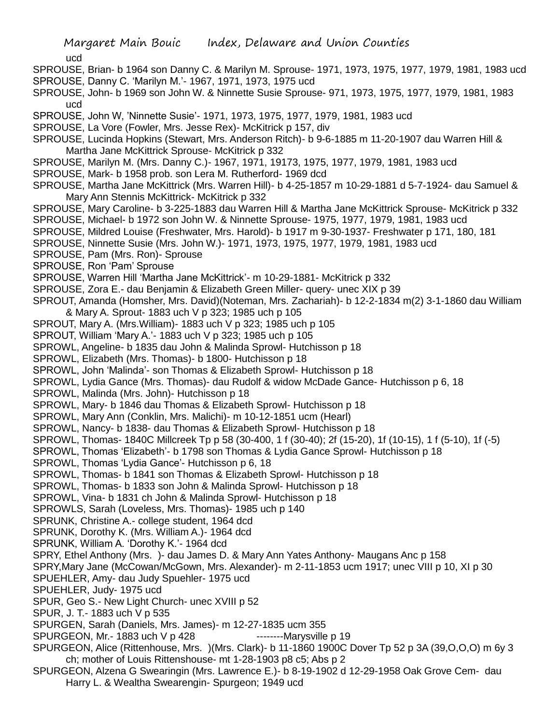ucd

- SPROUSE, Brian- b 1964 son Danny C. & Marilyn M. Sprouse- 1971, 1973, 1975, 1977, 1979, 1981, 1983 ucd
- SPROUSE, Danny C. 'Marilyn M.'- 1967, 1971, 1973, 1975 ucd
- SPROUSE, John- b 1969 son John W. & Ninnette Susie Sprouse- 971, 1973, 1975, 1977, 1979, 1981, 1983 ucd
- SPROUSE, John W, 'Ninnette Susie'- 1971, 1973, 1975, 1977, 1979, 1981, 1983 ucd
- SPROUSE, La Vore (Fowler, Mrs. Jesse Rex)- McKitrick p 157, div
- SPROUSE, Lucinda Hopkins (Stewart, Mrs. Anderson Ritch)- b 9-6-1885 m 11-20-1907 dau Warren Hill & Martha Jane McKittrick Sprouse- McKitrick p 332
- SPROUSE, Marilyn M. (Mrs. Danny C.)- 1967, 1971, 19173, 1975, 1977, 1979, 1981, 1983 ucd
- SPROUSE, Mark- b 1958 prob. son Lera M. Rutherford- 1969 dcd
- SPROUSE, Martha Jane McKittrick (Mrs. Warren Hill)- b 4-25-1857 m 10-29-1881 d 5-7-1924- dau Samuel & Mary Ann Stennis McKittrick- McKitrick p 332
- SPROUSE, Mary Caroline- b 3-225-1883 dau Warren Hill & Martha Jane McKittrick Sprouse- McKitrick p 332
- SPROUSE, Michael- b 1972 son John W. & Ninnette Sprouse- 1975, 1977, 1979, 1981, 1983 ucd
- SPROUSE, Mildred Louise (Freshwater, Mrs. Harold)- b 1917 m 9-30-1937- Freshwater p 171, 180, 181
- SPROUSE, Ninnette Susie (Mrs. John W.)- 1971, 1973, 1975, 1977, 1979, 1981, 1983 ucd
- SPROUSE, Pam (Mrs. Ron)- Sprouse
- SPROUSE, Ron 'Pam' Sprouse
- SPROUSE, Warren Hill 'Martha Jane McKittrick'- m 10-29-1881- McKitrick p 332
- SPROUSE, Zora E.- dau Benjamin & Elizabeth Green Miller- query- unec XIX p 39
- SPROUT, Amanda (Homsher, Mrs. David)(Noteman, Mrs. Zachariah)- b 12-2-1834 m(2) 3-1-1860 dau William & Mary A. Sprout- 1883 uch V p 323; 1985 uch p 105
- SPROUT, Mary A. (Mrs.William)- 1883 uch V p 323; 1985 uch p 105
- SPROUT, William 'Mary A.'- 1883 uch V p 323; 1985 uch p 105
- SPROWL, Angeline- b 1835 dau John & Malinda Sprowl- Hutchisson p 18
- SPROWL, Elizabeth (Mrs. Thomas)- b 1800- Hutchisson p 18
- SPROWL, John 'Malinda'- son Thomas & Elizabeth Sprowl- Hutchisson p 18
- SPROWL, Lydia Gance (Mrs. Thomas)- dau Rudolf & widow McDade Gance- Hutchisson p 6, 18
- SPROWL, Malinda (Mrs. John)- Hutchisson p 18
- SPROWL, Mary- b 1846 dau Thomas & Elizabeth Sprowl- Hutchisson p 18
- SPROWL, Mary Ann (Conklin, Mrs. Malichi)- m 10-12-1851 ucm (Hearl)
- SPROWL, Nancy- b 1838- dau Thomas & Elizabeth Sprowl- Hutchisson p 18
- SPROWL, Thomas- 1840C Millcreek Tp p 58 (30-400, 1 f (30-40); 2f (15-20), 1f (10-15), 1 f (5-10), 1f (-5)
- SPROWL, Thomas 'Elizabeth'- b 1798 son Thomas & Lydia Gance Sprowl- Hutchisson p 18
- SPROWL, Thomas 'Lydia Gance'- Hutchisson p 6, 18
- SPROWL, Thomas- b 1841 son Thomas & Elizabeth Sprowl- Hutchisson p 18
- SPROWL, Thomas- b 1833 son John & Malinda Sprowl- Hutchisson p 18
- SPROWL, Vina- b 1831 ch John & Malinda Sprowl- Hutchisson p 18
- SPROWLS, Sarah (Loveless, Mrs. Thomas)- 1985 uch p 140
- SPRUNK, Christine A.- college student, 1964 dcd
- SPRUNK, Dorothy K. (Mrs. William A.)- 1964 dcd
- SPRUNK, William A. 'Dorothy K.'- 1964 dcd
- SPRY, Ethel Anthony (Mrs. )- dau James D. & Mary Ann Yates Anthony- Maugans Anc p 158
- SPRY,Mary Jane (McCowan/McGown, Mrs. Alexander)- m 2-11-1853 ucm 1917; unec VIII p 10, XI p 30
- SPUEHLER, Amy- dau Judy Spuehler- 1975 ucd
- SPUEHLER, Judy- 1975 ucd
- SPUR, Geo S.- New Light Church- unec XVIII p 52
- SPUR, J. T.- 1883 uch V p 535
- SPURGEN, Sarah (Daniels, Mrs. James)- m 12-27-1835 ucm 355
- SPURGEON, Mr.-1883 uch V p 428 ---------Marysville p 19
- SPURGEON, Alice (Rittenhouse, Mrs. )(Mrs. Clark)- b 11-1860 1900C Dover Tp 52 p 3A (39,O,O,O) m 6y 3 ch; mother of Louis Rittenshouse- mt 1-28-1903 p8 c5; Abs p 2
- SPURGEON, Alzena G Swearingin (Mrs. Lawrence E.)- b 8-19-1902 d 12-29-1958 Oak Grove Cem- dau Harry L. & Wealtha Swearengin- Spurgeon; 1949 ucd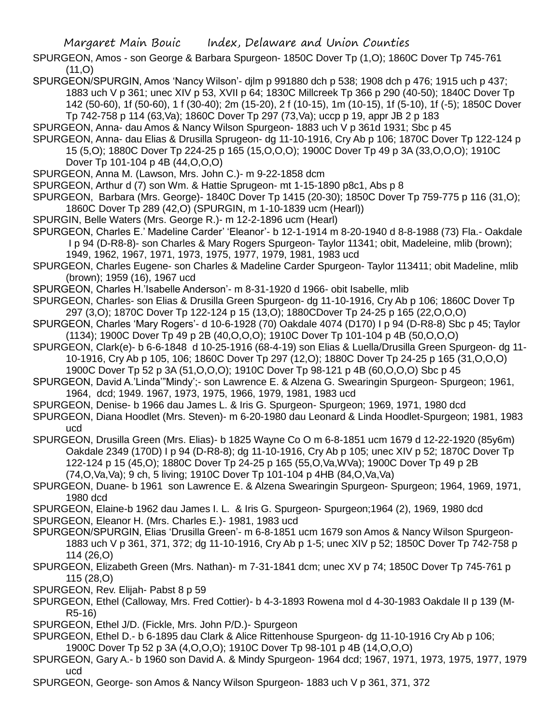- SPURGEON, Amos son George & Barbara Spurgeon- 1850C Dover Tp (1,O); 1860C Dover Tp 745-761  $(11,0)$
- SPURGEON/SPURGIN, Amos 'Nancy Wilson'- djlm p 991880 dch p 538; 1908 dch p 476; 1915 uch p 437; 1883 uch V p 361; unec XIV p 53, XVII p 64; 1830C Millcreek Tp 366 p 290 (40-50); 1840C Dover Tp 142 (50-60), 1f (50-60), 1 f (30-40); 2m (15-20), 2 f (10-15), 1m (10-15), 1f (5-10), 1f (-5); 1850C Dover Tp 742-758 p 114 (63,Va); 1860C Dover Tp 297 (73,Va); uccp p 19, appr JB 2 p 183
- SPURGEON, Anna- dau Amos & Nancy Wilson Spurgeon- 1883 uch V p 361d 1931; Sbc p 45
- SPURGEON, Anna- dau Elias & Drusilla Sprugeon- dg 11-10-1916, Cry Ab p 106; 1870C Dover Tp 122-124 p 15 (5,O); 1880C Dover Tp 224-25 p 165 (15,O,O,O); 1900C Dover Tp 49 p 3A (33,O,O,O); 1910C Dover Tp 101-104 p 4B (44,O,O,O)
- SPURGEON, Anna M. (Lawson, Mrs. John C.)- m 9-22-1858 dcm
- SPURGEON, Arthur d (7) son Wm. & Hattie Sprugeon- mt 1-15-1890 p8c1, Abs p 8
- SPURGEON, Barbara (Mrs. George)- 1840C Dover Tp 1415 (20-30); 1850C Dover Tp 759-775 p 116 (31,O); 1860C Dover Tp 289 (42,O) (SPURGIN, m 1-10-1839 ucm (Hearl))
- SPURGIN, Belle Waters (Mrs. George R.)- m 12-2-1896 ucm (Hearl)
- SPURGEON, Charles E.' Madeline Carder' 'Eleanor'- b 12-1-1914 m 8-20-1940 d 8-8-1988 (73) Fla.- Oakdale I p 94 (D-R8-8)- son Charles & Mary Rogers Spurgeon- Taylor 11341; obit, Madeleine, mlib (brown); 1949, 1962, 1967, 1971, 1973, 1975, 1977, 1979, 1981, 1983 ucd
- SPURGEON, Charles Eugene- son Charles & Madeline Carder Spurgeon- Taylor 113411; obit Madeline, mlib (brown); 1959 (16), 1967 ucd
- SPURGEON, Charles H.'Isabelle Anderson'- m 8-31-1920 d 1966- obit Isabelle, mlib
- SPURGEON, Charles- son Elias & Drusilla Green Spurgeon- dg 11-10-1916, Cry Ab p 106; 1860C Dover Tp 297 (3,O); 1870C Dover Tp 122-124 p 15 (13,O); 1880CDover Tp 24-25 p 165 (22,O,O,O)
- SPURGEON, Charles 'Mary Rogers'- d 10-6-1928 (70) Oakdale 4074 (D170) I p 94 (D-R8-8) Sbc p 45; Taylor (1134); 1900C Dover Tp 49 p 2B (40,O,O,O); 1910C Dover Tp 101-104 p 4B (50,O,O,O)
- SPURGEON, Clark(e)- b 6-6-1848 d 10-25-1916 (68-4-19) son Elias & Luella/Drusilla Green Spurgeon- dg 11- 10-1916, Cry Ab p 105, 106; 1860C Dover Tp 297 (12,O); 1880C Dover Tp 24-25 p 165 (31,O,O,O) 1900C Dover Tp 52 p 3A (51,O,O,O); 1910C Dover Tp 98-121 p 4B (60,O,O,O) Sbc p 45
- SPURGEON, David A.'Linda'"Mindy';- son Lawrence E. & Alzena G. Swearingin Spurgeon- Spurgeon; 1961, 1964, dcd; 1949. 1967, 1973, 1975, 1966, 1979, 1981, 1983 ucd
- SPURGEON, Denise- b 1966 dau James L. & Iris G. Spurgeon- Spurgeon; 1969, 1971, 1980 dcd
- SPURGEON, Diana Hoodlet (Mrs. Steven)- m 6-20-1980 dau Leonard & Linda Hoodlet-Spurgeon; 1981, 1983 ucd
- SPURGEON, Drusilla Green (Mrs. Elias)- b 1825 Wayne Co O m 6-8-1851 ucm 1679 d 12-22-1920 (85y6m) Oakdale 2349 (170D) I p 94 (D-R8-8); dg 11-10-1916, Cry Ab p 105; unec XIV p 52; 1870C Dover Tp 122-124 p 15 (45,O); 1880C Dover Tp 24-25 p 165 (55,O,Va,WVa); 1900C Dover Tp 49 p 2B (74,O,Va,Va); 9 ch, 5 living; 1910C Dover Tp 101-104 p 4HB (84,O,Va,Va)
- SPURGEON, Duane- b 1961 son Lawrence E. & Alzena Swearingin Spurgeon- Spurgeon; 1964, 1969, 1971, 1980 dcd
- SPURGEON, Elaine-b 1962 dau James I. L. & Iris G. Spurgeon- Spurgeon;1964 (2), 1969, 1980 dcd SPURGEON, Eleanor H. (Mrs. Charles E.)- 1981, 1983 ucd
- SPURGEON/SPURGIN, Elias 'Drusilla Green'- m 6-8-1851 ucm 1679 son Amos & Nancy Wilson Spurgeon-1883 uch V p 361, 371, 372; dg 11-10-1916, Cry Ab p 1-5; unec XIV p 52; 1850C Dover Tp 742-758 p 114 (26,O)
- SPURGEON, Elizabeth Green (Mrs. Nathan)- m 7-31-1841 dcm; unec XV p 74; 1850C Dover Tp 745-761 p 115 (28,O)
- SPURGEON, Rev. Elijah- Pabst 8 p 59
- SPURGEON, Ethel (Calloway, Mrs. Fred Cottier)- b 4-3-1893 Rowena mol d 4-30-1983 Oakdale II p 139 (M-R5-16)
- SPURGEON, Ethel J/D. (Fickle, Mrs. John P/D.)- Spurgeon
- SPURGEON, Ethel D.- b 6-1895 dau Clark & Alice Rittenhouse Spurgeon- dg 11-10-1916 Cry Ab p 106; 1900C Dover Tp 52 p 3A (4,O,O,O); 1910C Dover Tp 98-101 p 4B (14,O,O,O)
- SPURGEON, Gary A.- b 1960 son David A. & Mindy Spurgeon- 1964 dcd; 1967, 1971, 1973, 1975, 1977, 1979 ucd
- SPURGEON, George- son Amos & Nancy Wilson Spurgeon- 1883 uch V p 361, 371, 372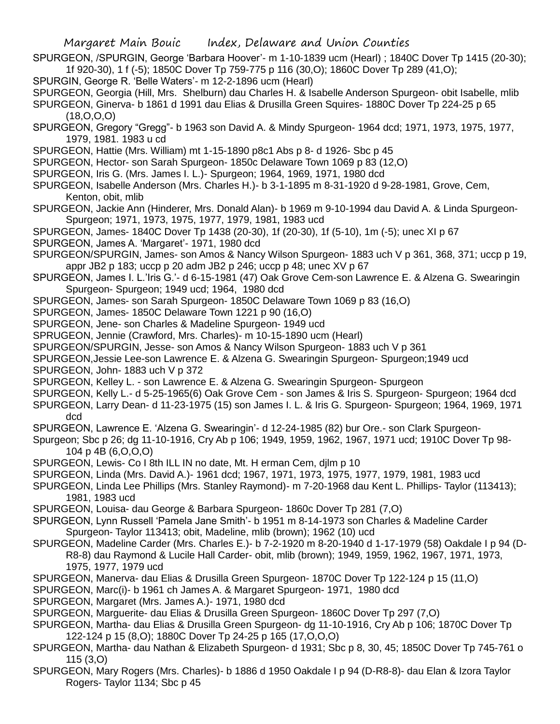- SPURGEON, /SPURGIN, George 'Barbara Hoover'- m 1-10-1839 ucm (Hearl) ; 1840C Dover Tp 1415 (20-30); 1f 920-30), 1 f (-5); 1850C Dover Tp 759-775 p 116 (30,O); 1860C Dover Tp 289 (41,O);
- SPURGIN, George R. 'Belle Waters'- m 12-2-1896 ucm (Hearl)

SPURGEON, Georgia (Hill, Mrs. Shelburn) dau Charles H. & Isabelle Anderson Spurgeon- obit Isabelle, mlib SPURGEON, Ginerva- b 1861 d 1991 dau Elias & Drusilla Green Squires- 1880C Dover Tp 224-25 p 65 (18,O,O,O)

- SPURGEON, Gregory "Gregg"- b 1963 son David A. & Mindy Spurgeon- 1964 dcd; 1971, 1973, 1975, 1977, 1979, 1981. 1983 u cd
- SPURGEON, Hattie (Mrs. William) mt 1-15-1890 p8c1 Abs p 8- d 1926- Sbc p 45
- SPURGEON, Hector- son Sarah Spurgeon- 1850c Delaware Town 1069 p 83 (12,O)
- SPURGEON, Iris G. (Mrs. James I. L.)- Spurgeon; 1964, 1969, 1971, 1980 dcd
- SPURGEON, Isabelle Anderson (Mrs. Charles H.)- b 3-1-1895 m 8-31-1920 d 9-28-1981, Grove, Cem, Kenton, obit, mlib
- SPURGEON, Jackie Ann (Hinderer, Mrs. Donald Alan)- b 1969 m 9-10-1994 dau David A. & Linda Spurgeon-Spurgeon; 1971, 1973, 1975, 1977, 1979, 1981, 1983 ucd
- SPURGEON, James- 1840C Dover Tp 1438 (20-30), 1f (20-30), 1f (5-10), 1m (-5); unec XI p 67
- SPURGEON, James A. 'Margaret'- 1971, 1980 dcd
- SPURGEON/SPURGIN, James- son Amos & Nancy Wilson Spurgeon- 1883 uch V p 361, 368, 371; uccp p 19, appr JB2 p 183; uccp p 20 adm JB2 p 246; uccp p 48; unec XV p 67
- SPURGEON, James I. L.'Iris G.'- d 6-15-1981 (47) Oak Grove Cem-son Lawrence E. & Alzena G. Swearingin Spurgeon- Spurgeon; 1949 ucd; 1964, 1980 dcd
- SPURGEON, James- son Sarah Spurgeon- 1850C Delaware Town 1069 p 83 (16,O)
- SPURGEON, James- 1850C Delaware Town 1221 p 90 (16,O)
- SPURGEON, Jene- son Charles & Madeline Spurgeon- 1949 ucd
- SPRUGEON, Jennie (Crawford, Mrs. Charles)- m 10-15-1890 ucm (Hearl)
- SPURGEON/SPURGIN, Jesse- son Amos & Nancy Wilson Spurgeon- 1883 uch V p 361
- SPURGEON,Jessie Lee-son Lawrence E. & Alzena G. Swearingin Spurgeon- Spurgeon;1949 ucd
- SPURGEON, John- 1883 uch V p 372
- SPURGEON, Kelley L. son Lawrence E. & Alzena G. Swearingin Spurgeon- Spurgeon
- SPURGEON, Kelly L.- d 5-25-1965(6) Oak Grove Cem son James & Iris S. Spurgeon- Spurgeon; 1964 dcd
- SPURGEON, Larry Dean- d 11-23-1975 (15) son James I. L. & Iris G. Spurgeon- Spurgeon; 1964, 1969, 1971 dcd
- SPURGEON, Lawrence E. 'Alzena G. Swearingin'- d 12-24-1985 (82) bur Ore.- son Clark Spurgeon-
- Spurgeon; Sbc p 26; dg 11-10-1916, Cry Ab p 106; 1949, 1959, 1962, 1967, 1971 ucd; 1910C Dover Tp 98- 104 p 4B (6,O,O,O)
- SPURGEON, Lewis- Co I 8th ILL IN no date, Mt. H erman Cem, djlm p 10
- SPURGEON, Linda (Mrs. David A.)- 1961 dcd; 1967, 1971, 1973, 1975, 1977, 1979, 1981, 1983 ucd
- SPURGEON, Linda Lee Phillips (Mrs. Stanley Raymond)- m 7-20-1968 dau Kent L. Phillips- Taylor (113413); 1981, 1983 ucd
- SPURGEON, Louisa- dau George & Barbara Spurgeon- 1860c Dover Tp 281 (7,O)
- SPURGEON, Lynn Russell 'Pamela Jane Smith'- b 1951 m 8-14-1973 son Charles & Madeline Carder Spurgeon- Taylor 113413; obit, Madeline, mlib (brown); 1962 (10) ucd
- SPURGEON, Madeline Carder (Mrs. Charles E.)- b 7-2-1920 m 8-20-1940 d 1-17-1979 (58) Oakdale I p 94 (D-R8-8) dau Raymond & Lucile Hall Carder- obit, mlib (brown); 1949, 1959, 1962, 1967, 1971, 1973,
	- 1975, 1977, 1979 ucd
- SPURGEON, Manerva- dau Elias & Drusilla Green Spurgeon- 1870C Dover Tp 122-124 p 15 (11,O)
- SPURGEON, Marc(i)- b 1961 ch James A. & Margaret Spurgeon- 1971, 1980 dcd
- SPURGEON, Margaret (Mrs. James A.)- 1971, 1980 dcd
- SPURGEON, Marguerite- dau Elias & Drusilla Green Spurgeon- 1860C Dover Tp 297 (7,O)
- SPURGEON, Martha- dau Elias & Drusilla Green Spurgeon- dg 11-10-1916, Cry Ab p 106; 1870C Dover Tp 122-124 p 15 (8,O); 1880C Dover Tp 24-25 p 165 (17,O,O,O)
- SPURGEON, Martha- dau Nathan & Elizabeth Spurgeon- d 1931; Sbc p 8, 30, 45; 1850C Dover Tp 745-761 o 115 (3,O)
- SPURGEON, Mary Rogers (Mrs. Charles)- b 1886 d 1950 Oakdale I p 94 (D-R8-8)- dau Elan & Izora Taylor Rogers- Taylor 1134; Sbc p 45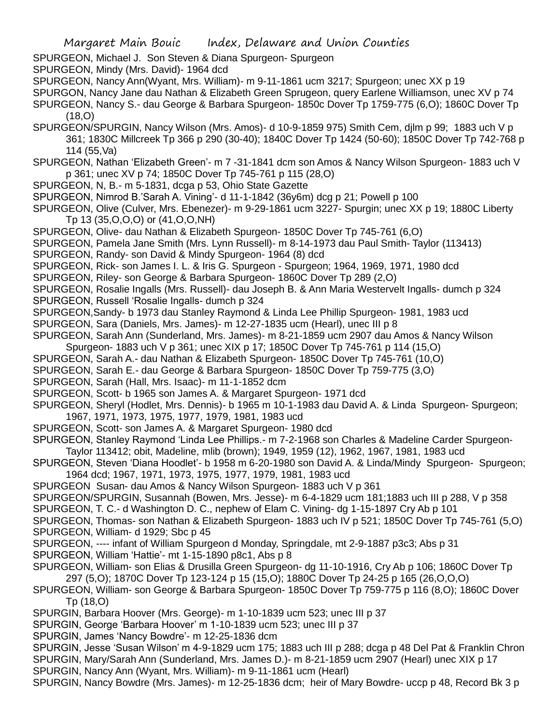SPURGEON, Michael J. Son Steven & Diana Spurgeon- Spurgeon

SPURGEON, Mindy (Mrs. David)- 1964 dcd

SPURGEON, Nancy Ann(Wyant, Mrs. William)- m 9-11-1861 ucm 3217; Spurgeon; unec XX p 19

SPURGON, Nancy Jane dau Nathan & Elizabeth Green Sprugeon, query Earlene Williamson, unec XV p 74

SPURGEON, Nancy S.- dau George & Barbara Spurgeon- 1850c Dover Tp 1759-775 (6,O); 1860C Dover Tp (18,O)

SPURGEON/SPURGIN, Nancy Wilson (Mrs. Amos)- d 10-9-1859 975) Smith Cem, djlm p 99; 1883 uch V p 361; 1830C Millcreek Tp 366 p 290 (30-40); 1840C Dover Tp 1424 (50-60); 1850C Dover Tp 742-768 p 114 (55,Va)

SPURGEON, Nathan 'Elizabeth Green'- m 7 -31-1841 dcm son Amos & Nancy Wilson Spurgeon- 1883 uch V p 361; unec XV p 74; 1850C Dover Tp 745-761 p 115 (28,O)

SPURGEON, N, B.- m 5-1831, dcga p 53, Ohio State Gazette

SPURGEON, Nimrod B.'Sarah A. Vining'- d 11-1-1842 (36y6m) dcg p 21; Powell p 100

SPURGEON, Olive (Culver, Mrs. Ebenezer)- m 9-29-1861 ucm 3227- Spurgin; unec XX p 19; 1880C Liberty Tp 13 (35,O,O,O) or (41,O,O,NH)

SPURGEON, Olive- dau Nathan & Elizabeth Spurgeon- 1850C Dover Tp 745-761 (6,O)

SPURGEON, Pamela Jane Smith (Mrs. Lynn Russell)- m 8-14-1973 dau Paul Smith- Taylor (113413)

SPURGEON, Randy- son David & Mindy Spurgeon- 1964 (8) dcd

SPURGEON, Rick- son James I. L. & Iris G. Spurgeon - Spurgeon; 1964, 1969, 1971, 1980 dcd

SPURGEON, Riley- son George & Barbara Spurgeon- 1860C Dover Tp 289 (2,O)

SPURGEON, Rosalie Ingalls (Mrs. Russell)- dau Joseph B. & Ann Maria Westervelt Ingalls- dumch p 324

SPURGEON, Russell 'Rosalie Ingalls- dumch p 324

SPURGEON,Sandy- b 1973 dau Stanley Raymond & Linda Lee Phillip Spurgeon- 1981, 1983 ucd

SPURGEON, Sara (Daniels, Mrs. James)- m 12-27-1835 ucm (Hearl), unec III p 8

SPURGEON, Sarah Ann (Sunderland, Mrs. James)- m 8-21-1859 ucm 2907 dau Amos & Nancy Wilson Spurgeon- 1883 uch V p 361; unec XIX p 17; 1850C Dover Tp 745-761 p 114 (15,O)

SPURGEON, Sarah A.- dau Nathan & Elizabeth Spurgeon- 1850C Dover Tp 745-761 (10,O)

SPURGEON, Sarah E.- dau George & Barbara Spurgeon- 1850C Dover Tp 759-775 (3,O)

SPURGEON, Sarah (Hall, Mrs. Isaac)- m 11-1-1852 dcm

SPURGEON, Scott- b 1965 son James A. & Margaret Spurgeon- 1971 dcd

SPURGEON, Sheryl (Hodlet, Mrs. Dennis)- b 1965 m 10-1-1983 dau David A. & Linda Spurgeon- Spurgeon; 1967, 1971, 1973, 1975, 1977, 1979, 1981, 1983 ucd

SPURGEON, Scott- son James A. & Margaret Spurgeon- 1980 dcd

SPURGEON, Stanley Raymond 'Linda Lee Phillips.- m 7-2-1968 son Charles & Madeline Carder Spurgeon-Taylor 113412; obit, Madeline, mlib (brown); 1949, 1959 (12), 1962, 1967, 1981, 1983 ucd

SPURGEON, Steven 'Diana Hoodlet'- b 1958 m 6-20-1980 son David A. & Linda/Mindy Spurgeon- Spurgeon; 1964 dcd; 1967, 1971, 1973, 1975, 1977, 1979, 1981, 1983 ucd

SPURGEON Susan- dau Amos & Nancy Wilson Spurgeon- 1883 uch V p 361

SPURGEON/SPURGIN, Susannah (Bowen, Mrs. Jesse)- m 6-4-1829 ucm 181;1883 uch III p 288, V p 358

SPURGEON, T. C.- d Washington D. C., nephew of Elam C. Vining- dg 1-15-1897 Cry Ab p 101

SPURGEON, Thomas- son Nathan & Elizabeth Spurgeon- 1883 uch IV p 521; 1850C Dover Tp 745-761 (5,O) SPURGEON, William- d 1929; Sbc p 45

SPURGEON, ---- infant of William Spurgeon d Monday, Springdale, mt 2-9-1887 p3c3; Abs p 31

SPURGEON, William 'Hattie'- mt 1-15-1890 p8c1, Abs p 8

SPURGEON, William- son Elias & Drusilla Green Spurgeon- dg 11-10-1916, Cry Ab p 106; 1860C Dover Tp 297 (5,O); 1870C Dover Tp 123-124 p 15 (15,O); 1880C Dover Tp 24-25 p 165 (26,O,O,O)

SPURGEON, William- son George & Barbara Spurgeon- 1850C Dover Tp 759-775 p 116 (8,O); 1860C Dover Tp (18,O)

SPURGIN, Barbara Hoover (Mrs. George)- m 1-10-1839 ucm 523; unec III p 37

SPURGIN, George 'Barbara Hoover' m 1-10-1839 ucm 523; unec III p 37

SPURGIN, James 'Nancy Bowdre'- m 12-25-1836 dcm

SPURGIN, Jesse 'Susan Wilson' m 4-9-1829 ucm 175; 1883 uch III p 288; dcga p 48 Del Pat & Franklin Chron

SPURGIN, Mary/Sarah Ann (Sunderland, Mrs. James D.)- m 8-21-1859 ucm 2907 (Hearl) unec XIX p 17

SPURGIN, Nancy Ann (Wyant, Mrs. William)- m 9-11-1861 ucm (Hearl)

SPURGIN, Nancy Bowdre (Mrs. James)- m 12-25-1836 dcm; heir of Mary Bowdre- uccp p 48, Record Bk 3 p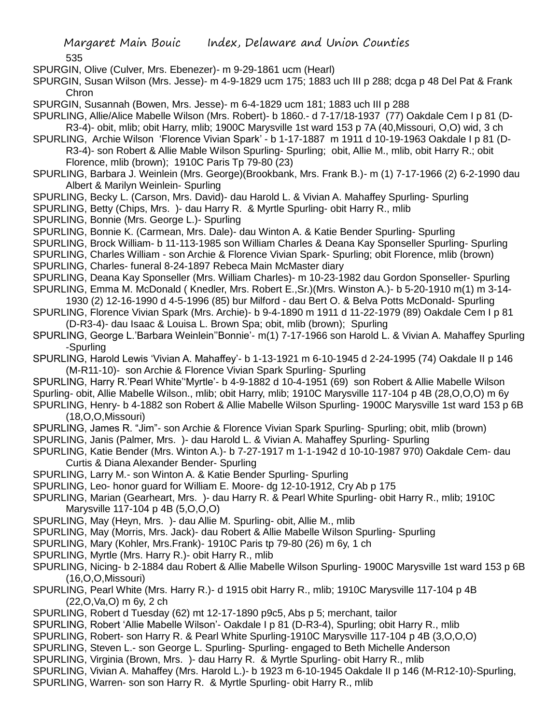SPURGIN, Olive (Culver, Mrs. Ebenezer)- m 9-29-1861 ucm (Hearl)

SPURGIN, Susan Wilson (Mrs. Jesse)- m 4-9-1829 ucm 175; 1883 uch III p 288; dcga p 48 Del Pat & Frank Chron

SPURGIN, Susannah (Bowen, Mrs. Jesse)- m 6-4-1829 ucm 181; 1883 uch III p 288

SPURLING, Allie/Alice Mabelle Wilson (Mrs. Robert)- b 1860.- d 7-17/18-1937 (77) Oakdale Cem I p 81 (D-R3-4)- obit, mlib; obit Harry, mlib; 1900C Marysville 1st ward 153 p 7A (40,Missouri, O,O) wid, 3 ch

SPURLING, Archie Wilson 'Florence Vivian Spark' - b 1-17-1887 m 1911 d 10-19-1963 Oakdale I p 81 (D-R3-4)- son Robert & Allie Mable Wilson Spurling- Spurling; obit, Allie M., mlib, obit Harry R.; obit

Florence, mlib (brown); 1910C Paris Tp 79-80 (23)

- SPURLING, Barbara J. Weinlein (Mrs. George)(Brookbank, Mrs. Frank B.)- m (1) 7-17-1966 (2) 6-2-1990 dau Albert & Marilyn Weinlein- Spurling
- SPURLING, Becky L. (Carson, Mrs. David)- dau Harold L. & Vivian A. Mahaffey Spurling- Spurling
- SPURLING, Betty (Chips, Mrs. )- dau Harry R. & Myrtle Spurling- obit Harry R., mlib

SPURLING, Bonnie (Mrs. George L.)- Spurling

SPURLING, Bonnie K. (Carmean, Mrs. Dale)- dau Winton A. & Katie Bender Spurling- Spurling

SPURLING, Brock William- b 11-113-1985 son William Charles & Deana Kay Sponseller Spurling- Spurling

SPURLING, Charles William - son Archie & Florence Vivian Spark- Spurling; obit Florence, mlib (brown)

SPURLING, Charles- funeral 8-24-1897 Rebeca Main McMaster diary

SPURLING, Deana Kay Sponseller (Mrs. William Charles)- m 10-23-1982 dau Gordon Sponseller- Spurling

- SPURLING, Emma M. McDonald ( Knedler, Mrs. Robert E.,Sr.)(Mrs. Winston A.)- b 5-20-1910 m(1) m 3-14- 1930 (2) 12-16-1990 d 4-5-1996 (85) bur Milford - dau Bert O. & Belva Potts McDonald- Spurling
- SPURLING, Florence Vivian Spark (Mrs. Archie)- b 9-4-1890 m 1911 d 11-22-1979 (89) Oakdale Cem I p 81 (D-R3-4)- dau Isaac & Louisa L. Brown Spa; obit, mlib (brown); Spurling
- SPURLING, George L.'Barbara Weinlein''Bonnie'- m(1) 7-17-1966 son Harold L. & Vivian A. Mahaffey Spurling -Spurling
- SPURLING, Harold Lewis 'Vivian A. Mahaffey'- b 1-13-1921 m 6-10-1945 d 2-24-1995 (74) Oakdale II p 146 (M-R11-10)- son Archie & Florence Vivian Spark Spurling- Spurling

SPURLING, Harry R.'Pearl White''Myrtle'- b 4-9-1882 d 10-4-1951 (69) son Robert & Allie Mabelle Wilson Spurling- obit, Allie Mabelle Wilson., mlib; obit Harry, mlib; 1910C Marysville 117-104 p 4B (28,O,O,O) m 6y SPURLING, Henry- b 4-1882 son Robert & Allie Mabelle Wilson Spurling- 1900C Marysville 1st ward 153 p 6B (18,O,O,Missouri)

SPURLING, James R. "Jim"- son Archie & Florence Vivian Spark Spurling- Spurling; obit, mlib (brown) SPURLING, Janis (Palmer, Mrs. )- dau Harold L. & Vivian A. Mahaffey Spurling- Spurling

- SPURLING, Katie Bender (Mrs. Winton A.)- b 7-27-1917 m 1-1-1942 d 10-10-1987 970) Oakdale Cem- dau Curtis & Diana Alexander Bender- Spurling
- SPURLING, Larry M.- son Winton A. & Katie Bender Spurling- Spurling
- SPURLING, Leo- honor guard for William E. Moore- dg 12-10-1912, Cry Ab p 175
- SPURLING, Marian (Gearheart, Mrs. )- dau Harry R. & Pearl White Spurling- obit Harry R., mlib; 1910C Marysville 117-104 p 4B (5,O,O,O)
- SPURLING, May (Heyn, Mrs. )- dau Allie M. Spurling- obit, Allie M., mlib
- SPURLING, May (Morris, Mrs. Jack)- dau Robert & Allie Mabelle Wilson Spurling- Spurling
- SPURLING, Mary (Kohler, Mrs.Frank)- 1910C Paris tp 79-80 (26) m 6y, 1 ch
- SPURLING, Myrtle (Mrs. Harry R.)- obit Harry R., mlib
- SPURLING, Nicing- b 2-1884 dau Robert & Allie Mabelle Wilson Spurling- 1900C Marysville 1st ward 153 p 6B (16,O,O,Missouri)
- SPURLING, Pearl White (Mrs. Harry R.)- d 1915 obit Harry R., mlib; 1910C Marysville 117-104 p 4B (22,O,Va,O) m 6y, 2 ch

SPURLING, Robert d Tuesday (62) mt 12-17-1890 p9c5, Abs p 5; merchant, tailor

SPURLING, Robert 'Allie Mabelle Wilson'- Oakdale I p 81 (D-R3-4), Spurling; obit Harry R., mlib

SPURLING, Robert- son Harry R. & Pearl White Spurling-1910C Marysville 117-104 p 4B (3,O,O,O)

- SPURLING, Steven L.- son George L. Spurling- Spurling- engaged to Beth Michelle Anderson
- SPURLING, Virginia (Brown, Mrs. )- dau Harry R. & Myrtle Spurling- obit Harry R., mlib
- SPURLING, Vivian A. Mahaffey (Mrs. Harold L.)- b 1923 m 6-10-1945 Oakdale II p 146 (M-R12-10)-Spurling,
- SPURLING, Warren- son son Harry R. & Myrtle Spurling- obit Harry R., mlib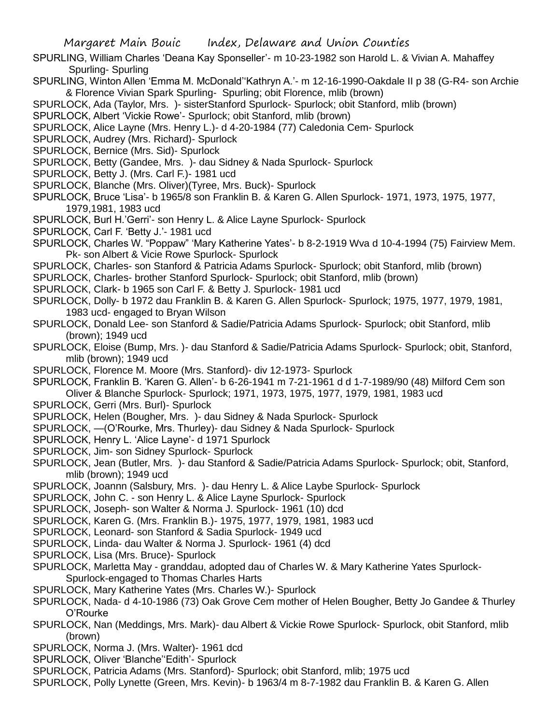- SPURLING, William Charles 'Deana Kay Sponseller'- m 10-23-1982 son Harold L. & Vivian A. Mahaffey Spurling- Spurling
- SPURLING, Winton Allen 'Emma M. McDonald''Kathryn A.'- m 12-16-1990-Oakdale II p 38 (G-R4- son Archie & Florence Vivian Spark Spurling- Spurling; obit Florence, mlib (brown)
- SPURLOCK, Ada (Taylor, Mrs. )- sisterStanford Spurlock- Spurlock; obit Stanford, mlib (brown)
- SPURLOCK, Albert 'Vickie Rowe'- Spurlock; obit Stanford, mlib (brown)
- SPURLOCK, Alice Layne (Mrs. Henry L.)- d 4-20-1984 (77) Caledonia Cem- Spurlock
- SPURLOCK, Audrey (Mrs. Richard)- Spurlock
- SPURLOCK, Bernice (Mrs. Sid)- Spurlock
- SPURLOCK, Betty (Gandee, Mrs. )- dau Sidney & Nada Spurlock- Spurlock
- SPURLOCK, Betty J. (Mrs. Carl F.)- 1981 ucd
- SPURLOCK, Blanche (Mrs. Oliver)(Tyree, Mrs. Buck)- Spurlock
- SPURLOCK, Bruce 'Lisa'- b 1965/8 son Franklin B. & Karen G. Allen Spurlock- 1971, 1973, 1975, 1977, 1979,1981, 1983 ucd
- SPURLOCK, Burl H.'Gerri'- son Henry L. & Alice Layne Spurlock- Spurlock
- SPURLOCK, Carl F. 'Betty J.'- 1981 ucd
- SPURLOCK, Charles W. "Poppaw" 'Mary Katherine Yates'- b 8-2-1919 Wva d 10-4-1994 (75) Fairview Mem. Pk- son Albert & Vicie Rowe Spurlock- Spurlock
- SPURLOCK, Charles- son Stanford & Patricia Adams Spurlock- Spurlock; obit Stanford, mlib (brown)
- SPURLOCK, Charles- brother Stanford Spurlock- Spurlock; obit Stanford, mlib (brown)
- SPURLOCK, Clark- b 1965 son Carl F. & Betty J. Spurlock- 1981 ucd
- SPURLOCK, Dolly- b 1972 dau Franklin B. & Karen G. Allen Spurlock- Spurlock; 1975, 1977, 1979, 1981, 1983 ucd- engaged to Bryan Wilson
- SPURLOCK, Donald Lee- son Stanford & Sadie/Patricia Adams Spurlock- Spurlock; obit Stanford, mlib (brown); 1949 ucd
- SPURLOCK, Eloise (Bump, Mrs. )- dau Stanford & Sadie/Patricia Adams Spurlock- Spurlock; obit, Stanford, mlib (brown); 1949 ucd
- SPURLOCK, Florence M. Moore (Mrs. Stanford)- div 12-1973- Spurlock
- SPURLOCK, Franklin B. 'Karen G. Allen'- b 6-26-1941 m 7-21-1961 d d 1-7-1989/90 (48) Milford Cem son Oliver & Blanche Spurlock- Spurlock; 1971, 1973, 1975, 1977, 1979, 1981, 1983 ucd
- SPURLOCK, Gerri (Mrs. Burl)- Spurlock
- SPURLOCK, Helen (Bougher, Mrs. )- dau Sidney & Nada Spurlock- Spurlock
- SPURLOCK, —(O'Rourke, Mrs. Thurley)- dau Sidney & Nada Spurlock- Spurlock
- SPURLOCK, Henry L. 'Alice Layne'- d 1971 Spurlock
- SPURLOCK, Jim- son Sidney Spurlock- Spurlock
- SPURLOCK, Jean (Butler, Mrs. )- dau Stanford & Sadie/Patricia Adams Spurlock- Spurlock; obit, Stanford, mlib (brown); 1949 ucd
- SPURLOCK, Joannn (Salsbury, Mrs. )- dau Henry L. & Alice Laybe Spurlock- Spurlock
- SPURLOCK, John C. son Henry L. & Alice Layne Spurlock- Spurlock
- SPURLOCK, Joseph- son Walter & Norma J. Spurlock- 1961 (10) dcd
- SPURLOCK, Karen G. (Mrs. Franklin B.)- 1975, 1977, 1979, 1981, 1983 ucd
- SPURLOCK, Leonard- son Stanford & Sadia Spurlock- 1949 ucd
- SPURLOCK, Linda- dau Walter & Norma J. Spurlock- 1961 (4) dcd
- SPURLOCK, Lisa (Mrs. Bruce)- Spurlock
- SPURLOCK, Marletta May granddau, adopted dau of Charles W. & Mary Katherine Yates Spurlock-Spurlock-engaged to Thomas Charles Harts
- SPURLOCK, Mary Katherine Yates (Mrs. Charles W.)- Spurlock
- SPURLOCK, Nada- d 4-10-1986 (73) Oak Grove Cem mother of Helen Bougher, Betty Jo Gandee & Thurley O'Rourke
- SPURLOCK, Nan (Meddings, Mrs. Mark)- dau Albert & Vickie Rowe Spurlock- Spurlock, obit Stanford, mlib (brown)
- SPURLOCK, Norma J. (Mrs. Walter)- 1961 dcd
- SPURLOCK, Oliver 'Blanche''Edith'- Spurlock
- SPURLOCK, Patricia Adams (Mrs. Stanford)- Spurlock; obit Stanford, mlib; 1975 ucd
- SPURLOCK, Polly Lynette (Green, Mrs. Kevin)- b 1963/4 m 8-7-1982 dau Franklin B. & Karen G. Allen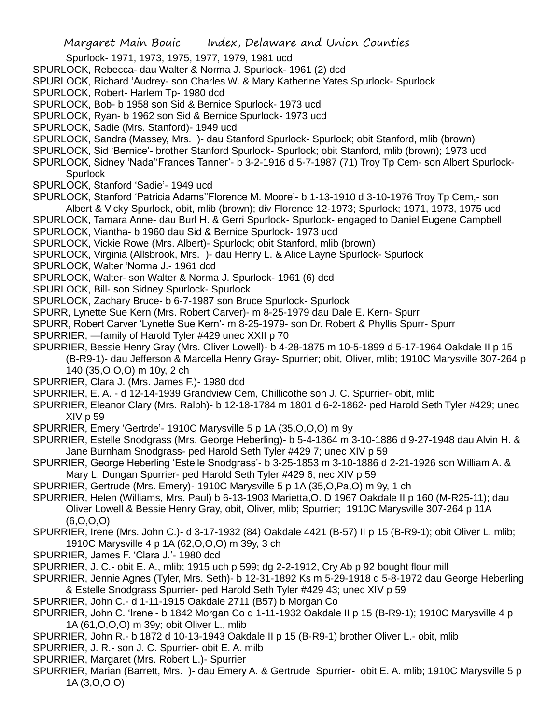Spurlock- 1971, 1973, 1975, 1977, 1979, 1981 ucd

- SPURLOCK, Rebecca- dau Walter & Norma J. Spurlock- 1961 (2) dcd
- SPURLOCK, Richard 'Audrey- son Charles W. & Mary Katherine Yates Spurlock- Spurlock
- SPURLOCK, Robert- Harlem Tp- 1980 dcd
- SPURLOCK, Bob- b 1958 son Sid & Bernice Spurlock- 1973 ucd
- SPURLOCK, Ryan- b 1962 son Sid & Bernice Spurlock- 1973 ucd
- SPURLOCK, Sadie (Mrs. Stanford)- 1949 ucd
- SPURLOCK, Sandra (Massey, Mrs. )- dau Stanford Spurlock- Spurlock; obit Stanford, mlib (brown)
- SPURLOCK, Sid 'Bernice'- brother Stanford Spurlock- Spurlock; obit Stanford, mlib (brown); 1973 ucd
- SPURLOCK, Sidney 'Nada''Frances Tanner'- b 3-2-1916 d 5-7-1987 (71) Troy Tp Cem- son Albert Spurlock-**Spurlock**
- SPURLOCK, Stanford 'Sadie'- 1949 ucd
- SPURLOCK, Stanford 'Patricia Adams''Florence M. Moore'- b 1-13-1910 d 3-10-1976 Troy Tp Cem,- son Albert & Vicky Spurlock, obit, mlib (brown); div Florence 12-1973; Spurlock; 1971, 1973, 1975 ucd
- SPURLOCK, Tamara Anne- dau Burl H. & Gerri Spurlock- Spurlock- engaged to Daniel Eugene Campbell SPURLOCK, Viantha- b 1960 dau Sid & Bernice Spurlock- 1973 ucd
- SPURLOCK, Vickie Rowe (Mrs. Albert)- Spurlock; obit Stanford, mlib (brown)
- SPURLOCK, Virginia (Allsbrook, Mrs. )- dau Henry L. & Alice Layne Spurlock- Spurlock
- SPURLOCK, Walter 'Norma J.- 1961 dcd
- SPURLOCK, Walter- son Walter & Norma J. Spurlock- 1961 (6) dcd
- SPURLOCK, Bill- son Sidney Spurlock- Spurlock
- SPURLOCK, Zachary Bruce- b 6-7-1987 son Bruce Spurlock- Spurlock
- SPURR, Lynette Sue Kern (Mrs. Robert Carver)- m 8-25-1979 dau Dale E. Kern- Spurr
- SPURR, Robert Carver 'Lynette Sue Kern'- m 8-25-1979- son Dr. Robert & Phyllis Spurr- Spurr
- SPURRIER, —family of Harold Tyler #429 unec XXII p 70
- SPURRIER, Bessie Henry Gray (Mrs. Oliver Lowell)- b 4-28-1875 m 10-5-1899 d 5-17-1964 Oakdale II p 15
	- (B-R9-1)- dau Jefferson & Marcella Henry Gray- Spurrier; obit, Oliver, mlib; 1910C Marysville 307-264 p 140 (35,O,O,O) m 10y, 2 ch
- SPURRIER, Clara J. (Mrs. James F.)- 1980 dcd
- SPURRIER, E. A. d 12-14-1939 Grandview Cem, Chillicothe son J. C. Spurrier- obit, mlib
- SPURRIER, Eleanor Clary (Mrs. Ralph)- b 12-18-1784 m 1801 d 6-2-1862- ped Harold Seth Tyler #429; unec XIV p 59
- SPURRIER, Emery 'Gertrde'- 1910C Marysville 5 p 1A (35,O,O,O) m 9y
- SPURRIER, Estelle Snodgrass (Mrs. George Heberling)- b 5-4-1864 m 3-10-1886 d 9-27-1948 dau Alvin H. & Jane Burnham Snodgrass- ped Harold Seth Tyler #429 7; unec XIV p 59
- SPURRIER, George Heberling 'Estelle Snodgrass'- b 3-25-1853 m 3-10-1886 d 2-21-1926 son William A. & Mary L. Dungan Spurrier- ped Harold Seth Tyler #429 6; nec XIV p 59
- SPURRIER, Gertrude (Mrs. Emery)- 1910C Marysville 5 p 1A (35,O,Pa,O) m 9y, 1 ch
- SPURRIER, Helen (Williams, Mrs. Paul) b 6-13-1903 Marietta,O. D 1967 Oakdale II p 160 (M-R25-11); dau Oliver Lowell & Bessie Henry Gray, obit, Oliver, mlib; Spurrier; 1910C Marysville 307-264 p 11A
	- (6,O,O,O)

SPURRIER, Irene (Mrs. John C.)- d 3-17-1932 (84) Oakdale 4421 (B-57) II p 15 (B-R9-1); obit Oliver L. mlib; 1910C Marysville 4 p 1A (62,O,O,O) m 39y, 3 ch

- SPURRIER, James F. 'Clara J.'- 1980 dcd
- SPURRIER, J. C.- obit E. A., mlib; 1915 uch p 599; dg 2-2-1912, Cry Ab p 92 bought flour mill
- SPURRIER, Jennie Agnes (Tyler, Mrs. Seth)- b 12-31-1892 Ks m 5-29-1918 d 5-8-1972 dau George Heberling & Estelle Snodgrass Spurrier- ped Harold Seth Tyler #429 43; unec XIV p 59
- SPURRIER, John C.- d 1-11-1915 Oakdale 2711 (B57) b Morgan Co
- SPURRIER, John C. 'Irene'- b 1842 Morgan Co d 1-11-1932 Oakdale II p 15 (B-R9-1); 1910C Marysville 4 p 1A (61,O,O,O) m 39y; obit Oliver L., mlib
- SPURRIER, John R.- b 1872 d 10-13-1943 Oakdale II p 15 (B-R9-1) brother Oliver L.- obit, mlib
- SPURRIER, J. R.- son J. C. Spurrier- obit E. A. milb
- SPURRIER, Margaret (Mrs. Robert L.)- Spurrier
- SPURRIER, Marian (Barrett, Mrs. )- dau Emery A. & Gertrude Spurrier- obit E. A. mlib; 1910C Marysville 5 p 1A (3,O,O,O)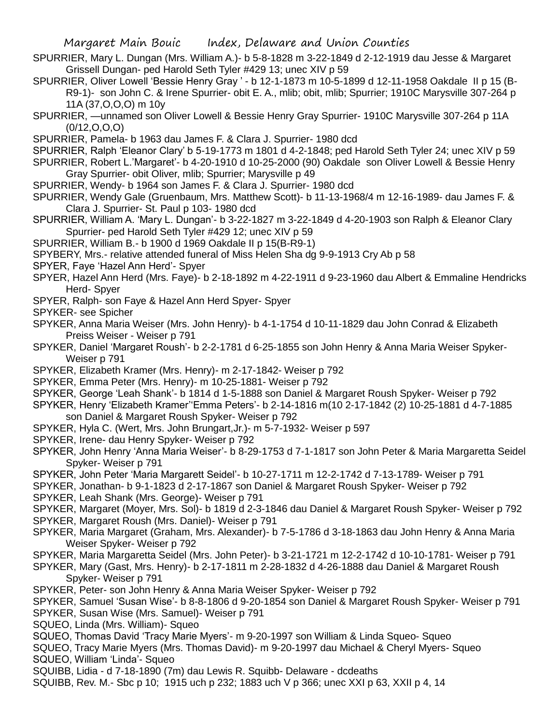- SPURRIER, Mary L. Dungan (Mrs. William A.)- b 5-8-1828 m 3-22-1849 d 2-12-1919 dau Jesse & Margaret Grissell Dungan- ped Harold Seth Tyler #429 13; unec XIV p 59
- SPURRIER, Oliver Lowell 'Bessie Henry Gray ' b 12-1-1873 m 10-5-1899 d 12-11-1958 Oakdale II p 15 (B-R9-1)- son John C. & Irene Spurrier- obit E. A., mlib; obit, mlib; Spurrier; 1910C Marysville 307-264 p 11A (37,O,O,O) m 10y
- SPURRIER, —unnamed son Oliver Lowell & Bessie Henry Gray Spurrier- 1910C Marysville 307-264 p 11A  $(0/12, 0, 0, 0)$
- SPURRIER, Pamela- b 1963 dau James F. & Clara J. Spurrier- 1980 dcd
- SPURRIER, Ralph 'Eleanor Clary' b 5-19-1773 m 1801 d 4-2-1848; ped Harold Seth Tyler 24; unec XIV p 59
- SPURRIER, Robert L.'Margaret'- b 4-20-1910 d 10-25-2000 (90) Oakdale son Oliver Lowell & Bessie Henry Gray Spurrier- obit Oliver, mlib; Spurrier; Marysville p 49
- SPURRIER, Wendy- b 1964 son James F. & Clara J. Spurrier- 1980 dcd
- SPURRIER, Wendy Gale (Gruenbaum, Mrs. Matthew Scott)- b 11-13-1968/4 m 12-16-1989- dau James F. & Clara J. Spurrier- St. Paul p 103- 1980 dcd
- SPURRIER, William A. 'Mary L. Dungan'- b 3-22-1827 m 3-22-1849 d 4-20-1903 son Ralph & Eleanor Clary Spurrier- ped Harold Seth Tyler #429 12; unec XIV p 59
- SPURRIER, William B.- b 1900 d 1969 Oakdale II p 15(B-R9-1)
- SPYBERY, Mrs.- relative attended funeral of Miss Helen Sha dg 9-9-1913 Cry Ab p 58
- SPYER, Faye 'Hazel Ann Herd'- Spyer
- SPYER, Hazel Ann Herd (Mrs. Faye)- b 2-18-1892 m 4-22-1911 d 9-23-1960 dau Albert & Emmaline Hendricks Herd- Spyer
- SPYER, Ralph- son Faye & Hazel Ann Herd Spyer- Spyer
- SPYKER- see Spicher
- SPYKER, Anna Maria Weiser (Mrs. John Henry)- b 4-1-1754 d 10-11-1829 dau John Conrad & Elizabeth Preiss Weiser - Weiser p 791
- SPYKER, Daniel 'Margaret Roush'- b 2-2-1781 d 6-25-1855 son John Henry & Anna Maria Weiser Spyker-Weiser p 791
- SPYKER, Elizabeth Kramer (Mrs. Henry)- m 2-17-1842- Weiser p 792
- SPYKER, Emma Peter (Mrs. Henry)- m 10-25-1881- Weiser p 792
- SPYKER, George 'Leah Shank'- b 1814 d 1-5-1888 son Daniel & Margaret Roush Spyker- Weiser p 792
- SPYKER, Henry 'Elizabeth Kramer''Emma Peters'- b 2-14-1816 m(10 2-17-1842 (2) 10-25-1881 d 4-7-1885 son Daniel & Margaret Roush Spyker- Weiser p 792
- SPYKER, Hyla C. (Wert, Mrs. John Brungart,Jr.)- m 5-7-1932- Weiser p 597
- SPYKER, Irene- dau Henry Spyker- Weiser p 792
- SPYKER, John Henry 'Anna Maria Weiser'- b 8-29-1753 d 7-1-1817 son John Peter & Maria Margaretta Seidel Spyker- Weiser p 791
- SPYKER, John Peter 'Maria Margarett Seidel'- b 10-27-1711 m 12-2-1742 d 7-13-1789- Weiser p 791
- SPYKER, Jonathan- b 9-1-1823 d 2-17-1867 son Daniel & Margaret Roush Spyker- Weiser p 792
- SPYKER, Leah Shank (Mrs. George)- Weiser p 791
- SPYKER, Margaret (Moyer, Mrs. Sol)- b 1819 d 2-3-1846 dau Daniel & Margaret Roush Spyker- Weiser p 792 SPYKER, Margaret Roush (Mrs. Daniel)- Weiser p 791
- SPYKER, Maria Margaret (Graham, Mrs. Alexander)- b 7-5-1786 d 3-18-1863 dau John Henry & Anna Maria Weiser Spyker- Weiser p 792
- SPYKER, Maria Margaretta Seidel (Mrs. John Peter)- b 3-21-1721 m 12-2-1742 d 10-10-1781- Weiser p 791
- SPYKER, Mary (Gast, Mrs. Henry)- b 2-17-1811 m 2-28-1832 d 4-26-1888 dau Daniel & Margaret Roush Spyker- Weiser p 791
- SPYKER, Peter- son John Henry & Anna Maria Weiser Spyker- Weiser p 792
- SPYKER, Samuel 'Susan Wise'- b 8-8-1806 d 9-20-1854 son Daniel & Margaret Roush Spyker- Weiser p 791
- SPYKER, Susan Wise (Mrs. Samuel)- Weiser p 791
- SQUEO, Linda (Mrs. William) Squeo
- SQUEO, Thomas David 'Tracy Marie Myers'- m 9-20-1997 son William & Linda Squeo- Squeo
- SQUEO, Tracy Marie Myers (Mrs. Thomas David)- m 9-20-1997 dau Michael & Cheryl Myers- Squeo SQUEO, William 'Linda'- Squeo
- SQUIBB, Lidia d 7-18-1890 (7m) dau Lewis R. Squibb- Delaware dcdeaths
- SQUIBB, Rev. M.- Sbc p 10; 1915 uch p 232; 1883 uch V p 366; unec XXI p 63, XXII p 4, 14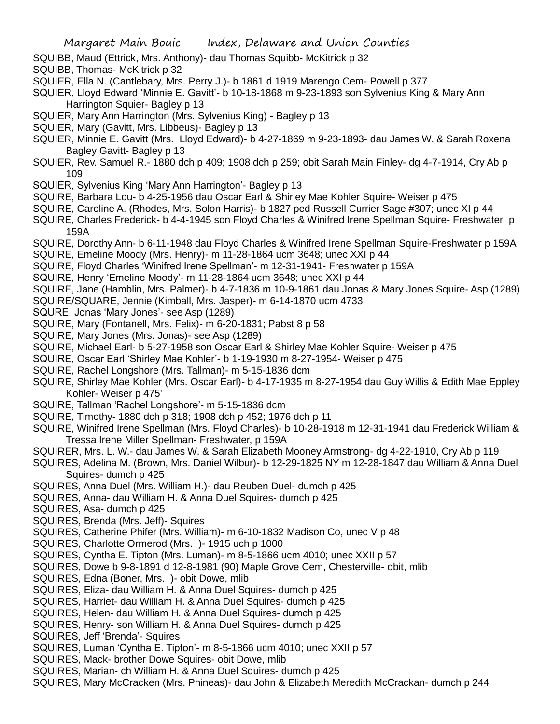- SQUIBB, Maud (Ettrick, Mrs. Anthony)- dau Thomas Squibb- McKitrick p 32
- SQUIBB, Thomas- McKitrick p 32
- SQUIER, Ella N. (Cantlebary, Mrs. Perry J.)- b 1861 d 1919 Marengo Cem- Powell p 377
- SQUIER, Lloyd Edward 'Minnie E. Gavitt'- b 10-18-1868 m 9-23-1893 son Sylvenius King & Mary Ann Harrington Squier- Bagley p 13
- SQUIER, Mary Ann Harrington (Mrs. Sylvenius King) Bagley p 13
- SQUIER, Mary (Gavitt, Mrs. Libbeus)- Bagley p 13
- SQUIER, Minnie E. Gavitt (Mrs. Lloyd Edward)- b 4-27-1869 m 9-23-1893- dau James W. & Sarah Roxena Bagley Gavitt- Bagley p 13
- SQUIER, Rev. Samuel R.- 1880 dch p 409; 1908 dch p 259; obit Sarah Main Finley- dg 4-7-1914, Cry Ab p 109
- SQUIER, Sylvenius King 'Mary Ann Harrington'- Bagley p 13
- SQUIRE, Barbara Lou- b 4-25-1956 dau Oscar Earl & Shirley Mae Kohler Squire- Weiser p 475
- SQUIRE, Caroline A. (Rhodes, Mrs. Solon Harris)- b 1827 ped Russell Currier Sage #307; unec XI p 44
- SQUIRE, Charles Frederick- b 4-4-1945 son Floyd Charles & Winifred Irene Spellman Squire- Freshwater p 159A
- SQUIRE, Dorothy Ann- b 6-11-1948 dau Floyd Charles & Winifred Irene Spellman Squire-Freshwater p 159A
- SQUIRE, Emeline Moody (Mrs. Henry)- m 11-28-1864 ucm 3648; unec XXI p 44
- SQUIRE, Floyd Charles 'Winifred Irene Spellman'- m 12-31-1941- Freshwater p 159A
- SQUIRE, Henry 'Emeline Moody'- m 11-28-1864 ucm 3648; unec XXI p 44
- SQUIRE, Jane (Hamblin, Mrs. Palmer)- b 4-7-1836 m 10-9-1861 dau Jonas & Mary Jones Squire- Asp (1289)
- SQUIRE/SQUARE, Jennie (Kimball, Mrs. Jasper)- m 6-14-1870 ucm 4733
- SQURE, Jonas 'Mary Jones'- see Asp (1289)
- SQUIRE, Mary (Fontanell, Mrs. Felix)- m 6-20-1831; Pabst 8 p 58
- SQUIRE, Mary Jones (Mrs. Jonas)- see Asp (1289)
- SQUIRE, Michael Earl- b 5-27-1958 son Oscar Earl & Shirley Mae Kohler Squire- Weiser p 475
- SQUIRE, Oscar Earl 'Shirley Mae Kohler'- b 1-19-1930 m 8-27-1954- Weiser p 475
- SQUIRE, Rachel Longshore (Mrs. Tallman)- m 5-15-1836 dcm
- SQUIRE, Shirley Mae Kohler (Mrs. Oscar Earl)- b 4-17-1935 m 8-27-1954 dau Guy Willis & Edith Mae Eppley Kohler- Weiser p 475'
- SQUIRE, Tallman 'Rachel Longshore'- m 5-15-1836 dcm
- SQUIRE, Timothy- 1880 dch p 318; 1908 dch p 452; 1976 dch p 11
- SQUIRE, Winifred Irene Spellman (Mrs. Floyd Charles)- b 10-28-1918 m 12-31-1941 dau Frederick William & Tressa Irene Miller Spellman- Freshwater, p 159A
- SQUIRER, Mrs. L. W.- dau James W. & Sarah Elizabeth Mooney Armstrong- dg 4-22-1910, Cry Ab p 119
- SQUIRES, Adelina M. (Brown, Mrs. Daniel Wilbur)- b 12-29-1825 NY m 12-28-1847 dau William & Anna Duel Squires- dumch p 425
- SQUIRES, Anna Duel (Mrs. William H.)- dau Reuben Duel- dumch p 425
- SQUIRES, Anna- dau William H. & Anna Duel Squires- dumch p 425
- SQUIRES, Asa- dumch p 425
- SQUIRES, Brenda (Mrs. Jeff)- Squires
- SQUIRES, Catherine Phifer (Mrs. William)- m 6-10-1832 Madison Co, unec V p 48
- SQUIRES, Charlotte Ormerod (Mrs. )- 1915 uch p 1000
- SQUIRES, Cyntha E. Tipton (Mrs. Luman)- m 8-5-1866 ucm 4010; unec XXII p 57
- SQUIRES, Dowe b 9-8-1891 d 12-8-1981 (90) Maple Grove Cem, Chesterville- obit, mlib
- SQUIRES, Edna (Boner, Mrs. )- obit Dowe, mlib
- SQUIRES, Eliza- dau William H. & Anna Duel Squires- dumch p 425
- SQUIRES, Harriet- dau William H. & Anna Duel Squires- dumch p 425
- SQUIRES, Helen- dau William H. & Anna Duel Squires- dumch p 425
- SQUIRES, Henry- son William H. & Anna Duel Squires- dumch p 425
- SQUIRES, Jeff 'Brenda'- Squires
- SQUIRES, Luman 'Cyntha E. Tipton'- m 8-5-1866 ucm 4010; unec XXII p 57
- SQUIRES, Mack- brother Dowe Squires- obit Dowe, mlib
- SQUIRES, Marian- ch William H. & Anna Duel Squires- dumch p 425
- SQUIRES, Mary McCracken (Mrs. Phineas)- dau John & Elizabeth Meredith McCrackan- dumch p 244